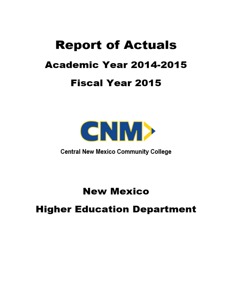# **Report of Actuals Academic Year 2014-2015 Fiscal Year 2015**



**Central New Mexico Community College** 

**New Mexico** 

## **Higher Education Department**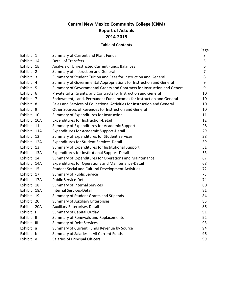### **Central New Mexico Community College (CNM) Report of Actuals 2014-2015**

#### **Table of Contents**

|             |                                                                          | Page |
|-------------|--------------------------------------------------------------------------|------|
| Exhibit 1   | Summary of Current and Plant Funds                                       | 3    |
| Exhibit 1A  | <b>Detail of Transfers</b>                                               | 5    |
| Exhibit 1B  | Analysis of Unrestricted Current Funds Balances                          | 6    |
| Exhibit 2   | Summary of Instruction and General                                       | 7    |
| Exhibit 3   | Summary of Student Tuition and Fees for Instruction and General          | 8    |
| Exhibit 4   | Summary of Governmental Appropriations for Instruction and General       | 9    |
| Exhibit 5   | Summary of Governmental Grants and Contracts for Instruction and General | 9    |
| Exhibit 6   | Private Gifts, Grants, and Contracts for Instruction and General         | 10   |
| Exhibit 7   | Endowment, Land, Permanent Fund Incomes for Instruction and General      | 10   |
| Exhibit 8   | Sales and Services of Educational Activities for Instruction and General | 10   |
| Exhibit 9   | Other Sources of Revenues for Instruction and General                    | 10   |
| Exhibit 10  | Summary of Expenditures for Instruction                                  | 11   |
| Exhibit 10A | <b>Expenditures for Instruction-Detail</b>                               | 12   |
| Exhibit 11  | Summary of Expenditures for Academic Support                             | 28   |
| Exhibit 11A | <b>Expenditures for Academic Support-Detail</b>                          | 29   |
| Exhibit 12  | Summary of Expenditures for Student Services                             | 38   |
| Exhibit 12A | <b>Expenditures for Student Services-Detail</b>                          | 39   |
| Exhibit 13  | Summary of Expenditures for Institutional Support                        | 51   |
| Exhibit 13A | Expenditures for Institutional Support-Detail                            | 53   |
| Exhibit 14  | Summary of Expenditures for Operations and Maintenance                   | 67   |
| Exhibit 14A | <b>Expenditures for Operations and Maintenance-Detail</b>                | 68   |
| Exhibit 15  | <b>Student Social and Cultural Development Activities</b>                | 72   |
| Exhibit 17  | <b>Summary of Public Service</b>                                         | 73   |
| Exhibit 17A | <b>Public Service-Detail</b>                                             | 74   |
| Exhibit 18  | <b>Summary of Internal Services</b>                                      | 80   |
| Exhibit 18A | Internal Services-Detail                                                 | 81   |
| Exhibit 19  | Summary of Student Grants and Stipends                                   | 84   |
| Exhibit 20  | <b>Summary of Auxiliary Enterprises</b>                                  | 85   |
| Exhibit 20A | <b>Auxiliary Enterprises-Detail</b>                                      | 86   |
| Exhibit I   | <b>Summary of Capital Outlay</b>                                         | 91   |
| Exhibit II  | Summary of Renewals and Replacements                                     | 92   |
| Exhibit III | <b>Summary of Debt Services</b>                                          | 93   |
| Exhibit a   | Summary of Current Funds Revenue by Source                               | 94   |
| Exhibit b   | Summary of Salaries in All Current Funds                                 | 96   |
| Exhibit e   | <b>Salaries of Principal Officers</b>                                    | 99   |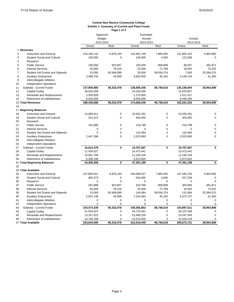#### **Central New Mexico Community College Exhibit 1- Summary of Current and Plant Funds Page 1 of 2**

|                |                                        | Approved                |              | Estimated           |             |                     |             |  |
|----------------|----------------------------------------|-------------------------|--------------|---------------------|-------------|---------------------|-------------|--|
|                |                                        | <b>Budget</b>           |              | Actuals             |             | Actuals             |             |  |
|                |                                        | 2014-2015               |              | 2014-2015           |             | 2014-2015           |             |  |
|                |                                        | Unrest.                 | Rest.        | Unrest.             | Rest.       | Unrest.             | Rest.       |  |
|                | 1 Revenues                             |                         |              |                     |             |                     |             |  |
| $\overline{c}$ | <b>Instruction and General</b>         | 134,160,110             | 6,876,194    | 134,452,746         | 7,883,455   | 131,805,422         | 5,963,965   |  |
| 3              | <b>Student Social and Cultural</b>     | 150,000                 | $\Omega$     | 140,000             | 4,000       | 123,286             | $\Omega$    |  |
| $\overline{4}$ | Research                               |                         |              |                     |             |                     |             |  |
| 5              | <b>Public Service</b>                  | 100,000                 | 923,857      | 100,000             | 808,809     | 86,007              | 491,871     |  |
| 6              | <b>Internal Services</b>               | 50,000                  | 78,419       | 25,000              | 72,799      | 18,045              | 73,202      |  |
| $\overline{7}$ | <b>Student Aid Grants and Stipends</b> | 10,000                  | 50,408,699   | 20,000              | 39,934,374  | 7,500               | 33,394,570  |  |
| 8              | <b>Auxiliary Enterprises</b>           | 3,489,750               | 44,909       | 3,920,500           | 45,182      | 3,149,744           | 31,300      |  |
| 9              | Intercollegiate Athletics              |                         |              |                     |             |                     |             |  |
| 10             | <b>Independent Operations</b>          |                         |              |                     |             |                     |             |  |
| 11             | Subtotal - Current Funds               | 137,959,860             | 58,332,078   | 138,658,246         | 48,748,619  | 135,190,004         | 39,954,908  |  |
| 12             | Capital Outlay                         | 39,620,000              |              | 24,250,000          |             | 15,633,907          |             |  |
| 13             | Renewals and Replacements              | 2,305,828               |              | 2,170,000           |             | 2,011,317           |             |  |
| 14             | Retirement of Indebtedness             | 9,550,000               |              | 9,550,000           |             | 9,446,294           |             |  |
|                | 15 Total Revenues                      | 189,435,688             | 58,332,078   | 174,628,246         | 48,748,619  | 162,281,522         | 39,954,908  |  |
| 16             |                                        |                         |              |                     |             |                     |             |  |
|                | 17 Beginning Balances                  |                         |              |                     |             |                     |             |  |
| 18             | Instruction and General                | 13,690,811              | $\mathbf 0$  | 15,635,281          | 0           | 15,635,281          | $\Omega$    |  |
| 19             | <b>Student Social and Cultural</b>     | 314,373                 | $\mathbf 0$  | 404,050             | $\mathbf 0$ | 404,050             | $\Omega$    |  |
| 20             | Research                               |                         |              |                     |             |                     |             |  |
| 21             | <b>Public Service</b>                  | 161,899                 | 0            | 219,799             | $\mathbf 0$ | 219.799             | $\mathbf 0$ |  |
| 22             | <b>Internal Services</b>               | 0                       | $\Omega$     | $\Omega$            | $\mathbf 0$ | $\Omega$            | $\Omega$    |  |
| 23             | <b>Student Aid Grants and Stipends</b> | $\mathbf 0$             | 0            | 124,484             | $\mathbf 0$ | 124,484             | $\mathbf 0$ |  |
| 24             | <b>Auxiliary Enterprises</b>           | 2,447,396               | $\Omega$     | 3,323,993           | 0           | 3,323,993           | $\Omega$    |  |
| 25             | Intercollegiate Athletics              |                         |              |                     |             |                     |             |  |
| 26             | <b>Independent Operations</b>          |                         |              |                     |             |                     |             |  |
| 27             | Subtotal - Current Funds               | 16,614,479              | $\mathbf{0}$ | 19,707,607          | 0           | 19,707,607          | $\bf{0}$    |  |
| 28             | Capital Outlay                         | 11,434,027              |              | 10,473,441          |             | 10,473,441          |             |  |
| 29             | Renewals and Replacements              | 10,951,794              |              | 11,236,226          |             | 11,236,226          |             |  |
| 30             | Retirement of Indebtedness             |                         |              | 5,973,925           |             | 5,973,925           |             |  |
|                |                                        | 5,208,108<br>44,208,408 | $\mathbf 0$  | 47,391,199          | 0           | 47,391,199          | $\mathbf 0$ |  |
| 32             | 31 Total Beginning Balances            |                         |              |                     |             |                     |             |  |
|                | 33 Total Available                     |                         |              |                     |             |                     |             |  |
| 34             | Instruction and General                | 147,850,921             | 6,876,194    | 150,088,027         | 7,883,455   | 147,440,703         | 5,963,965   |  |
| 35             | <b>Student Social and Cultural</b>     | 464,373                 | $\mathbf 0$  |                     | 4,000       |                     | $\Omega$    |  |
|                |                                        | $\Omega$                | $\Omega$     | 544,050<br>$\Omega$ | $\Omega$    | 527,336<br>$\Omega$ | $\Omega$    |  |
| 36             | Research                               |                         |              |                     |             |                     |             |  |
| 37             | <b>Public Service</b>                  | 261,899                 | 923,857      | 319,799             | 808,809     | 305,806             | 491,871     |  |
| 38             | <b>Internal Services</b>               | 50,000                  | 78,419       | 25,000              | 72,799      | 18,045              | 73,202      |  |
| 39             | <b>Student Aid Grants and Stipends</b> | 10,000                  | 50,408,699   | 144,484             | 39,934,374  | 131,984             | 33,394,570  |  |
| 40             | <b>Auxiliary Enterprises</b>           | 5,937,146               | 44,909       | 7,244,493           | 45,182      | 6,473,737           | 31,300      |  |
| 41             | Intercollegiate Athletics              | 0                       | $\mathbf 0$  | $\mathbf 0$         | $\mathbf 0$ | $\mathbf 0$         | $\mathbf 0$ |  |
| 42             | <b>Independent Operations</b>          | $\mathbf 0$             | $\mathbf 0$  | $\mathbf 0$         | $\mathbf 0$ | $\mathbf 0$         | $\mathbf 0$ |  |
| 43             | Subtotal - Current Funds               | 154,574,339             | 58,332,078   | 158,365,853         | 48,748,619  | 154,897,611         | 39,954,908  |  |
| 44             | <b>Capital Outlay</b>                  | 51,054,027              | $\mathbf 0$  | 34,723,441          | $\mathbf 0$ | 26,107,348          | $\mathbf 0$ |  |
| 45             | Renewals and Replacements              | 13,257,622              | $\Omega$     | 13,406,226          | $\mathbf 0$ | 13,247,543          | $\Omega$    |  |
| 46             | Retirement of Indebtedness             | 14,758,108              | $\mathbf 0$  | 15,523,925          | $\Omega$    | 15,420,219          | $\mathbf 0$ |  |
|                | 47 Total Available                     | 233,644,095             | 58,332,078   | 222,019,445         | 48,748,619  | 209,672,721         | 39,954,908  |  |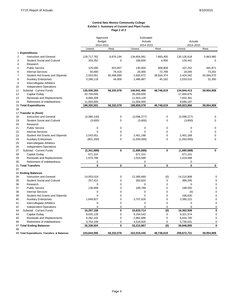#### **Exhibit 1- Summary of Current and Plant Funds Page 2 of 2 Central New Mexico Community College**

|                |                                                            | Approved               |                            | Estimated            |              |                      |                         |  |
|----------------|------------------------------------------------------------|------------------------|----------------------------|----------------------|--------------|----------------------|-------------------------|--|
|                |                                                            | <b>Budget</b>          |                            | Actuals              |              | Actuals              |                         |  |
|                |                                                            | 2014-2015<br>Unrest.   | Rest.                      | 2014-2015<br>Unrest. | Rest.        | 2014-2015<br>Unrest. | Rest.                   |  |
|                | 1 Expenditures                                             |                        |                            |                      |              |                      |                         |  |
| $\overline{2}$ | Instruction and General                                    | 129,717,762            | 6,876,194                  | 134,604,081          | 7,883,455    | 130,126,618          | 5,963,965               |  |
| 3              | <b>Student Social and Cultural</b>                         | 203,352                | $\mathbf 0$                | 189,830              | 4,000        | 134,441              | $\Omega$                |  |
| $\overline{4}$ | Research                                                   |                        |                            |                      |              |                      |                         |  |
| 5              | <b>Public Service</b>                                      | 125,000                | 923,857                    | 130,000              | 808,809      | 107,252              | 491,871                 |  |
| 6              | <b>Internal Services</b>                                   | 50,000                 | 78,419                     | 25,000               | 72,799       | 18,045               | 73,202                  |  |
| $\overline{7}$ | <b>Student Aid Grants and Stipends</b>                     | 2,553,051              | 50,408,699                 | 2,605,672            | 39,934,374   | 2,424,542            | 33,394,570              |  |
| 8              | <b>Auxiliary Enterprises</b>                               | 3,286,118              | 44,909                     | 2,486,867            | 45,182       | 2,033,515            | 31,300                  |  |
| 9              | Intercollegiate Athletics                                  |                        |                            |                      |              |                      |                         |  |
| 10             | <b>Independent Operations</b>                              |                        |                            |                      |              |                      |                         |  |
| 11             | Subtotal - Current Funds                                   | 135,935,283            | 58,332,078                 | 140,041,450          | 48,748,619   | 134,844,413          | 39,954,908              |  |
| 12             | Capital Outlay                                             | 42,700,000             |                            | 26,200,000           |              | 17,456,875           |                         |  |
| 13             | Renewals and Replacements                                  | 8,666,308              |                            | 11,563,128           |              | 7,832,391            |                         |  |
| 14             | Retirement of Indebtedness                                 | 11,004,000             |                            | 11,004,000           |              | 9,690,187            |                         |  |
|                | 15 Total Expenditures                                      | 198,305,591            | 58,332,078                 | 188,808,578          | 48,748,619   | 169,823,866          | 39,954,908              |  |
| 16             |                                                            |                        |                            |                      |              |                      |                         |  |
|                | 17 Transfer to (from)                                      |                        |                            |                      |              |                      |                         |  |
| 18             | <b>Instruction and General</b>                             | (4,080,140)            | 0                          | (3,098,277)          | $\mathbf 0$  | (3,098,277)          | $\mathbf 0$             |  |
| 19             | <b>Student Social and Cultural</b>                         | (3,600)                | $\mathbf 0$                | (3,600)              | $\mathbf 0$  | (3,600)              | $\Omega$                |  |
| 20             | Research                                                   |                        |                            |                      |              |                      |                         |  |
| 21             | <b>Public Service</b>                                      | $\mathbf 0$            | $\mathbf 0$                | 0                    | $\mathbf 0$  | $\Omega$             | $\mathbf 0$             |  |
| 22             | <b>Internal Services</b>                                   | 0                      | $\mathbf 0$                | 0                    | 0            | 0                    | $\mathbf 0$             |  |
| 23             | <b>Student Aid Grants and Stipends</b>                     | 2,543,051              | $\mathbf 0$                | 2,461,188            | $\mathbf 0$  | 2,461,188            | $\mathbf 0$             |  |
| 24             | <b>Auxiliary Enterprises</b>                               | (801, 200)             | $\mathbf 0$                | (1,050,000)          | $\mathbf 0$  | (1,050,000)          | $\mathbf 0$             |  |
| 25             |                                                            |                        |                            |                      |              |                      |                         |  |
| 26             | Intercollegiate Athletics<br><b>Independent Operations</b> |                        |                            |                      |              |                      |                         |  |
|                | Subtotal - Current Funds                                   | (2, 341, 889)          | $\mathbf 0$                | (1,690,689)          | 0            | (1,690,689)          | $\mathbf{0}$            |  |
| 27<br>28       |                                                            |                        |                            |                      |              |                      |                         |  |
| 29             | Capital Outlay                                             | 671,101                |                            | 671,101              |              | 671,101              |                         |  |
|                | Renewals and Replacements                                  | 1,670,788              |                            | 1,019,588            |              | 1,019,588            |                         |  |
| 30             | Retirement of Indebtedness<br>31 Total Transfers           | 0<br>$\mathbf{0}$      | $\mathbf{0}$               | 0<br>0               | $\mathbf{0}$ | 0<br>0               | $\mathbf 0$             |  |
| 32             |                                                            |                        |                            |                      |              |                      |                         |  |
|                | 33 Ending Balances                                         |                        |                            |                      |              |                      |                         |  |
| 34             | Instruction and General                                    | 14,053,019             | $\mathbf 0$                | 12,385,669           | (0)          | 14,215,808           | $\mathbf 0$             |  |
| 35             | <b>Student Social and Cultural</b>                         | 257,421                | $\mathbf 0$                | 350,620              | $\pmb{0}$    | 389,295              | $\Omega$                |  |
| 36             | Research                                                   | $\mathbf 0$            | $\mathbf 0$                | 0                    | $\pmb{0}$    | 0                    | $\mathbf 0$             |  |
| 37             | <b>Public Service</b>                                      |                        | $\mathbf 0$                |                      | $\pmb{0}$    |                      | $\overline{0}$          |  |
| 38             | <b>Internal Services</b>                                   | 136,899<br>$\mathbf 0$ | $\mathbf 0$                | 189,799<br>0         | 0            | 198,555<br>(0)       | $\mathbf 0$             |  |
| 39             | Student Aid Grants and Stipends                            | 0                      | $\mathbf 0$                | 0                    | $\mathbf 0$  | 168,630              | 0                       |  |
| 40             |                                                            |                        | $\mathbf 0$                | 3,707,626            | $\mathbf 0$  |                      | $\mathbf 0$             |  |
|                | <b>Auxiliary Enterprises</b>                               | 1,849,827              | $\mathbf 0$                |                      | 0            | 3,390,222            | $\mathbf 0$             |  |
| 41             | Intercollegiate Athletics                                  | 0                      |                            | 0                    |              | 0<br>$\Omega$        |                         |  |
| 42             | Independent Operations                                     | 0                      | $\mathbf 0$<br>$\mathbf 0$ | 0                    | 0            |                      | $\mathbf 0$<br>$\bf{0}$ |  |
| 43             | Subtotal - Current Funds                                   | 16,297,166             |                            | 16,633,714           | (0)          | 18,362,509           |                         |  |
| 44             | Capital Outlay                                             | 9,025,128              | $\mathbf 0$                | 9,194,542            | $\mathsf 0$  | 9,321,574            | $\mathbf 0$             |  |
| 45             | Renewals and Replacements                                  | 6,262,102              | $\mathsf 0$                | 2,862,686            | 0            | 6,434,740            | $\mathbf 0$             |  |
| 46             | Retirement of Indebtedness                                 | 3,754,108              | $\mathbf 0$                | 4,519,925            | $\mathbf 0$  | 5,730,031            | $\mathbf 0$             |  |
|                | 47 Total Ending Balances                                   | 35,338,504             | $\mathbf 0$                | 33,210,867           | (0)          | 39,848,855           | $\mathbf 0$             |  |
| 48             |                                                            |                        |                            |                      |              |                      |                         |  |
|                | 49 Total Expenditures, Transfers, & Balances               | 233,644,095            | 58,332,078                 | 222,019,445          | 48.748.619   | 209,672,721          | 39,954,908              |  |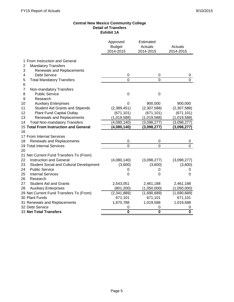#### **Central New Mexico Community College Detail of Transfers Exhibit 1A**

|                                               | Approved<br><b>Budget</b><br>2014-2015 | Estimated<br>Actuals<br>2014-2015 | Actuals<br>2014-2015    |
|-----------------------------------------------|----------------------------------------|-----------------------------------|-------------------------|
| 1 From Instruction and General                |                                        |                                   |                         |
| 2<br><b>Mandatory Transfers</b>               |                                        |                                   |                         |
| 3<br>Renewals and Replacements                |                                        |                                   |                         |
| <b>Debt Service</b><br>4                      | $\mathbf 0$                            | 0                                 | 0                       |
| 5<br><b>Total Mandatory Transfers</b>         | $\Omega$                               | 0                                 | $\Omega$                |
| 6                                             |                                        |                                   |                         |
| $\overline{7}$<br>Non-mandatory Transfers     |                                        |                                   |                         |
| 8<br><b>Public Service</b>                    | $\mathbf 0$                            | $\mathbf 0$                       |                         |
| 9<br>Research                                 |                                        |                                   |                         |
| 10<br><b>Auxiliary Enterprises</b>            | 0                                      | 900,000                           | 900,000                 |
| <b>Student Aid Grants and Stipends</b><br>11  | (2,389,451)                            | (2,307,588)                       | (2,307,588)             |
| Plant Fund Capital Outlay<br>12               | (671, 101)                             | (671, 101)                        | (671, 101)              |
| 13<br>Renewals and Replacements               | (1,019,588)                            | (1,019,588)                       | (1,019,588)             |
| 14<br><b>Total Non-mandatory Transfers</b>    | (4,080,140)                            | (3,098,277)                       | (3,098,277)             |
| 15 Total From Instruction and General         | (4,080,140)                            | (3,098,277)                       | (3,098,277)             |
| 16                                            |                                        |                                   |                         |
| 17 From Internal Services                     |                                        |                                   |                         |
| 18<br>Renewals and Replacements               | 0                                      | 0                                 |                         |
| 19 Total Internal Services                    | $\overline{0}$                         | $\overline{0}$                    | $\overline{0}$          |
| 20                                            |                                        |                                   |                         |
| 21 Net Current Fund Transfers To (From)       |                                        |                                   |                         |
| 22<br><b>Instruction and General</b>          | (4,080,140)                            | (3,098,277)                       | (3,098,277)             |
| 23<br>Student Social and Cultural Development | (3,600)                                | (3,600)                           | (3,600)                 |
| 24<br><b>Public Service</b>                   | 0                                      | 0                                 | 0                       |
| 25<br><b>Internal Services</b>                | 0                                      | 0                                 | 0                       |
| 26<br>Research                                |                                        |                                   |                         |
| 27<br><b>Student Aid and Grants</b>           | 2,543,051                              | 2,461,188                         | 2,461,188               |
| 28<br><b>Auxiliary Enterprises</b>            | (801, 200)                             | (1,050,000)                       | (1,050,000)             |
| 29 Net Current Fund Transfers To (From)       | (2,341,889)                            | (1,690,689)                       | (1,690,689)             |
| 30 Plant Funds                                | 671,101                                | 671,101                           | 671,101                 |
| 31 Renewals and Replacements                  | 1,670,788                              | 1,019,588                         | 1,019,588               |
| 32 Debt Service                               | 0                                      | 0                                 | 0                       |
| 33 Net Total Transfers                        | $\overline{\mathbf{0}}$                | $\overline{\mathbf{0}}$           | $\overline{\mathbf{0}}$ |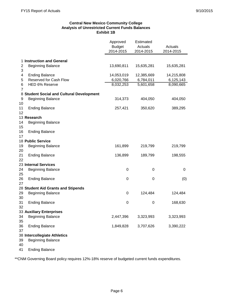#### **Central New Mexico Community College Analysis of Unrestricted Current Funds Balances Exhibit 1B**

|                |                                           | Approved<br><b>Budget</b><br>2014-2015 | Estimated<br>Actuals<br>2014-2015 | Actuals<br>2014-2015 |
|----------------|-------------------------------------------|----------------------------------------|-----------------------------------|----------------------|
|                | 1 Instruction and General                 |                                        |                                   |                      |
| $\overline{2}$ | <b>Beginning Balance</b>                  | 13,690,811                             | 15,635,281                        | 15,635,281           |
| 3              |                                           |                                        |                                   |                      |
| $\overline{4}$ | <b>Ending Balance</b>                     | 14,053,019                             | 12,385,669                        | 14,215,808           |
| 5              | Reserved for Cash Flow                    | 6,020,766                              | 6,784,011                         | 6,125,143            |
| 6              | HED 6% Reserve                            | 8,032,253                              | 5,601,658                         | 8,090,665            |
| $\overline{7}$ |                                           |                                        |                                   |                      |
|                | 8 Student Social and Cultural Development |                                        |                                   |                      |
| 9<br>10        | <b>Beginning Balance</b>                  | 314,373                                | 404,050                           | 404,050              |
| 11<br>12       | <b>Ending Balance</b>                     | 257,421                                | 350,620                           | 389,295              |
|                | 13 Research                               |                                        |                                   |                      |
| 14<br>15       | <b>Beginning Balance</b>                  |                                        |                                   |                      |
| 16<br>17       | <b>Ending Balance</b>                     |                                        |                                   |                      |
|                | 18 Public Service                         |                                        |                                   |                      |
| 19<br>20       | <b>Beginning Balance</b>                  | 161,899                                | 219,799                           | 219,799              |
| 21<br>22       | <b>Ending Balance</b>                     | 136,899                                | 189,799                           | 198,555              |
|                | 23 Internal Services                      |                                        |                                   |                      |
| 24<br>25       | <b>Beginning Balance</b>                  | 0                                      | 0                                 | 0                    |
| 26<br>27       | <b>Ending Balance</b>                     | 0                                      | $\mathbf 0$                       | (0)                  |
|                | 28 Student Aid Grants and Stipends        |                                        |                                   |                      |
| 29<br>30       | <b>Beginning Balance</b>                  | 0                                      | 124,484                           | 124,484              |
| 31<br>32       | <b>Ending Balance</b>                     | 0                                      | 0                                 | 168,630              |
|                | 33 Auxiliary Enterprises                  |                                        |                                   |                      |
| 34<br>35       | <b>Beginning Balance</b>                  | 2,447,396                              | 3,323,993                         | 3,323,993            |
| 36<br>37       | <b>Ending Balance</b>                     | 1,849,828                              | 3,707,626                         | 3,390,222            |
|                | 38 Intercollegiate Athletics              |                                        |                                   |                      |
| 39<br>40       | <b>Beginning Balance</b>                  |                                        |                                   |                      |
| 41             | <b>Ending Balance</b>                     |                                        |                                   |                      |

\*\*CNM Governing Board policy requires 12%-18% reserve of budgeted current funds expenditures.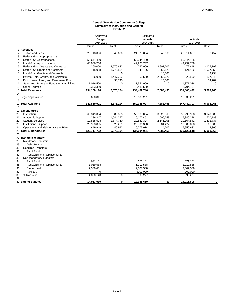#### **Central New Mexico Community College Summary of Instruction and General Exhibit 2**

|                |                                             | Approved      |           | Estimated   |             |             |             |
|----------------|---------------------------------------------|---------------|-----------|-------------|-------------|-------------|-------------|
|                |                                             | <b>Budget</b> |           | Actuals     |             | Actuals     |             |
|                |                                             | 2014-2015     |           | 2014-2015   |             | 2014-2015   |             |
|                |                                             | Unrest.       | Rest.     | Unrest.     | Rest.       | Unrest.     | Rest.       |
|                | 1 Revenues                                  |               |           |             |             |             |             |
| $\overline{2}$ | <b>Tuition and Fees</b>                     | 25,718,086    | 48,690    | 24,578,084  | 40,000      | 22,611,667  | 8,457       |
| 3              | <b>Federal Govt Appropriations</b>          |               |           |             |             |             |             |
| $\overline{4}$ | <b>State Govt Appropriations</b>            | 55,644,400    |           | 55,644,400  |             | 55,644,425  |             |
| 5              | <b>Local Govt Appropriations</b>            | 48,986,756    |           | 49,925,747  |             | 49,257,788  |             |
| 6              | <b>Federal Govt Grants and Contracts</b>    | 260,000       | 3,576,633 | 260,000     | 3,907,707   | 72,418      | 3,125,192   |
| $\overline{7}$ | <b>State Govt Grants and Contracts</b>      | 115,038       | 1,772,864 | 141,426     | 1,855,122   | 121,426     | 1,977,853   |
| 8              | <b>Local Govt Grants and Contracts</b>      |               | $\Omega$  |             | 10,000      |             | 9,734       |
| 9              | Private Gifts, Grants, and Contracts        | 66,000        | 1,447,262 | 63,500      | 2,055,626   | 22,500      | 827,940     |
| 10             | Endowment, Land, and Permanent Fund         |               | 30,745    |             | 15,000      |             | 14,789      |
| 11             | Sales and Service of Educational Activities | 1,016,500     | 0         | 1,351,000   | $\mathbf 0$ | 1,371,036   | $\Omega$    |
| 12             | <b>Other Sources</b>                        | 2,353,330     |           | 2,488,589   |             | 2,704,161   |             |
|                | 13 Total Revenues                           | 134,160,110   | 6,876,194 | 134,452,746 | 7,883,455   | 131,805,422 | 5,963,965   |
| 14             |                                             |               |           |             |             |             |             |
|                | 15 Beginning Balance                        | 13,690,811    |           | 15,635,281  |             | 15,635,281  |             |
| 16             |                                             |               |           |             |             |             |             |
|                | 17 Total Available                          | 147,850,921   | 6,876,194 | 150,088,027 | 7,883,455   | 147,440,703 | 5,963,965   |
| 18             |                                             |               |           |             |             |             |             |
|                | 19 Expenditures                             |               |           |             |             |             |             |
| 20             | Instruction                                 | 60,349,034    | 3,389,885 | 59,968,034  | 3,825,368   | 58,290,998  | 3,149,689   |
| 21             | Academic Support                            | 14,386,347    | 1,044,377 | 16,172,451  | 1,006,753   | 15,840,378  | 600,188     |
| 22             | <b>Student Services</b>                     | 19,538,578    | 1,874,760 | 20,881,324  | 2,145,205   | 20,164,542  | 1,632,737   |
| 23             | <b>Institutional Support</b>                | 20,993,855    | 526,229   | 20,806,358  | 881,422     | 19,880,068  | 566,986     |
| 24             | Operations and Maintenance of Plant         | 14,449,949    | 40,943    | 16,775,914  | 24,707      | 15,950,632  | 14,365      |
|                | 25 Total Expenditures                       | 129,717,762   | 6,876,194 | 134,604,081 | 7,883,455   | 130,126,618 | 5,963,965   |
| 26             |                                             |               |           |             |             |             |             |
|                | 27 Transfers to (from)                      |               |           |             |             |             |             |
| 28             | <b>Mandatory Transfers</b>                  |               |           |             |             |             |             |
| 29             | <b>Debt Service</b>                         |               |           |             |             |             |             |
| 30             | <b>Required Transfers</b>                   |               |           |             |             |             |             |
| 31             | Plant Fund                                  |               |           |             |             |             |             |
| 32             | <b>Renewals and Replacements</b>            |               |           |             |             |             |             |
| 33             | Non-mandatory Transfers                     |               |           |             |             |             |             |
| 34             | Plant Fund                                  | 671,101       |           | 671,101     |             | 671,101     |             |
| 35             | Renewals and Replacements                   | 1,019,588     |           | 1,019,588   |             | 1,019,588   |             |
| 36             | <b>Student Aid</b>                          | 2,389,451     |           | 2,307,588   |             | 2,307,588   |             |
| 37             | Auxiliary                                   | 0             |           | (900,000)   |             | (900,000)   |             |
|                | 38 Net Transfers                            | 4,080,140     | 0         | 3,098,277   | $\mathbf 0$ | 3,098,277   | $\mathbf 0$ |
| 39             |                                             |               |           |             |             |             |             |
|                | 40 Ending Balance                           | 14.053.019    | 0         | 12,385,669  | (0)         | 14.215.808  | $\mathbf 0$ |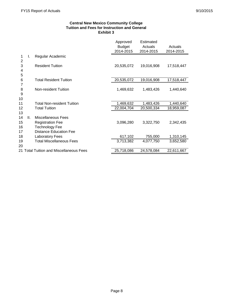#### **Central New Mexico Community College Tuition and Fees for Instruction and General Exhibit 3**

|                      |    |                                                                                                         | Approved<br><b>Budget</b><br>2014-2015 | Estimated<br>Actuals<br>2014-2015 | Actuals<br>2014-2015 |
|----------------------|----|---------------------------------------------------------------------------------------------------------|----------------------------------------|-----------------------------------|----------------------|
| 1<br>$\overline{2}$  | I. | Regular Academic                                                                                        |                                        |                                   |                      |
| 3<br>4<br>5          |    | <b>Resident Tuition</b>                                                                                 | 20,535,072                             | 19,016,908                        | 17,518,447           |
| 6                    |    | <b>Total Resident Tuition</b>                                                                           | 20,535,072                             | 19,016,908                        | 17,518,447           |
| 7<br>8<br>9<br>10    |    | Non-resident Tuition                                                                                    | 1,469,632                              | 1,483,426                         | 1,440,640            |
| 11                   |    | <b>Total Non-resident Tuition</b>                                                                       | 1,469,632                              | 1,483,426                         | 1,440,640            |
| 12<br>13             |    | <b>Total Tuition</b>                                                                                    | 22,004,704                             | 20,500,334                        | 18,959,087           |
| 14<br>15<br>16<br>17 | Ш. | Miscellaneous Fees<br><b>Registration Fee</b><br><b>Technology Fee</b><br><b>Distance Education Fee</b> | 3,096,280                              | 3,322,750                         | 2,342,435            |
| 18                   |    | Laboratory Fees                                                                                         | 617,102                                | 755,000                           | 1,310,145            |
| 19<br>20             |    | <b>Total Miscellaneous Fees</b>                                                                         | 3,713,382                              | 4,077,750                         | 3,652,580            |
|                      |    | 21 Total Tuition and Miscellaneous Fees                                                                 | 25,718,086                             | 24,578,084                        | 22,611,667           |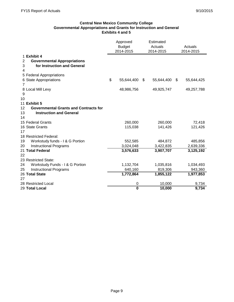#### **Central New Mexico Community College Governmental Appropriations and Grants for Instruction and General Exhibits 4 and 5**

|                                                      | Approved<br>Estimated<br><b>Budget</b><br>Actuals<br>2014-2015<br>2014-2015 |    | Actuals<br>2014-2015 |                  |
|------------------------------------------------------|-----------------------------------------------------------------------------|----|----------------------|------------------|
| 1 Exhibit 4                                          |                                                                             |    |                      |                  |
| <b>Governmental Appropriations</b><br>$\overline{2}$ |                                                                             |    |                      |                  |
| for Instruction and General<br>3                     |                                                                             |    |                      |                  |
| 4                                                    |                                                                             |    |                      |                  |
| 5 Federal Appropriations                             |                                                                             |    |                      |                  |
| 6 State Appropriations                               | \$<br>55,644,400                                                            | \$ | 55,644,400           | \$<br>55,644,425 |
| $\overline{7}$                                       |                                                                             |    |                      |                  |
| 8 Local Mill Levy                                    | 48,986,756                                                                  |    | 49,925,747           | 49,257,788       |
| 9                                                    |                                                                             |    |                      |                  |
| 10                                                   |                                                                             |    |                      |                  |
| 11 Exhibit 5                                         |                                                                             |    |                      |                  |
| 12<br><b>Governmental Grants and Contracts for</b>   |                                                                             |    |                      |                  |
| <b>Instruction and General</b><br>13                 |                                                                             |    |                      |                  |
| 14                                                   |                                                                             |    |                      |                  |
| 15 Federal Grants                                    | 260,000                                                                     |    | 260,000              | 72,418           |
| 16 State Grants                                      | 115,038                                                                     |    | 141,426              | 121,426          |
| 17<br>18 Restricted Federal:                         |                                                                             |    |                      |                  |
| 19<br>Workstudy funds - I & G Portion                | 552,585                                                                     |    | 484,872              | 485,856          |
| 20<br><b>Instructional Programs</b>                  | 3,024,048                                                                   |    | 3,422,835            | 2,639,336        |
| 21 Total Federal                                     | 3,576,633                                                                   |    | 3,907,707            | 3,125,192        |
| 22                                                   |                                                                             |    |                      |                  |
| 23 Restricted State:                                 |                                                                             |    |                      |                  |
| 24<br>Workstudy Funds - I & G Portion                | 1,132,704                                                                   |    | 1,035,816            | 1,034,493        |
| <b>Instructional Programs</b><br>25                  | 640,160                                                                     |    | 819,306              | 943,360          |
| 26 Total State                                       | 1,772,864                                                                   |    | 1,855,122            | 1,977,853        |
| 27                                                   |                                                                             |    |                      |                  |
| 28 Restricted Local                                  | 0                                                                           |    | 10,000               | 9,734            |
| 29 Total Local                                       | $\bf{0}$                                                                    |    | 10,000               | 9,734            |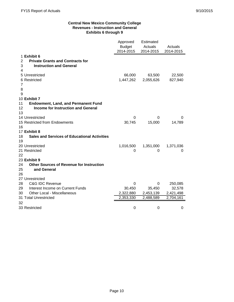#### **Central New Mexico Community College Revenues - Instruction and General Exhibits 6 through 9**

|                                     |                                                     | Approved<br><b>Budget</b><br>2014-2015 | <b>Estimated</b><br>Actuals<br>2014-2015 | Actuals<br>2014-2015 |
|-------------------------------------|-----------------------------------------------------|----------------------------------------|------------------------------------------|----------------------|
| 1 Exhibit 6                         |                                                     |                                        |                                          |                      |
| $\overline{2}$                      | <b>Private Grants and Contracts for</b>             |                                        |                                          |                      |
| 3                                   | <b>Instruction and General</b>                      |                                        |                                          |                      |
| 4                                   |                                                     |                                        |                                          |                      |
| 5 Unrestricted                      |                                                     | 66,000                                 | 63,500                                   | 22,500               |
| 6 Restricted                        |                                                     | 1,447,262                              | 2,055,626                                | 827,940              |
| 7                                   |                                                     |                                        |                                          |                      |
| 8                                   |                                                     |                                        |                                          |                      |
| 9                                   |                                                     |                                        |                                          |                      |
| 10 Exhibit 7                        |                                                     |                                        |                                          |                      |
| 11                                  | <b>Endowment, Land, and Permanent Fund</b>          |                                        |                                          |                      |
| 12                                  | <b>Income for Instruction and General</b>           |                                        |                                          |                      |
| 13                                  |                                                     |                                        |                                          |                      |
| 14 Unrestricted                     |                                                     | 0                                      | 0                                        | 0                    |
| 15 Restricted from Endowments<br>16 |                                                     | 30,745                                 | 15,000                                   | 14,789               |
| 17 Exhibit 8                        |                                                     |                                        |                                          |                      |
| 18                                  | <b>Sales and Services of Educational Activities</b> |                                        |                                          |                      |
| 19                                  |                                                     |                                        |                                          |                      |
| 20 Unrestricted                     |                                                     | 1,016,500                              | 1,351,000                                | 1,371,036            |
| 21 Restricted                       |                                                     | 0                                      | 0                                        | 0                    |
| 22                                  |                                                     |                                        |                                          |                      |
| 23 Exhibit 9                        |                                                     |                                        |                                          |                      |
| 24                                  | <b>Other Sources of Revenue for Instruction</b>     |                                        |                                          |                      |
| 25<br>and General                   |                                                     |                                        |                                          |                      |
| 26                                  |                                                     |                                        |                                          |                      |
| 27 Unrestricted                     |                                                     |                                        |                                          |                      |
| 28<br><b>C&amp;G IDC Revenue</b>    |                                                     | 0                                      | 0                                        | 250,085              |
| 29                                  | Interest Income on Current Funds                    | 30,450                                 | 35,450                                   | 32,578               |
| 30                                  | Other Local - Miscellaneous                         | 2,322,880                              | 2,453,139                                | 2,421,498            |
| 31 Total Unrestricted               |                                                     | 2,353,330                              | 2,488,589                                | 2,704,161            |
| 32                                  |                                                     |                                        |                                          |                      |
| 33 Restricted                       |                                                     | 0                                      | 0                                        | 0                    |
|                                     |                                                     |                                        |                                          |                      |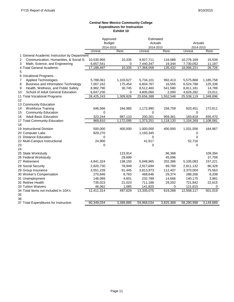#### **Central New Mexico Community College Expenditures for Instruction Exhibit 10**

| Approved<br><b>Budget</b><br>Actuals<br>Actuals<br>2014-2015<br>2014-2015<br>2014-2015<br>Rest.<br>Unrest.<br>Unrest.<br>Unrest.<br>Rest.<br>1 General Academic Instruction by Department<br>Communication, Humanities, & Social So<br>$\overline{c}$<br>10,530,956<br>10,335<br>9,927,711<br>116,088<br>10,276,169<br>Math, Science, and Engineering<br>3<br>6,657,541<br>0<br>7,440,347<br>19,344<br>7,730,052<br>4 Total General Academic<br>17,188,497<br>10,335<br>17,368,058<br>135,432<br>18,006,221<br>5<br>6 Vocational Programs<br><b>Applied Technologies</b><br>1,103,627<br>992,413<br>5,575,868<br>5,788,061<br>5,734,101<br>7 | Rest.<br>15,539<br>11,187<br>26,726<br>1,185,758<br>125,338<br>14,789 |
|----------------------------------------------------------------------------------------------------------------------------------------------------------------------------------------------------------------------------------------------------------------------------------------------------------------------------------------------------------------------------------------------------------------------------------------------------------------------------------------------------------------------------------------------------------------------------------------------------------------------------------------------|-----------------------------------------------------------------------|
|                                                                                                                                                                                                                                                                                                                                                                                                                                                                                                                                                                                                                                              |                                                                       |
|                                                                                                                                                                                                                                                                                                                                                                                                                                                                                                                                                                                                                                              |                                                                       |
|                                                                                                                                                                                                                                                                                                                                                                                                                                                                                                                                                                                                                                              |                                                                       |
|                                                                                                                                                                                                                                                                                                                                                                                                                                                                                                                                                                                                                                              |                                                                       |
|                                                                                                                                                                                                                                                                                                                                                                                                                                                                                                                                                                                                                                              |                                                                       |
|                                                                                                                                                                                                                                                                                                                                                                                                                                                                                                                                                                                                                                              |                                                                       |
|                                                                                                                                                                                                                                                                                                                                                                                                                                                                                                                                                                                                                                              |                                                                       |
|                                                                                                                                                                                                                                                                                                                                                                                                                                                                                                                                                                                                                                              |                                                                       |
|                                                                                                                                                                                                                                                                                                                                                                                                                                                                                                                                                                                                                                              |                                                                       |
|                                                                                                                                                                                                                                                                                                                                                                                                                                                                                                                                                                                                                                              |                                                                       |
| Business and Information Technology<br>7,007,162<br>175,454<br>6,604,767<br>6,524,788<br>8<br>16,555                                                                                                                                                                                                                                                                                                                                                                                                                                                                                                                                         |                                                                       |
| Health, Wellness, and Public Safety<br>9<br>8,982,790<br>30,745<br>8,512,460<br>541,580<br>8,811,181                                                                                                                                                                                                                                                                                                                                                                                                                                                                                                                                         |                                                                       |
| School of Adult General Education<br>6,647,230<br>4,626,282<br>10<br>0<br>4,805,060<br>2,000                                                                                                                                                                                                                                                                                                                                                                                                                                                                                                                                                 | 23,011                                                                |
| 11 Total Vocational Programs<br>28,425,243<br>1,309,826<br>25,656,388<br>1,552,548<br>25,538,119                                                                                                                                                                                                                                                                                                                                                                                                                                                                                                                                             | 1,348,896                                                             |
| 12                                                                                                                                                                                                                                                                                                                                                                                                                                                                                                                                                                                                                                           |                                                                       |
| 13 Community Education                                                                                                                                                                                                                                                                                                                                                                                                                                                                                                                                                                                                                       |                                                                       |
| <b>Workforce Training</b><br>646,566<br>184,985<br>1,172,990<br>158,759<br>14<br>920,451                                                                                                                                                                                                                                                                                                                                                                                                                                                                                                                                                     | 172,611                                                               |
| <b>Community Education</b><br>15<br>0<br>0<br>0                                                                                                                                                                                                                                                                                                                                                                                                                                                                                                                                                                                              |                                                                       |
| <b>Adult Basic Education</b><br>323,244<br>16<br>987,110<br>200,261<br>959,361<br>183,818                                                                                                                                                                                                                                                                                                                                                                                                                                                                                                                                                    | 935,470                                                               |
| 17 Total Community Education<br>969,810<br>1,172,095<br>1,373,251<br>1,118,120<br>1,104,269                                                                                                                                                                                                                                                                                                                                                                                                                                                                                                                                                  | 1,108,081                                                             |
| 18                                                                                                                                                                                                                                                                                                                                                                                                                                                                                                                                                                                                                                           |                                                                       |
| 19 Instructional Division<br>400,000<br>500,000<br>1,000,000<br>400,000<br>1,031,556                                                                                                                                                                                                                                                                                                                                                                                                                                                                                                                                                         | 164,967                                                               |
| 20 Computer Labs<br>829,270<br>1,193,345<br>0                                                                                                                                                                                                                                                                                                                                                                                                                                                                                                                                                                                                |                                                                       |
| 21 Distance Education<br>0<br>0<br>0                                                                                                                                                                                                                                                                                                                                                                                                                                                                                                                                                                                                         |                                                                       |
| 24,900<br>41,917<br>22 Multi-Campus Instructional<br>52,716                                                                                                                                                                                                                                                                                                                                                                                                                                                                                                                                                                                  |                                                                       |
| 23<br>0<br>0<br>0                                                                                                                                                                                                                                                                                                                                                                                                                                                                                                                                                                                                                            |                                                                       |
| 24                                                                                                                                                                                                                                                                                                                                                                                                                                                                                                                                                                                                                                           |                                                                       |
| 25 State Workstudy<br>123,914<br>96,368                                                                                                                                                                                                                                                                                                                                                                                                                                                                                                                                                                                                      | 109,394                                                               |
| 29,699<br>45,096<br>26 Federal Workstudy                                                                                                                                                                                                                                                                                                                                                                                                                                                                                                                                                                                                     | 37,709                                                                |
| 27 Retirement<br>138,150<br>202,386<br>5,105,083<br>4,841,324<br>5,048,965                                                                                                                                                                                                                                                                                                                                                                                                                                                                                                                                                                   | 157,221                                                               |
| 28 Social Security<br>2,820,730<br>78,949<br>2,917,694<br>89,769<br>2,811,132                                                                                                                                                                                                                                                                                                                                                                                                                                                                                                                                                                | 86,328                                                                |
| 112,407<br>3,370,004<br>29 Group Insurance<br>3,551,239<br>91,445<br>3,813,973                                                                                                                                                                                                                                                                                                                                                                                                                                                                                                                                                               | 75,563                                                                |
| 30 Worker's Compensation<br>468,646<br>29,374<br>288,266<br>270,846<br>8,763                                                                                                                                                                                                                                                                                                                                                                                                                                                                                                                                                                 | 8,208                                                                 |
| 31 Unemployment<br>146,089<br>4,601<br>232,789<br>14,666<br>140,175                                                                                                                                                                                                                                                                                                                                                                                                                                                                                                                                                                          | 3,981                                                                 |
| 32 Retiree Health<br>735,023<br>21,023<br>711,188<br>29,202<br>721,842                                                                                                                                                                                                                                                                                                                                                                                                                                                                                                                                                                       | 22,615                                                                |
| 33 Tuition Waivers<br>46,062<br>1,085<br>141,820<br>121,615<br>0                                                                                                                                                                                                                                                                                                                                                                                                                                                                                                                                                                             | 0                                                                     |
| 34 Total Items not Included in 10A's<br>12,411,314<br>497,629<br>13,335,075<br>619,268<br>12,558,117                                                                                                                                                                                                                                                                                                                                                                                                                                                                                                                                         | 501,019                                                               |
| 35                                                                                                                                                                                                                                                                                                                                                                                                                                                                                                                                                                                                                                           |                                                                       |
| 36                                                                                                                                                                                                                                                                                                                                                                                                                                                                                                                                                                                                                                           |                                                                       |
| 3,389,885<br>3,825,368<br>37 Total Expenditures for Instruction<br>60,349,034<br>59,968,034<br>58,290,998                                                                                                                                                                                                                                                                                                                                                                                                                                                                                                                                    | 3,149,689                                                             |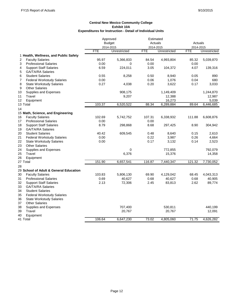|                                         |               | Approved     | Estimated  |              |            |              |  |
|-----------------------------------------|---------------|--------------|------------|--------------|------------|--------------|--|
|                                         | <b>Budget</b> |              | Actuals    |              | Actuals    |              |  |
|                                         |               | 2014-2015    | 2014-2015  |              | 2014-2015  |              |  |
|                                         | <b>FTE</b>    | Unrestricted | <b>FTE</b> | Unrestricted | <b>FTE</b> | Unrestricted |  |
| 1 Health, Wellness, and Public Safety   |               |              |            |              |            |              |  |
| <b>Faculty Salaries</b><br>2            | 95.97         | 5,366,833    | 84.54      | 4,993,804    | 85.32      | 5,039,870    |  |
| 3<br><b>Professional Salaries</b>       | 0.00          | 0            | 0.00       |              | 0.00       |              |  |
| <b>Support Staff Salaries</b><br>4      | 6.59          | 224,011      | 3.05       | 104,372      | 4.07       | 139,316      |  |
| <b>GA/TA/RA Salaries</b><br>5           |               |              |            |              |            |              |  |
| <b>Student Salaries</b><br>6            | 0.55          | 8,258        | 0.50       | 8,940        | 0.05       | 890          |  |
| <b>Federal Workstudy Salaries</b><br>7  | 0.00          |              | 0.06       | 1,076        | 0.04       | 680          |  |
| 8<br><b>State Workstudy Salaries</b>    | 0.27          | 4,038        | 0.20       | 3,622        | 0.17       | 3,033        |  |
| 9<br><b>Other Salaries</b>              |               |              |            |              |            |              |  |
| Supplies and Expenses<br>10             |               | 908,175      |            | 1,149,409    |            | 1,244,870    |  |
| 11<br>Travel                            |               | 9,207        |            | 12,388       |            | 12,987       |  |
| 12<br>Equipment                         |               |              |            | 16,273       |            | 5,039        |  |
| 13 Total                                | 103.37        | 6,520,522    | 88.34      | 6,289,884    | 89.64      | 6,446,685    |  |
| 14                                      |               |              |            |              |            |              |  |
| 15 Math, Science, and Engineering       |               |              |            |              |            |              |  |
| <b>Faculty Salaries</b><br>16           | 102.69        | 5,742,752    | 107.31     | 6,338,932    | 111.88     | 6,608,876    |  |
| 17<br><b>Professional Salaries</b>      | 0.00          |              | 0.00       |              |            |              |  |
| 18<br><b>Support Staff Salaries</b>     | 8.79          | 298,868      | 8.68       | 297,425      | 8.90       | 304,942      |  |
| GA/TA/RA Salaries<br>19                 |               |              |            |              |            |              |  |
| 20<br><b>Student Salaries</b>           | 40.42         | 609,545      | 0.48       | 8,640        | 0.15       | 2,610        |  |
| 21<br><b>Federal Workstudy Salaries</b> | 0.00          |              | 0.22       | 3,987        | 0.26       | 4,664        |  |
| 22<br><b>State Workstudy Salaries</b>   | 0.00          |              | 0.17       | 3,132        | 0.14       | 2,523        |  |
| 23<br><b>Other Salaries</b>             |               |              |            |              |            |              |  |
| 24<br>Supplies and Expenses             |               | 0            |            | 772,855      |            | 792,079      |  |
| Travel<br>25                            |               | 6,376        |            | 15,376       |            | 14,358       |  |
| 26<br>Equipment                         |               |              |            |              |            |              |  |
| 27 Total                                | 151.90        | 6,657,541    | 116.87     | 7,440,347    | 121.32     | 7,730,052    |  |
| 28                                      |               |              |            |              |            |              |  |
| 29 School of Adult & General Education  |               |              |            |              |            |              |  |
| <b>Faculty Salaries</b><br>30           | 103.83        | 5,806,130    | 69.90      | 4,129,042    | 68.45      | 4,043,313    |  |
| <b>Professional Salaries</b><br>31      | 0.69          | 40,627       | 0.68       | 40,627       | 0.68       | 40,905       |  |
| 32<br><b>Support Staff Salaries</b>     | 2.13          | 72,306       | 2.45       | 83,813       | 2.62       | 89,774       |  |
| 33<br><b>GA/TA/RA Salaries</b>          |               |              |            |              |            |              |  |
| 34<br><b>Student Salaries</b>           |               |              |            |              |            |              |  |
| 35<br><b>Federal Workstudy Salaries</b> |               |              |            |              |            |              |  |
| <b>State Workstudy Salaries</b><br>36   |               |              |            |              |            |              |  |
| <b>Other Salaries</b><br>37             |               |              |            |              |            |              |  |
| 38<br>Supplies and Expenses             |               | 707,400      |            | 530,811      |            | 440,199      |  |
| 39<br>Travel                            |               | 20,767       |            | 20,767       |            | 12,091       |  |
| 40<br>Equipment                         |               |              |            |              |            |              |  |
| 41 Total                                | 106.64        | 6,647,230    | 73.02      | 4,805,060    | 71.75      | 4,626,282    |  |
|                                         |               |              |            |              |            |              |  |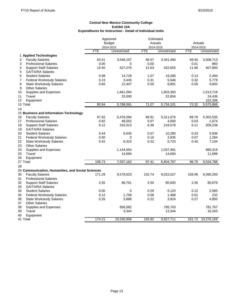|                                                   |               | Approved     | Estimated  |              |            |              |  |
|---------------------------------------------------|---------------|--------------|------------|--------------|------------|--------------|--|
|                                                   | <b>Budget</b> |              | Actuals    |              | Actuals    |              |  |
|                                                   |               | 2014-2015    | 2014-2015  |              | 2014-2015  |              |  |
|                                                   | <b>FTE</b>    | Unrestricted | <b>FTE</b> | Unrestricted | <b>FTE</b> | Unrestricted |  |
| 1 Applied Technologies                            |               |              |            |              |            |              |  |
| <b>Faculty Salaries</b><br>2                      | 63.41         | 3,546,107    | 56.57      | 3,341,490    | 59.40      | 3,508,713    |  |
| <b>Professional Salaries</b><br>3                 | 0.00          | 0            | 0.00       |              | 0.01       | 860          |  |
| 4<br><b>Support Staff Salaries</b>                | 15.50         | 527,279      | 12.63      | 432,655      | 11.90      | 407,800      |  |
| 5<br><b>GA/TA/RA Salaries</b>                     |               |              |            |              |            |              |  |
| 6<br><b>Student Salaries</b>                      | 0.98          | 14,729       | 1.07       | 19,280       | 0.14       | 2,494        |  |
| 7<br><b>Federal Workstudy Salaries</b>            | 0.23          | 3,445        | 0.31       | 5,546        | 0.32       | 5,779        |  |
| 8<br><b>State Workstudy Salaries</b>              | 0.82          | 12,407       | 0.50       | 8,891        | 0.55       | 9,802        |  |
| 9<br><b>Other Salaries</b>                        |               |              |            |              |            |              |  |
| Supplies and Expenses<br>10                       |               | 1,661,094    |            | 1,903,383    |            | 1,513,718    |  |
| 11<br>Travel                                      |               | 23,000       |            | 22,856       |            | 24,436       |  |
| 12<br>Equipment                                   |               |              |            |              |            | 102,266      |  |
| 13 Total                                          | 80.94         | 5,788,061    | 71.07      | 5,734,101    | 72.32      | 5,575,868    |  |
| 14                                                |               |              |            |              |            |              |  |
| 15 Business and Information Technology            |               |              |            |              |            |              |  |
| <b>Faculty Salaries</b><br>16                     | 97.92         | 5,476,094    | 89.91      | 5,311,076    | 89.76      | 5,302,535    |  |
| 17<br><b>Professional Salaries</b>                | 0.82          | 48,552       | 0.07       | 4,000        | 0.03       | 1,674        |  |
| 18<br><b>Support Staff Salaries</b>               | 9.12          | 310,313      | 6.38       | 218,578      | 6.11       | 209,238      |  |
| <b>GA/TA/RA Salaries</b><br>19                    |               |              |            |              |            |              |  |
| 20<br><b>Student Salaries</b>                     | 0.44          | 6,645        | 0.57       | 10,280       | 0.33       | 5,936        |  |
| 21<br><b>Federal Workstudy Salaries</b>           | 0.00          | 0            | 0.16       | 2,935        | 0.07       | 1,284        |  |
| 22<br><b>State Workstudy Salaries</b>             | 0.42          | 6,310        | 0.32       | 5,723        | 0.40       | 7,104        |  |
| 23<br><b>Other Salaries</b>                       |               |              |            |              |            |              |  |
| 24<br>Supplies and Expenses                       |               | 1,144,554    |            | 1,037,481    |            | 985,319      |  |
| 25<br>Travel                                      |               | 14,694       |            | 14,694       |            | 11,698       |  |
| Equipment<br>26                                   |               |              |            |              |            |              |  |
| 27 Total                                          | 108.73        | 7,007,162    | 97.41      | 6,604,767    | 96.70      | 6,524,788    |  |
| 28                                                |               |              |            |              |            |              |  |
| 29 Communication, Humanities, and Social Sciences |               |              |            |              |            |              |  |
| <b>Faculty Salaries</b><br>30                     | 171.29        | 9,578,623    | 152.74     | 9,022,527    | 158.96     | 9,390,293    |  |
| <b>Professional Salaries</b><br>31                |               |              |            |              |            |              |  |
| 32<br><b>Support Staff Salaries</b>               | 2.55          |              | 2.50       | 85,605       | 2.35       | 80,679       |  |
| GA/TA/RA Salaries<br>33                           |               | 86,761       |            |              |            |              |  |
|                                                   |               |              |            |              |            |              |  |
| 34<br><b>Student Salaries</b>                     | 0.00<br>0.12  | 0            | 0.29       | 5,120        | 0.12       | 2,085<br>232 |  |
| 35<br><b>Federal Workstudy Salaries</b>           |               | 1,758        | 0.08       | 1,488        | 0.01       |              |  |
| 36<br><b>State Workstudy Salaries</b>             | 0.26          | 3,888        | 0.22       | 3,924        | 0.27       | 4,850        |  |
| <b>Other Salaries</b><br>37                       |               |              |            |              |            |              |  |
| 38<br>Supplies and Expenses                       |               | 856,582      |            | 795,703      |            | 781,767      |  |
| Travel<br>39                                      |               | 3,344        |            | 13,344       |            | 16,263       |  |
| 40<br>Equipment                                   |               |              |            |              |            |              |  |
| 41 Total                                          | 174.21        | 10,530,956   | 155.82     | 9,927,711    | 161.72     | 10,276,169   |  |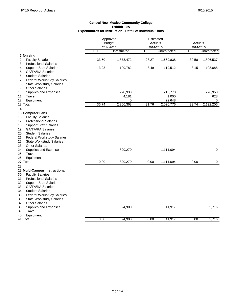|                                         | Approved   |               | Estimated  |              |            |                |
|-----------------------------------------|------------|---------------|------------|--------------|------------|----------------|
|                                         |            | <b>Budget</b> | Actuals    |              | Actuals    |                |
|                                         |            | 2014-2015     | 2014-2015  |              | 2014-2015  |                |
|                                         | <b>FTE</b> | Unrestricted  | <b>FTE</b> | Unrestricted | <b>FTE</b> | Unrestricted   |
| 1 Nursing                               |            |               |            |              |            |                |
| 2<br><b>Faculty Salaries</b>            | 33.50      | 1,873,472     | 28.27      | 1,669,838    | 30.58      | 1,806,537      |
| 3<br><b>Professional Salaries</b>       |            |               |            |              |            |                |
| <b>Support Staff Salaries</b><br>4      | 3.23       | 109,782       | 3.49       | 119,512      | 3.15       | 108,088        |
| <b>GA/TA/RA Salaries</b><br>5           |            |               |            |              |            |                |
| <b>Student Salaries</b><br>6            |            |               |            |              |            |                |
| 7<br><b>Federal Workstudy Salaries</b>  |            |               |            |              |            |                |
| 8<br><b>State Workstudy Salaries</b>    |            |               |            |              |            |                |
| <b>Other Salaries</b><br>9              |            |               |            |              |            |                |
| 10<br>Supplies and Expenses             |            | 278,933       |            | 213,778      |            | 276,953        |
| 11<br>Travel                            |            | 4,181         |            | 1,000        |            | 628            |
| 12<br>Equipment                         |            | 0             |            | 22,648       |            | 0              |
| 13 Total                                | 36.74      | 2,266,368     | 31.76      | 2,026,776    | 33.74      | 2,192,206      |
| 14                                      |            |               |            |              |            |                |
| 15 Computer Labs                        |            |               |            |              |            |                |
| <b>Faculty Salaries</b><br>16           |            |               |            |              |            |                |
| <b>Professional Salaries</b><br>17      |            |               |            |              |            |                |
| <b>Support Staff Salaries</b><br>18     |            |               |            |              |            |                |
| <b>GA/TA/RA Salaries</b><br>19          |            |               |            |              |            |                |
| <b>Student Salaries</b><br>20           |            |               |            |              |            |                |
| 21<br><b>Federal Workstudy Salaries</b> |            |               |            |              |            |                |
| <b>State Workstudy Salaries</b><br>22   |            |               |            |              |            |                |
| <b>Other Salaries</b><br>23             |            |               |            |              |            |                |
| 24<br>Supplies and Expenses             |            | 829,270       |            | 1,111,094    |            | 0              |
| 25<br>Travel                            |            |               |            |              |            |                |
| 26<br>Equipment                         |            |               |            |              |            |                |
| 27 Total                                | 0.00       | 829,270       | 0.00       | 1,111,094    | 0.00       | $\overline{0}$ |
| 28                                      |            |               |            |              |            |                |
| 29 Multi-Campus Instructional           |            |               |            |              |            |                |
| <b>Faculty Salaries</b><br>30           |            |               |            |              |            |                |
| <b>Professional Salaries</b><br>31      |            |               |            |              |            |                |
| 32<br><b>Support Staff Salaries</b>     |            |               |            |              |            |                |
| <b>GA/TA/RA Salaries</b><br>33          |            |               |            |              |            |                |
| <b>Student Salaries</b><br>34           |            |               |            |              |            |                |
| 35<br><b>Federal Workstudy Salaries</b> |            |               |            |              |            |                |
| <b>State Workstudy Salaries</b><br>36   |            |               |            |              |            |                |
| <b>Other Salaries</b><br>37             |            |               |            |              |            |                |
| 38<br>Supplies and Expenses             |            | 24,900        |            | 41,917       |            | 52,716         |
| Travel<br>39                            |            |               |            |              |            |                |
| 40                                      |            |               |            |              |            |                |
| Equipment<br>41 Total                   | 0.00       | 24,900        | 0.00       | 41,917       | 0.00       | 52,716         |
|                                         |            |               |            |              |            |                |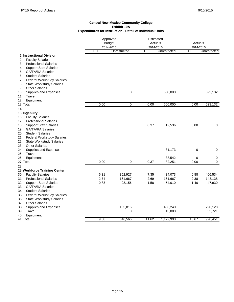|                                                                     |            | Approved<br><b>Budget</b><br>2014-2015 |            | Estimated<br>Actuals<br>2014-2015 |            | Actuals<br>2014-2015 |  |
|---------------------------------------------------------------------|------------|----------------------------------------|------------|-----------------------------------|------------|----------------------|--|
|                                                                     | <b>FTE</b> | Unrestricted                           | <b>FTE</b> | Unrestricted                      | <b>FTE</b> | Unrestricted         |  |
| 1 Instructional Division<br>2<br><b>Faculty Salaries</b>            |            |                                        |            |                                   |            |                      |  |
| 3<br><b>Professional Salaries</b>                                   |            |                                        |            |                                   |            |                      |  |
| <b>Support Staff Salaries</b><br>4                                  |            |                                        |            |                                   |            |                      |  |
| <b>GA/TA/RA Salaries</b><br>5                                       |            |                                        |            |                                   |            |                      |  |
| 6<br><b>Student Salaries</b>                                        |            |                                        |            |                                   |            |                      |  |
| <b>Federal Workstudy Salaries</b><br>7                              |            |                                        |            |                                   |            |                      |  |
| 8<br><b>State Workstudy Salaries</b>                                |            |                                        |            |                                   |            |                      |  |
| <b>Other Salaries</b><br>9                                          |            |                                        |            |                                   |            |                      |  |
| Supplies and Expenses<br>10                                         |            | $\mathbf 0$                            |            | 500,000                           |            | 523,132              |  |
| 11<br>Travel                                                        |            |                                        |            |                                   |            |                      |  |
| Equipment<br>12                                                     |            |                                        |            |                                   |            |                      |  |
| 13 Total                                                            | 0.00       | $\mathbf 0$                            | 0.00       | 500,000                           | 0.00       | 523,132              |  |
| 14                                                                  |            |                                        |            |                                   |            |                      |  |
| 15 Ingenuity                                                        |            |                                        |            |                                   |            |                      |  |
| <b>Faculty Salaries</b><br>16<br>17<br><b>Professional Salaries</b> |            |                                        |            |                                   |            |                      |  |
| 18<br><b>Support Staff Salaries</b>                                 |            |                                        | 0.37       | 12,536                            | 0.00       | 0                    |  |
| <b>GA/TA/RA Salaries</b><br>19                                      |            |                                        |            |                                   |            |                      |  |
| <b>Student Salaries</b><br>20                                       |            |                                        |            |                                   |            |                      |  |
| 21<br><b>Federal Workstudy Salaries</b>                             |            |                                        |            |                                   |            |                      |  |
| 22<br><b>State Workstudy Salaries</b>                               |            |                                        |            |                                   |            |                      |  |
| 23<br><b>Other Salaries</b>                                         |            |                                        |            |                                   |            |                      |  |
| 24<br>Supplies and Expenses                                         |            |                                        |            | 31,173                            | 0          | 0                    |  |
| Travel<br>25                                                        |            |                                        |            |                                   |            |                      |  |
| 26<br>Equipment                                                     |            |                                        |            | 38,542                            | 0          | 0                    |  |
| 27 Total                                                            | 0.00       | 0                                      | 0.37       | 82,251                            | 0.00       | $\overline{0}$       |  |
| 28                                                                  |            |                                        |            |                                   |            |                      |  |
| 29 Workforce Training Center                                        |            |                                        |            |                                   |            |                      |  |
| 30<br><b>Faculty Salaries</b>                                       | 6.31       | 352,927                                | 7.35       | 434,073                           | 6.88       | 406,534              |  |
| <b>Professional Salaries</b><br>31                                  | 2.74       | 161,667                                | 2.69       | 161,667                           | 2.38       | 143,138              |  |
| 32<br><b>Support Staff Salaries</b>                                 | 0.83       | 28,156                                 | 1.58       | 54,010                            | 1.40       | 47,930               |  |
| 33<br><b>GA/TA/RA Salaries</b>                                      |            |                                        |            |                                   |            |                      |  |
| <b>Student Salaries</b><br>34                                       |            |                                        |            |                                   |            |                      |  |
| 35<br><b>Federal Workstudy Salaries</b>                             |            |                                        |            |                                   |            |                      |  |
| 36<br><b>State Workstudy Salaries</b>                               |            |                                        |            |                                   |            |                      |  |
| <b>Other Salaries</b><br>37                                         |            |                                        |            |                                   |            |                      |  |
| 38<br>Supplies and Expenses                                         |            | 103,816                                |            | 480,240                           |            | 290,128              |  |
| Travel<br>39                                                        |            | 0                                      |            | 43,000                            |            | 32,721               |  |
| 40<br>Equipment                                                     | 9.88       | 646,566                                | 11.62      | 1,172,990                         | 10.67      | 920,451              |  |
| 41 Total                                                            |            |                                        |            |                                   |            |                      |  |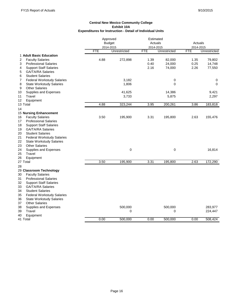|                                         |            | Approved      | Estimated  |              |            |              |
|-----------------------------------------|------------|---------------|------------|--------------|------------|--------------|
|                                         |            | <b>Budget</b> |            | Actuals      | Actuals    |              |
|                                         |            | 2014-2015     |            | 2014-2015    | 2014-2015  |              |
|                                         | <b>FTE</b> | Unrestricted  | <b>FTE</b> | Unrestricted | <b>FTE</b> | Unrestricted |
| 1 Adult Basic Education                 |            |               |            |              |            |              |
| 2<br><b>Faculty Salaries</b>            | 4.88       | 272,898       | 1.39       | 82,000       | 1.35       | 79,802       |
| 3<br><b>Professional Salaries</b>       |            |               | 0.40       | 24,000       | 0.25       | 14,748       |
| <b>Support Staff Salaries</b><br>4      |            |               | 2.16       | 74,000       | 2.26       | 77,550       |
| <b>GA/TA/RA Salaries</b><br>5           |            |               |            |              |            |              |
| <b>Student Salaries</b><br>6            |            |               |            |              |            |              |
| 7<br><b>Federal Workstudy Salaries</b>  |            | 3,182         |            | 0            |            | 0            |
| 8<br><b>State Workstudy Salaries</b>    |            | 1,806         |            | 0            |            | 0            |
| <b>Other Salaries</b><br>9              |            |               |            |              |            |              |
| Supplies and Expenses<br>10             |            | 41,625        |            | 14,386       |            | 9,421        |
| Travel<br>11                            |            | 3,733         |            | 5,875        |            | 2,297        |
| 12<br>Equipment                         |            |               |            |              |            |              |
| 13 Total                                | 4.88       | 323,244       | 3.95       | 200,261      | 3.86       | 183,818      |
| 14                                      |            |               |            |              |            |              |
| <b>15 Nursing Enhancement</b>           |            |               |            |              |            |              |
| <b>Faculty Salaries</b><br>16           | 3.50       | 195,900       | 3.31       | 195,800      | 2.63       | 155,476      |
| <b>Professional Salaries</b><br>17      |            |               |            |              |            |              |
| <b>Support Staff Salaries</b><br>18     |            |               |            |              |            |              |
| GA/TA/RA Salaries<br>19                 |            |               |            |              |            |              |
| 20<br><b>Student Salaries</b>           |            |               |            |              |            |              |
| 21<br><b>Federal Workstudy Salaries</b> |            |               |            |              |            |              |
| 22<br><b>State Workstudy Salaries</b>   |            |               |            |              |            |              |
| 23<br><b>Other Salaries</b>             |            |               |            |              |            |              |
| 24<br>Supplies and Expenses             |            | $\mathbf 0$   |            | 0            |            | 16,814       |
| 25<br>Travel                            |            |               |            |              |            |              |
| 26<br>Equipment                         |            |               |            |              |            |              |
| 27 Total                                | 3.50       | 195,900       | 3.31       | 195,800      | 2.63       | 172,290      |
| 28                                      |            |               |            |              |            |              |
| 29 Classroom Technology                 |            |               |            |              |            |              |
| <b>Faculty Salaries</b><br>30           |            |               |            |              |            |              |
| <b>Professional Salaries</b><br>31      |            |               |            |              |            |              |
| 32<br><b>Support Staff Salaries</b>     |            |               |            |              |            |              |
| 33<br><b>GA/TA/RA Salaries</b>          |            |               |            |              |            |              |
| 34<br><b>Student Salaries</b>           |            |               |            |              |            |              |
| 35<br><b>Federal Workstudy Salaries</b> |            |               |            |              |            |              |
| 36<br><b>State Workstudy Salaries</b>   |            |               |            |              |            |              |
| <b>Other Salaries</b><br>37             |            |               |            |              |            |              |
| Supplies and Expenses<br>38             |            | 500,000       |            | 500,000      |            | 283,977      |
| Travel<br>39                            |            | 0             |            | 0            |            | 224,447      |
| 40<br>Equipment                         |            |               |            |              |            |              |
| 41 Total                                | 0.00       | 500,000       | 0.00       | 500,000      | 0.00       | 508,424      |
|                                         |            |               |            |              |            |              |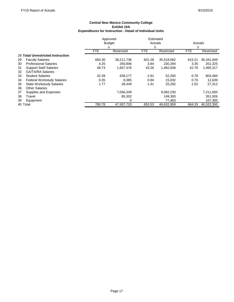|          |                                   | Approved      |            | Estimated  |            |              |            |
|----------|-----------------------------------|---------------|------------|------------|------------|--------------|------------|
|          |                                   | <b>Budget</b> |            | Actuals    |            | Actuals<br>0 |            |
|          |                                   | 0             |            | 0          |            |              |            |
|          |                                   | <b>FTE</b>    | Restricted | <b>FTE</b> | Restricted | <b>FTE</b>   | Restricted |
|          | 28 Total Unrestricted Instruction |               |            |            |            |              |            |
| 29       | <b>Faculty Salaries</b>           | 683.30        | 38.211.736 | 601.28     | 35,518,582 | 615.21       | 36,341,949 |
| 30       | <b>Professional Salaries</b>      | 4.25          | 250.846    | 3.84       | 230.294    | 3.35         | 201,325    |
| 31       | <b>Support Staff Salaries</b>     | 48.73         | 1,657,476  | 43.26      | 1,482,506  | 42.76        | 1,465,317  |
| 32       | <b>GA/TA/RA Salaries</b>          |               |            |            |            |              |            |
| 33       | <b>Student Salaries</b>           | 42.39         | 639,177    | 2.91       | 52,260     | 0.78         | 803,484    |
| 34       | <b>Federal Workstudy Salaries</b> | 0.35          | 8.385      | 0.84       | 15,032     | 0.70         | 12,639     |
| 35       | <b>State Workstudy Salaries</b>   | 1.77          | 28.449     | 1.41       | 25,292     | 1.52         | 27,312     |
| 36       | <b>Other Salaries</b>             |               |            |            |            |              |            |
| 37       | Supplies and Expenses             |               | 7,056,349  |            | 9,082,230  |              | 7,211,093  |
| 38       | Travel                            |               | 85,302     |            | 149.300    |              | 351,926    |
| 39       | Equipment                         |               | 0          |            | 77.463     |              | 107,305    |
| 40 Total |                                   | 780.78        | 47.937.720 | 653.53     | 46.632.959 | 664.33       | 46.522.350 |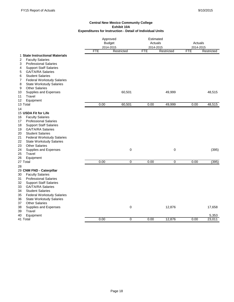|                                                                                                                                                                                                                                                                                                                                                                                   |            | Approved<br><b>Budget</b><br>2014-2015 |            | Estimated<br>Actuals<br>2014-2015 |                          | Actuals<br>2014-2015 |  |
|-----------------------------------------------------------------------------------------------------------------------------------------------------------------------------------------------------------------------------------------------------------------------------------------------------------------------------------------------------------------------------------|------------|----------------------------------------|------------|-----------------------------------|--------------------------|----------------------|--|
|                                                                                                                                                                                                                                                                                                                                                                                   | <b>FTE</b> | Restricted                             | <b>FTE</b> | Restricted                        | <b>FTE</b><br>Restricted |                      |  |
| 1 State Instructional Materials<br>$\overline{\mathbf{c}}$<br><b>Faculty Salaries</b><br><b>Professional Salaries</b><br>3<br><b>Support Staff Salaries</b><br>4<br><b>GA/TA/RA Salaries</b><br>5                                                                                                                                                                                 |            |                                        |            |                                   |                          |                      |  |
| 6<br><b>Student Salaries</b><br><b>Federal Workstudy Salaries</b><br>7<br>8<br><b>State Workstudy Salaries</b><br><b>Other Salaries</b><br>9                                                                                                                                                                                                                                      |            |                                        |            |                                   |                          |                      |  |
| Supplies and Expenses<br>10<br>Travel<br>11<br>Equipment<br>12                                                                                                                                                                                                                                                                                                                    |            | 60,501                                 |            | 49,999                            |                          | 48,515               |  |
| 13 Total                                                                                                                                                                                                                                                                                                                                                                          | 0.00       | 60,501                                 | 0.00       | 49,999                            | 0.00                     | 48,515               |  |
| 14                                                                                                                                                                                                                                                                                                                                                                                |            |                                        |            |                                   |                          |                      |  |
| 15 USDA Fit for Life<br><b>Faculty Salaries</b><br>16<br><b>Professional Salaries</b><br>17<br><b>Support Staff Salaries</b><br>18<br><b>GA/TA/RA Salaries</b><br>19<br><b>Student Salaries</b><br>20<br>21<br><b>Federal Workstudy Salaries</b><br>22<br><b>State Workstudy Salaries</b><br><b>Other Salaries</b><br>23                                                          |            |                                        |            |                                   |                          |                      |  |
| Supplies and Expenses<br>24<br>Travel<br>25<br>26<br>Equipment                                                                                                                                                                                                                                                                                                                    |            | $\mathbf 0$                            |            | 0                                 |                          | (395)                |  |
| 27 Total                                                                                                                                                                                                                                                                                                                                                                          | 0.00       | $\overline{0}$                         | 0.00       | $\overline{0}$                    | 0.00                     | (395)                |  |
| 28<br>29 CNM FND - Caterpillar<br>30<br><b>Faculty Salaries</b><br><b>Professional Salaries</b><br>31<br><b>Support Staff Salaries</b><br>32<br><b>GA/TA/RA Salaries</b><br>33<br>34<br><b>Student Salaries</b><br>35<br><b>Federal Workstudy Salaries</b><br><b>State Workstudy Salaries</b><br>36<br><b>Other Salaries</b><br>37<br>38<br>Supplies and Expenses<br>Travel<br>39 |            | 0                                      |            | 12,876                            |                          | 17,658               |  |
| 40<br>Equipment                                                                                                                                                                                                                                                                                                                                                                   |            |                                        |            |                                   |                          | 5,353                |  |
| 41 Total                                                                                                                                                                                                                                                                                                                                                                          | 0.00       | 0                                      | 0.00       | 12,876                            | 0.00                     | 23,011               |  |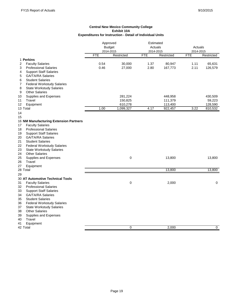|                                         | Approved<br><b>Budget</b><br>2014-2015 |             | Estimated<br>Actuals<br>2014-2015 |            | Actuals<br>2014-2015 |            |
|-----------------------------------------|----------------------------------------|-------------|-----------------------------------|------------|----------------------|------------|
|                                         | <b>FTE</b>                             | Restricted  | <b>FTE</b>                        | Restricted | <b>FTE</b>           | Restricted |
| 1 Perkins                               |                                        |             |                                   |            |                      |            |
| <b>Faculty Salaries</b><br>2            | 0.54                                   | 30,000      | 1.37                              | 80,947     | 1.11                 | 65,631     |
| 3<br><b>Professional Salaries</b>       | 0.46                                   | 27,000      | 2.80                              | 167,773    | 2.11                 | 126,579    |
| <b>Support Staff Salaries</b><br>4      |                                        |             |                                   |            |                      |            |
| 5<br><b>GA/TA/RA Salaries</b>           |                                        |             |                                   |            |                      |            |
| 6<br><b>Student Salaries</b>            |                                        |             |                                   |            |                      |            |
| 7<br><b>Federal Workstudy Salaries</b>  |                                        |             |                                   |            |                      |            |
| 8<br><b>State Workstudy Salaries</b>    |                                        |             |                                   |            |                      |            |
| 9<br><b>Other Salaries</b>              |                                        |             |                                   |            |                      |            |
| Supplies and Expenses<br>10             |                                        | 281,224     |                                   | 448,958    |                      | 430,509    |
| Travel<br>11                            |                                        | 150,825     |                                   | 111,379    |                      | 59,223     |
| 12<br>Equipment                         |                                        | 610,278     |                                   | 113,400    |                      | 128,590    |
| 13 Total                                | 1.00                                   | 1,099,327   | 4.17                              | 922,457    | 3.22                 | 810,532    |
| 14                                      |                                        |             |                                   |            |                      |            |
| 15                                      |                                        |             |                                   |            |                      |            |
| 16 NM Manufacturing Extension Partners  |                                        |             |                                   |            |                      |            |
| <b>Faculty Salaries</b><br>17           |                                        |             |                                   |            |                      |            |
| <b>Professional Salaries</b><br>18      |                                        |             |                                   |            |                      |            |
| <b>Support Staff Salaries</b><br>19     |                                        |             |                                   |            |                      |            |
| 20<br><b>GA/TA/RA Salaries</b>          |                                        |             |                                   |            |                      |            |
| 21<br><b>Student Salaries</b>           |                                        |             |                                   |            |                      |            |
| 22<br><b>Federal Workstudy Salaries</b> |                                        |             |                                   |            |                      |            |
| 23<br><b>State Workstudy Salaries</b>   |                                        |             |                                   |            |                      |            |
| <b>Other Salaries</b><br>24             |                                        |             |                                   |            |                      |            |
| 25<br>Supplies and Expenses             |                                        | 0           |                                   | 13,800     |                      | 13,800     |
| Travel<br>26                            |                                        |             |                                   |            |                      |            |
| 27<br>Equipment                         |                                        |             |                                   |            |                      |            |
| 28 Total                                |                                        |             |                                   | 13,800     |                      | 13,800     |
| 29                                      |                                        |             |                                   |            |                      |            |
| 30 AT Automotive Technical Tools        |                                        |             |                                   |            |                      |            |
| 31<br><b>Faculty Salaries</b>           |                                        | $\mathbf 0$ |                                   | 2,000      |                      | 0          |
| <b>Professional Salaries</b><br>32      |                                        |             |                                   |            |                      |            |
| <b>Support Staff Salaries</b><br>33     |                                        |             |                                   |            |                      |            |
| 34<br><b>GA/TA/RA Salaries</b>          |                                        |             |                                   |            |                      |            |
| 35<br><b>Student Salaries</b>           |                                        |             |                                   |            |                      |            |
| 36<br><b>Federal Workstudy Salaries</b> |                                        |             |                                   |            |                      |            |
| <b>State Workstudy Salaries</b><br>37   |                                        |             |                                   |            |                      |            |
| 38<br><b>Other Salaries</b>             |                                        |             |                                   |            |                      |            |
| Supplies and Expenses<br>39             |                                        |             |                                   |            |                      |            |
| Travel<br>40                            |                                        |             |                                   |            |                      |            |
| Equipment<br>41                         |                                        |             |                                   |            |                      |            |
| 42 Total                                |                                        | $\mathbf 0$ |                                   | 2.000      |                      | 0          |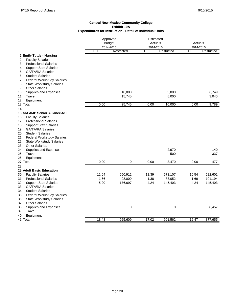|                                                                 |            | Approved<br><b>Budget</b><br>2014-2015 |            | Estimated<br>Actuals<br>2014-2015 |            | Actuals<br>2014-2015 |  |
|-----------------------------------------------------------------|------------|----------------------------------------|------------|-----------------------------------|------------|----------------------|--|
|                                                                 | <b>FTE</b> | Restricted                             | <b>FTE</b> | Restricted                        | <b>FTE</b> | Restricted           |  |
| 1 Emily Tuttle - Nursing<br><b>Faculty Salaries</b><br>2        |            |                                        |            |                                   |            |                      |  |
| <b>Professional Salaries</b><br>3                               |            |                                        |            |                                   |            |                      |  |
| 4<br><b>Support Staff Salaries</b>                              |            |                                        |            |                                   |            |                      |  |
| <b>GA/TA/RA Salaries</b><br>5                                   |            |                                        |            |                                   |            |                      |  |
| 6<br><b>Student Salaries</b>                                    |            |                                        |            |                                   |            |                      |  |
| 7<br><b>Federal Workstudy Salaries</b>                          |            |                                        |            |                                   |            |                      |  |
| 8<br><b>State Workstudy Salaries</b>                            |            |                                        |            |                                   |            |                      |  |
| <b>Other Salaries</b><br>9                                      |            |                                        |            |                                   |            |                      |  |
| Supplies and Expenses<br>10                                     |            | 10,000                                 |            | 5,000                             |            | 6,749                |  |
| Travel<br>11                                                    |            | 15,745                                 |            | 5,000                             |            | 3,040                |  |
| Equipment<br>12                                                 |            |                                        |            |                                   |            |                      |  |
| 13 Total                                                        | 0.00       | 25,745                                 | 0.00       | 10,000                            | 0.00       | 9,789                |  |
| 14                                                              |            |                                        |            |                                   |            |                      |  |
| 15 NM AMP Senior Alliance-NSF                                   |            |                                        |            |                                   |            |                      |  |
| <b>Faculty Salaries</b><br>16                                   |            |                                        |            |                                   |            |                      |  |
| 17<br><b>Professional Salaries</b>                              |            |                                        |            |                                   |            |                      |  |
| <b>Support Staff Salaries</b><br>18<br><b>GA/TA/RA Salaries</b> |            |                                        |            |                                   |            |                      |  |
| 19<br><b>Student Salaries</b>                                   |            |                                        |            |                                   |            |                      |  |
| 20<br>21<br><b>Federal Workstudy Salaries</b>                   |            |                                        |            |                                   |            |                      |  |
| <b>State Workstudy Salaries</b><br>22                           |            |                                        |            |                                   |            |                      |  |
| 23<br><b>Other Salaries</b>                                     |            |                                        |            |                                   |            |                      |  |
| Supplies and Expenses<br>24                                     |            |                                        |            | 2,970                             |            | 140                  |  |
| Travel<br>25                                                    |            |                                        |            | 500                               |            | 337                  |  |
| 26<br>Equipment                                                 |            |                                        |            |                                   |            |                      |  |
| 27 Total                                                        | 0.00       | $\overline{0}$                         | 0.00       | 3,470                             | 0.00       | 477                  |  |
| 28                                                              |            |                                        |            |                                   |            |                      |  |
| 29 Adult Basic Education                                        |            |                                        |            |                                   |            |                      |  |
| <b>Faculty Salaries</b><br>30                                   | 11.64      | 650,912                                | 11.39      | 673,107                           | 10.54      | 622,601              |  |
| 31<br><b>Professional Salaries</b>                              | 1.66       | 98,000                                 | 1.38       | 83,052                            | 1.69       | 101,194              |  |
| <b>Support Staff Salaries</b><br>32                             | 5.20       | 176,697                                | 4.24       | 145,403                           | 4.24       | 145,403              |  |
| <b>GA/TA/RA Salaries</b><br>33                                  |            |                                        |            |                                   |            |                      |  |
| 34<br><b>Student Salaries</b>                                   |            |                                        |            |                                   |            |                      |  |
| 35<br><b>Federal Workstudy Salaries</b>                         |            |                                        |            |                                   |            |                      |  |
| 36<br><b>State Workstudy Salaries</b>                           |            |                                        |            |                                   |            |                      |  |
| 37<br><b>Other Salaries</b>                                     |            |                                        |            |                                   |            |                      |  |
| 38<br>Supplies and Expenses                                     |            | 0                                      |            | 0                                 |            | 8,457                |  |
| Travel<br>39                                                    |            |                                        |            |                                   |            |                      |  |
| 40<br>Equipment                                                 |            |                                        |            |                                   |            |                      |  |
| 41 Total                                                        | 18.48      | 925,609                                | 17.02      | 901,562                           | 16.47      | 877,655              |  |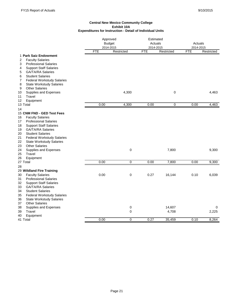|                                                                                                                                                                                                                                                                                                                                     | Approved<br><b>Budget</b><br>2014-2015 |      |                  | Estimated<br>Actuals<br>2014-2015 |                 | Actuals<br>2014-2015 |                |
|-------------------------------------------------------------------------------------------------------------------------------------------------------------------------------------------------------------------------------------------------------------------------------------------------------------------------------------|----------------------------------------|------|------------------|-----------------------------------|-----------------|----------------------|----------------|
|                                                                                                                                                                                                                                                                                                                                     |                                        | FTE  | Restricted       | <b>FTE</b>                        | Restricted      | <b>FTE</b>           | Restricted     |
| 1 Park Saiz Endowment<br>2<br><b>Faculty Salaries</b><br><b>Professional Salaries</b><br>3<br><b>Support Staff Salaries</b><br>4                                                                                                                                                                                                    |                                        |      |                  |                                   |                 |                      |                |
| <b>GA/TA/RA Salaries</b><br>5<br>6<br><b>Student Salaries</b><br><b>Federal Workstudy Salaries</b><br>7<br>8<br><b>State Workstudy Salaries</b>                                                                                                                                                                                     |                                        |      |                  |                                   |                 |                      |                |
| <b>Other Salaries</b><br>9<br>Supplies and Expenses<br>10<br>Travel<br>11<br>Equipment<br>12                                                                                                                                                                                                                                        |                                        |      | 4,300            |                                   | 0               |                      | 4,463          |
| 13 Total                                                                                                                                                                                                                                                                                                                            |                                        | 0.00 | 4,300            | 0.00                              | 0               | 0.00                 | 4,463          |
| 14                                                                                                                                                                                                                                                                                                                                  |                                        |      |                  |                                   |                 |                      |                |
| 15 CNM FND - GED Test Fees<br><b>Faculty Salaries</b><br>16<br><b>Professional Salaries</b><br>17<br><b>Support Staff Salaries</b><br>18<br><b>GA/TA/RA Salaries</b><br>19<br><b>Student Salaries</b><br>20<br>21<br><b>Federal Workstudy Salaries</b><br>22<br><b>State Workstudy Salaries</b><br><b>Other Salaries</b><br>23      |                                        |      |                  |                                   |                 |                      |                |
| 24<br>Supplies and Expenses<br>25<br>Travel<br>26<br>Equipment                                                                                                                                                                                                                                                                      |                                        |      | 0                |                                   | 7,800           |                      | 9,300          |
| 27 Total                                                                                                                                                                                                                                                                                                                            |                                        | 0.00 | $\pmb{0}$        | 0.00                              | 7,800           | 0.00                 | 9,300          |
| 28<br>29 Wildland Fire Training<br><b>Faculty Salaries</b><br>30<br>31<br><b>Professional Salaries</b><br><b>Support Staff Salaries</b><br>32<br><b>GA/TA/RA Salaries</b><br>33<br><b>Student Salaries</b><br>34<br>35<br><b>Federal Workstudy Salaries</b><br>36<br><b>State Workstudy Salaries</b><br><b>Other Salaries</b><br>37 |                                        | 0.00 | 0                | 0.27                              | 16,144          | 0.10                 | 6,039          |
| 38<br>Supplies and Expenses                                                                                                                                                                                                                                                                                                         |                                        |      | 0                |                                   | 14,607          |                      | 0              |
| Travel<br>39<br>40<br>Equipment<br>41 Total                                                                                                                                                                                                                                                                                         |                                        | 0.00 | 0<br>$\mathbf 0$ | 0.27                              | 4,708<br>35,459 | 0.10                 | 2,225<br>8,264 |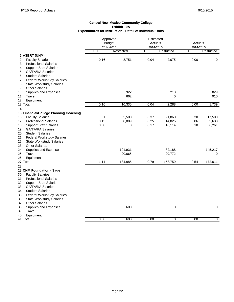|                                                                    | Approved<br><b>Budget</b><br>2014-2015 |            | Estimated<br>Actuals<br>2014-2015 |             | Actuals<br>2014-2015 |             |
|--------------------------------------------------------------------|----------------------------------------|------------|-----------------------------------|-------------|----------------------|-------------|
|                                                                    | <b>FTE</b>                             | Restricted | <b>FTE</b>                        | Restricted  | <b>FTE</b>           | Restricted  |
| 1 ASERT (UNM)                                                      |                                        |            |                                   |             |                      |             |
| <b>Faculty Salaries</b><br>2                                       | 0.16                                   | 8,751      | 0.04                              | 2,075       | 0.00                 | $\mathbf 0$ |
| <b>Professional Salaries</b><br>3                                  |                                        |            |                                   |             |                      |             |
| <b>Support Staff Salaries</b><br>4                                 |                                        |            |                                   |             |                      |             |
| <b>GA/TA/RA Salaries</b><br>5                                      |                                        |            |                                   |             |                      |             |
| <b>Student Salaries</b><br>6                                       |                                        |            |                                   |             |                      |             |
| <b>Federal Workstudy Salaries</b><br>7                             |                                        |            |                                   |             |                      |             |
| 8<br><b>State Workstudy Salaries</b><br><b>Other Salaries</b><br>9 |                                        |            |                                   |             |                      |             |
| Supplies and Expenses<br>10                                        |                                        | 922        |                                   | 213         |                      | 829         |
| 11<br>Travel                                                       |                                        | 662        |                                   | $\mathbf 0$ |                      | 910         |
| Equipment<br>12                                                    |                                        |            |                                   |             |                      |             |
| 13 Total                                                           | 0.16                                   | 10,335     | 0.04                              | 2,288       | 0.00                 | 1,739       |
| 14                                                                 |                                        |            |                                   |             |                      |             |
| 15 Financial/College Planning Coaching                             |                                        |            |                                   |             |                      |             |
| <b>Faculty Salaries</b><br>16                                      | 1                                      | 53,500     | 0.37                              | 21,860      | 0.30                 | 17,500      |
| 17<br><b>Professional Salaries</b>                                 | 0.15                                   | 8,889      | 0.25                              | 14,825      | 0.06                 | 3,633       |
| 18<br><b>Support Staff Salaries</b>                                | 0.00                                   | 0          | 0.17                              | 10,114      | 0.18                 | 6,261       |
| <b>GA/TA/RA Salaries</b><br>19                                     |                                        |            |                                   |             |                      |             |
| 20<br><b>Student Salaries</b>                                      |                                        |            |                                   |             |                      |             |
| 21<br><b>Federal Workstudy Salaries</b>                            |                                        |            |                                   |             |                      |             |
| 22<br><b>State Workstudy Salaries</b>                              |                                        |            |                                   |             |                      |             |
| 23<br><b>Other Salaries</b>                                        |                                        |            |                                   |             |                      |             |
| 24<br>Supplies and Expenses                                        |                                        | 101,931    |                                   | 82,188      |                      | 145,217     |
| Travel<br>25                                                       |                                        | 20,665     |                                   | 29,772      |                      | 0           |
| 26<br>Equipment                                                    |                                        |            |                                   |             |                      |             |
| 27 Total                                                           | 1.11                                   | 184,985    | 0.79                              | 158,759     | 0.54                 | 172.611     |
| 28                                                                 |                                        |            |                                   |             |                      |             |
| 29 CNM Foundation - Sage                                           |                                        |            |                                   |             |                      |             |
| <b>Faculty Salaries</b><br>30                                      |                                        |            |                                   |             |                      |             |
| <b>Professional Salaries</b><br>31                                 |                                        |            |                                   |             |                      |             |
| 32<br><b>Support Staff Salaries</b><br><b>GA/TA/RA Salaries</b>    |                                        |            |                                   |             |                      |             |
| 33<br><b>Student Salaries</b>                                      |                                        |            |                                   |             |                      |             |
| 34<br>35<br><b>Federal Workstudy Salaries</b>                      |                                        |            |                                   |             |                      |             |
| <b>State Workstudy Salaries</b><br>36                              |                                        |            |                                   |             |                      |             |
| <b>Other Salaries</b><br>37                                        |                                        |            |                                   |             |                      |             |
| 38<br>Supplies and Expenses                                        |                                        | 600        |                                   | $\mathbf 0$ |                      | 0           |
| Travel<br>39                                                       |                                        |            |                                   |             |                      |             |
| 40<br>Equipment                                                    |                                        |            |                                   |             |                      |             |
| 41 Total                                                           | 0.00                                   | 600        | 0.00                              | 0           | 0.00                 | $\mathbf 0$ |
|                                                                    |                                        |            |                                   |             |                      |             |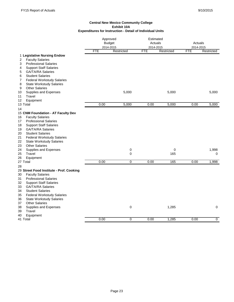|                                          | Approved<br><b>Budget</b> |                | Estimated<br>Actuals |            | Actuals    |            |
|------------------------------------------|---------------------------|----------------|----------------------|------------|------------|------------|
|                                          | 2014-2015                 |                | 2014-2015            |            | 2014-2015  |            |
|                                          | <b>FTE</b>                | Restricted     | <b>FTE</b>           | Restricted | <b>FTE</b> | Restricted |
| 1 Legislative Nursing Endow              |                           |                |                      |            |            |            |
| <b>Faculty Salaries</b><br>2             |                           |                |                      |            |            |            |
| <b>Professional Salaries</b><br>3        |                           |                |                      |            |            |            |
| <b>Support Staff Salaries</b><br>4       |                           |                |                      |            |            |            |
| <b>GA/TA/RA Salaries</b><br>5            |                           |                |                      |            |            |            |
| 6<br><b>Student Salaries</b>             |                           |                |                      |            |            |            |
| <b>Federal Workstudy Salaries</b><br>7   |                           |                |                      |            |            |            |
| 8<br><b>State Workstudy Salaries</b>     |                           |                |                      |            |            |            |
| <b>Other Salaries</b><br>9               |                           |                |                      |            |            |            |
| Supplies and Expenses<br>10              |                           | 5,000          |                      | 5,000      |            | 5,000      |
| Travel<br>11                             |                           |                |                      |            |            |            |
| Equipment<br>12<br>13 Total              | 0.00                      | 5,000          | 0.00                 | 5,000      | 0.00       | 5,000      |
|                                          |                           |                |                      |            |            |            |
| 14<br>15 CNM Foundation - AT Faculty Dev |                           |                |                      |            |            |            |
| <b>Faculty Salaries</b><br>16            |                           |                |                      |            |            |            |
| <b>Professional Salaries</b><br>17       |                           |                |                      |            |            |            |
| <b>Support Staff Salaries</b><br>18      |                           |                |                      |            |            |            |
| <b>GA/TA/RA Salaries</b><br>19           |                           |                |                      |            |            |            |
| <b>Student Salaries</b><br>20            |                           |                |                      |            |            |            |
| <b>Federal Workstudy Salaries</b><br>21  |                           |                |                      |            |            |            |
| 22<br><b>State Workstudy Salaries</b>    |                           |                |                      |            |            |            |
| <b>Other Salaries</b><br>23              |                           |                |                      |            |            |            |
| Supplies and Expenses<br>24              |                           | 0              |                      | 0          |            | 1,998      |
| Travel<br>25                             |                           | $\mathbf 0$    |                      | 165        |            | 0          |
| 26<br>Equipment                          |                           |                |                      |            |            |            |
| 27 Total                                 | 0.00                      | $\overline{0}$ | 0.00                 | 165        | 0.00       | 1,998      |
| 28                                       |                           |                |                      |            |            |            |
| 29 Street Food Institute - Prof. Cooking |                           |                |                      |            |            |            |
| 30<br><b>Faculty Salaries</b>            |                           |                |                      |            |            |            |
| <b>Professional Salaries</b><br>31       |                           |                |                      |            |            |            |
| <b>Support Staff Salaries</b><br>32      |                           |                |                      |            |            |            |
| <b>GA/TA/RA Salaries</b><br>33           |                           |                |                      |            |            |            |
| <b>Student Salaries</b><br>34            |                           |                |                      |            |            |            |
| 35<br><b>Federal Workstudy Salaries</b>  |                           |                |                      |            |            |            |
| <b>State Workstudy Salaries</b><br>36    |                           |                |                      |            |            |            |
| <b>Other Salaries</b><br>37              |                           |                |                      |            |            |            |
| 38<br>Supplies and Expenses              |                           | $\mathbf 0$    |                      | 1,285      |            | 0          |
| Travel<br>39                             |                           |                |                      |            |            |            |
| 40<br>Equipment<br>41 Total              | 0.00                      | 0              | 0.00                 | 1,285      | 0.00       | 0          |
|                                          |                           |                |                      |            |            |            |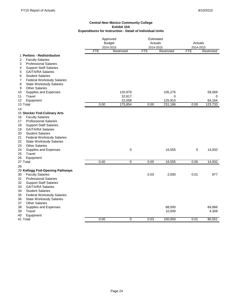|                                                                          | Approved<br><b>Budget</b><br>2014-2015 |             | Estimated<br>Actuals<br>2014-2015 |            | Actuals<br>2014-2015 |            |
|--------------------------------------------------------------------------|----------------------------------------|-------------|-----------------------------------|------------|----------------------|------------|
|                                                                          | <b>FTE</b>                             | Restricted  | <b>FTE</b>                        | Restricted | <b>FTE</b>           | Restricted |
| 1 Perkins - Redistribution<br><b>Faculty Salaries</b><br>2               |                                        |             |                                   |            |                      |            |
| <b>Professional Salaries</b><br>3                                        |                                        |             |                                   |            |                      |            |
| <b>Support Staff Salaries</b><br>4                                       |                                        |             |                                   |            |                      |            |
| <b>GA/TA/RA Salaries</b><br>5                                            |                                        |             |                                   |            |                      |            |
| <b>Student Salaries</b><br>6                                             |                                        |             |                                   |            |                      |            |
| 7<br><b>Federal Workstudy Salaries</b>                                   |                                        |             |                                   |            |                      |            |
| 8<br><b>State Workstudy Salaries</b>                                     |                                        |             |                                   |            |                      |            |
| <b>Other Salaries</b><br>9                                               |                                        |             |                                   |            |                      |            |
| Supplies and Expenses<br>10                                              |                                        | 120,979     |                                   | 105,276    |                      | 59,569     |
| Travel<br>11                                                             |                                        | 32,817      |                                   | 0          |                      | 0          |
| 12<br>Equipment                                                          |                                        | 22,058      |                                   | 125,910    |                      | 64,164     |
| 13 Total                                                                 | 0.00                                   | 175,854     | 0.00                              | 231,186    | 0.00                 | 123,733    |
| 14                                                                       |                                        |             |                                   |            |                      |            |
| 15 Stocker Fnd-Culinary Arts                                             |                                        |             |                                   |            |                      |            |
| <b>Faculty Salaries</b><br>16                                            |                                        |             |                                   |            |                      |            |
| <b>Professional Salaries</b><br>17                                       |                                        |             |                                   |            |                      |            |
| <b>Support Staff Salaries</b><br>18<br><b>GA/TA/RA Salaries</b><br>19    |                                        |             |                                   |            |                      |            |
| <b>Student Salaries</b><br>20                                            |                                        |             |                                   |            |                      |            |
| 21<br><b>Federal Workstudy Salaries</b>                                  |                                        |             |                                   |            |                      |            |
| 22<br><b>State Workstudy Salaries</b>                                    |                                        |             |                                   |            |                      |            |
| <b>Other Salaries</b><br>23                                              |                                        |             |                                   |            |                      |            |
| 24<br>Supplies and Expenses                                              |                                        | 0           |                                   | 16,555     | 0                    | 14,932     |
| 25<br>Travel                                                             |                                        |             |                                   |            |                      |            |
| 26<br>Equipment                                                          |                                        |             |                                   |            |                      |            |
| 27 Total                                                                 | 0.00                                   | $\mathbf 0$ | 0.00                              | 16,555     | 0.00                 | 14,932     |
| 28                                                                       |                                        |             |                                   |            |                      |            |
| 29 Kellogg Fnd-Opening Pathways                                          |                                        |             |                                   |            |                      |            |
| <b>Faculty Salaries</b><br>30                                            |                                        |             | 0.03                              | 2,000      | 0.01                 | 877        |
| 31<br><b>Professional Salaries</b>                                       |                                        |             |                                   |            |                      |            |
| <b>Support Staff Salaries</b><br>32                                      |                                        |             |                                   |            |                      |            |
| 33<br>GA/TA/RA Salaries                                                  |                                        |             |                                   |            |                      |            |
| <b>Student Salaries</b><br>34<br>35<br><b>Federal Workstudy Salaries</b> |                                        |             |                                   |            |                      |            |
| 36<br><b>State Workstudy Salaries</b>                                    |                                        |             |                                   |            |                      |            |
| 37<br><b>Other Salaries</b>                                              |                                        |             |                                   |            |                      |            |
| 38<br>Supplies and Expenses                                              |                                        |             |                                   | 88,000     |                      | 84,866     |
| Travel<br>39                                                             |                                        |             |                                   | 10,000     |                      | 4,308      |
| 40<br>Equipment                                                          |                                        |             |                                   |            |                      |            |
| 41 Total                                                                 | 0.00                                   | $\Omega$    | 0.03                              | 100,000    | 0.01                 | 90,051     |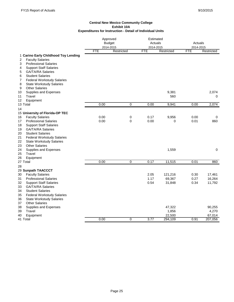|                                                               | Approved<br><b>Budget</b><br>2014-2015 |                | Estimated<br>Actuals<br>2014-2015 |                   | Actuals<br>2014-2015 |                   |
|---------------------------------------------------------------|----------------------------------------|----------------|-----------------------------------|-------------------|----------------------|-------------------|
|                                                               | <b>FTE</b>                             | Restricted     | <b>FTE</b>                        | Restricted        | <b>FTE</b>           | Restricted        |
| 1 Carino Early Childhood Toy Lending                          |                                        |                |                                   |                   |                      |                   |
| 2<br><b>Faculty Salaries</b>                                  |                                        |                |                                   |                   |                      |                   |
| <b>Professional Salaries</b><br>3                             |                                        |                |                                   |                   |                      |                   |
| 4<br><b>Support Staff Salaries</b>                            |                                        |                |                                   |                   |                      |                   |
| <b>GA/TA/RA Salaries</b><br>5                                 |                                        |                |                                   |                   |                      |                   |
| <b>Student Salaries</b><br>6                                  |                                        |                |                                   |                   |                      |                   |
| 7<br><b>Federal Workstudy Salaries</b>                        |                                        |                |                                   |                   |                      |                   |
| 8<br><b>State Workstudy Salaries</b><br><b>Other Salaries</b> |                                        |                |                                   |                   |                      |                   |
| 9                                                             |                                        |                |                                   |                   |                      | 2,074             |
| Supplies and Expenses<br>10<br>Travel<br>11                   |                                        |                |                                   | 9,381<br>560      |                      | 0                 |
| 12<br>Equipment                                               |                                        |                |                                   |                   |                      |                   |
| 13 Total                                                      | 0.00                                   | 0              | 0.00                              | 9,941             | 0.00                 | 2,074             |
| 14                                                            |                                        |                |                                   |                   |                      |                   |
| 15 University of Florida-OP TEC                               |                                        |                |                                   |                   |                      |                   |
| <b>Faculty Salaries</b><br>16                                 | 0.00                                   | 0              | 0.17                              | 9,956             | 0.00                 | 0                 |
| <b>Professional Salaries</b><br>17                            | 0.00                                   | $\Omega$       | 0.00                              | 0                 | 0.01                 | 860               |
| 18<br><b>Support Staff Salaries</b>                           |                                        |                |                                   |                   |                      |                   |
| 19<br><b>GA/TA/RA Salaries</b>                                |                                        |                |                                   |                   |                      |                   |
| 20<br><b>Student Salaries</b>                                 |                                        |                |                                   |                   |                      |                   |
| 21<br><b>Federal Workstudy Salaries</b>                       |                                        |                |                                   |                   |                      |                   |
| 22<br><b>State Workstudy Salaries</b>                         |                                        |                |                                   |                   |                      |                   |
| 23<br><b>Other Salaries</b>                                   |                                        |                |                                   |                   |                      |                   |
| 24<br>Supplies and Expenses                                   |                                        |                |                                   | 1,559             |                      | $\pmb{0}$         |
| 25<br>Travel                                                  |                                        |                |                                   |                   |                      |                   |
| Equipment<br>26                                               |                                        |                |                                   |                   |                      |                   |
| 27 Total                                                      | 0.00                                   | $\overline{0}$ | 0.17                              | 11,515            | 0.01                 | 860               |
| 28                                                            |                                        |                |                                   |                   |                      |                   |
| 29 Sunpath TAACCCT                                            |                                        |                |                                   |                   |                      |                   |
| 30<br><b>Faculty Salaries</b>                                 |                                        |                | 2.05                              | 121,216           | 0.30                 | 17,461            |
| 31<br><b>Professional Salaries</b>                            |                                        |                | 1.17                              | 69,367            | 0.27                 | 16,264            |
| 32<br><b>Support Staff Salaries</b>                           |                                        |                | 0.54                              | 31,848            | 0.34                 | 11,792            |
| 33<br><b>GA/TA/RA Salaries</b>                                |                                        |                |                                   |                   |                      |                   |
| 34<br><b>Student Salaries</b>                                 |                                        |                |                                   |                   |                      |                   |
| 35<br><b>Federal Workstudy Salaries</b>                       |                                        |                |                                   |                   |                      |                   |
| 36<br><b>State Workstudy Salaries</b>                         |                                        |                |                                   |                   |                      |                   |
| <b>Other Salaries</b><br>37                                   |                                        |                |                                   |                   |                      |                   |
| 38<br>Supplies and Expenses                                   |                                        |                |                                   | 47,322            |                      | 90,255            |
| 39<br>Travel<br>40                                            |                                        |                |                                   | 1,856             |                      | 4,270             |
| Equipment<br>41 Total                                         | 0.00                                   | 0              | 3.77                              | 22,500<br>294,109 | 0.91                 | 67,014<br>207,056 |
|                                                               |                                        |                |                                   |                   |                      |                   |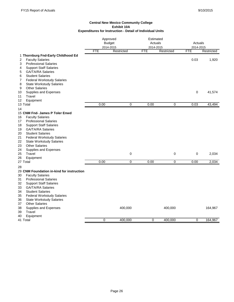|                                                                                                         | Approved<br><b>Budget</b><br>2014-2015 |            | Estimated<br>Actuals<br>2014-2015 |             | Actuals<br>2014-2015 |            |  |
|---------------------------------------------------------------------------------------------------------|----------------------------------------|------------|-----------------------------------|-------------|----------------------|------------|--|
|                                                                                                         | <b>FTE</b>                             | Restricted | FTE                               | Restricted  | <b>FTE</b>           | Restricted |  |
| 1 Thornburg Fnd-Early Childhood Ed<br><b>Faculty Salaries</b><br>2<br><b>Professional Salaries</b><br>3 |                                        |            |                                   |             | 0.03                 | 1,920      |  |
| <b>Support Staff Salaries</b><br>4                                                                      |                                        |            |                                   |             |                      |            |  |
| 5<br><b>GA/TA/RA Salaries</b><br><b>Student Salaries</b><br>6                                           |                                        |            |                                   |             |                      |            |  |
| <b>Federal Workstudy Salaries</b><br>7                                                                  |                                        |            |                                   |             |                      |            |  |
| 8<br><b>State Workstudy Salaries</b>                                                                    |                                        |            |                                   |             |                      |            |  |
| <b>Other Salaries</b><br>9                                                                              |                                        |            |                                   |             |                      |            |  |
| Supplies and Expenses<br>10                                                                             |                                        |            |                                   |             | $\mathbf 0$          | 41,574     |  |
| Travel<br>11                                                                                            |                                        |            |                                   |             |                      |            |  |
| 12<br>Equipment                                                                                         |                                        |            |                                   |             |                      |            |  |
| 13 Total<br>14                                                                                          | 0.00                                   | 0          | 0.00                              | $\mathbf 0$ | 0.03                 | 43,494     |  |
| 15 CNM Fnd- James P Toler Enwd                                                                          |                                        |            |                                   |             |                      |            |  |
| <b>Faculty Salaries</b><br>16                                                                           |                                        |            |                                   |             |                      |            |  |
| <b>Professional Salaries</b><br>17                                                                      |                                        |            |                                   |             |                      |            |  |
| 18<br><b>Support Staff Salaries</b>                                                                     |                                        |            |                                   |             |                      |            |  |
| <b>GA/TA/RA Salaries</b><br>19                                                                          |                                        |            |                                   |             |                      |            |  |
| <b>Student Salaries</b><br>20                                                                           |                                        |            |                                   |             |                      |            |  |
| 21<br><b>Federal Workstudy Salaries</b>                                                                 |                                        |            |                                   |             |                      |            |  |
| 22<br><b>State Workstudy Salaries</b>                                                                   |                                        |            |                                   |             |                      |            |  |
| <b>Other Salaries</b><br>23<br>24                                                                       |                                        |            |                                   |             |                      |            |  |
| Supplies and Expenses<br>Travel<br>25                                                                   |                                        | 0          |                                   | 0           | 0                    | 2,034      |  |
| 26<br>Equipment                                                                                         |                                        |            |                                   |             |                      |            |  |
| 27 Total                                                                                                | 0.00                                   | 0          | 0.00                              | 0           | 0.00                 | 2,034      |  |
| 28                                                                                                      |                                        |            |                                   |             |                      |            |  |
| 29 CNM Foundation in-kind for instruction                                                               |                                        |            |                                   |             |                      |            |  |
| <b>Faculty Salaries</b><br>30                                                                           |                                        |            |                                   |             |                      |            |  |
| 31<br><b>Professional Salaries</b>                                                                      |                                        |            |                                   |             |                      |            |  |
| 32<br><b>Support Staff Salaries</b>                                                                     |                                        |            |                                   |             |                      |            |  |
| <b>GA/TA/RA Salaries</b><br>33                                                                          |                                        |            |                                   |             |                      |            |  |
| 34<br><b>Student Salaries</b>                                                                           |                                        |            |                                   |             |                      |            |  |
| 35<br><b>Federal Workstudy Salaries</b>                                                                 |                                        |            |                                   |             |                      |            |  |
| <b>State Workstudy Salaries</b><br>36<br><b>Other Salaries</b><br>37                                    |                                        |            |                                   |             |                      |            |  |
| Supplies and Expenses<br>38                                                                             |                                        | 400,000    |                                   | 400,000     |                      | 164,967    |  |
| 39<br>Travel                                                                                            |                                        |            |                                   |             |                      |            |  |
| 40<br>Equipment                                                                                         |                                        |            |                                   |             |                      |            |  |
| 41 Total                                                                                                | $\mathbf 0$                            | 400,000    | $\mathbf 0$                       | 400,000     | 0                    | 164,967    |  |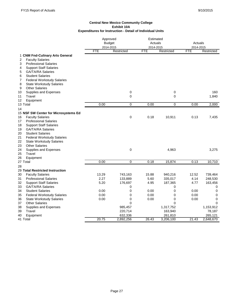|                                         | Approved<br><b>Budget</b><br>2014-2015 |            | Estimated<br>Actuals<br>2014-2015 |            | Actuals<br>2014-2015 |            |
|-----------------------------------------|----------------------------------------|------------|-----------------------------------|------------|----------------------|------------|
|                                         | <b>FTE</b>                             | Restricted | <b>FTE</b>                        | Restricted | <b>FTE</b>           | Restricted |
| 1 CNM Fnd-Culinary Arts General         |                                        |            |                                   |            |                      |            |
| <b>Faculty Salaries</b><br>2            |                                        |            |                                   |            |                      |            |
| 3<br><b>Professional Salaries</b>       |                                        |            |                                   |            |                      |            |
| <b>Support Staff Salaries</b><br>4      |                                        |            |                                   |            |                      |            |
| <b>GA/TA/RA Salaries</b><br>5           |                                        |            |                                   |            |                      |            |
| <b>Student Salaries</b><br>6            |                                        |            |                                   |            |                      |            |
| <b>Federal Workstudy Salaries</b><br>7  |                                        |            |                                   |            |                      |            |
| <b>State Workstudy Salaries</b><br>8    |                                        |            |                                   |            |                      |            |
| <b>Other Salaries</b><br>9              |                                        |            |                                   |            |                      |            |
| 10<br>Supplies and Expenses             |                                        | $\pmb{0}$  |                                   | 0          |                      | 160        |
| Travel<br>11                            |                                        | 0          |                                   | 0          |                      | 1,840      |
| 12<br>Equipment                         |                                        |            |                                   |            |                      |            |
| 13 Total                                | 0.00                                   | 0          | 0.00                              | 0          | 0.00                 | 2,000      |
| 14                                      |                                        |            |                                   |            |                      |            |
| 15 NSF SW Center for Microsystems Ed    |                                        |            |                                   |            |                      |            |
| 16<br><b>Faculty Salaries</b>           |                                        | 0          | 0.18                              | 10,911     | 0.13                 | 7,435      |
| <b>Professional Salaries</b><br>17      |                                        |            |                                   |            |                      |            |
| 18<br><b>Support Staff Salaries</b>     |                                        |            |                                   |            |                      |            |
| 19<br><b>GA/TA/RA Salaries</b>          |                                        |            |                                   |            |                      |            |
| 20<br><b>Student Salaries</b>           |                                        |            |                                   |            |                      |            |
| 21<br><b>Federal Workstudy Salaries</b> |                                        |            |                                   |            |                      |            |
| 22<br><b>State Workstudy Salaries</b>   |                                        |            |                                   |            |                      |            |
| 23<br><b>Other Salaries</b>             |                                        |            |                                   |            |                      |            |
| 24<br>Supplies and Expenses             |                                        | 0          |                                   | 4,963      |                      | 3,275      |
| Travel<br>25                            |                                        |            |                                   |            |                      |            |
| 26<br>Equipment                         |                                        |            |                                   |            |                      |            |
| 27 Total                                | 0.00                                   | 0          | 0.18                              | 15,874     | 0.13                 | 10,710     |
| 28                                      |                                        |            |                                   |            |                      |            |
| 29 Total Restricted Instruction         |                                        |            |                                   |            |                      |            |
| <b>Faculty Salaries</b><br>30           | 13.29                                  | 743,163    | 15.88                             | 940,216    | 12.52                | 739,464    |
| 31<br><b>Professional Salaries</b>      | 2.27                                   | 133,889    | 5.60                              | 335,017    | 4.14                 | 248,530    |
| 32<br><b>Support Staff Salaries</b>     | 5.20                                   | 176,697    | 4.95                              | 187,365    | 4.77                 | 163,456    |
| <b>GA/TA/RA Salaries</b><br>33          |                                        | 0          |                                   | 0          |                      | 0          |
| 34<br><b>Student Salaries</b>           | 0.00                                   | 0          | 0.00                              | 0          | 0.00                 | 0          |
| 35<br><b>Federal Workstudy Salaries</b> | 0.00                                   | 0          | 0.00                              | 0          | 0.00                 | 0          |
| 36<br><b>State Workstudy Salaries</b>   | 0.00                                   | 0          | 0.00                              | 0          | 0.00                 | 0          |
| <b>Other Salaries</b><br>37             |                                        | $\Omega$   |                                   | 0          |                      | $\Omega$   |
| 38<br>Supplies and Expenses             |                                        | 985,457    |                                   | 1,317,752  |                      | 1,153,912  |
| Travel<br>39                            |                                        | 220,714    |                                   | 163,940    |                      | 78,187     |
| 40<br>Equipment                         |                                        | 632,336    |                                   | 261,810    |                      | 265,121    |
| 41 Total                                | 20.75                                  | 2,892,256  | 26.43                             | 3,206,100  | 21.43                | 2,648,670  |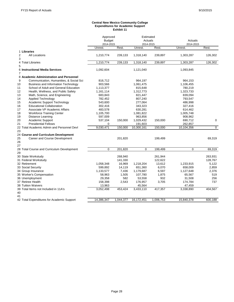#### **Central New Mexico Community College Expenditures for Academic Support Exhibit 11**

|                                                  | Approved<br><b>Budget</b><br>2014-2015 |           | Estimated<br>Actuals<br>2014-2015 |           | Actuals<br>2014-2015 |              |
|--------------------------------------------------|----------------------------------------|-----------|-----------------------------------|-----------|----------------------|--------------|
|                                                  | Unrest.                                | Rest.     | Unrest.                           | Rest.     | Unrest.              | Rest.        |
| 1 Libraries                                      |                                        |           |                                   |           |                      |              |
| $\overline{2}$<br><b>All Locations</b><br>3      | 1,210,774                              | 239,133   | 1,318,140                         | 239,897   | 1,303,287            | 126,302      |
| 4 Total Libraries<br>5                           | 1,210,774                              | 239,133   | 1,318,140                         | 239,897   | 1,303,287            | 126,302      |
| 6 Instructional Media Services<br>7              | 1,092,604                              |           | 1,121,040                         |           | 1,093,845            |              |
| 8 Academic Administration and Personnel          |                                        |           |                                   |           |                      |              |
| 9<br>Communication, Humanities, & Social Sci     | 816,712                                |           | 964,197                           |           | 964,153              |              |
| 10<br>Business and Information Technology        | 903,566                                |           | 1,061,475                         |           | 1,106,455            |              |
| 11<br>School of Adult and General Education      | 1,113,377                              |           | 815,648                           |           | 780,219              |              |
| 12<br>Health, Wellness, and Public Safety        | 1,161,114                              |           | 1,312,773                         |           | 1,323,733            |              |
| 13<br>Math, Science, and Engineering             | 683,843                                |           | 821,447                           |           | 839,094              |              |
| 14<br><b>Applied Technology</b>                  | 782,452                                |           | 807,240                           |           | 793,547              |              |
| 15<br>Academic Support Technology                | 543,600                                |           | 277,064                           |           | 486,998              |              |
| <b>Educational Collaboration</b><br>16           | 302,416                                |           | 343,323                           |           | 327,416              |              |
| 17<br>Associate VP Academic Affairs              | 483,578                                |           | 630,281                           |           | 614,462              |              |
| <b>Workforce Training Center</b><br>18           | 1,105,700                              |           | 1,081,822                         |           | 1,005,748            |              |
| 19<br>Distance Learning                          | 597,009                                |           | 963,856                           |           | 908,962              |              |
| 20<br>Academic Support                           | 537,104                                | 150,000   | 1,029,432                         | 150,000   | 690,712              | $\mathbf 0$  |
| <b>Presidential Fellows</b><br>21                | 0                                      |           | 191,603                           |           | 262,857              |              |
| 22 Total Academic Admin and Personnel Devl<br>23 | 9,030,471                              | 150,000   | 10,300,161                        | 150,000   | 10,104,356           | $\mathbf{0}$ |
| 24 Course and Curriculum Development             |                                        |           |                                   |           |                      |              |
| 25<br>Career and Course Development<br>26        |                                        | 201,820   |                                   | 199,499   |                      | 69,319       |
| 27                                               |                                        |           |                                   |           |                      |              |
| 28 Total Course and Curriculum Development<br>29 | $\Omega$                               | 201,820   | $\Omega$                          | 199,499   | $\mathbf 0$          | 69,319       |
| 30 State Workstudy                               |                                        | 268,940   |                                   | 261,944   |                      | 263,931      |
| 31 Federal Workstudy                             |                                        | 141,330   |                                   | 122,622   |                      | 128,767      |
| 32 Retirement                                    | 1,058,348                              | 16,969    | 1,218,204                         | 13,612    | 1,233,915            | 5,122        |
| 33 Social Security                               | 599,892                                | 14,119    | 651,360                           | 6,070     | 658,009              | 2,859        |
| 34 Group Insurance                               | 1,133,577                              | 7,436     | 1,179,687                         | 6,597     | 1,127,648            | 2,376        |
| 35 Worker's Compensation                         | 58,963                                 | 1,505     | 107,780                           | 1,875     | 65,567               | 519          |
| 36 Unemployment                                  | 29,358                                 | 582       | 53,558                            | 932       | 31,508               | 256          |
| 37 Retiree Health                                | 158,398                                | 2,543     | 176,957                           | 3,705     | 174,784              | 737          |
| <b>38 Tuition Waivers</b>                        | 13,963                                 |           | 45,564                            |           | 47,459               |              |
| 39 Total Items not Included in 11A's<br>40       | 3,052,498                              | 453,424   | 3,433,110                         | 417,357   | 3,338,890            | 404,567      |
| 41<br>42 Total Expenditures for Academic Support | 14,386,347                             | 1,044,377 | 16,172,451                        | 1,006,753 | 15,840,378           | 600,188      |
|                                                  |                                        |           |                                   |           |                      |              |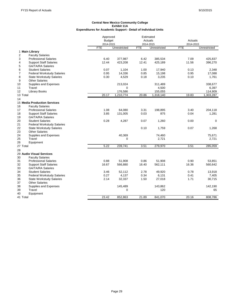| <b>Budget</b><br>Actuals<br>2014-2015<br>2014-2015<br>2014-2015<br>Unrestricted<br><b>FTE</b><br><b>FTE</b><br>Unrestricted<br><b>FTE</b><br>Unrestricted<br>1 Main Library<br>$\overline{2}$<br><b>Faculty Salaries</b><br>377,987<br>6.42<br>385,534<br>7.09<br>425,837<br>3<br><b>Professional Salaries</b><br>6.40<br>12.44<br>423,208<br>12.41<br>425,189<br>11.56<br>396,270<br><b>Support Staff Salaries</b><br>4<br>5<br><b>GA/TA/RA Salaries</b><br>2,348<br>6<br><b>Student Salaries</b><br>0.07<br>1,104<br>1.00<br>17,940<br>0.13<br>$\overline{7}$<br>0.95<br>0.85<br>15,198<br>0.95<br><b>Federal Workstudy Salaries</b><br>14,336<br>17,088<br>0.30<br>0.18<br>8<br>4,529<br>3,235<br>0.10<br>1,761<br><b>State Workstudy Salaries</b><br>9<br><b>Other Salaries</b><br>10<br>Supplies and Expenses<br>338,677<br>213,024<br>311,489<br>11<br>Travel<br>$\mathbf 0$<br>4,500<br>6,397<br><b>Library Books</b><br>12<br>176,586<br>155,055<br>114,909<br>19.83<br>13 Total<br>20.17<br>1,210,774<br>20.86<br>1,318,140<br>1,303,287<br>14<br>15 Media Production Services<br>16<br><b>Faculty Salaries</b><br>17<br><b>Professional Salaries</b><br>1.08<br>64,080<br>3.31<br>198,895<br>204,118<br>3.40<br>18<br><b>Support Staff Salaries</b><br>3.85<br>131,005<br>0.03<br>875<br>0.04<br>1,281<br>19<br><b>GA/TA/RA Salaries</b><br>20<br><b>Student Salaries</b><br>0.28<br>4,287<br>0.07<br>1,260<br>0.00<br>0<br><b>Federal Workstudy Salaries</b><br>21<br>22<br>0.10<br>0.07<br><b>State Workstudy Salaries</b><br>1,759<br>1,268<br>23<br><b>Other Salaries</b><br>24<br>Supplies and Expenses<br>40,369<br>74,460<br>75,671<br>25<br>2,721<br>2,721<br>Travel<br>$\mathbf 0$<br>26<br>Equipment<br>5.22<br>3.51<br>3.51<br>27 Total<br>239,741<br>279,970<br>285,059<br>28<br>29 Audio Visual Services<br><b>Faculty Salaries</b><br>30<br><b>Professional Salaries</b><br>0.88<br>51,908<br>0.90<br>53,851<br>31<br>51,908<br>0.86<br>32<br>16.67<br>16.40<br>16.36<br><b>Support Staff Salaries</b><br>566,880<br>562,111<br>560,642<br><b>GA/TA/RA Salaries</b><br>33<br>34<br><b>Student Salaries</b><br>3.46<br>52,112<br>2.78<br>49,920<br>0.78<br>13,918<br>0.27<br>4,137<br>0.34<br>6,131<br>0.41<br>35<br><b>Federal Workstudy Salaries</b><br>7,405<br>2.14<br><b>State Workstudy Salaries</b><br>32,337<br>1.50<br>27,018<br>1.71<br>30,715<br>36<br>37<br><b>Other Salaries</b><br>38<br>Supplies and Expenses<br>145,489<br>143,862<br>142,190<br>Travel<br>39<br>$\mathbf 0$<br>120<br>65<br>Equipment<br>23.42<br>808,786<br>41 Total<br>852,863<br>21.89<br>841,070<br>20.16 |    | Approved |  | Estimated<br>Actuals |  |  |  |
|-----------------------------------------------------------------------------------------------------------------------------------------------------------------------------------------------------------------------------------------------------------------------------------------------------------------------------------------------------------------------------------------------------------------------------------------------------------------------------------------------------------------------------------------------------------------------------------------------------------------------------------------------------------------------------------------------------------------------------------------------------------------------------------------------------------------------------------------------------------------------------------------------------------------------------------------------------------------------------------------------------------------------------------------------------------------------------------------------------------------------------------------------------------------------------------------------------------------------------------------------------------------------------------------------------------------------------------------------------------------------------------------------------------------------------------------------------------------------------------------------------------------------------------------------------------------------------------------------------------------------------------------------------------------------------------------------------------------------------------------------------------------------------------------------------------------------------------------------------------------------------------------------------------------------------------------------------------------------------------------------------------------------------------------------------------------------------------------------------------------------------------------------------------------------------------------------------------------------------------------------------------------------------------------------------------------------------------------------------------------------------------------------------------------------------------------------------------------------------------------------------------------------------------------------------------------------------------------------------------------------|----|----------|--|----------------------|--|--|--|
|                                                                                                                                                                                                                                                                                                                                                                                                                                                                                                                                                                                                                                                                                                                                                                                                                                                                                                                                                                                                                                                                                                                                                                                                                                                                                                                                                                                                                                                                                                                                                                                                                                                                                                                                                                                                                                                                                                                                                                                                                                                                                                                                                                                                                                                                                                                                                                                                                                                                                                                                                                                                                       |    |          |  |                      |  |  |  |
|                                                                                                                                                                                                                                                                                                                                                                                                                                                                                                                                                                                                                                                                                                                                                                                                                                                                                                                                                                                                                                                                                                                                                                                                                                                                                                                                                                                                                                                                                                                                                                                                                                                                                                                                                                                                                                                                                                                                                                                                                                                                                                                                                                                                                                                                                                                                                                                                                                                                                                                                                                                                                       |    |          |  |                      |  |  |  |
|                                                                                                                                                                                                                                                                                                                                                                                                                                                                                                                                                                                                                                                                                                                                                                                                                                                                                                                                                                                                                                                                                                                                                                                                                                                                                                                                                                                                                                                                                                                                                                                                                                                                                                                                                                                                                                                                                                                                                                                                                                                                                                                                                                                                                                                                                                                                                                                                                                                                                                                                                                                                                       |    |          |  |                      |  |  |  |
|                                                                                                                                                                                                                                                                                                                                                                                                                                                                                                                                                                                                                                                                                                                                                                                                                                                                                                                                                                                                                                                                                                                                                                                                                                                                                                                                                                                                                                                                                                                                                                                                                                                                                                                                                                                                                                                                                                                                                                                                                                                                                                                                                                                                                                                                                                                                                                                                                                                                                                                                                                                                                       |    |          |  |                      |  |  |  |
|                                                                                                                                                                                                                                                                                                                                                                                                                                                                                                                                                                                                                                                                                                                                                                                                                                                                                                                                                                                                                                                                                                                                                                                                                                                                                                                                                                                                                                                                                                                                                                                                                                                                                                                                                                                                                                                                                                                                                                                                                                                                                                                                                                                                                                                                                                                                                                                                                                                                                                                                                                                                                       |    |          |  |                      |  |  |  |
|                                                                                                                                                                                                                                                                                                                                                                                                                                                                                                                                                                                                                                                                                                                                                                                                                                                                                                                                                                                                                                                                                                                                                                                                                                                                                                                                                                                                                                                                                                                                                                                                                                                                                                                                                                                                                                                                                                                                                                                                                                                                                                                                                                                                                                                                                                                                                                                                                                                                                                                                                                                                                       |    |          |  |                      |  |  |  |
|                                                                                                                                                                                                                                                                                                                                                                                                                                                                                                                                                                                                                                                                                                                                                                                                                                                                                                                                                                                                                                                                                                                                                                                                                                                                                                                                                                                                                                                                                                                                                                                                                                                                                                                                                                                                                                                                                                                                                                                                                                                                                                                                                                                                                                                                                                                                                                                                                                                                                                                                                                                                                       |    |          |  |                      |  |  |  |
|                                                                                                                                                                                                                                                                                                                                                                                                                                                                                                                                                                                                                                                                                                                                                                                                                                                                                                                                                                                                                                                                                                                                                                                                                                                                                                                                                                                                                                                                                                                                                                                                                                                                                                                                                                                                                                                                                                                                                                                                                                                                                                                                                                                                                                                                                                                                                                                                                                                                                                                                                                                                                       |    |          |  |                      |  |  |  |
|                                                                                                                                                                                                                                                                                                                                                                                                                                                                                                                                                                                                                                                                                                                                                                                                                                                                                                                                                                                                                                                                                                                                                                                                                                                                                                                                                                                                                                                                                                                                                                                                                                                                                                                                                                                                                                                                                                                                                                                                                                                                                                                                                                                                                                                                                                                                                                                                                                                                                                                                                                                                                       |    |          |  |                      |  |  |  |
|                                                                                                                                                                                                                                                                                                                                                                                                                                                                                                                                                                                                                                                                                                                                                                                                                                                                                                                                                                                                                                                                                                                                                                                                                                                                                                                                                                                                                                                                                                                                                                                                                                                                                                                                                                                                                                                                                                                                                                                                                                                                                                                                                                                                                                                                                                                                                                                                                                                                                                                                                                                                                       |    |          |  |                      |  |  |  |
|                                                                                                                                                                                                                                                                                                                                                                                                                                                                                                                                                                                                                                                                                                                                                                                                                                                                                                                                                                                                                                                                                                                                                                                                                                                                                                                                                                                                                                                                                                                                                                                                                                                                                                                                                                                                                                                                                                                                                                                                                                                                                                                                                                                                                                                                                                                                                                                                                                                                                                                                                                                                                       |    |          |  |                      |  |  |  |
|                                                                                                                                                                                                                                                                                                                                                                                                                                                                                                                                                                                                                                                                                                                                                                                                                                                                                                                                                                                                                                                                                                                                                                                                                                                                                                                                                                                                                                                                                                                                                                                                                                                                                                                                                                                                                                                                                                                                                                                                                                                                                                                                                                                                                                                                                                                                                                                                                                                                                                                                                                                                                       |    |          |  |                      |  |  |  |
|                                                                                                                                                                                                                                                                                                                                                                                                                                                                                                                                                                                                                                                                                                                                                                                                                                                                                                                                                                                                                                                                                                                                                                                                                                                                                                                                                                                                                                                                                                                                                                                                                                                                                                                                                                                                                                                                                                                                                                                                                                                                                                                                                                                                                                                                                                                                                                                                                                                                                                                                                                                                                       |    |          |  |                      |  |  |  |
|                                                                                                                                                                                                                                                                                                                                                                                                                                                                                                                                                                                                                                                                                                                                                                                                                                                                                                                                                                                                                                                                                                                                                                                                                                                                                                                                                                                                                                                                                                                                                                                                                                                                                                                                                                                                                                                                                                                                                                                                                                                                                                                                                                                                                                                                                                                                                                                                                                                                                                                                                                                                                       |    |          |  |                      |  |  |  |
|                                                                                                                                                                                                                                                                                                                                                                                                                                                                                                                                                                                                                                                                                                                                                                                                                                                                                                                                                                                                                                                                                                                                                                                                                                                                                                                                                                                                                                                                                                                                                                                                                                                                                                                                                                                                                                                                                                                                                                                                                                                                                                                                                                                                                                                                                                                                                                                                                                                                                                                                                                                                                       |    |          |  |                      |  |  |  |
|                                                                                                                                                                                                                                                                                                                                                                                                                                                                                                                                                                                                                                                                                                                                                                                                                                                                                                                                                                                                                                                                                                                                                                                                                                                                                                                                                                                                                                                                                                                                                                                                                                                                                                                                                                                                                                                                                                                                                                                                                                                                                                                                                                                                                                                                                                                                                                                                                                                                                                                                                                                                                       |    |          |  |                      |  |  |  |
|                                                                                                                                                                                                                                                                                                                                                                                                                                                                                                                                                                                                                                                                                                                                                                                                                                                                                                                                                                                                                                                                                                                                                                                                                                                                                                                                                                                                                                                                                                                                                                                                                                                                                                                                                                                                                                                                                                                                                                                                                                                                                                                                                                                                                                                                                                                                                                                                                                                                                                                                                                                                                       |    |          |  |                      |  |  |  |
|                                                                                                                                                                                                                                                                                                                                                                                                                                                                                                                                                                                                                                                                                                                                                                                                                                                                                                                                                                                                                                                                                                                                                                                                                                                                                                                                                                                                                                                                                                                                                                                                                                                                                                                                                                                                                                                                                                                                                                                                                                                                                                                                                                                                                                                                                                                                                                                                                                                                                                                                                                                                                       |    |          |  |                      |  |  |  |
|                                                                                                                                                                                                                                                                                                                                                                                                                                                                                                                                                                                                                                                                                                                                                                                                                                                                                                                                                                                                                                                                                                                                                                                                                                                                                                                                                                                                                                                                                                                                                                                                                                                                                                                                                                                                                                                                                                                                                                                                                                                                                                                                                                                                                                                                                                                                                                                                                                                                                                                                                                                                                       |    |          |  |                      |  |  |  |
|                                                                                                                                                                                                                                                                                                                                                                                                                                                                                                                                                                                                                                                                                                                                                                                                                                                                                                                                                                                                                                                                                                                                                                                                                                                                                                                                                                                                                                                                                                                                                                                                                                                                                                                                                                                                                                                                                                                                                                                                                                                                                                                                                                                                                                                                                                                                                                                                                                                                                                                                                                                                                       |    |          |  |                      |  |  |  |
|                                                                                                                                                                                                                                                                                                                                                                                                                                                                                                                                                                                                                                                                                                                                                                                                                                                                                                                                                                                                                                                                                                                                                                                                                                                                                                                                                                                                                                                                                                                                                                                                                                                                                                                                                                                                                                                                                                                                                                                                                                                                                                                                                                                                                                                                                                                                                                                                                                                                                                                                                                                                                       |    |          |  |                      |  |  |  |
|                                                                                                                                                                                                                                                                                                                                                                                                                                                                                                                                                                                                                                                                                                                                                                                                                                                                                                                                                                                                                                                                                                                                                                                                                                                                                                                                                                                                                                                                                                                                                                                                                                                                                                                                                                                                                                                                                                                                                                                                                                                                                                                                                                                                                                                                                                                                                                                                                                                                                                                                                                                                                       |    |          |  |                      |  |  |  |
|                                                                                                                                                                                                                                                                                                                                                                                                                                                                                                                                                                                                                                                                                                                                                                                                                                                                                                                                                                                                                                                                                                                                                                                                                                                                                                                                                                                                                                                                                                                                                                                                                                                                                                                                                                                                                                                                                                                                                                                                                                                                                                                                                                                                                                                                                                                                                                                                                                                                                                                                                                                                                       |    |          |  |                      |  |  |  |
|                                                                                                                                                                                                                                                                                                                                                                                                                                                                                                                                                                                                                                                                                                                                                                                                                                                                                                                                                                                                                                                                                                                                                                                                                                                                                                                                                                                                                                                                                                                                                                                                                                                                                                                                                                                                                                                                                                                                                                                                                                                                                                                                                                                                                                                                                                                                                                                                                                                                                                                                                                                                                       |    |          |  |                      |  |  |  |
|                                                                                                                                                                                                                                                                                                                                                                                                                                                                                                                                                                                                                                                                                                                                                                                                                                                                                                                                                                                                                                                                                                                                                                                                                                                                                                                                                                                                                                                                                                                                                                                                                                                                                                                                                                                                                                                                                                                                                                                                                                                                                                                                                                                                                                                                                                                                                                                                                                                                                                                                                                                                                       |    |          |  |                      |  |  |  |
|                                                                                                                                                                                                                                                                                                                                                                                                                                                                                                                                                                                                                                                                                                                                                                                                                                                                                                                                                                                                                                                                                                                                                                                                                                                                                                                                                                                                                                                                                                                                                                                                                                                                                                                                                                                                                                                                                                                                                                                                                                                                                                                                                                                                                                                                                                                                                                                                                                                                                                                                                                                                                       |    |          |  |                      |  |  |  |
|                                                                                                                                                                                                                                                                                                                                                                                                                                                                                                                                                                                                                                                                                                                                                                                                                                                                                                                                                                                                                                                                                                                                                                                                                                                                                                                                                                                                                                                                                                                                                                                                                                                                                                                                                                                                                                                                                                                                                                                                                                                                                                                                                                                                                                                                                                                                                                                                                                                                                                                                                                                                                       |    |          |  |                      |  |  |  |
|                                                                                                                                                                                                                                                                                                                                                                                                                                                                                                                                                                                                                                                                                                                                                                                                                                                                                                                                                                                                                                                                                                                                                                                                                                                                                                                                                                                                                                                                                                                                                                                                                                                                                                                                                                                                                                                                                                                                                                                                                                                                                                                                                                                                                                                                                                                                                                                                                                                                                                                                                                                                                       |    |          |  |                      |  |  |  |
|                                                                                                                                                                                                                                                                                                                                                                                                                                                                                                                                                                                                                                                                                                                                                                                                                                                                                                                                                                                                                                                                                                                                                                                                                                                                                                                                                                                                                                                                                                                                                                                                                                                                                                                                                                                                                                                                                                                                                                                                                                                                                                                                                                                                                                                                                                                                                                                                                                                                                                                                                                                                                       |    |          |  |                      |  |  |  |
|                                                                                                                                                                                                                                                                                                                                                                                                                                                                                                                                                                                                                                                                                                                                                                                                                                                                                                                                                                                                                                                                                                                                                                                                                                                                                                                                                                                                                                                                                                                                                                                                                                                                                                                                                                                                                                                                                                                                                                                                                                                                                                                                                                                                                                                                                                                                                                                                                                                                                                                                                                                                                       |    |          |  |                      |  |  |  |
|                                                                                                                                                                                                                                                                                                                                                                                                                                                                                                                                                                                                                                                                                                                                                                                                                                                                                                                                                                                                                                                                                                                                                                                                                                                                                                                                                                                                                                                                                                                                                                                                                                                                                                                                                                                                                                                                                                                                                                                                                                                                                                                                                                                                                                                                                                                                                                                                                                                                                                                                                                                                                       |    |          |  |                      |  |  |  |
|                                                                                                                                                                                                                                                                                                                                                                                                                                                                                                                                                                                                                                                                                                                                                                                                                                                                                                                                                                                                                                                                                                                                                                                                                                                                                                                                                                                                                                                                                                                                                                                                                                                                                                                                                                                                                                                                                                                                                                                                                                                                                                                                                                                                                                                                                                                                                                                                                                                                                                                                                                                                                       |    |          |  |                      |  |  |  |
|                                                                                                                                                                                                                                                                                                                                                                                                                                                                                                                                                                                                                                                                                                                                                                                                                                                                                                                                                                                                                                                                                                                                                                                                                                                                                                                                                                                                                                                                                                                                                                                                                                                                                                                                                                                                                                                                                                                                                                                                                                                                                                                                                                                                                                                                                                                                                                                                                                                                                                                                                                                                                       |    |          |  |                      |  |  |  |
|                                                                                                                                                                                                                                                                                                                                                                                                                                                                                                                                                                                                                                                                                                                                                                                                                                                                                                                                                                                                                                                                                                                                                                                                                                                                                                                                                                                                                                                                                                                                                                                                                                                                                                                                                                                                                                                                                                                                                                                                                                                                                                                                                                                                                                                                                                                                                                                                                                                                                                                                                                                                                       |    |          |  |                      |  |  |  |
|                                                                                                                                                                                                                                                                                                                                                                                                                                                                                                                                                                                                                                                                                                                                                                                                                                                                                                                                                                                                                                                                                                                                                                                                                                                                                                                                                                                                                                                                                                                                                                                                                                                                                                                                                                                                                                                                                                                                                                                                                                                                                                                                                                                                                                                                                                                                                                                                                                                                                                                                                                                                                       |    |          |  |                      |  |  |  |
|                                                                                                                                                                                                                                                                                                                                                                                                                                                                                                                                                                                                                                                                                                                                                                                                                                                                                                                                                                                                                                                                                                                                                                                                                                                                                                                                                                                                                                                                                                                                                                                                                                                                                                                                                                                                                                                                                                                                                                                                                                                                                                                                                                                                                                                                                                                                                                                                                                                                                                                                                                                                                       |    |          |  |                      |  |  |  |
|                                                                                                                                                                                                                                                                                                                                                                                                                                                                                                                                                                                                                                                                                                                                                                                                                                                                                                                                                                                                                                                                                                                                                                                                                                                                                                                                                                                                                                                                                                                                                                                                                                                                                                                                                                                                                                                                                                                                                                                                                                                                                                                                                                                                                                                                                                                                                                                                                                                                                                                                                                                                                       |    |          |  |                      |  |  |  |
|                                                                                                                                                                                                                                                                                                                                                                                                                                                                                                                                                                                                                                                                                                                                                                                                                                                                                                                                                                                                                                                                                                                                                                                                                                                                                                                                                                                                                                                                                                                                                                                                                                                                                                                                                                                                                                                                                                                                                                                                                                                                                                                                                                                                                                                                                                                                                                                                                                                                                                                                                                                                                       |    |          |  |                      |  |  |  |
|                                                                                                                                                                                                                                                                                                                                                                                                                                                                                                                                                                                                                                                                                                                                                                                                                                                                                                                                                                                                                                                                                                                                                                                                                                                                                                                                                                                                                                                                                                                                                                                                                                                                                                                                                                                                                                                                                                                                                                                                                                                                                                                                                                                                                                                                                                                                                                                                                                                                                                                                                                                                                       |    |          |  |                      |  |  |  |
|                                                                                                                                                                                                                                                                                                                                                                                                                                                                                                                                                                                                                                                                                                                                                                                                                                                                                                                                                                                                                                                                                                                                                                                                                                                                                                                                                                                                                                                                                                                                                                                                                                                                                                                                                                                                                                                                                                                                                                                                                                                                                                                                                                                                                                                                                                                                                                                                                                                                                                                                                                                                                       |    |          |  |                      |  |  |  |
|                                                                                                                                                                                                                                                                                                                                                                                                                                                                                                                                                                                                                                                                                                                                                                                                                                                                                                                                                                                                                                                                                                                                                                                                                                                                                                                                                                                                                                                                                                                                                                                                                                                                                                                                                                                                                                                                                                                                                                                                                                                                                                                                                                                                                                                                                                                                                                                                                                                                                                                                                                                                                       |    |          |  |                      |  |  |  |
|                                                                                                                                                                                                                                                                                                                                                                                                                                                                                                                                                                                                                                                                                                                                                                                                                                                                                                                                                                                                                                                                                                                                                                                                                                                                                                                                                                                                                                                                                                                                                                                                                                                                                                                                                                                                                                                                                                                                                                                                                                                                                                                                                                                                                                                                                                                                                                                                                                                                                                                                                                                                                       |    |          |  |                      |  |  |  |
|                                                                                                                                                                                                                                                                                                                                                                                                                                                                                                                                                                                                                                                                                                                                                                                                                                                                                                                                                                                                                                                                                                                                                                                                                                                                                                                                                                                                                                                                                                                                                                                                                                                                                                                                                                                                                                                                                                                                                                                                                                                                                                                                                                                                                                                                                                                                                                                                                                                                                                                                                                                                                       | 40 |          |  |                      |  |  |  |
|                                                                                                                                                                                                                                                                                                                                                                                                                                                                                                                                                                                                                                                                                                                                                                                                                                                                                                                                                                                                                                                                                                                                                                                                                                                                                                                                                                                                                                                                                                                                                                                                                                                                                                                                                                                                                                                                                                                                                                                                                                                                                                                                                                                                                                                                                                                                                                                                                                                                                                                                                                                                                       |    |          |  |                      |  |  |  |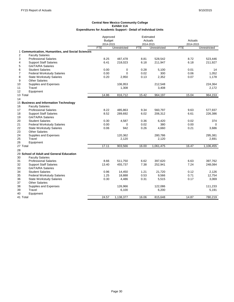|                                                  | Approved      |              | Estimated  |              |            |              |
|--------------------------------------------------|---------------|--------------|------------|--------------|------------|--------------|
|                                                  | <b>Budget</b> |              |            | Actuals      | Actuals    |              |
|                                                  | 2014-2015     |              |            | 2014-2015    | 2014-2015  |              |
|                                                  | <b>FTE</b>    | Unrestricted | <b>FTE</b> | Unrestricted | <b>FTE</b> | Unrestricted |
| 1 Communication, Humanities, and Social Sciences |               |              |            |              |            |              |
| 2<br><b>Faculty Salaries</b>                     |               |              |            |              |            |              |
| 3<br><b>Professional Salaries</b>                | 8.25          | 487,478      | 8.81       | 528,542      | 8.72       | 523,446      |
| 4<br><b>Support Staff Salaries</b>               | 6.41          | 218,023      | 6.18       | 211,947      | 6.18       | 211,927      |
| 5<br><b>GA/TA/RA Salaries</b>                    |               |              |            |              |            |              |
| 6<br><b>Student Salaries</b>                     | 0.00          | 0            | 0.28       | 5,100        | 0.01       | 14           |
| 7<br><b>Federal Workstudy Salaries</b>           | 0.00          | $\Omega$     | 0.02       | 300          | 0.06       | 1,052        |
| 8<br><b>State Workstudy Salaries</b>             | 0.20          | 2,950        | 0.13       | 2,352        | 0.07       | 1,178        |
| 9<br><b>Other Salaries</b>                       |               |              |            |              |            |              |
| Supplies and Expenses<br>10                      |               | 106,953      |            | 212,548      |            | 224,364      |
| Travel<br>11                                     |               | 1,308        |            | 3,408        |            | 2,172        |
| Equipment<br>12                                  |               |              |            |              |            |              |
| 13 Total                                         | 14.86         | 816,712      | 15.42      | 964,197      | 15.04      | 964,153      |
| 14                                               |               |              |            |              |            |              |
| 15 Business and Information Technology           |               |              |            |              |            |              |
| 16<br><b>Faculty Salaries</b>                    |               |              |            |              |            |              |
| <b>Professional Salaries</b><br>17               | 8.22          | 485,863      | 9.34       | 560,797      | 9.63       | 577,937      |
| 18<br><b>Support Staff Salaries</b>              | 8.52          | 289,692      | 6.02       | 206,312      | 6.61       | 226,386      |
| 19<br><b>GA/TA/RA Salaries</b>                   |               |              |            |              |            |              |
| 20<br><b>Student Salaries</b>                    | 0.30          | 4,587        | 0.36       | 6,420        | 0.02       | 374          |
| 21<br><b>Federal Workstudy Salaries</b>          | 0.00          | $\mathbf 0$  | 0.02       | 380          | 0.00       | $\mathbf 0$  |
| 22<br><b>State Workstudy Salaries</b>            | 0.06          | 942          | 0.26       | 4.660        | 0.21       | 3,686        |
| 23<br><b>Other Salaries</b>                      |               |              |            |              |            |              |
| 24<br>Supplies and Expenses                      |               | 120,362      |            | 280,786      |            | 295,381      |
| Travel<br>25                                     |               | 2,120        |            | 2,120        |            | 2,691        |
| 26<br>Equipment                                  |               |              |            |              |            |              |
| 27 Total                                         | 17.11         | 903,566      | 16.00      | 1,061,475    | 16.47      | 1,106,455    |
| 28                                               |               |              |            |              |            |              |
| 29 School of Adult and General Education         |               |              |            |              |            |              |
| 30<br><b>Faculty Salaries</b>                    |               |              |            |              |            |              |
| 31<br><b>Professional Salaries</b>               | 8.66          | 511,750      | 6.62       | 397,620      | 6.63       | 397,762      |
| 32<br><b>Support Staff Salaries</b>              | 13.40         | 455,737      | 7.38       | 252,941      | 7.24       | 248,084      |
| 33<br><b>GA/TA/RA Salaries</b>                   |               |              |            |              |            |              |
| 34<br><b>Student Salaries</b>                    | 0.96          | 14,450       | 1.21       | 21,720       | 0.12       | 2,126        |
| 35<br><b>Federal Workstudy Salaries</b>          | 1.25          | 18,888       | 0.53       | 9,566        | 0.71       | 12,754       |
| 36<br><b>State Workstudy Salaries</b>            | 0.30          | 4,486        | 0.31       | 5,515        | 0.17       | 3,069        |
| 37<br><b>Other Salaries</b>                      |               |              |            |              |            |              |
| 38<br>Supplies and Expenses                      |               | 126,966      |            | 122,086      |            | 111,233      |
| Travel<br>39                                     |               | 6,100        |            | 6,200        |            | 5,191        |
| 40<br>Equipment                                  |               |              |            |              |            |              |
| 41 Total                                         | 24.57         | 1,138,377    | 16.06      | 815,648      | 14.87      | 780,219      |
|                                                  |               |              |            |              |            |              |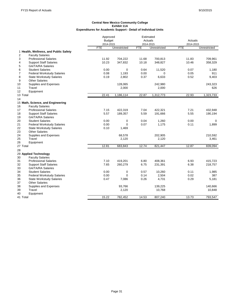|                |                                       | Approved      |              | Estimated  |              |            |              |
|----------------|---------------------------------------|---------------|--------------|------------|--------------|------------|--------------|
|                |                                       | <b>Budget</b> |              |            | Actuals      | Actuals    |              |
|                |                                       | 2014-2015     |              |            | 2014-2015    | 2014-2015  |              |
|                |                                       | <b>FTE</b>    | Unrestricted | <b>FTE</b> | Unrestricted | <b>FTE</b> | Unrestricted |
|                | 1 Health, Wellness, and Public Safety |               |              |            |              |            |              |
| $\overline{2}$ | <b>Faculty Salaries</b>               |               |              |            |              |            |              |
| 3              | <b>Professional Salaries</b>          | 11.92         | 704,222      | 11.68      | 700,813      | 11.83      | 709,961      |
| 4              | <b>Support Staff Salaries</b>         | 10.23         | 347,832      | 10.18      | 348,827      | 10.46      | 358,329      |
| 5              | <b>GA/TA/RA Salaries</b>              |               |              |            |              |            |              |
| 6              | <b>Student Salaries</b>               | 0.00          | $\mathbf 0$  | 0.64       | 11,520       | 0.07       | 1,180        |
| $\overline{7}$ | <b>Federal Workstudy Salaries</b>     | 0.08          | 1,193        | 0.00       | $\mathbf 0$  | 0.05       | 911          |
| 8              | <b>State Workstudy Salaries</b>       | 0.19          | 2,802        | 0.37       | 6,633        | 0.52       | 9,403        |
| 9              | <b>Other Salaries</b>                 |               |              |            |              |            |              |
| 10             | Supplies and Expenses                 |               | 128,065      |            | 242,980      |            | 243,323      |
| 11             | Travel                                |               | 2,000        |            | 2,000        |            | 626          |
| 12             | Equipment                             |               |              |            |              |            |              |
| 13 Total       |                                       | 22.41         | 1,186,114    | 22.87      | 1,312,773    | 22.93      | 1,323,733    |
| 14             |                                       |               |              |            |              |            |              |
|                | 15 Math, Science, and Engineering     |               |              |            |              |            |              |
| 16             | <b>Faculty Salaries</b>               |               |              |            |              |            |              |
| 17             | <b>Professional Salaries</b>          | 7.15          | 422,319      | 7.04       | 422,321      | 7.21       | 432,948      |
| 18             | <b>Support Staff Salaries</b>         | 5.57          | 189,357      | 5.59       | 191,666      | 5.55       | 190,194      |
| 19             | <b>GA/TA/RA Salaries</b>              |               |              |            |              |            |              |
| 20             | <b>Student Salaries</b>               | 0.00          | 0            | 0.04       | 1,260        | 0.00       | $\mathbf 0$  |
| 21             | <b>Federal Workstudy Salaries</b>     | 0.00          | $\mathbf 0$  | 0.07       | 1,175        | 0.11       | 1,899        |
| 22             | <b>State Workstudy Salaries</b>       | 0.10          | 1,469        |            |              |            |              |
| 23             | <b>Other Salaries</b>                 |               |              |            |              |            |              |
| 24             | Supplies and Expenses                 |               | 68,578       |            | 202,905      |            | 210,592      |
| 25             | Travel                                |               | 2,120        |            | 2,120        |            | 3,461        |
| 26             | Equipment                             |               |              |            |              |            |              |
| 27 Total       |                                       | 12.81         | 683,843      | 12.74      | 821,447      | 12.87      | 839,094      |
| 28             |                                       |               |              |            |              |            |              |
|                | 29 Applied Technology                 |               |              |            |              |            |              |
| 30             | <b>Faculty Salaries</b>               |               |              |            |              |            |              |
| 31             | <b>Professional Salaries</b>          | 7.10          | 419,201      | 6.80       | 408,361      | 6.93       | 415,723      |
| 32             | <b>Support Staff Salaries</b>         | 7.65          | 260,279      | 6.75       | 231,391      | 6.38       | 218,757      |
| 33             | <b>GA/TA/RA Salaries</b>              |               |              |            |              |            |              |
| 34             | <b>Student Salaries</b>               | 0.00          | 0            | 0.57       | 10,260       | 0.11       | 1,985        |
| 35             | <b>Federal Workstudy Salaries</b>     | 0.00          | $\mathbf 0$  | 0.14       | 2,504        | 0.02       | 387          |
| 36             | <b>State Workstudy Salaries</b>       | 0.47          | 7,086        | 0.26       | 4,731        | 0.29       | 5,181        |
| 37             | <b>Other Salaries</b>                 |               |              |            |              |            |              |
|                |                                       |               | 93,766       |            | 139,225      |            |              |
| 38<br>39       | Supplies and Expenses<br>Travel       |               | 2,120        |            | 10,768       |            | 140,666      |
|                |                                       |               |              |            |              |            | 10,848       |
| 40             | Equipment                             |               |              |            |              |            |              |
| 41 Total       |                                       | 15.22         | 782,452      | 14.53      | 807,240      | 13.73      | 793,547      |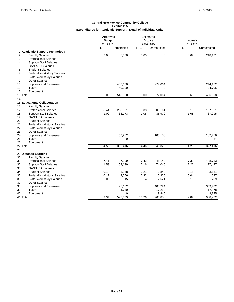|                |                                     | Approved<br><b>Budget</b><br>2014-2015 |              |            | Estimated<br>Actuals<br>Actuals<br>2014-2015 |                         |              |
|----------------|-------------------------------------|----------------------------------------|--------------|------------|----------------------------------------------|-------------------------|--------------|
|                |                                     | <b>FTE</b>                             | Unrestricted | <b>FTE</b> | Unrestricted                                 | 2014-2015<br><b>FTE</b> | Unrestricted |
|                | 1 Academic Support Technology       |                                        |              |            |                                              |                         |              |
| $\overline{2}$ | <b>Faculty Salaries</b>             | 2.00                                   | 85,000       | 0.00       | $\boldsymbol{0}$                             | 3.69                    | 218,121      |
| 3              | <b>Professional Salaries</b>        |                                        |              |            |                                              |                         |              |
| 4              | <b>Support Staff Salaries</b>       |                                        |              |            |                                              |                         |              |
| 5              | GA/TA/RA Salaries                   |                                        |              |            |                                              |                         |              |
| 6              | <b>Student Salaries</b>             |                                        |              |            |                                              |                         |              |
| 7              | <b>Federal Workstudy Salaries</b>   |                                        |              |            |                                              |                         |              |
| 8              | <b>State Workstudy Salaries</b>     |                                        |              |            |                                              |                         |              |
| 9              | <b>Other Salaries</b>               |                                        |              |            |                                              |                         |              |
| 10             | Supplies and Expenses               |                                        | 408,600      |            | 277,064                                      |                         | 244,172      |
| 11             | Travel                              |                                        | 50,000       |            | 0                                            |                         | 24,705       |
| 12             | Equipment                           |                                        |              |            |                                              |                         |              |
| 13 Total       |                                     | 2.00                                   | 543,600      | 0.00       | 277,064                                      | 3.69                    | 486,998      |
| 14             |                                     |                                        |              |            |                                              |                         |              |
|                | <b>15 Educational Collaboration</b> |                                        |              |            |                                              |                         |              |
| 16             | <b>Faculty Salaries</b>             |                                        |              |            |                                              |                         |              |
| 17             | <b>Professional Salaries</b>        | 3.44                                   | 203,161      | 3.38       | 203,161                                      | 3.13                    | 187,801      |
| 18             | <b>Support Staff Salaries</b>       | 1.09                                   | 36,973       | 1.08       | 36,979                                       | 1.08                    | 37,095       |
| 19             | <b>GA/TA/RA Salaries</b>            |                                        |              |            |                                              |                         |              |
| 20             | <b>Student Salaries</b>             |                                        |              |            |                                              |                         |              |
| 21             | <b>Federal Workstudy Salaries</b>   |                                        |              |            |                                              |                         |              |
| 22             | <b>State Workstudy Salaries</b>     |                                        |              |            |                                              |                         |              |
| 23             | <b>Other Salaries</b>               |                                        |              |            |                                              |                         |              |
| 24             | Supplies and Expenses               |                                        | 62,282       |            | 103,183                                      |                         | 102,456      |
| 25<br>26       | Travel                              |                                        | $\mathbf 0$  |            | $\mathbf 0$                                  |                         | 64           |
| 27 Total       | Equipment                           | 4.53                                   | 302,416      | 4.46       | 343,323                                      | 4.21                    | 327,416      |
|                |                                     |                                        |              |            |                                              |                         |              |
| 28             | 29 Distance Learning                |                                        |              |            |                                              |                         |              |
| 30             | <b>Faculty Salaries</b>             |                                        |              |            |                                              |                         |              |
| 31             | <b>Professional Salaries</b>        | 7.41                                   | 437,909      | 7.42       | 445,140                                      | 7.31                    | 438,713      |
| 32             | <b>Support Staff Salaries</b>       | 1.59                                   | 54,139       | 2.16       | 74,046                                       | 2.26                    | 77,427       |
| 33             | <b>GA/TA/RA Salaries</b>            |                                        |              |            |                                              |                         |              |
| 34             | <b>Student Salaries</b>             | 0.13                                   | 1,958        | 0.21       | 3,840                                        | 0.18                    | 3,161        |
| 35             | <b>Federal Workstudy Salaries</b>   | 0.17                                   | 2,556        | 0.33       | 5,920                                        | 0.04                    | 647          |
| 36             | <b>State Workstudy Salaries</b>     | 0.03                                   | 515          | 0.14       | 2,521                                        | 0.10                    | 1,789        |
| 37             | <b>Other Salaries</b>               |                                        |              |            |                                              |                         |              |
| 38             | Supplies and Expenses               |                                        | 95,182       |            | 405,294                                      |                         | 359,402      |
| 39             | Travel                              |                                        | 4,750        |            | 17,250                                       |                         | 17,978       |
| 40             | Equipment                           |                                        | $\mathbf 0$  |            | 9,845                                        |                         | 9,845        |
| 41 Total       |                                     | 9.34                                   | 597,009      | 10.26      | 963,856                                      | 9.89                    | 908,962      |
|                |                                     |                                        |              |            |                                              |                         |              |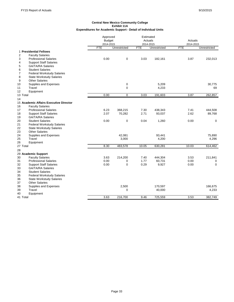|                                                     | Approved                   |              | Estimated<br>Actuals |              | Actuals    |              |
|-----------------------------------------------------|----------------------------|--------------|----------------------|--------------|------------|--------------|
|                                                     | <b>Budget</b><br>2014-2015 |              | 2014-2015            |              | 2014-2015  |              |
|                                                     | <b>FTE</b>                 | Unrestricted | <b>FTE</b>           | Unrestricted | <b>FTE</b> | Unrestricted |
| 1 Presidential Fellows                              |                            |              |                      |              |            |              |
| $\overline{2}$<br><b>Faculty Salaries</b>           |                            |              |                      |              |            |              |
| 3<br><b>Professional Salaries</b>                   | 0.00                       | 0            | 3.03                 | 182,161      | 3.87       | 232,013      |
| <b>Support Staff Salaries</b><br>4                  |                            |              |                      |              |            |              |
| 5<br><b>GA/TA/RA Salaries</b>                       |                            |              |                      |              |            |              |
| 6<br><b>Student Salaries</b>                        |                            |              |                      |              |            |              |
| $\overline{7}$<br><b>Federal Workstudy Salaries</b> |                            |              |                      |              |            |              |
| 8<br><b>State Workstudy Salaries</b>                |                            |              |                      |              |            |              |
| <b>Other Salaries</b><br>9                          |                            |              |                      |              |            |              |
| Supplies and Expenses<br>10                         |                            | $\mathbf 0$  |                      | 5,209        |            | 30,775       |
| Travel<br>11                                        |                            | $\mathbf 0$  |                      | 4,233        |            | 69           |
| Equipment<br>12                                     |                            |              |                      |              |            |              |
| 13 Total                                            | 0.00                       | 0            | 3.03                 | 191,603      | 3.87       | 262,857      |
| 14                                                  |                            |              |                      |              |            |              |
| 15 Academic Affairs Executive Director              |                            |              |                      |              |            |              |
| <b>Faculty Salaries</b><br>16                       |                            |              |                      |              |            |              |
| 17<br><b>Professional Salaries</b>                  | 6.23                       | 368,215      | 7.30                 | 438,343      | 7.41       | 444,508      |
| 18<br><b>Support Staff Salaries</b>                 | 2.07                       | 70,282       | 2.71                 | 93,037       | 2.62       | 89,768       |
| 19<br><b>GA/TA/RA Salaries</b>                      |                            |              |                      |              |            |              |
| 20<br><b>Student Salaries</b>                       | 0.00                       | $\mathbf 0$  | 0.04                 | 1,260        | 0.00       | 0            |
| 21<br><b>Federal Workstudy Salaries</b>             |                            |              |                      |              |            |              |
| 22<br><b>State Workstudy Salaries</b>               |                            |              |                      |              |            |              |
| 23<br><b>Other Salaries</b>                         |                            |              |                      |              |            |              |
| 24<br>Supplies and Expenses                         |                            | 42,081       |                      | 93,441       |            | 75,890       |
| 25<br>Travel                                        |                            | 3,000        |                      | 4,200        |            | 4,296        |
| 26<br>Equipment                                     |                            |              |                      |              |            |              |
| 27 Total                                            | 8.30                       | 483,578      | 10.05                | 630,281      | 10.03      | 614,462      |
| 28                                                  |                            |              |                      |              |            |              |
| 29 Academic Support                                 |                            |              |                      |              |            |              |
| <b>Faculty Salaries</b><br>30                       | 3.63                       | 214,200      | 7.40                 | 444,304      | 3.53       | 211,841      |
| <b>Professional Salaries</b><br>31                  | 0.00                       | 0            | 1.77                 | 60,731       | 0.00       | 0            |
| 32<br><b>Support Staff Salaries</b>                 | 0.00                       | $\mathbf 0$  | 0.29                 | 9,927        | 0.00       | $\mathbf 0$  |
| 33<br><b>GA/TA/RA Salaries</b>                      |                            |              |                      |              |            |              |
| 34<br><b>Student Salaries</b>                       |                            |              |                      |              |            |              |
| 35<br><b>Federal Workstudy Salaries</b>             |                            |              |                      |              |            |              |
| 36<br><b>State Workstudy Salaries</b>               |                            |              |                      |              |            |              |
| 37<br><b>Other Salaries</b>                         |                            |              |                      |              |            |              |
| 38<br>Supplies and Expenses                         |                            | 2,500        |                      | 170,597      |            | 166,675      |
| Travel<br>39                                        |                            | $\mathbf 0$  |                      | 40,000       |            | 4,233        |
| 40<br>Equipment                                     |                            |              |                      |              |            |              |
| 41 Total                                            | 3.63                       | 216,700      | 9.46                 | 725,559      | 3.53       | 382,749      |
|                                                     |                            |              |                      |              |            |              |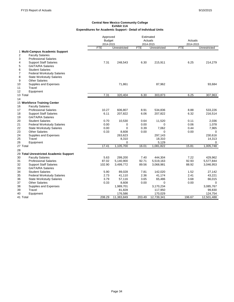|                |                                        | Approved      |              |            | Estimated    |                      |              |
|----------------|----------------------------------------|---------------|--------------|------------|--------------|----------------------|--------------|
|                |                                        | <b>Budget</b> |              |            | Actuals      | Actuals<br>2014-2015 |              |
|                |                                        | 2014-2015     |              |            | 2014-2015    |                      |              |
|                |                                        | <b>FTE</b>    | Unrestricted | <b>FTE</b> | Unrestricted | <b>FTE</b>           | Unrestricted |
|                | 1 Multi-Campus Academic Support        |               |              |            |              |                      |              |
| $\overline{c}$ | <b>Faculty Salaries</b>                |               |              |            |              |                      |              |
| 3              | <b>Professional Salaries</b>           |               |              |            |              |                      |              |
| 4              | <b>Support Staff Salaries</b>          | 7.31          | 248,543      | 6.30       | 215,911      | 6.25                 | 214,279      |
| 5              | <b>GA/TA/RA Salaries</b>               |               |              |            |              |                      |              |
| 6              | <b>Student Salaries</b>                |               |              |            |              |                      |              |
| $\overline{7}$ | <b>Federal Workstudy Salaries</b>      |               |              |            |              |                      |              |
| 8              | <b>State Workstudy Salaries</b>        |               |              |            |              |                      |              |
| 9              | <b>Other Salaries</b>                  |               |              |            |              |                      |              |
| 10             | Supplies and Expenses                  |               | 71,861       |            | 87,962       |                      | 93,684       |
| 11             | Travel                                 |               |              |            |              |                      |              |
| 12             | Equipment                              |               |              |            |              |                      |              |
| 13 Total       |                                        | 7.31          | 320,404      | 6.30       | 303,873      | 6.25                 | 307,963      |
| 14             |                                        |               |              |            |              |                      |              |
|                | 15 Workforce Training Center           |               |              |            |              |                      |              |
| 16             | <b>Faculty Salaries</b>                |               |              |            |              |                      |              |
| 17             | <b>Professional Salaries</b>           | 10.27         | 606,807      | 8.91       | 534,836      | 8.88                 | 533,226      |
| 18             | <b>Support Staff Salaries</b>          | 6.11          | 207,822      | 6.06       | 207,822      | 6.32                 | 216,514      |
| 19             | <b>GA/TA/RA Salaries</b>               |               |              |            |              |                      |              |
| 20             | <b>Student Salaries</b>                | 0.70          | 10,530       | 0.64       | 11,520       | 0.11                 | 2,036        |
| 21             | <b>Federal Workstudy Salaries</b>      | 0.00          | 0            | 0.00       | 0            | 0.06                 | 1,078        |
| 22             | <b>State Workstudy Salaries</b>        | 0.00          | $\mathbf 0$  | 0.39       | 7,062        | 0.44                 | 7,965        |
| 23             | <b>Other Salaries</b>                  | 0.33          | 8,608        | 0.00       | $\Omega$     | 0.00                 | $\mathbf 0$  |
| 24             | Supplies and Expenses                  |               | 263,623      |            | 297,143      |                      | 230,616      |
| 25             | Travel                                 |               | 8,310        |            | 18,310       |                      | 14,313       |
| 26             | Equipment                              |               | 0            |            | 5,129        |                      | 0            |
| 27 Total       |                                        | 17.41         | 1,105,700    | 16.01      | 1,081,822    | 15.81                | 1.005.748    |
| 28             |                                        |               |              |            |              |                      |              |
|                | 29 Total Unrestricted Academic Support |               |              |            |              |                      |              |
| 30             | <b>Faculty Salaries</b>                | 5.63          | 299,200      | 7.40       | 444,304      | 7.22                 | 429,962      |
| 31             | <b>Professional Salaries</b>           | 87.02         | 5,140,900    | 92.71      | 5,519,163    | 92.93                | 5,577,844    |
| 32             | <b>Support Staff Salaries</b>          | 102.90        | 3,499,772    | 89.56      | 3,068,981    | 88.92                | 3,046,953    |
| 33             | <b>GA/TA/RA Salaries</b>               |               |              |            |              |                      |              |
| 34             | <b>Student Salaries</b>                | 5.90          | 89,028       | 7.81       | 142,020      | 1.52                 | 27,142       |
| 35             | <b>Federal Workstudy Salaries</b>      | 2.73          | 41,110       | 2.36       | 41,174       | 2.41                 | 43,221       |
| 36             | <b>State Workstudy Salaries</b>        | 3.79          | 57,116       | 3.65       | 65,486       | 3.68                 | 66,015       |
| 37             | <b>Other Salaries</b>                  | 0.33          | 8,608        | 0.00       | 0            | 0.00                 | $\Omega$     |
| 38             | Supplies and Expenses                  |               | 1,989,701    |            | 3,170,234    |                      | 3,085,767    |
| 39             | Travel                                 |               | 81,828       |            | 117,950      |                      | 99,830       |
| 40             | Equipment                              |               | 176,586      |            | 170,029      |                      | 124,754      |
| 41 Total       |                                        | 208.29        | 11,383,849   | 203.49     | 12,739,341   | 196.67               | 12,501,488   |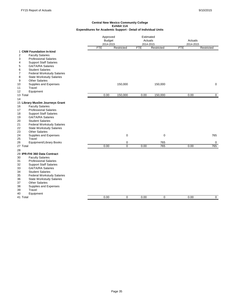|                                                                                                                                                                                                                                                                                                                                                                                                    |            | Approved<br><b>Budget</b><br>2014-2015 |            | Estimated<br>Actuals<br>2014-2015 | Actuals<br>2014-2015 |                |
|----------------------------------------------------------------------------------------------------------------------------------------------------------------------------------------------------------------------------------------------------------------------------------------------------------------------------------------------------------------------------------------------------|------------|----------------------------------------|------------|-----------------------------------|----------------------|----------------|
|                                                                                                                                                                                                                                                                                                                                                                                                    | <b>FTE</b> | Restricted                             | <b>FTE</b> | Restricted                        | <b>FTE</b>           | Restricted     |
| 1 CNM Foundation In-kind<br><b>Faculty Salaries</b><br>2<br>3<br><b>Professional Salaries</b><br><b>Support Staff Salaries</b><br>4<br><b>GA/TA/RA Salaries</b><br>5                                                                                                                                                                                                                               |            |                                        |            |                                   |                      |                |
| <b>Student Salaries</b><br>6<br><b>Federal Workstudy Salaries</b><br>7<br>8<br><b>State Workstudy Salaries</b><br><b>Other Salaries</b><br>9<br>Supplies and Expenses<br>10<br>Travel<br>11                                                                                                                                                                                                        |            | 150,000                                |            | 150,000                           |                      | 0              |
| Equipment<br>12                                                                                                                                                                                                                                                                                                                                                                                    |            |                                        |            |                                   |                      |                |
| 13 Total<br>14                                                                                                                                                                                                                                                                                                                                                                                     | 0.00       | 150,000                                | 0.00       | 150,000                           | 0.00                 | $\overline{0}$ |
| 15 Library Muslim Journeys Grant<br><b>Faculty Salaries</b><br>16<br><b>Professional Salaries</b><br>17<br><b>Support Staff Salaries</b><br>18<br><b>GA/TA/RA Salaries</b><br>19<br>20<br><b>Student Salaries</b><br>21<br><b>Federal Workstudy Salaries</b><br>22<br><b>State Workstudy Salaries</b><br>23<br><b>Other Salaries</b><br>Supplies and Expenses<br>24<br>Travel<br>25                |            | $\mathbf 0$                            |            | $\pmb{0}$                         |                      | 765            |
| 26<br>Equipment/Library Books<br>27 Total                                                                                                                                                                                                                                                                                                                                                          | 0.00       | $\mathbf 0$<br>$\mathbf 0$             | 0.00       | 765<br>765                        | 0.00                 | 0<br>765       |
| 28                                                                                                                                                                                                                                                                                                                                                                                                 |            |                                        |            |                                   |                      |                |
| 29 IPR-FHI 360 Data Contract<br><b>Faculty Salaries</b><br>30<br>31<br><b>Professional Salaries</b><br><b>Support Staff Salaries</b><br>32<br>33<br><b>GA/TA/RA Salaries</b><br><b>Student Salaries</b><br>34<br><b>Federal Workstudy Salaries</b><br>35<br><b>State Workstudy Salaries</b><br>36<br><b>Other Salaries</b><br>37<br>Supplies and Expenses<br>38<br>39<br>Travel<br>Equipment<br>40 |            |                                        |            |                                   |                      |                |
| 41 Total                                                                                                                                                                                                                                                                                                                                                                                           | 0.00       | 0                                      | 0.00       | 0                                 | 0.00                 | 0              |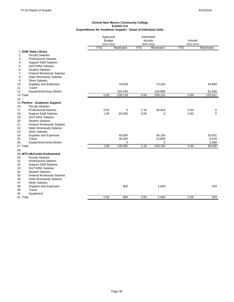|                                                      |            | Approved<br><b>Budget</b><br>2014-2015 |                         | Estimated<br>Actuals | Actuals<br>2014-2015 |             |
|------------------------------------------------------|------------|----------------------------------------|-------------------------|----------------------|----------------------|-------------|
|                                                      | <b>FTE</b> | Restricted                             | 2014-2015<br><b>FTE</b> | Restricted           | <b>FTE</b>           | Restricted  |
| 1 GOB State Library<br>2<br><b>Faculty Salaries</b>  |            |                                        |                         |                      |                      |             |
| <b>Professional Salaries</b><br>3                    |            |                                        |                         |                      |                      |             |
| <b>Support Staff Salaries</b><br>4                   |            |                                        |                         |                      |                      |             |
| GA/TA/RA Salaries<br>5                               |            |                                        |                         |                      |                      |             |
| <b>Student Salaries</b><br>6                         |            |                                        |                         |                      |                      |             |
| <b>Federal Workstudy Salaries</b><br>7               |            |                                        |                         |                      |                      |             |
| <b>State Workstudy Salaries</b><br>8                 |            |                                        |                         |                      |                      |             |
| <b>Other Salaries</b><br>9                           |            |                                        |                         |                      |                      |             |
| Supplies and Expenses<br>10                          |            | 78,839                                 |                         | 74,244               |                      | 43,699      |
| Travel<br>11                                         |            |                                        |                         |                      |                      |             |
| Equipment/Library Books<br>12                        |            | 160,294                                |                         | 164,888              |                      | 81,838      |
| 13 Total                                             | 0.00       | 239,133                                | 0.00                    | 239,132              | 0.00                 | 125,537     |
| 14                                                   |            |                                        |                         |                      |                      |             |
| 15 Perkins - Academic Support                        |            |                                        |                         |                      |                      |             |
| <b>Faculty Salaries</b><br>16                        |            |                                        |                         |                      |                      |             |
| <b>Professional Salaries</b><br>17                   | 0.00       | $\mathbf 0$                            | 1.16                    | 39,818               | 0.00                 | 0           |
| <b>Support Staff Salaries</b><br>18                  | 1.90       | 65,000                                 | 0.00                    | $\mathbf 0$          | 0.00                 | $\mathbf 0$ |
| <b>GA/TA/RA Salaries</b><br>19                       |            |                                        |                         |                      |                      |             |
| <b>Student Salaries</b><br>20                        |            |                                        |                         |                      |                      |             |
| 21<br><b>Federal Workstudy Salaries</b>              |            |                                        |                         |                      |                      |             |
| <b>State Workstudy Salaries</b><br>22                |            |                                        |                         |                      |                      |             |
| <b>Other Salaries</b><br>23                          |            |                                        |                         |                      |                      |             |
| Supplies and Expenses<br>24                          |            | 40,000                                 |                         | 49,156               |                      | 20,501      |
| Travel<br>25                                         |            | 30,000                                 |                         | 14,808               |                      | 5,678       |
| <b>Equipment/Library Books</b><br>26                 |            | $\mathbf 0$                            |                         | $\mathbf 0$          |                      | 2,369       |
| 27 Total                                             | 1.90       | 135,000                                | 1.16                    | 103,782              | 0.00                 | 28,548      |
| 28                                                   |            |                                        |                         |                      |                      |             |
| 29 WTC-McCorkie Endowment<br><b>Faculty Salaries</b> |            |                                        |                         |                      |                      |             |
| 30<br>31<br><b>Professional Salaries</b>             |            |                                        |                         |                      |                      |             |
| 32<br><b>Support Staff Salaries</b>                  |            |                                        |                         |                      |                      |             |
| <b>GA/TA/RA Salaries</b><br>33                       |            |                                        |                         |                      |                      |             |
| <b>Student Salaries</b><br>34                        |            |                                        |                         |                      |                      |             |
| 35<br><b>Federal Workstudy Salaries</b>              |            |                                        |                         |                      |                      |             |
| <b>State Workstudy Salaries</b><br>36                |            |                                        |                         |                      |                      |             |
| <b>Other Salaries</b><br>37                          |            |                                        |                         |                      |                      |             |
| 38<br>Supplies and Expenses                          |            | 800                                    |                         | 1,000                |                      | 629         |
| Travel<br>39                                         |            |                                        |                         |                      |                      |             |
| 40<br>Equipment                                      |            |                                        |                         |                      |                      |             |
| 41 Total                                             | 0.00       | 800                                    | 0.00                    | 1,000                | 0.00                 | 629         |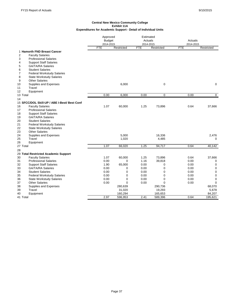|                                                                                                                                                                                              | Approved<br><b>Budget</b><br>2014-2015 |                | Estimated<br>Actuals<br>2014-2015 |                 | Actuals<br>2014-2015 |                   |
|----------------------------------------------------------------------------------------------------------------------------------------------------------------------------------------------|----------------------------------------|----------------|-----------------------------------|-----------------|----------------------|-------------------|
|                                                                                                                                                                                              | <b>FTE</b>                             | Restricted     | <b>FTE</b>                        | Restricted      | <b>FTE</b>           | Restricted        |
| 1 Hamorth FND Breast Cancer<br>$\overline{2}$<br><b>Faculty Salaries</b><br>3<br><b>Professional Salaries</b><br><b>Support Staff Salaries</b><br>4                                          |                                        |                |                                   |                 |                      |                   |
| 5<br><b>GA/TA/RA Salaries</b><br><b>Student Salaries</b><br>6<br><b>Federal Workstudy Salaries</b><br>7<br>8<br><b>State Workstudy Salaries</b><br><b>Other Salaries</b><br>9                |                                        |                |                                   |                 |                      |                   |
| Supplies and Expenses<br>10<br>11<br>Travel<br>12<br>Equipment                                                                                                                               |                                        | 6,000          |                                   | 0               |                      | 0                 |
| 13 Total                                                                                                                                                                                     | 0.00                                   | 6.000          | 0.00                              | $\mathbf 0$     | 0.00                 | 0                 |
| 14                                                                                                                                                                                           |                                        |                |                                   |                 |                      |                   |
| 15 SFCC/DOL Skill-UP / ABE I-Best/ Best Conf<br><b>Faculty Salaries</b><br>16<br>17<br><b>Professional Salaries</b><br>18<br><b>Support Staff Salaries</b><br>19<br><b>GA/TA/RA Salaries</b> | 1.07                                   | 60,000         | 1.25                              | 73,896          | 0.64                 | 37,666            |
| 20<br><b>Student Salaries</b><br>21<br><b>Federal Workstudy Salaries</b><br>22<br><b>State Workstudy Salaries</b><br>23<br><b>Other Salaries</b>                                             |                                        |                |                                   |                 |                      |                   |
| 24<br>Supplies and Expenses<br>Travel<br>25<br>26<br>Equipment                                                                                                                               |                                        | 5,000<br>1,020 |                                   | 16,336<br>4,485 |                      | 2,476<br>$\Omega$ |
| 27 Total                                                                                                                                                                                     | 1.07                                   | 66,020         | 1.25                              | 94,717          | 0.64                 | 40,142            |
| 28                                                                                                                                                                                           |                                        |                |                                   |                 |                      |                   |
| 29 Total Restricted Academic Support                                                                                                                                                         |                                        |                |                                   |                 |                      |                   |
| <b>Faculty Salaries</b><br>30                                                                                                                                                                | 1.07                                   | 60,000         | 1.25                              | 73,896          | 0.64                 | 37,666            |
| 31<br><b>Professional Salaries</b>                                                                                                                                                           | 0.00                                   | $\mathbf 0$    | 1.16                              | 39,818          | 0.00                 | 0                 |
| 32<br><b>Support Staff Salaries</b>                                                                                                                                                          | 1.90                                   | 65,000         | 0.00                              | $\mathbf 0$     | 0.00                 | $\mathbf 0$       |
| 33<br><b>GA/TA/RA Salaries</b>                                                                                                                                                               | 0.00                                   | 0              | 0.00                              | $\mathbf 0$     | 0.00                 | $\mathbf 0$       |
| 34<br><b>Student Salaries</b>                                                                                                                                                                | 0.00                                   | 0              | 0.00                              | $\mathbf 0$     | 0.00                 | $\mathbf 0$       |
| 35<br><b>Federal Workstudy Salaries</b>                                                                                                                                                      | 0.00                                   | $\mathbf 0$    | 0.00                              | $\mathbf 0$     | 0.00                 | $\mathbf 0$       |
| 36<br><b>State Workstudy Salaries</b>                                                                                                                                                        | 0.00                                   | $\mathbf 0$    | 0.00                              | $\mathbf 0$     | 0.00                 | $\mathbf 0$       |
| <b>Other Salaries</b><br>37                                                                                                                                                                  | 0.00                                   | $\mathbf 0$    | 0.00                              | $\mathbf 0$     | 0.00                 | $\Omega$          |
| 38<br>Supplies and Expenses                                                                                                                                                                  |                                        | 280,639        |                                   | 290,736         |                      | 68,070            |
| Travel<br>39                                                                                                                                                                                 |                                        | 31,020         |                                   | 19,293          |                      | 5,678             |
| 40<br>Equipment                                                                                                                                                                              | 2.97                                   | 160,294        | 2.41                              | 165,653         | 0.64                 | 84,207            |
| 41 Total                                                                                                                                                                                     |                                        | 596,953        |                                   | 589,396         |                      | 195,621           |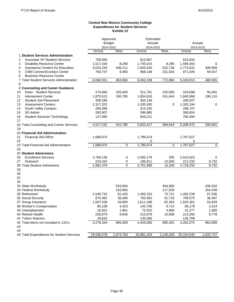#### **Central New Mexico Community College Expenditures for Student Services Exhibit 12**

|                                                        | Approved      |                | Estimated  |           |            |           |
|--------------------------------------------------------|---------------|----------------|------------|-----------|------------|-----------|
|                                                        | <b>Budget</b> |                | Actuals    |           | Actuals    |           |
|                                                        | 2014-2015     |                | 2014-2015  |           | 2014-2015  |           |
|                                                        | Unrest.       | Rest.          | Unrest.    | Rest.     | Unrest.    | Rest.     |
| 1 Student Services Administration                      |               |                |            |           |            |           |
| $\overline{2}$<br><b>Associate VP Student Services</b> | 759,056       |                | 813,967    |           | 815,634    |           |
| 3<br><b>Disability Resource Center</b>                 | 1,517,430     | 8,290          | 1,745,010  | 8,290     | 1,598,403  | 0         |
| 4<br><b>Assistance Centers for Education</b>           | 3,023,318     | 446,211        | 2,925,033  | 532,736   | 2,774,631  | 408,958   |
| 5<br><b>CNM Connect/Contact Center</b>                 | 760,747       | 9,465          | 968,148    | 231,934   | 971,345    | 59,547    |
| 6<br><b>Business Resource Center</b>                   |               |                |            |           |            |           |
| 7 Total Student Services Administration                | 6,060,551     | 463,966        | 6,452,158  | 772,960   | 6,160,013  | 468,505   |
| 8                                                      |               |                |            |           |            |           |
| 9 Counseling and Career Guidance                       |               |                |            |           |            |           |
| Dean - Student Services<br>10                          | 274,945       | 225,000        | 311,791    | 225,000   | 319,698    | 94,491    |
| <b>Advisement Center</b><br>11                         | 1,875,513     | 190,785        | 1,854,816  | 241,644   | 1,840,068  | 196,110   |
| 12<br><b>Student Job Placement</b>                     | 358,286       |                | 363,149    |           | 338,547    |           |
| <b>Assessment Centers</b><br>13                        | 1,317,202     |                | 1,335,350  | 0         | 1,320,194  | 0         |
| 14<br>South Valley Campus                              | 269,388       |                | 314,105    |           | 268,747    |           |
| 15<br>SS Admin                                         | 283,907       |                | 396,985    |           | 358,824    |           |
| <b>Student Services Technology</b><br>16               | 137,990       |                | 926,221    |           | 760,494    |           |
| 17                                                     |               |                |            |           |            |           |
| 18 Total Counseling and Career Services                | 4,517,231     | 415.785        | 5,502,417  | 466.644   | 5,206,572  | 290.601   |
| 19                                                     |               |                |            |           |            |           |
| 20 Financial Aid Administration                        |               |                |            |           |            |           |
| 21<br><b>Financial Aid Office</b>                      | 1,689,974     |                | 1,795,674  |           | 1,787,627  |           |
| 22                                                     |               |                | 0          |           | 0          |           |
| 23 Total Financial Aid Administration                  | 1,689,974     | $\mathbf 0$    | 1,795,674  | 0         | 1,787,627  | 0         |
| 24                                                     |               |                |            |           |            |           |
| 25 Student Admissions                                  |               |                |            |           |            |           |
| <b>Enrollment Services</b><br>26                       | 2,769,136     | $\pmb{0}$      | 2,505,179  | 200       | 2,515,923  | 0         |
| 27<br>Outreach                                         | 223,342       | 0              | 196,811    | 10,000    | 212,332    | 9,732     |
| 28 Total Student Admissions                            | 2,992,478     | $\overline{0}$ | 2,701,990  | 10,200    | 2,728,255  | 9,732     |
| 29                                                     |               |                |            |           |            |           |
| 30                                                     |               |                |            |           |            |           |
| 31                                                     |               |                |            |           |            |           |
| 32                                                     |               |                |            |           |            |           |
| 33 State Workstudy                                     |               | 533,604        |            | 464,900   |            | 436,032   |
| 34 Federal Workstudy                                   |               | 316,955        |            | 217,629   |            | 254,348   |
| 35 Retirement                                          | 1,540,710     | 62,426         | 1,465,310  | 73,721    | 1,482,239  | 67,536    |
| 36 Social Security                                     | 875,462       | 36,089         | 793,462    | 31,719    | 799,075    | 36,487    |
| 37 Group Insurance                                     | 1,507,538     | 29,895         | 1,611,338  | 82,303    | 1,525,301  | 54,829    |
| 38 Worker's Compensation                               | 80,108        | 4,423          | 140,708    | 9,712     | 85,178     | 3,324     |
| 39 Unemployment                                        | 16,022        | 1,961          | 72,022     | 4,809     | 41,277     | 1,565     |
| 40 Retiree Health                                      | 228,879       | 9,656          | 215,879    | 10,608    | 213,206    | 9,778     |
| <b>41 Tuition Waivers</b>                              | 29,625        |                | 130,366    |           | 135,799    |           |
| 42 Total Items not Included in 12A's                   | 4,278,344     | 995,009        | 4,429,085  | 895,401   | 4,282,075  | 863,899   |
| 43                                                     |               |                |            |           |            |           |
| 44                                                     |               |                |            |           |            |           |
| 45 Total Expenditures for Student Services             | 19,538,578    | 1,874,760      | 20,881,324 | 2,145,205 | 20,164,542 | 1,632,737 |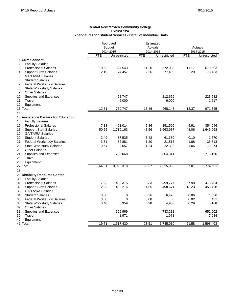|                                                          | Approved<br><b>Budget</b> |              |           | Estimated<br>Actuals |           | Actuals      |  |
|----------------------------------------------------------|---------------------------|--------------|-----------|----------------------|-----------|--------------|--|
|                                                          | 2014-2015                 |              | 2014-2015 |                      | 2014-2015 |              |  |
|                                                          | FTE                       | Unrestricted | FTE       | Unrestricted         | FTE       | Unrestricted |  |
| 1 CNM Connect                                            |                           |              |           |                      |           |              |  |
| 2<br><b>Faculty Salaries</b>                             |                           |              |           |                      |           |              |  |
| <b>Professional Salaries</b><br>3                        | 10.62                     | 627,543      | 11.20     | 672,083              | 11.17     | 670,693      |  |
| <b>Support Staff Salaries</b><br>4                       | 2.19                      | 74,457       | 2.26      | 77,409               | 2.20      | 75,453       |  |
| <b>GA/TA/RA Salaries</b><br>5                            |                           |              |           |                      |           |              |  |
| 6<br><b>Student Salaries</b>                             |                           |              |           |                      |           |              |  |
| <b>Federal Workstudy Salaries</b><br>7                   |                           |              |           |                      |           |              |  |
| 8<br><b>State Workstudy Salaries</b>                     |                           |              |           |                      |           |              |  |
| <b>Other Salaries</b><br>9                               |                           |              |           |                      |           |              |  |
| 10<br>Supplies and Expenses                              |                           | 52,747       |           | 212,656              |           | 223,582      |  |
| Travel<br>11                                             |                           | 6,000        |           | 6,000                |           | 1,617        |  |
| 12<br>Equipment                                          |                           |              |           |                      |           |              |  |
| 13 Total                                                 | 12.81                     | 760,747      | 13.46     | 968,148              | 13.37     | 971,345      |  |
| 14                                                       |                           |              |           |                      |           |              |  |
| 15 Assistance Centers for Education                      |                           |              |           |                      |           |              |  |
| <b>Faculty Salaries</b><br>16                            |                           |              |           |                      |           |              |  |
| 17<br><b>Professional Salaries</b>                       | 7.13                      | 421,014      | 5.86      | 351,590              | 5.91      | 354,946      |  |
| 18<br><b>Support Staff Salaries</b>                      | 50.55                     | 1,719,163    | 48.56     | 1,663,937            | 48.06     | 1,646,968    |  |
| 19<br><b>GA/TA/RA Salaries</b>                           |                           |              |           |                      |           |              |  |
| <b>Student Salaries</b><br>20                            | 2.49                      | 37,535       | 3.42      | 61,380               | 0.10      | 1,770        |  |
| 21<br><b>Federal Workstudy Salaries</b>                  | 3.51                      | 52,881       | 1.20      | 21,513               | 1.88      | 33,713       |  |
| 22<br><b>State Workstudy Salaries</b>                    | 0.64                      | 9,657        | 1.24      | 22,302               | 1.06      | 19,074       |  |
| 23<br><b>Other Salaries</b>                              |                           |              |           |                      |           |              |  |
| 24<br>Supplies and Expenses                              |                           | 783,068      |           | 804,311              |           | 718,160      |  |
| 25<br>Travel                                             |                           |              |           |                      |           |              |  |
| 26<br>Equipment<br>27 Total                              | 64.31                     | 3,023,318    | 60.27     | 2,925,033            | 57.01     | 2,774,631    |  |
|                                                          |                           |              |           |                      |           |              |  |
| 28                                                       |                           |              |           |                      |           |              |  |
| 29 Disability Resource Center<br><b>Faculty Salaries</b> |                           |              |           |                      |           |              |  |
| 30<br>31<br><b>Professional Salaries</b>                 | 7.28                      | 430,315      | 8.33      | 499,777              | 7.98      | 478,754      |  |
| 32<br><b>Support Staff Salaries</b>                      | 12.03                     | 409,216      | 14.55     | 498,671              | 13.23     | 453,428      |  |
| 33<br><b>GA/TA/RA Salaries</b>                           |                           |              |           |                      |           |              |  |
| 34<br><b>Student Salaries</b>                            | 0.00                      | 0            | 0.36      | 6,420                | 0.06      | 1,036        |  |
| 35<br><b>Federal Workstudy Salaries</b>                  | 0.00                      | 0            | 0.00      | 0                    | 0.02      | 431          |  |
| 36<br><b>State Workstudy Salaries</b>                    | 0.40                      | 5,959        | 0.28      | 4,960                | 0.29      | 5,168        |  |
| <b>Other Salaries</b><br>37                              |                           |              |           |                      |           |              |  |
| 38<br>Supplies and Expenses                              |                           | 669,969      |           | 733,211              |           | 651,602      |  |
| 39<br>Travel                                             |                           | 1,971        |           | 1,971                |           | 7,984        |  |
| Equipment<br>40                                          |                           |              |           |                      |           |              |  |
| 41 Total                                                 | 19.71                     | 1,517,430    | 23.51     | 1,745,010            | 21.58     | 1,598,403    |  |
|                                                          |                           |              |           |                      |           |              |  |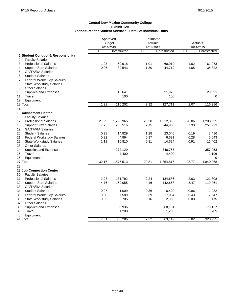|    |                                    | Approved      |              | Estimated  |              |            |              |
|----|------------------------------------|---------------|--------------|------------|--------------|------------|--------------|
|    |                                    | <b>Budget</b> |              | Actuals    |              | Actuals    |              |
|    |                                    | 2014-2015     |              | 2014-2015  |              |            | 2014-2015    |
|    |                                    | <b>FTE</b>    | Unrestricted | <b>FTE</b> | Unrestricted | <b>FTE</b> | Unrestricted |
|    | 1 Student Conduct & Responsibility |               |              |            |              |            |              |
| 2  | <b>Faculty Salaries</b>            |               |              |            |              |            |              |
| 3  | <b>Professional Salaries</b>       | 1.03          | 60,918       | 1.01       | 60,919       | 1.02       | 61,073       |
| 4  | <b>Support Staff Salaries</b>      | 0.96          | 32,543       | 1.30       | 44,719       | 1.05       | 35,822       |
| 5  | <b>GA/TA/RA Salaries</b>           |               |              |            |              |            |              |
| 6  | <b>Student Salaries</b>            |               |              |            |              |            |              |
| 7  | <b>Federal Workstudy Salaries</b>  |               |              |            |              |            |              |
| 8  | <b>State Workstudy Salaries</b>    |               |              |            |              |            |              |
| 9  | <b>Other Salaries</b>              |               |              |            |              |            |              |
| 10 | Supplies and Expenses              |               | 16,641       |            | 21,973       |            | 20,091       |
| 11 | Travel                             |               | 100          |            | 100          |            | $\mathbf 0$  |
| 12 | Equipment                          |               |              |            |              |            |              |
|    | 13 Total                           | 1.99          | 110,202      | 2.32       | 127,711      | 2.07       | 116,986      |
| 14 |                                    |               |              |            |              |            |              |
|    | <b>15 Advisement Center</b>        |               |              |            |              |            |              |
| 16 | <b>Faculty Salaries</b>            |               |              |            |              |            |              |
| 17 | <b>Professional Salaries</b>       | 21.99         | 1,298,965    | 20.20      | 1,212,396    | 20.06      | 1,203,835    |
| 18 | <b>Support Staff Salaries</b>      | 7.75          | 263,516      | 7.15       | 244,968      | 7.33       | 251,223      |
| 19 | <b>GA/TA/RA Salaries</b>           |               |              |            |              |            |              |
| 20 | <b>Student Salaries</b>            | 0.98          | 14,829       | 1.28       | 23,040       | 0.19       | 3,416        |
| 21 | <b>Federal Workstudy Salaries</b>  | 0.32          | 4,864        | 0.37       | 6,631        | 0.28       | 5,043        |
| 22 | <b>State Workstudy Salaries</b>    | 1.11          | 16,810       | 0.81       | 14,624       | 0.91       | 16,402       |
| 23 | <b>Other Salaries</b>              |               |              |            |              |            |              |
| 24 | Supplies and Expenses              |               | 272,129      |            | 348,757      |            | 357,953      |
| 25 | Travel                             |               | 4,400        |            | 4,400        |            | 2,196        |
| 26 | Equipment                          |               |              |            |              |            | 0            |
|    | 27 Total                           | 32.16         | 1,875,513    | 29.81      | 1,854,816    | 28.77      | 1,840,068    |
| 28 |                                    |               |              |            |              |            |              |
|    | 29 Job Connection Center           |               |              |            |              |            |              |
| 30 | <b>Faculty Salaries</b>            |               |              |            |              |            |              |
| 31 | <b>Professional Salaries</b>       | 2.23          | 131,792      | 2.24       | 134,686      | 2.03       | 121,808      |
| 32 | <b>Support Staff Salaries</b>      | 4.76          | 162,055      | 4.16       | 142,668      | 3.47       | 119,061      |
| 33 | GA/TA/RA Salaries                  |               |              |            |              |            |              |
| 34 | <b>Student Salaries</b>            | 0.07          | 1,009        | 0.36       | 6,420        | 0.06       | 1,032        |
| 35 | <b>Federal Workstudy Salaries</b>  | 0.50          | 7,589        | 0.39       | 7,034        | 0.43       | 7,647        |
| 36 | <b>State Workstudy Salaries</b>    | 0.05          | 705          | 0.16       | 2,960        | 0.03       | 475          |
| 37 | <b>Other Salaries</b>              |               |              |            |              |            |              |
| 38 | Supplies and Expenses              |               | 53,936       |            | 68,181       |            | 70,127       |
| 39 | Travel                             |               | 1,200        |            | 1,200        |            | 785          |
| 40 | Equipment                          |               |              |            |              |            |              |
|    | 41 Total                           | 7.61          | 358,286      | 7.32       | 363,149      | 6.02       | 320,935      |
|    |                                    |               |              |            |              |            |              |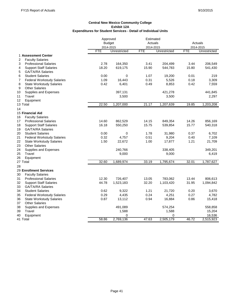|                                         | Approved      |              | Estimated  |              |            |              |
|-----------------------------------------|---------------|--------------|------------|--------------|------------|--------------|
|                                         | <b>Budget</b> |              | Actuals    |              |            | Actuals      |
|                                         | 2014-2015     |              | 2014-2015  |              |            | 2014-2015    |
|                                         | <b>FTE</b>    | Unrestricted | <b>FTE</b> | Unrestricted | <b>FTE</b> | Unrestricted |
| 1 Assessment Center                     |               |              |            |              |            |              |
| 2<br><b>Faculty Salaries</b>            |               |              |            |              |            |              |
| <b>Professional Salaries</b><br>3       | 2.78          | 164,350      | 3.41       | 204,499      | 3.44       | 206,549      |
| 4<br><b>Support Staff Salaries</b>      | 18.20         | 619,175      | 15.90      | 544,783      | 15.80      | 541,430      |
| 5<br><b>GA/TA/RA Salaries</b>           |               |              |            |              |            |              |
| 6<br><b>Student Salaries</b>            | 0.00          | 0            | 1.07       | 19,200       | 0.01       | 219          |
| <b>Federal Workstudy Salaries</b><br>7  | 1.09          | 16,443       | 0.31       | 5,526        | 0.18       | 3,309        |
| 8<br><b>State Workstudy Salaries</b>    | 0.42          | 6,401        | 0.49       | 8,853        | 0.42       | 7,559        |
| <b>Other Salaries</b><br>9              |               |              |            |              |            |              |
| Supplies and Expenses<br>10             |               | 397,131      |            | 421,278      |            | 441,845      |
| 11<br>Travel                            |               | 3,500        |            | 3,500        |            | 2,297        |
| Equipment<br>12                         |               |              |            |              |            |              |
| 13 Total                                | 22.50         | 1,207,000    | 21.17      | 1,207,639    | 19.85      | 1,203,208    |
| 14                                      |               |              |            |              |            |              |
| 15 Financial Aid                        |               |              |            |              |            |              |
| 16<br><b>Faculty Salaries</b>           |               |              |            |              |            |              |
| 17<br><b>Professional Salaries</b>      | 14.60         | 862,529      | 14.15      | 849,354      | 14.26      | 856,169      |
| 18<br><b>Support Staff Salaries</b>     | 16.18         | 550,250      | 15.75      | 539,854      | 15.77      | 540,318      |
| <b>GA/TA/RA Salaries</b><br>19          |               |              |            |              |            |              |
| 20<br><b>Student Salaries</b>           | 0.00          | 0            | 1.78       | 31,980       | 0.37       | 6,702        |
| 21<br><b>Federal Workstudy Salaries</b> | 0.32          | 4,757        | 0.51       | 9,204        | 0.40       | 7,109        |
| 22<br><b>State Workstudy Salaries</b>   | 1.50          | 22,672       | 1.00       | 17,877       | 1.21       | 21,709       |
| 23<br><b>Other Salaries</b>             |               |              |            |              |            |              |
| 24<br>Supplies and Expenses             |               | 240,766      |            | 338,405      |            | 349,201      |
| 25<br>Travel                            |               | 9,000        |            | 9,000        |            | 6,419        |
| 26<br>Equipment                         |               |              |            |              |            |              |
| 27 Total                                | 32.60         | 1,689,974    | 33.19      | 1,795,674    | 32.01      | 1,787,627    |
| 28                                      |               |              |            |              |            |              |
| <b>29 Enrollment Services</b>           |               |              |            |              |            |              |
| 30<br><b>Faculty Salaries</b>           |               |              |            |              |            |              |
| <b>Professional Salaries</b><br>31      | 12.30         | 726,407      | 13.05      | 783,062      | 13.44      | 806,613      |
| 32<br><b>Support Staff Salaries</b>     | 44.78         | 1,523,183    | 32.20      | 1,103,420    | 31.95      | 1,094,842    |
| 33<br><b>GA/TA/RA Salaries</b>          |               |              |            |              |            |              |
| 34<br><b>Student Salaries</b>           | 0.62          | 9,322        | 1.21       | 21,720       | 0.20       | 3,670        |
| 35<br><b>Federal Workstudy Salaries</b> | 0.29          | 4,435        | 0.24       | 4,251        | 0.27       | 4,782        |
| 36<br><b>State Workstudy Salaries</b>   | 0.87          | 13,112       | 0.94       | 16,884       | 0.86       | 15,418       |
| <b>Other Salaries</b><br>37             |               |              |            |              |            |              |
| 38<br>Supplies and Expenses             |               | 491,089      |            | 574,254      |            | 558,858      |
| Travel<br>39                            |               | 1,588        |            | 1,588        |            | 15,204       |
| 40<br>Equipment                         |               | 0            |            | 0            |            | 16,536       |
| 41 Total                                | 58.86         | 2,769,136    | 47.63      | 2,505,179    | 46.72      | 2,515,923    |
|                                         |               |              |            |              |            |              |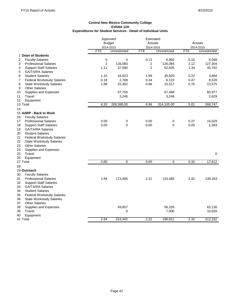$\mathbf{r}$ 

|                                         | Approved       | Estimated     |                |              |            |              |
|-----------------------------------------|----------------|---------------|----------------|--------------|------------|--------------|
|                                         |                | <b>Budget</b> | Actuals        |              |            | Actuals      |
|                                         |                | 2014-2015     | 2014-2015      |              |            | 2014-2015    |
|                                         | <b>FTE</b>     | Unrestricted  | <b>FTE</b>     | Unrestricted | <b>FTE</b> | Unrestricted |
| 1 Dean of Students                      |                |               |                |              |            |              |
| 2<br><b>Faculty Salaries</b>            | 0              | 0             | 0.12           | 6,992        | 0.10       | 6,048        |
| 3<br><b>Professional Salaries</b>       | $\overline{2}$ | 126,083       | 2              | 126,084      | 2.12       | 127,304      |
| <b>Support Staff Salaries</b><br>4      | 1.11           | 37,590        | $\overline{2}$ | 52,835       | 1.34       | 45,792       |
| <b>GA/TA/RA Salaries</b><br>5           |                |               |                |              |            |              |
| <b>Student Salaries</b><br>6            | 1.10           | 16,623        | 1.99           | 35,820       | 0.22       | 3,894        |
| <b>Federal Workstudy Salaries</b><br>7  | 0.18           | 2,788         | 0.34           | 6,123        | 0.47       | 8,528        |
| 8<br><b>State Workstudy Salaries</b>    | 1.68           | 25,302        | 0.86           | 15,517       | 0.76       | 13,575       |
| <b>Other Salaries</b><br>9              |                |               |                |              |            |              |
| Supplies and Expenses<br>10             |                | 57,756        |                | 67,488       |            | 60,977       |
| Travel<br>11                            |                | 3,246         |                | 3,246        |            | 2,629        |
| 12<br>Equipment                         |                |               |                |              |            |              |
| 13 Total                                | 6.20           | 269,388.00    | 6.96           | 314,105.00   | 5.01       | 268,747      |
| 14                                      |                |               |                |              |            |              |
| 15 AARP - Back to Work                  |                |               |                |              |            |              |
| <b>Faculty Salaries</b><br>16           |                |               |                |              |            |              |
| 17<br><b>Professional Salaries</b>      | 0.00           | 0             | 0.00           | 0            | 0.27       | 16,029       |
| 18<br><b>Support Staff Salaries</b>     | 0.00           | $\Omega$      | 0.00           | $\Omega$     | 0.05       | 1,583        |
| 19<br><b>GA/TA/RA Salaries</b>          |                |               |                |              |            |              |
| <b>Student Salaries</b><br>20           |                |               |                |              |            |              |
| 21<br><b>Federal Workstudy Salaries</b> |                |               |                |              |            |              |
| 22<br><b>State Workstudy Salaries</b>   |                |               |                |              |            |              |
| 23<br><b>Other Salaries</b>             |                |               |                |              |            |              |
| 24<br>Supplies and Expenses             |                |               |                |              |            |              |
| 25<br>Travel                            |                |               |                |              |            | $\mathbf 0$  |
| 26<br>Equipment                         |                |               |                |              |            |              |
| 27 Total                                | 0.00           | 0             | 0.00           | 0            | 0.32       | 17,612       |
| 28                                      |                |               |                |              |            |              |
| 29 Outreach                             |                |               |                |              |            |              |
| 30<br><b>Faculty Salaries</b>           |                |               |                |              |            |              |
| 31<br><b>Professional Salaries</b>      | 2.94           | 173,485       | 2.22           | 133,485      | 2.32       | 139,163      |
| 32<br><b>Support Staff Salaries</b>     |                |               |                |              |            |              |
| 33<br><b>GA/TA/RA Salaries</b>          |                |               |                |              |            |              |
| 34<br><b>Student Salaries</b>           |                |               |                |              |            |              |
| 35<br><b>Federal Workstudy Salaries</b> |                |               |                |              |            |              |
| 36<br><b>State Workstudy Salaries</b>   |                |               |                |              |            |              |
| <b>Other Salaries</b><br>37             |                |               |                |              |            |              |
| 38<br>Supplies and Expenses             |                | 49,857        |                | 56,326       |            | 63,130       |
| Travel<br>39                            |                | 0             |                | 7,000        |            | 10,039       |
| 40<br>Equipment                         |                |               |                |              |            |              |
| 41 Total                                | 2.94           | 223,342       | 2.22           | 196,811      | 2.32       | 212,332      |
|                                         |                |               |                |              |            |              |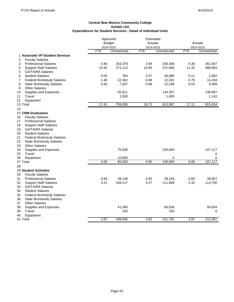|                                         | Approved   | Estimated     |            |              |            |              |
|-----------------------------------------|------------|---------------|------------|--------------|------------|--------------|
|                                         |            | <b>Budget</b> | Actuals    |              | Actuals    |              |
|                                         |            | 2014-2015     | 2014-2015  |              |            | 2014-2015    |
|                                         | <b>FTE</b> | Unrestricted  | <b>FTE</b> | Unrestricted | <b>FTE</b> | Unrestricted |
| 1 Associate VP Student Services         |            |               |            |              |            |              |
| 2<br><b>Faculty Salaries</b>            |            |               |            |              |            |              |
| <b>Professional Salaries</b><br>3       | 4.46       | 263,379       | 3.94       | 236,406      | 4.36       | 261,567      |
| 4<br><b>Support Staff Salaries</b>      | 10.91      | 371,113       | 10.85      | 371,665      | 11.32      | 388,083      |
| <b>GA/TA/RA Salaries</b><br>5           |            |               |            |              |            |              |
| <b>Student Salaries</b><br>6            | 0.05       | 784           | 2.57       | 46,080       | 0.11       | 2,062        |
| <b>Federal Workstudy Salaries</b><br>7  | 1.48       | 22,362        | 0.68       | 12,261       | 0.79       | 14,194       |
| 8<br><b>State Workstudy Salaries</b>    | 0.50       | 7,607         | 0.68       | 12,248       | 0.53       | 9,589        |
| <b>Other Salaries</b><br>9              |            |               |            |              |            |              |
| Supplies and Expenses<br>10             |            | 92,811        |            | 134,307      |            | 138,997      |
| Travel<br>11                            |            | 1,000         |            | 1,000        |            | 1,142        |
| Equipment<br>12                         |            |               |            |              |            |              |
| 13 Total                                | 17.41      | 759,056       | 18.72      | 813,967      | 17.11      | 815,634      |
| 14                                      |            |               |            |              |            |              |
| 15 CNM Graduation                       |            |               |            |              |            |              |
| 16<br><b>Faculty Salaries</b>           |            |               |            |              |            |              |
| 17<br><b>Professional Salaries</b>      |            |               |            |              |            |              |
| 18<br><b>Support Staff Salaries</b>     |            |               |            |              |            |              |
| 19<br><b>GA/TA/RA Salaries</b>          |            |               |            |              |            |              |
| 20<br><b>Student Salaries</b>           |            |               |            |              |            |              |
| 21<br><b>Federal Workstudy Salaries</b> |            |               |            |              |            |              |
| 22<br><b>State Workstudy Salaries</b>   |            |               |            |              |            |              |
| 23<br><b>Other Salaries</b>             |            |               |            |              |            |              |
| 24<br>Supplies and Expenses             |            | 75,000        |            | 100,000      |            | 107,117      |
| 25<br>Travel                            |            |               |            |              |            | 0            |
| 26<br>Equipment                         |            | 10,000        |            | 0            |            | 0            |
| 27 Total                                | 0.00       | 85,000        | 0.00       | 100,000      | 0.00       | 107,117      |
| 28                                      |            |               |            |              |            |              |
| <b>29 Student Activities</b>            |            |               |            |              |            |              |
| <b>Faculty Salaries</b><br>30           |            |               |            |              |            |              |
| <b>Professional Salaries</b><br>31      | 0.66       | 39,148        | 0.65       | 39,149       | 0.65       | 38,857       |
| 32<br><b>Support Staff Salaries</b>     | 3.21       | 109,117       | 3.27       | 111,908      | 3.32       | 113,790      |
| 33<br><b>GA/TA/RA Salaries</b>          |            |               |            |              |            |              |
| 34<br><b>Student Salaries</b>           |            |               |            |              |            |              |
| 35<br><b>Federal Workstudy Salaries</b> |            |               |            |              |            |              |
| 36<br><b>State Workstudy Salaries</b>   |            |               |            |              |            |              |
| <b>Other Salaries</b><br>37             |            |               |            |              |            |              |
| Supplies and Expenses<br>38             |            | 41,580        |            | 60,634       |            | 59,934       |
| Travel<br>39                            |            | 100           |            | 100          |            | 0            |
| 40<br>Equipment                         |            |               |            |              |            |              |
| 41 Total                                | 3.87       | 189,945       | 3.92       | 211,791      | 3.97       | 212,581      |
|                                         |            |               |            |              |            |              |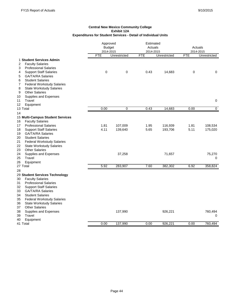|                                         |            | Approved<br><b>Budget</b><br>2014-2015 |            | Estimated<br>Actuals<br>2014-2015 |             | Actuals<br>2014-2015 |  |
|-----------------------------------------|------------|----------------------------------------|------------|-----------------------------------|-------------|----------------------|--|
|                                         | <b>FTE</b> | Unrestricted                           | <b>FTE</b> | Unrestricted                      | <b>FTE</b>  | Unrestricted         |  |
| 1 Student Services Admin                |            |                                        |            |                                   |             |                      |  |
| <b>Faculty Salaries</b><br>2            |            |                                        |            |                                   |             |                      |  |
| 3<br><b>Professional Salaries</b>       |            |                                        |            |                                   |             |                      |  |
| <b>Support Staff Salaries</b><br>4      | 0          | 0                                      | 0.43       | 14,683                            | $\mathbf 0$ | 0                    |  |
| <b>GA/TA/RA Salaries</b><br>5           |            |                                        |            |                                   |             |                      |  |
| <b>Student Salaries</b><br>6            |            |                                        |            |                                   |             |                      |  |
| 7<br><b>Federal Workstudy Salaries</b>  |            |                                        |            |                                   |             |                      |  |
| <b>State Workstudy Salaries</b><br>8    |            |                                        |            |                                   |             |                      |  |
| <b>Other Salaries</b><br>9              |            |                                        |            |                                   |             |                      |  |
| Supplies and Expenses<br>10             |            |                                        |            |                                   |             |                      |  |
| Travel<br>11                            |            |                                        |            |                                   |             | 0                    |  |
| 12<br>Equipment                         |            |                                        |            |                                   |             |                      |  |
| 13 Total                                | 0.00       | 0                                      | 0.43       | 14,683                            | 0.00        | $\overline{0}$       |  |
| 14                                      |            |                                        |            |                                   |             |                      |  |
| 15 Multi-Campus Student Services        |            |                                        |            |                                   |             |                      |  |
| 16<br><b>Faculty Salaries</b>           |            |                                        |            |                                   |             |                      |  |
| 17<br><b>Professional Salaries</b>      | 1.81       | 107,009                                | 1.95       | 116,939                           | 1.81        | 108,534              |  |
| 18<br><b>Support Staff Salaries</b>     | 4.11       | 139,640                                | 5.65       | 193,706                           | 5.11        | 175,020              |  |
| 19<br><b>GA/TA/RA Salaries</b>          |            |                                        |            |                                   |             |                      |  |
| <b>Student Salaries</b><br>20           |            |                                        |            |                                   |             |                      |  |
| 21<br><b>Federal Workstudy Salaries</b> |            |                                        |            |                                   |             |                      |  |
| 22<br><b>State Workstudy Salaries</b>   |            |                                        |            |                                   |             |                      |  |
| 23<br><b>Other Salaries</b>             |            |                                        |            |                                   |             |                      |  |
| 24<br>Supplies and Expenses             |            | 37,258                                 |            | 71,657                            |             | 75,270               |  |
| 25<br>Travel                            |            |                                        |            |                                   |             | 0                    |  |
| 26<br>Equipment                         |            |                                        |            |                                   |             |                      |  |
| 27 Total                                | 5.92       | 283,907                                | 7.60       | 382,302                           | 6.92        | 358,824              |  |
| 28                                      |            |                                        |            |                                   |             |                      |  |
| 29 Student Services Technology          |            |                                        |            |                                   |             |                      |  |
| 30<br><b>Faculty Salaries</b>           |            |                                        |            |                                   |             |                      |  |
| 31<br><b>Professional Salaries</b>      |            |                                        |            |                                   |             |                      |  |
| 32<br><b>Support Staff Salaries</b>     |            |                                        |            |                                   |             |                      |  |
| 33<br><b>GA/TA/RA Salaries</b>          |            |                                        |            |                                   |             |                      |  |
| <b>Student Salaries</b><br>34           |            |                                        |            |                                   |             |                      |  |
| 35<br><b>Federal Workstudy Salaries</b> |            |                                        |            |                                   |             |                      |  |
| 36<br><b>State Workstudy Salaries</b>   |            |                                        |            |                                   |             |                      |  |
| <b>Other Salaries</b><br>37             |            |                                        |            |                                   |             |                      |  |
| 38<br>Supplies and Expenses             |            | 137,990                                |            | 926,221                           |             | 760,494              |  |
| 39<br>Travel                            |            |                                        |            |                                   |             | 0                    |  |
| Equipment<br>40                         |            |                                        |            |                                   |             |                      |  |
| 41 Total                                | 0.00       | 137.990                                | 0.00       | 926.221                           | 0.00        | 760.494              |  |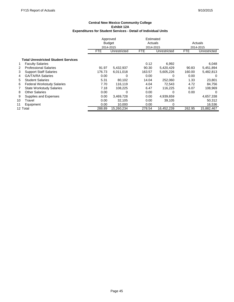|    |                                            | Approved   |               | Estimated  |              |                      |              |
|----|--------------------------------------------|------------|---------------|------------|--------------|----------------------|--------------|
|    |                                            |            | <b>Budget</b> | Actuals    |              | Actuals<br>2014-2015 |              |
|    |                                            |            | 2014-2015     | 2014-2015  |              |                      |              |
|    |                                            | <b>FTE</b> | Unrestricted  | <b>FTE</b> | Unrestricted | <b>FTE</b>           | Unrestricted |
|    | <b>Total Unrestricted Student Services</b> |            |               |            |              |                      |              |
| 1  | <b>Faculty Salaries</b>                    |            |               | 0.12       | 6,992        |                      | 6,048        |
| 2  | <b>Professional Salaries</b>               | 91.97      | 5,432,937     | 90.30      | 5,420,429    | 90.83                | 5,451,894    |
| 3  | <b>Support Staff Salaries</b>              | 176.73     | 6,011,018     | 163.57     | 5,605,226    | 160.00               | 5,482,813    |
| 4  | <b>GA/TA/RA Salaries</b>                   | 0.00       | 0             | 0.00       | O            | 0.00                 | $\Omega$     |
| 5. | <b>Student Salaries</b>                    | 5.31       | 80.102        | 14.04      | 252,060      | 1.33                 | 23,801       |
| 6  | <b>Federal Workstudy Salaries</b>          | 7.70       | 116,119       | 4.04       | 72,543       | 4.72                 | 84,756       |
| 7  | <b>State Workstudy Salaries</b>            | 7.18       | 108,225       | 6.47       | 116,225      | 6.07                 | 108,969      |
| 8  | <b>Other Salaries</b>                      | 0.00       | 0             | 0.00       | 0            | 0.00                 | 0            |
| 9  | Supplies and Expenses                      | 0.00       | 3,469,728     | 0.00       | 4,939,659    |                      | 4,657,338    |
| 10 | Travel                                     | 0.00       | 32,105        | 0.00       | 39,105       |                      | 50,312       |
| 11 | Equipment                                  | 0.00       | 10,000        | 0.00       | 0            |                      | 16,536       |
|    | 12 Total                                   | 288.89     | 15.260.234    | 278.54     | 16.452.239   | 262.95               | 15,882,467   |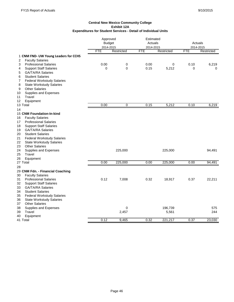|                                         |            | Approved<br><b>Budget</b> |            | Estimated<br>Actuals |            | Actuals    |  |
|-----------------------------------------|------------|---------------------------|------------|----------------------|------------|------------|--|
|                                         | 2014-2015  |                           | 2014-2015  |                      |            | 2014-2015  |  |
|                                         | <b>FTE</b> | Restricted                | <b>FTE</b> | Restricted           | <b>FTE</b> | Restricted |  |
| 1 CNM FND- UW Young Leaders for CCHS    |            |                           |            |                      |            |            |  |
| <b>Faculty Salaries</b><br>2            |            |                           |            |                      |            |            |  |
| 3<br><b>Professional Salaries</b>       | 0.00       | 0                         | 0.00       | 0                    | 0.10       | 6,219      |  |
| <b>Support Staff Salaries</b><br>4      | 0          | 0                         | 0.15       | 5,212                | 0          | $\Omega$   |  |
| <b>GA/TA/RA Salaries</b><br>5           |            |                           |            |                      |            |            |  |
| <b>Student Salaries</b><br>6            |            |                           |            |                      |            |            |  |
| <b>Federal Workstudy Salaries</b><br>7  |            |                           |            |                      |            |            |  |
| <b>State Workstudy Salaries</b><br>8    |            |                           |            |                      |            |            |  |
| <b>Other Salaries</b><br>9              |            |                           |            |                      |            |            |  |
| Supplies and Expenses<br>10             |            |                           |            |                      |            |            |  |
| Travel<br>11                            |            |                           |            |                      |            |            |  |
| 12<br>Equipment                         |            |                           |            |                      |            |            |  |
| 13 Total                                | 0.00       | $\mathbf 0$               | 0.15       | 5,212                | 0.10       | 6,219      |  |
| 14                                      |            |                           |            |                      |            |            |  |
| 15 CNM Foundation-In-kind               |            |                           |            |                      |            |            |  |
| 16<br><b>Faculty Salaries</b>           |            |                           |            |                      |            |            |  |
| <b>Professional Salaries</b><br>17      |            |                           |            |                      |            |            |  |
| 18<br><b>Support Staff Salaries</b>     |            |                           |            |                      |            |            |  |
| 19<br><b>GA/TA/RA Salaries</b>          |            |                           |            |                      |            |            |  |
| <b>Student Salaries</b><br>20           |            |                           |            |                      |            |            |  |
| <b>Federal Workstudy Salaries</b><br>21 |            |                           |            |                      |            |            |  |
| 22<br><b>State Workstudy Salaries</b>   |            |                           |            |                      |            |            |  |
| 23<br><b>Other Salaries</b>             |            |                           |            |                      |            |            |  |
| 24<br>Supplies and Expenses             |            | 225,000                   |            | 225,000              |            | 94,491     |  |
| Travel<br>25                            |            |                           |            |                      |            |            |  |
| 26<br>Equipment                         |            |                           |            |                      |            |            |  |
| 27 Total                                | 0.00       | 225,000                   | 0.00       | 225,000              | 0.00       | 94,491     |  |
| 28                                      |            |                           |            |                      |            |            |  |
| 29 CNM Fdn. - Financial Coaching        |            |                           |            |                      |            |            |  |
| <b>Faculty Salaries</b><br>30           |            |                           |            |                      |            |            |  |
| <b>Professional Salaries</b><br>31      | 0.12       | 7,008                     | 0.32       | 18,917               | 0.37       | 22,211     |  |
| 32<br><b>Support Staff Salaries</b>     |            |                           |            |                      |            |            |  |
| <b>GA/TA/RA Salaries</b><br>33          |            |                           |            |                      |            |            |  |
| <b>Student Salaries</b><br>34           |            |                           |            |                      |            |            |  |
| 35<br><b>Federal Workstudy Salaries</b> |            |                           |            |                      |            |            |  |
| 36<br><b>State Workstudy Salaries</b>   |            |                           |            |                      |            |            |  |
| <b>Other Salaries</b><br>37             |            |                           |            |                      |            |            |  |
| 38<br>Supplies and Expenses             |            | 0                         |            | 196,739              |            | 575        |  |
| 39<br>Travel                            |            | 2,457                     |            | 5,561                |            | 244        |  |
| Equipment<br>40                         |            |                           |            |                      |            |            |  |
| 41 Total                                | 0.12       | 9,465                     | 0.32       | 221,217              | 0.37       | 23,030     |  |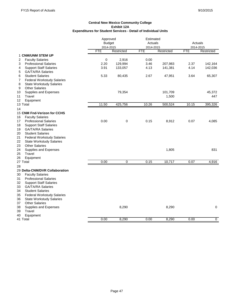|                                         | Approved      | Estimated  |            |            |            |             |
|-----------------------------------------|---------------|------------|------------|------------|------------|-------------|
|                                         | <b>Budget</b> |            | Actuals    |            | Actuals    |             |
|                                         | 2014-2015     |            | 2014-2015  |            |            | 2014-2015   |
|                                         | <b>FTE</b>    | Restricted | <b>FTE</b> | Restricted | <b>FTE</b> | Restricted  |
| 1 CNM/UNM STEM UP                       |               |            |            |            |            |             |
| <b>Faculty Salaries</b><br>2            | 0             | 2,916      | 0.00       |            |            |             |
| <b>Professional Salaries</b><br>3       | 2.20          | 129,994    | 3.46       | 207,983    | 2.37       | 142,164     |
| <b>Support Staff Salaries</b><br>4      | 3.91          | 133,057    | 4.13       | 141,381    | 4.14       | 142,036     |
| <b>GA/TA/RA Salaries</b><br>5           |               |            |            |            |            |             |
| <b>Student Salaries</b><br>6            | 5.33          | 80,435     | 2.67       | 47,951     | 3.64       | 65,307      |
| <b>Federal Workstudy Salaries</b><br>7  |               |            |            |            |            |             |
| <b>State Workstudy Salaries</b><br>8    |               |            |            |            |            |             |
| <b>Other Salaries</b><br>9              |               |            |            |            |            |             |
| Supplies and Expenses<br>10             |               | 79,354     |            | 101,709    |            | 45,372      |
| 11<br>Travel                            |               |            |            | 1,500      |            | 447         |
| 12<br>Equipment                         |               |            |            |            |            |             |
| 13 Total                                | 11.50         | 425,756    | 10.26      | 500,524    | 10.15      | 395,326     |
| 14                                      |               |            |            |            |            |             |
| 15 CNM Fnd-Verizon for CCHS             |               |            |            |            |            |             |
| <b>Faculty Salaries</b><br>16           |               |            |            |            |            |             |
| 17<br><b>Professional Salaries</b>      | 0.00          | $\pmb{0}$  | 0.15       | 8,912      | 0.07       | 4,085       |
| 18<br><b>Support Staff Salaries</b>     |               |            |            |            |            |             |
| <b>GA/TA/RA Salaries</b><br>19          |               |            |            |            |            |             |
| 20<br><b>Student Salaries</b>           |               |            |            |            |            |             |
| 21<br><b>Federal Workstudy Salaries</b> |               |            |            |            |            |             |
| 22<br><b>State Workstudy Salaries</b>   |               |            |            |            |            |             |
| 23<br><b>Other Salaries</b>             |               |            |            |            |            |             |
| 24<br>Supplies and Expenses             |               |            |            | 1,805      |            | 831         |
| 25<br>Travel                            |               |            |            |            |            |             |
| 26<br>Equipment                         |               |            |            |            |            |             |
| 27 Total                                | 0.00          | 0          | 0.15       | 10,717     | 0.07       | 4,916       |
| 28                                      |               |            |            |            |            |             |
| 29 Delta-CNM/DVR Collaboration          |               |            |            |            |            |             |
| 30<br><b>Faculty Salaries</b>           |               |            |            |            |            |             |
| 31<br><b>Professional Salaries</b>      |               |            |            |            |            |             |
| 32<br><b>Support Staff Salaries</b>     |               |            |            |            |            |             |
| 33<br><b>GA/TA/RA Salaries</b>          |               |            |            |            |            |             |
| 34<br><b>Student Salaries</b>           |               |            |            |            |            |             |
| 35<br><b>Federal Workstudy Salaries</b> |               |            |            |            |            |             |
| 36<br><b>State Workstudy Salaries</b>   |               |            |            |            |            |             |
| <b>Other Salaries</b><br>37             |               |            |            |            |            |             |
| 38<br>Supplies and Expenses             |               | 8,290      |            | 8,290      |            | $\mathbf 0$ |
| Travel<br>39                            |               |            |            |            |            |             |
| 40<br>Equipment                         |               |            |            |            |            |             |
| 41 Total                                | 0.00          | 8,290      | 0.00       | 8,290      | 0.00       | $\mathbf 0$ |
|                                         |               |            |            |            |            |             |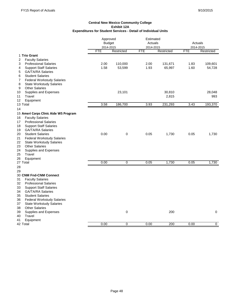|                                                                                  | Approved      |            |            | Estimated  |            |            |  |
|----------------------------------------------------------------------------------|---------------|------------|------------|------------|------------|------------|--|
|                                                                                  | <b>Budget</b> |            | Actuals    |            | Actuals    |            |  |
|                                                                                  | 2014-2015     |            | 2014-2015  |            |            | 2014-2015  |  |
|                                                                                  | <b>FTE</b>    | Restricted | <b>FTE</b> | Restricted | <b>FTE</b> | Restricted |  |
| 1 Trio Grant                                                                     |               |            |            |            |            |            |  |
| 2<br><b>Faculty Salaries</b>                                                     |               |            |            |            |            |            |  |
| <b>Professional Salaries</b><br>3                                                | 2.00          | 110,000    | 2.00       | 131,671    | 1.83       | 109,601    |  |
| <b>Support Staff Salaries</b><br>4                                               | 1.58          | 53,599     | 1.93       | 65,997     | 1.60       | 54,728     |  |
| <b>GA/TA/RA Salaries</b><br>5                                                    |               |            |            |            |            |            |  |
| <b>Student Salaries</b><br>6                                                     |               |            |            |            |            |            |  |
| <b>Federal Workstudy Salaries</b><br>7                                           |               |            |            |            |            |            |  |
| 8<br><b>State Workstudy Salaries</b>                                             |               |            |            |            |            |            |  |
| <b>Other Salaries</b><br>9                                                       |               |            |            |            |            |            |  |
| Supplies and Expenses<br>10                                                      |               | 23,101     |            | 30,810     |            | 28,048     |  |
| Travel<br>11                                                                     |               |            |            | 2,815      |            | 993        |  |
| 12<br>Equipment                                                                  |               |            |            |            |            |            |  |
| 13 Total                                                                         | 3.58          | 186,700    | 3.93       | 231,293    | 3.43       | 193,370    |  |
| 14                                                                               |               |            |            |            |            |            |  |
| 15 Ameri Corps Clinic Aide WS Program                                            |               |            |            |            |            |            |  |
| <b>Faculty Salaries</b><br>16                                                    |               |            |            |            |            |            |  |
| <b>Professional Salaries</b><br>17                                               |               |            |            |            |            |            |  |
| 18<br><b>Support Staff Salaries</b>                                              |               |            |            |            |            |            |  |
| <b>GA/TA/RA Salaries</b><br>19                                                   |               |            |            |            |            |            |  |
| <b>Student Salaries</b><br>20                                                    | 0.00          | 0          | 0.05       | 1,730      | 0.05       | 1,730      |  |
|                                                                                  |               |            |            |            |            |            |  |
| 21<br><b>Federal Workstudy Salaries</b><br>22<br><b>State Workstudy Salaries</b> |               |            |            |            |            |            |  |
|                                                                                  |               |            |            |            |            |            |  |
| <b>Other Salaries</b><br>23                                                      |               |            |            |            |            |            |  |
| 24<br>Supplies and Expenses                                                      |               |            |            |            |            |            |  |
| Travel<br>25                                                                     |               |            |            |            |            |            |  |
| 26<br>Equipment                                                                  |               |            |            | 1,730      |            |            |  |
| 27 Total                                                                         | 0.00          | 0          | 0.05       |            | 0.05       | 1,730      |  |
| 28                                                                               |               |            |            |            |            |            |  |
| 29                                                                               |               |            |            |            |            |            |  |
| 30 CNM Fnd-CNM Connect                                                           |               |            |            |            |            |            |  |
| 31<br><b>Faculty Salaries</b>                                                    |               |            |            |            |            |            |  |
| 32<br><b>Professional Salaries</b>                                               |               |            |            |            |            |            |  |
| <b>Support Staff Salaries</b><br>33                                              |               |            |            |            |            |            |  |
| 34<br><b>GA/TA/RA Salaries</b>                                                   |               |            |            |            |            |            |  |
| 35<br><b>Student Salaries</b>                                                    |               |            |            |            |            |            |  |
| 36<br><b>Federal Workstudy Salaries</b>                                          |               |            |            |            |            |            |  |
| 37<br><b>State Workstudy Salaries</b>                                            |               |            |            |            |            |            |  |
| <b>Other Salaries</b><br>38                                                      |               |            |            |            |            |            |  |
| Supplies and Expenses<br>39                                                      |               | 0          |            | 200        |            | 0          |  |
| 40<br>Travel                                                                     |               |            |            |            |            |            |  |
| Equipment<br>41                                                                  |               |            |            |            |            |            |  |
| 42 Total                                                                         | 0.00          | 0          | 0.00       | 200        | 0.00       | 0          |  |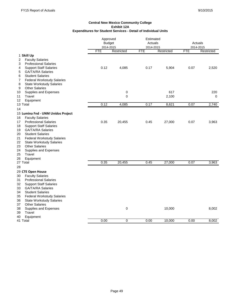|                                         | Approved      |            | Estimated  |            |            |             |
|-----------------------------------------|---------------|------------|------------|------------|------------|-------------|
|                                         | <b>Budget</b> |            | Actuals    |            | Actuals    |             |
|                                         | 2014-2015     |            | 2014-2015  |            | 2014-2015  |             |
|                                         | <b>FTE</b>    | Restricted | <b>FTE</b> | Restricted | <b>FTE</b> | Restricted  |
| 1 Skill Up                              |               |            |            |            |            |             |
| <b>Faculty Salaries</b><br>2            |               |            |            |            |            |             |
| <b>Professional Salaries</b><br>3       |               |            |            |            |            |             |
| <b>Support Staff Salaries</b><br>4      | 0.12          | 4,085      | 0.17       | 5,904      | 0.07       | 2,520       |
| <b>GA/TA/RA Salaries</b><br>5           |               |            |            |            |            |             |
| <b>Student Salaries</b><br>6            |               |            |            |            |            |             |
| <b>Federal Workstudy Salaries</b><br>7  |               |            |            |            |            |             |
| <b>State Workstudy Salaries</b><br>8    |               |            |            |            |            |             |
| <b>Other Salaries</b><br>9              |               |            |            |            |            |             |
| 10<br>Supplies and Expenses             |               | 0          |            | 617        |            | 220         |
| 11<br>Travel                            |               | 0          |            | 2,100      |            | $\mathbf 0$ |
| 12<br>Equipment                         |               |            |            |            |            |             |
| 13 Total                                | 0.12          | 4,085      | 0.17       | 8,621      | 0.07       | 2,740       |
| 14                                      |               |            |            |            |            |             |
| 15 Lumina Fnd - UNM Unidos Project      |               |            |            |            |            |             |
| <b>Faculty Salaries</b><br>16           |               |            |            |            |            |             |
| 17<br><b>Professional Salaries</b>      | 0.35          | 20,455     | 0.45       | 27,000     | 0.07       | 3,963       |
| 18<br><b>Support Staff Salaries</b>     |               |            |            |            |            |             |
| <b>GA/TA/RA Salaries</b><br>19          |               |            |            |            |            |             |
| <b>Student Salaries</b><br>20           |               |            |            |            |            |             |
| 21<br><b>Federal Workstudy Salaries</b> |               |            |            |            |            |             |
| 22<br><b>State Workstudy Salaries</b>   |               |            |            |            |            |             |
| <b>Other Salaries</b><br>23             |               |            |            |            |            |             |
| 24<br>Supplies and Expenses             |               |            |            |            |            |             |
| 25<br>Travel                            |               |            |            |            |            |             |
| 26<br>Equipment                         |               |            |            |            |            |             |
| 27 Total                                | 0.35          | 20,455     | 0.45       | 27,000     | 0.07       | 3,963       |
| 28                                      |               |            |            |            |            |             |
| 29 CTE Open House                       |               |            |            |            |            |             |
| <b>Faculty Salaries</b><br>30           |               |            |            |            |            |             |
| <b>Professional Salaries</b><br>31      |               |            |            |            |            |             |
| 32<br><b>Support Staff Salaries</b>     |               |            |            |            |            |             |
| <b>GA/TA/RA Salaries</b><br>33          |               |            |            |            |            |             |
| <b>Student Salaries</b><br>34           |               |            |            |            |            |             |
| 35<br><b>Federal Workstudy Salaries</b> |               |            |            |            |            |             |
| <b>State Workstudy Salaries</b><br>36   |               |            |            |            |            |             |
| <b>Other Salaries</b><br>37             |               |            |            |            |            |             |
| Supplies and Expenses<br>38             |               | 0          |            | 10,000     |            | 8,002       |
| Travel<br>39                            |               |            |            |            |            |             |
| 40<br>Equipment                         |               |            |            |            |            |             |
| 41 Total                                | 0.00          | 0          | 0.00       | 10,000     | 0.00       | 8,002       |
|                                         |               |            |            |            |            |             |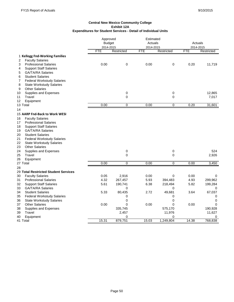|                                         | Approved      |                | Estimated  |                |            |             |
|-----------------------------------------|---------------|----------------|------------|----------------|------------|-------------|
|                                         | <b>Budget</b> |                | Actuals    |                |            | Actuals     |
|                                         | 2014-2015     |                | 2014-2015  |                |            | 2014-2015   |
|                                         | <b>FTE</b>    | Restricted     | <b>FTE</b> | Restricted     | <b>FTE</b> | Restricted  |
| 1 Kellogg Fnd-Working Families          |               |                |            |                |            |             |
| <b>Faculty Salaries</b><br>2            |               |                |            |                |            |             |
| 3<br><b>Professional Salaries</b>       | 0.00          | 0              | 0.00       | 0              | 0.20       | 11,719      |
| <b>Support Staff Salaries</b><br>4      |               |                |            |                |            |             |
| <b>GA/TA/RA Salaries</b><br>5           |               |                |            |                |            |             |
| 6<br><b>Student Salaries</b>            |               |                |            |                |            |             |
| 7<br><b>Federal Workstudy Salaries</b>  |               |                |            |                |            |             |
| 8<br><b>State Workstudy Salaries</b>    |               |                |            |                |            |             |
| <b>Other Salaries</b><br>9              |               |                |            |                |            |             |
| Supplies and Expenses<br>10             |               | $\mathbf 0$    |            | 0              |            | 12,865      |
| Travel<br>11                            |               | 0              |            | 0              |            | 7,017       |
| 12<br>Equipment                         |               |                |            |                |            |             |
| 13 Total                                | 0.00          | $\mathbf 0$    | 0.00       | $\pmb{0}$      | 0.20       | 31,601      |
| 14                                      |               |                |            |                |            |             |
| 15 AARP Fnd-Back to Work WESI           |               |                |            |                |            |             |
| 16<br><b>Faculty Salaries</b>           |               |                |            |                |            |             |
| <b>Professional Salaries</b><br>17      |               |                |            |                |            |             |
| 18<br><b>Support Staff Salaries</b>     |               |                |            |                |            |             |
| <b>GA/TA/RA Salaries</b><br>19          |               |                |            |                |            |             |
| 20<br><b>Student Salaries</b>           |               |                |            |                |            |             |
| 21<br><b>Federal Workstudy Salaries</b> |               |                |            |                |            |             |
| 22<br><b>State Workstudy Salaries</b>   |               |                |            |                |            |             |
| <b>Other Salaries</b><br>23             |               |                |            |                |            |             |
| 24<br>Supplies and Expenses             |               | 0              |            | 0              |            | 524         |
| Travel<br>25                            |               | $\Omega$       |            | 0              |            | 2,926       |
| 26<br>Equipment                         |               |                |            |                |            |             |
| 27 Total                                | 0.00          | $\overline{0}$ | 0.00       | $\overline{0}$ | 0.00       | 3,450       |
| 28                                      |               |                |            |                |            |             |
| 29 Total Restricted Student Services    |               |                |            |                |            |             |
| 30<br><b>Faculty Salaries</b>           | 0.05          | 2,916          | 0.00       | 0              | 0.00       | 0           |
| 31<br><b>Professional Salaries</b>      | 4.32          | 267,457        | 5.93       | 394,483        | 4.93       | 299,962     |
| 32<br><b>Support Staff Salaries</b>     | 5.61          | 190,741        | 6.38       | 218,494        | 5.82       | 199,284     |
| 33<br><b>GA/TA/RA Salaries</b>          |               | 0              |            | 0              |            | 0           |
| 34<br><b>Student Salaries</b>           | 5.33          | 80,435         | 2.72       | 49,681         | 3.64       | 67,037      |
| <b>Federal Workstudy Salaries</b><br>35 |               | 0              |            | 0              |            | 0           |
| <b>State Workstudy Salaries</b><br>36   |               | 0              |            | 0              |            | $\mathbf 0$ |
| <b>Other Salaries</b><br>37             | 0.00          | 0              | 0.00       | 0              | 0.00       | $\Omega$    |
| 38<br>Supplies and Expenses             |               | 335,745        |            | 575,170        |            | 190,928     |
| Travel<br>39                            |               | 2,457          |            | 11,976         |            | 11,627      |
| 40<br>Equipment                         |               | 0              |            | 0              |            | 0           |
| 41 Total                                | 15.31         | 879,751        | 15.03      | 1,249,804      | 14.38      | 768,838     |
|                                         |               |                |            |                |            |             |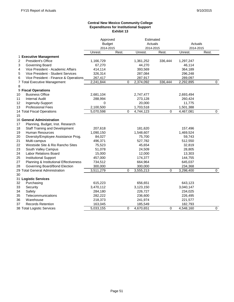### **Central New Mexico Community College Expenditures for Institutional Support Exhibit 13**

|    |                                        | Approved             |             |                       | Estimated<br>Actuals |                      |                |
|----|----------------------------------------|----------------------|-------------|-----------------------|----------------------|----------------------|----------------|
|    |                                        | <b>Budget</b>        |             |                       |                      | Actuals<br>2014-2015 |                |
|    |                                        | 2014-2015<br>Unrest. | Rest.       | 2014-2015<br>Unrest.  | Rest.                | Unrest.              | Rest.          |
|    | 1 Executive Management                 |                      |             |                       |                      |                      |                |
| 2  | <b>President's Office</b>              | 1,166,729            |             | 1,361,252             | 336,444              | 1,297,247            |                |
| 3  | Governing Board                        | 67,270               |             | 44,270                |                      | 46,114               |                |
| 4  | Vice President - Academic Affairs      | 414,114              |             | 393,569               |                      | 364,189              |                |
| 5  | Vice President - Student Services      | 326,314              |             | 287,084               |                      | 296,248              |                |
| 6  | Vice President - Finance & Operations  | 267,417              |             | 287,917               |                      | 289,097              |                |
|    | 7 Total Executive Management           | 2,241,844            |             | $\Omega$<br>2,374,092 | 336,444              | 2,292,895            | $\mathbf 0$    |
| 8  |                                        |                      |             |                       |                      |                      |                |
|    | 9 Fiscal Operations                    |                      |             |                       |                      |                      |                |
| 10 | <b>Business Office</b>                 | 2,681,104            |             | 2,747,477             |                      | 2,693,494            |                |
| 11 | <b>Internal Audit</b>                  | 288,994              |             | 273,128               |                      | 260,424              |                |
| 12 | Ingenuity-Support                      | 0                    |             | 20,000                |                      | 11,775               |                |
| 13 | <b>Professional Fees</b>               | 2,100,500            |             | 1,703,518             |                      | 1,501,388            |                |
|    | 14 Total Fiscal Operations             | 5,070,598            | $\mathbf 0$ | 4,744,123             | $\mathbf 0$          | 4,467,081            | $\overline{0}$ |
| 15 |                                        |                      |             |                       |                      |                      |                |
|    | 16 General Administration              |                      |             |                       |                      |                      |                |
| 17 | Planning, Budget, Inst. Research       |                      |             |                       |                      |                      |                |
| 18 | <b>Staff Training and Development</b>  | 207,618              |             | 181,620               |                      | 157,496              |                |
| 19 | <b>Human Resources</b>                 | 1,090,150            |             | 1,548,607             |                      | 1,469,524            |                |
| 20 | Diversity/Employee Assistance Prog.    | 84,027               |             | 75,700                |                      | 59,743               |                |
| 21 | Multi-campus                           | 496,371              |             | 527,782               |                      | 512,550              |                |
| 22 | Westside Site & Rio Rancho Sites       | 75,523               |             | 45,654                |                      | 32,819               |                |
| 23 | South Valley Campus                    | 51,078               |             | 24,509                |                      | 28,805               |                |
| 24 | Labor Relations Board                  | 15,000               |             | 12,000                |                      | 13,303               |                |
| 25 | <b>Institutional Support</b>           | 457,000              |             | 174,377               |                      | 144,755              |                |
| 27 | Planning & Institutional Effectiveness | 734,512              |             | 664,964               |                      | 645,037              |                |
| 28 | Governing Board/Bond Election          | 300,000              |             | 300,000               |                      | 234,368              |                |
|    | 29 Total General Administration        | 3,511,279            | 0           | 3,555,213             | 0                    | 3,298,400            | $\mathbf 0$    |
| 30 |                                        |                      |             |                       |                      |                      |                |
|    | 31 Logistic Services                   |                      |             |                       |                      |                      |                |
| 32 | Purchasing                             | 615,223              |             | 656,651               |                      | 643,123              |                |
| 33 | Security                               | 3,470,112            |             | 3,123,150             |                      | 3,040,147            |                |
| 34 | Safety                                 | 284,180              |             | 226,727               |                      | 234,025              |                |
| 35 | Telecommunications                     | 282,222              |             | 236,600               |                      | 226,495              |                |
| 36 | Warehouse                              | 218,373              |             | 241,974               |                      | 221,577              |                |
| 37 | <b>Records Retention</b>               | 163,045              |             | 185,549               |                      | 182,793              |                |
|    | 38 Total Logistic Services             | 5,033,155            |             | $\Omega$<br>4,670,651 | 0                    | 4,548,160            | $\Omega$       |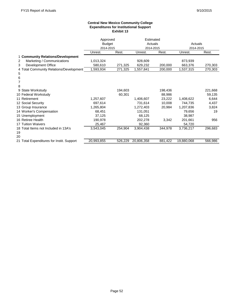### **Central New Mexico Community College Expenditures for Institutional Support Exhibit 13**

|                                           | Approved      |           | Estimated  |           |            |           |  |
|-------------------------------------------|---------------|-----------|------------|-----------|------------|-----------|--|
|                                           | <b>Budget</b> |           | Actuals    |           | Actuals    |           |  |
|                                           |               | 2014-2015 |            | 2014-2015 |            | 2014-2015 |  |
|                                           | Unrest.       | Rest.     | Unrest.    | Rest.     | Unrest.    | Rest.     |  |
| 1 Community Relations/Development         |               |           |            |           |            |           |  |
| Marketing / Communications<br>2           | 1,013,324     |           | 928,609    |           | 873,939    |           |  |
| Development Office<br>3                   | 580,610       | 271,325   | 629,232    | 200,000   | 663,376    | 270,303   |  |
| 4 Total Community Relations/Development   | 1,593,934     | 271,325   | .557,841   | 200,000   | 1,537,315  | 270,303   |  |
| 5                                         |               |           |            |           |            |           |  |
| 6                                         |               |           |            |           |            |           |  |
|                                           |               |           |            |           |            |           |  |
| 8                                         |               |           |            |           |            |           |  |
| 9 State Workstudy                         |               | 194,603   |            | 198,436   |            | 221,668   |  |
| 10 Federal Workstudy                      |               | 60,301    |            | 88,986    |            | 59,135    |  |
| 11 Retirement                             | 1,257,607     |           | 1,406,607  | 23,222    | 1,408,622  | 6,644     |  |
| 12 Social Security                        | 697,614       |           | 731,614    | 10,008    | 744,735    | 4,437     |  |
| 13 Group Insurance                        | 1,265,804     |           | 1,272,403  | 20,984    | 1,207,836  | 3,824     |  |
| 14 Worker's Compensation                  | 68,451        |           | 131,051    |           | 79,656     | 19        |  |
| 15 Unemployment                           | 37,125        |           | 68,125     |           | 38,987     |           |  |
| 16 Retiree Health                         | 190,978       |           | 202,278    | 3,342     | 201,661    | 956       |  |
| 17 Tuition Waivers                        | 25,467        |           | 92,360     |           | 54,720     |           |  |
| 18 Total Items not Included in 13A's      | 3,543,045     | 254,904   | 3,904,438  | 344,978   | 3,736,217  | 296,683   |  |
| 19                                        |               |           |            |           |            |           |  |
| 20                                        |               |           |            |           |            |           |  |
| 21 Total Expenditures for Instit. Support | 20,993,855    | 526,229   | 20,806,358 | 881,422   | 19,880,068 | 566,986   |  |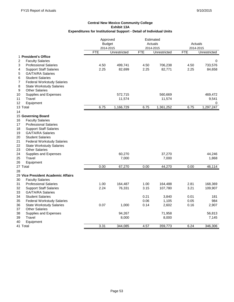# **Expenditures for Institutional Support - Detail of Individual Units Exhibit 13A Central New Mexico Community College**

|                                                                     | Approved<br><b>Budget</b><br>2014-2015 |              |            | Estimated<br>Actuals<br>2014-2015 |            | Actuals<br>2014-2015 |  |
|---------------------------------------------------------------------|----------------------------------------|--------------|------------|-----------------------------------|------------|----------------------|--|
|                                                                     | <b>FTE</b>                             | Unrestricted | <b>FTE</b> | Unrestricted                      | <b>FTE</b> | Unrestricted         |  |
| 1 President's Office<br>$\overline{2}$<br><b>Faculty Salaries</b>   |                                        |              |            |                                   |            | 0                    |  |
| 3<br><b>Professional Salaries</b>                                   | 4.50                                   | 499,741      | 4.50       | 706,238                           | 4.50       | 733,576              |  |
| <b>Support Staff Salaries</b><br>4                                  | 2.25                                   | 82,699       | 2.25       | 82,771                            | 2.25       | 84,658               |  |
| <b>GA/TA/RA Salaries</b><br>5                                       |                                        |              |            |                                   |            |                      |  |
| <b>Student Salaries</b><br>6                                        |                                        |              |            |                                   |            |                      |  |
| $\overline{7}$<br><b>Federal Workstudy Salaries</b>                 |                                        |              |            |                                   |            |                      |  |
| 8<br><b>State Workstudy Salaries</b>                                |                                        |              |            |                                   |            |                      |  |
| <b>Other Salaries</b><br>9                                          |                                        |              |            |                                   |            |                      |  |
| 10<br>Supplies and Expenses                                         |                                        | 572,715      |            | 560,669                           |            | 469,472              |  |
| 11<br>Travel                                                        |                                        | 11,574       |            | 11,574                            |            | 9,541                |  |
| 12<br>Equipment                                                     |                                        |              |            |                                   |            | 0                    |  |
| 13 Total                                                            | 6.75                                   | 1,166,729    | 6.75       | 1,361,252                         | 6.75       | 1,297,247            |  |
| 14                                                                  |                                        |              |            |                                   |            |                      |  |
| 15 Governing Board                                                  |                                        |              |            |                                   |            |                      |  |
| <b>Faculty Salaries</b><br>16<br>17<br><b>Professional Salaries</b> |                                        |              |            |                                   |            |                      |  |
| 18<br><b>Support Staff Salaries</b>                                 |                                        |              |            |                                   |            |                      |  |
| <b>GA/TA/RA Salaries</b><br>19                                      |                                        |              |            |                                   |            |                      |  |
| <b>Student Salaries</b><br>20                                       |                                        |              |            |                                   |            |                      |  |
| 21<br><b>Federal Workstudy Salaries</b>                             |                                        |              |            |                                   |            |                      |  |
| 22<br><b>State Workstudy Salaries</b>                               |                                        |              |            |                                   |            |                      |  |
| 23<br><b>Other Salaries</b>                                         |                                        |              |            |                                   |            |                      |  |
| 24<br>Supplies and Expenses                                         |                                        | 60,270       |            | 37,270                            |            | 44,246               |  |
| 25<br>Travel                                                        |                                        | 7,000        |            | 7,000                             |            | 1,868                |  |
| 26<br>Equipment                                                     |                                        |              |            |                                   |            |                      |  |
| 27 Total                                                            | 0.00                                   | 67,270       | 0.00       | 44,270                            | 0.00       | 46,114               |  |
| 28                                                                  |                                        |              |            |                                   |            |                      |  |
| 29 Vice President Academic Affairs                                  |                                        |              |            |                                   |            |                      |  |
| <b>Faculty Salaries</b><br>30                                       |                                        |              |            |                                   |            |                      |  |
| 31<br><b>Professional Salaries</b>                                  | 1.00                                   | 164,487      | 1.00       | 164,488                           | 2.81       | 168,369              |  |
| 32<br><b>Support Staff Salaries</b>                                 | 2.24                                   | 76,331       | 3.15       | 107,780                           | 3.21       | 109,907              |  |
| 33<br><b>GA/TA/RA Salaries</b>                                      |                                        |              |            |                                   |            |                      |  |
| 34<br><b>Student Salaries</b>                                       |                                        |              | 0.21       | 3,840                             | 0.01       | 181                  |  |
| 35<br><b>Federal Workstudy Salaries</b>                             |                                        |              | 0.06       | 1,105                             | 0.05       | 984                  |  |
| 36<br><b>State Workstudy Salaries</b>                               | 0.07                                   | 1,000        | 0.14       | 2,602                             | 0.16       | 2,907                |  |
| 37<br><b>Other Salaries</b>                                         |                                        |              |            |                                   |            |                      |  |
| 38<br>Supplies and Expenses                                         |                                        | 94,267       |            | 71,958                            |            | 56,813               |  |
| <b>Travel</b><br>39                                                 |                                        | 8,000        |            | 8,000                             |            | 7,145                |  |
| 40<br>Equipment                                                     |                                        |              |            |                                   |            |                      |  |
| 41 Total                                                            | 3.31                                   | 344,085      | 4.57       | 359,773                           | 6.24       | 346,306              |  |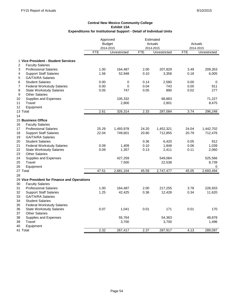|                                                     | Approved      |              | Estimated  |              |            |              |
|-----------------------------------------------------|---------------|--------------|------------|--------------|------------|--------------|
|                                                     | <b>Budget</b> |              |            | Actuals      |            | Actuals      |
|                                                     | 2014-2015     |              |            | 2014-2015    |            | 2014-2015    |
|                                                     | <b>FTE</b>    | Unrestricted | <b>FTE</b> | Unrestricted | <b>FTE</b> | Unrestricted |
| 1 Vice President - Student Services                 |               |              |            |              |            |              |
| $\boldsymbol{2}$<br><b>Faculty Salaries</b>         |               |              |            |              |            |              |
| 3<br><b>Professional Salaries</b>                   | 1.00          | 164,487      | 2.00       | 207,829      | 3.49       | 209,353      |
| <b>Support Staff Salaries</b><br>4                  | 1.56          | 52,948       | 0.10       | 3,358        | 0.18       | 6,005        |
| 5<br><b>GA/TA/RA Salaries</b>                       |               |              |            |              |            |              |
| 6<br><b>Student Salaries</b>                        | 0.00          | 0            | 0.14       | 2,580        | 0.00       | 0            |
| $\overline{7}$<br><b>Federal Workstudy Salaries</b> | 0.00          | 0            | 0.04       | 743          | 0.05       | 911          |
| 8<br><b>State Workstudy Salaries</b>                | 0.05          | 747          | 0.05       | 890          | 0.02       | 277          |
| 9<br><b>Other Salaries</b>                          |               |              |            |              |            |              |
| 10<br>Supplies and Expenses                         |               | 105,332      |            | 68,883       |            | 71,227       |
| 11<br>Travel                                        |               | 2,800        |            | 2,801        |            | 8,475        |
| 12<br>Equipment                                     |               |              |            |              |            |              |
| 13 Total                                            | 2.61          | 326,314      | 2.33       | 287,084      | 3.74       | 296,248      |
| 14                                                  |               |              |            |              |            |              |
| <b>15 Business Office</b>                           |               |              |            |              |            |              |
| <b>Faculty Salaries</b><br>16                       |               |              |            |              |            |              |
| 17<br><b>Professional Salaries</b>                  | 25.29         | 1,493,978    | 24.20      | 1,452,321    | 24.04      | 1,442,702    |
| 18<br><b>Support Staff Salaries</b>                 | 22.04         | 749,601      | 20.80      | 712,855      | 20.79      | 712,476      |
| <b>GA/TA/RA Salaries</b><br>19                      |               |              |            |              |            |              |
| 20<br><b>Student Salaries</b>                       |               |              | 0.36       | 6,420        | 0.05       | 912          |
| <b>Federal Workstudy Salaries</b><br>21             | 0.09          | 1,409        | 0.10       | 1,848        | 0.06       | 1,039        |
| 22<br><b>State Workstudy Salaries</b>               | 0.09          | 1,357        | 0.13       | 2,411        | 0.11       | 2,060        |
| 23<br><b>Other Salaries</b>                         |               |              |            |              |            |              |
| 24<br>Supplies and Expenses                         |               | 427,259      |            | 549,084      |            | 525,566      |
| 25<br>Travel                                        |               | 7,500        |            | 22,538       |            | 8,739        |
| 26<br>Equipment                                     |               |              |            |              |            | 0            |
| 27 Total                                            | 47.51         | 2,681,104    | 45.59      | 2,747,477    | 45.05      | 2,693,494    |
| 28                                                  |               |              |            |              |            |              |
| 29 Vice President for Finance and Operations        |               |              |            |              |            |              |
| <b>Faculty Salaries</b><br>30                       |               |              |            |              |            |              |
| 31<br><b>Professional Salaries</b>                  | 1.00          | 164,487      | 2.00       | 217,255      | 3.78       | 226,933      |
| 32<br><b>Support Staff Salaries</b>                 | 1.25          | 42,425       | 0.36       | 12,428       | 0.34       | 11,620       |
| 33<br><b>GA/TA/RA Salaries</b>                      |               |              |            |              |            |              |
| 34<br><b>Student Salaries</b>                       |               |              |            |              |            |              |
| 35<br><b>Federal Workstudy Salaries</b>             |               |              |            |              |            |              |
| 36<br><b>State Workstudy Salaries</b>               | 0.07          | 1,041        | 0.01       | 171          | 0.01       | 170          |
| 37<br><b>Other Salaries</b>                         |               |              |            |              |            |              |
| Supplies and Expenses<br>38                         |               | 55,764       |            | 54,363       |            | 48,878       |
| 39<br>Travel                                        |               | 3,700        |            | 3,700        |            | 1,496        |
| 40<br>Equipment                                     |               |              |            |              |            |              |
| 41 Total                                            | 2.32          | 267,417      | 2.37       | 287,917      | 4.13       | 289,097      |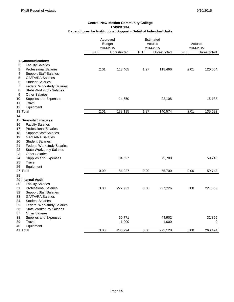|                                                               | Approved  |               | Estimated |              |            |              |  |
|---------------------------------------------------------------|-----------|---------------|-----------|--------------|------------|--------------|--|
|                                                               |           | <b>Budget</b> |           | Actuals      |            | Actuals      |  |
|                                                               | 2014-2015 |               |           | 2014-2015    | 2014-2015  |              |  |
|                                                               | FTE       | Unrestricted  | FTE       | Unrestricted | <b>FTE</b> | Unrestricted |  |
|                                                               |           |               |           |              |            |              |  |
| 1 Communications                                              |           |               |           |              |            |              |  |
| $\overline{\mathbf{c}}$<br><b>Faculty Salaries</b>            |           |               |           |              |            |              |  |
| 3<br><b>Professional Salaries</b>                             | 2.01      | 118,465       | 1.97      | 118,466      | 2.01       | 120,554      |  |
| 4<br><b>Support Staff Salaries</b>                            |           |               |           |              |            |              |  |
| 5<br><b>GA/TA/RA Salaries</b><br>6<br><b>Student Salaries</b> |           |               |           |              |            |              |  |
| $\overline{7}$<br><b>Federal Workstudy Salaries</b>           |           |               |           |              |            |              |  |
| 8<br><b>State Workstudy Salaries</b>                          |           |               |           |              |            |              |  |
| 9<br><b>Other Salaries</b>                                    |           |               |           |              |            |              |  |
| Supplies and Expenses<br>10                                   |           | 14,650        |           | 22,108       |            | 15,138       |  |
| Travel<br>11                                                  |           |               |           |              |            |              |  |
| 12<br>Equipment                                               |           |               |           |              |            |              |  |
| 13 Total                                                      | 2.01      | 133,115       | 1.97      | 140,574      | 2.01       | 135,692      |  |
| 14                                                            |           |               |           |              |            |              |  |
| 15 Diversity Initiatives                                      |           |               |           |              |            |              |  |
| <b>Faculty Salaries</b><br>16                                 |           |               |           |              |            |              |  |
| 17<br><b>Professional Salaries</b>                            |           |               |           |              |            |              |  |
| 18<br><b>Support Staff Salaries</b>                           |           |               |           |              |            |              |  |
| <b>GA/TA/RA Salaries</b><br>19                                |           |               |           |              |            |              |  |
| 20<br><b>Student Salaries</b>                                 |           |               |           |              |            |              |  |
| 21<br><b>Federal Workstudy Salaries</b>                       |           |               |           |              |            |              |  |
| 22<br><b>State Workstudy Salaries</b>                         |           |               |           |              |            |              |  |
| <b>Other Salaries</b><br>23                                   |           |               |           |              |            |              |  |
| 24<br>Supplies and Expenses                                   |           | 84,027        |           | 75,700       |            | 59,743       |  |
| 25<br>Travel                                                  |           |               |           |              |            |              |  |
| 26<br>Equipment                                               |           |               |           |              |            |              |  |
| 27 Total                                                      | 0.00      | 84,027        | 0.00      | 75,700       | 0.00       | 59,743       |  |
| 28                                                            |           |               |           |              |            |              |  |
| 29 Internal Audit                                             |           |               |           |              |            |              |  |
| 30<br><b>Faculty Salaries</b>                                 |           |               |           |              |            |              |  |
| 31<br><b>Professional Salaries</b>                            | 3.00      | 227,223       | 3.00      | 227,226      | 3.00       | 227,569      |  |
| 32<br><b>Support Staff Salaries</b>                           |           |               |           |              |            |              |  |
| 33<br><b>GA/TA/RA Salaries</b>                                |           |               |           |              |            |              |  |
| <b>Student Salaries</b><br>34                                 |           |               |           |              |            |              |  |
| <b>Federal Workstudy Salaries</b><br>35                       |           |               |           |              |            |              |  |
| 36<br><b>State Workstudy Salaries</b>                         |           |               |           |              |            |              |  |
| 37<br><b>Other Salaries</b>                                   |           |               |           |              |            |              |  |
| 38<br>Supplies and Expenses                                   |           | 60,771        |           | 44,902       |            | 32,855       |  |
| 39<br><b>Travel</b>                                           |           | 1,000         |           | 1,000        |            | 0            |  |
| Equipment<br>40                                               |           |               |           |              |            |              |  |
| 41 Total                                                      | 3.00      | 288,994       | 3.00      | 273,128      | 3.00       | 260,424      |  |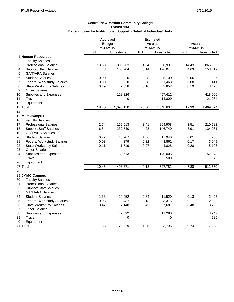|                                                     | Approved   |               | Estimated |              |            |              |
|-----------------------------------------------------|------------|---------------|-----------|--------------|------------|--------------|
|                                                     |            | <b>Budget</b> |           | Actuals      | Actuals    |              |
|                                                     | 2014-2015  |               |           | 2014-2015    |            | 2014-2015    |
|                                                     | <b>FTE</b> | Unrestricted  | FTE       | Unrestricted | <b>FTE</b> | Unrestricted |
| 1 Human Resources                                   |            |               |           |              |            |              |
| <b>Faculty Salaries</b><br>2                        |            |               |           |              |            |              |
| 3<br><b>Professional Salaries</b>                   | 13.68      | 808,362       | 14.84     | 890,931      | 14.43      | 866,035      |
| 4<br><b>Support Staff Salaries</b>                  | 4.43       | 150,704       | 5.14      | 176,044      | 4.63       | 158,519      |
| 5<br><b>GA/TA/RA Salaries</b>                       |            |               |           |              |            |              |
| 6<br><b>Student Salaries</b>                        | 0.00       | 0             | 0.28      | 5,100        | 0.06       | 1,006        |
| <b>Federal Workstudy Salaries</b><br>$\overline{7}$ | 0.00       | $\Omega$      | 0.08      | 1,468        | 0.08       | 1,411        |
| 8<br><b>State Workstudy Salaries</b>                | 0.19       | 2,858         | 0.16      | 2,852        | 0.19       | 3,423        |
| 9<br><b>Other Salaries</b>                          |            |               |           |              |            |              |
| Supplies and Expenses<br>10                         |            | 128,226       |           | 457,412      |            | 418,066      |
| Travel<br>11                                        |            | 0             |           | 14,800       |            | 21,064       |
| Equipment<br>12                                     |            |               |           |              |            |              |
| 13 Total                                            | 18.30      | 1,090,150     | 20.50     | 1,548,607    | 19.39      | 1,469,524    |
| 14                                                  |            |               |           |              |            |              |
| 15 Multi-Campus                                     |            |               |           |              |            |              |
| <b>Faculty Salaries</b><br>16                       |            |               |           |              |            |              |
| 17<br><b>Professional Salaries</b>                  | 2.74       | 162,013       | 3.41      | 204,908      | 3.51       | 210,782      |
| 18<br><b>Support Staff Salaries</b>                 | 6.84       | 232,740       | 4.28      | 146,740      | 3.91       | 134,061      |
| 19<br><b>GA/TA/RA Salaries</b>                      |            |               |           |              |            |              |
| 20<br><b>Student Salaries</b>                       | 0.72       | 10,907        | 1.00      | 17,940       | 0.01       | 206          |
| 21<br><b>Federal Workstudy Salaries</b>             | 0.03       | 379           | 0.22      | 3,861        | 0.17       | 3,049        |
| 22<br><b>State Workstudy Salaries</b>               | 0.11       | 1,719         | 0.27      | 4,828        | 0.28       | 5,106        |
| 23<br><b>Other Salaries</b>                         |            |               |           |              |            |              |
| 24<br>Supplies and Expenses                         |            | 88,613        |           | 149,005      |            | 157,373      |
| Travel<br>25                                        |            |               |           | 500          |            | 1,973        |
| 26<br>Equipment                                     |            |               |           |              |            |              |
| 27 Total                                            | 10.45      | 496,371       | 9.18      | 527,782      | 7.88       | 512,550      |
| 28                                                  |            |               |           |              |            |              |
| 29 JMMC Campus                                      |            |               |           |              |            |              |
| 30<br><b>Faculty Salaries</b>                       |            |               |           |              |            |              |
| 31<br><b>Professional Salaries</b>                  |            |               |           |              |            |              |
| 32<br><b>Support Staff Salaries</b>                 |            |               |           |              |            |              |
| 33<br><b>GA/TA/RA Salaries</b>                      |            |               |           |              |            |              |
| 34<br><b>Student Salaries</b>                       | 1.33       | 20,052        | 0.64      | 11,520       | 0.13       | 2,423        |
| 35<br><b>Federal Workstudy Salaries</b>             | 0.03       | 437           | 0.18      | 3,315        | 0.11       | 2,022        |
| 36<br><b>State Workstudy Salaries</b>               | 0.47       | 7,148         | 0.43      | 7,681        | 0.48       | 8,706        |
| <b>Other Salaries</b><br>37                         |            |               |           |              |            |              |
| 38<br>Supplies and Expenses                         |            | 42,392        |           | 11,280       |            | 3,947        |
| Travel<br>39                                        |            | 0             |           | 0            |            | 785          |
| 40<br>Equipment                                     |            |               |           |              |            |              |
| 41 Total                                            | 1.83       | 70,029        | 1.25      | 33,796       | 0.74       | 17,883       |
|                                                     |            |               |           |              |            |              |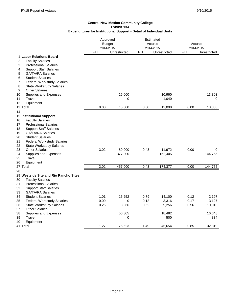|                                                                            | Approved<br>2014-2015 | <b>Budget</b> | Estimated<br>Actuals<br>2014-2015 |              | Actuals<br>2014-2015 |              |
|----------------------------------------------------------------------------|-----------------------|---------------|-----------------------------------|--------------|----------------------|--------------|
|                                                                            | FTE                   | Unrestricted  | <b>FTE</b>                        | Unrestricted | <b>FTE</b>           | Unrestricted |
| 1 Labor Relations Board                                                    |                       |               |                                   |              |                      |              |
| <b>Faculty Salaries</b><br>2                                               |                       |               |                                   |              |                      |              |
| 3<br><b>Professional Salaries</b>                                          |                       |               |                                   |              |                      |              |
| <b>Support Staff Salaries</b><br>4                                         |                       |               |                                   |              |                      |              |
| GA/TA/RA Salaries<br>5                                                     |                       |               |                                   |              |                      |              |
| <b>Student Salaries</b><br>6                                               |                       |               |                                   |              |                      |              |
| $\overline{7}$<br><b>Federal Workstudy Salaries</b>                        |                       |               |                                   |              |                      |              |
| 8<br><b>State Workstudy Salaries</b>                                       |                       |               |                                   |              |                      |              |
| 9<br><b>Other Salaries</b>                                                 |                       |               |                                   |              |                      |              |
| 10<br>Supplies and Expenses                                                |                       | 15,000        |                                   | 10,960       |                      | 13,303       |
| 11<br>Travel                                                               |                       | 0             |                                   | 1,040        |                      | 0            |
| 12<br>Equipment                                                            |                       |               |                                   |              |                      |              |
| 13 Total                                                                   | 0.00                  | 15,000        | 0.00                              | 12,000       | 0.00                 | 13,303       |
| 14                                                                         |                       |               |                                   |              |                      |              |
| 15 Institutional Support                                                   |                       |               |                                   |              |                      |              |
| 16<br><b>Faculty Salaries</b>                                              |                       |               |                                   |              |                      |              |
| 17<br><b>Professional Salaries</b>                                         |                       |               |                                   |              |                      |              |
| 18<br><b>Support Staff Salaries</b>                                        |                       |               |                                   |              |                      |              |
| 19<br><b>GA/TA/RA Salaries</b><br><b>Student Salaries</b>                  |                       |               |                                   |              |                      |              |
| 20<br>21                                                                   |                       |               |                                   |              |                      |              |
| <b>Federal Workstudy Salaries</b><br>22<br><b>State Workstudy Salaries</b> |                       |               |                                   |              |                      |              |
| 23<br><b>Other Salaries</b>                                                | 3.02                  | 80,000        | 0.43                              | 11,972       | 0.00                 | 0            |
| 24<br>Supplies and Expenses                                                |                       | 377,000       |                                   | 162,405      |                      | 144,755      |
| 25<br>Travel                                                               |                       |               |                                   |              |                      |              |
| 26<br>Equipment                                                            |                       |               |                                   |              |                      |              |
| 27 Total                                                                   | 3.02                  | 457,000       | 0.43                              | 174,377      | 0.00                 | 144,755      |
| 28                                                                         |                       |               |                                   |              |                      |              |
| 29 Westside Site and Rio Rancho Sites                                      |                       |               |                                   |              |                      |              |
| 30<br><b>Faculty Salaries</b>                                              |                       |               |                                   |              |                      |              |
| 31<br><b>Professional Salaries</b>                                         |                       |               |                                   |              |                      |              |
| 32<br><b>Support Staff Salaries</b>                                        |                       |               |                                   |              |                      |              |
| 33<br><b>GA/TA/RA Salaries</b>                                             |                       |               |                                   |              |                      |              |
| 34<br><b>Student Salaries</b>                                              | 1.01                  | 15,252        | 0.79                              | 14,100       | 0.12                 | 2,197        |
| 35<br><b>Federal Workstudy Salaries</b>                                    | 0.00                  | 0             | 0.18                              | 3,316        | 0.17                 | 3,127        |
| 36<br><b>State Workstudy Salaries</b>                                      | 0.26                  | 3,966         | 0.52                              | 9,256        | 0.56                 | 10,013       |
| <b>Other Salaries</b><br>37                                                |                       |               |                                   |              |                      |              |
| 38<br>Supplies and Expenses                                                |                       | 56,305        |                                   | 18,482       |                      | 16,648       |
| 39<br>Travel                                                               |                       | 0             |                                   | 500          |                      | 834          |
| Equipment<br>40                                                            |                       |               |                                   |              |                      |              |
| 41 Total                                                                   | 1.27                  | 75,523        | 1.49                              | 45,654       | 0.85                 | 32,819       |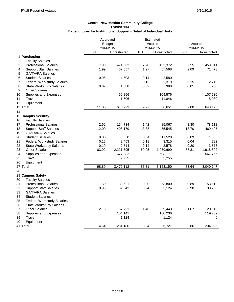|                                                     | Approved      |              | Estimated  |              |            |              |
|-----------------------------------------------------|---------------|--------------|------------|--------------|------------|--------------|
|                                                     | <b>Budget</b> |              |            | Actuals      | Actuals    |              |
|                                                     | 2014-2015     |              |            | 2014-2015    |            | 2014-2015    |
|                                                     | <b>FTE</b>    | Unrestricted | <b>FTE</b> | Unrestricted | <b>FTE</b> | Unrestricted |
| 1 Purchasing                                        |               |              |            |              |            |              |
| $\overline{2}$<br><b>Faculty Salaries</b>           |               |              |            |              |            |              |
| 3<br><b>Professional Salaries</b>                   | 7.98          | 471,363      | 7.70       | 462,372      | 7.55       | 453,041      |
| <b>Support Staff Salaries</b><br>4                  | 1.99          | 67,557       | 1.97       | 67,568       | 2.09       | 71,473       |
| 5<br><b>GA/TA/RA Salaries</b>                       |               |              |            |              |            |              |
| <b>Student Salaries</b><br>6                        | 0.96          | 14,503       | 0.14       | 2,580        |            |              |
| $\overline{7}$<br><b>Federal Workstudy Salaries</b> |               |              | 0.13       | 2,319        | 0.15       | 2,749        |
| 8<br><b>State Workstudy Salaries</b>                | 0.07          | 1,038        | 0.02       | 390          | 0.01       | 200          |
| 9<br><b>Other Salaries</b>                          |               |              |            |              |            |              |
| 10<br>Supplies and Expenses                         |               | 59,256       |            | 109,576      |            | 107,630      |
| 11<br>Travel                                        |               | 1,506        |            | 11,846       |            | 8,030        |
| 12<br>Equipment                                     |               |              |            |              |            |              |
| 13 Total                                            | 11.00         | 615,223      | 9.97       | 656,651      | 9.80       | 643,123      |
| 14                                                  |               |              |            |              |            |              |
| 15 Campus Security                                  |               |              |            |              |            |              |
| <b>Faculty Salaries</b><br>16                       |               |              |            |              |            |              |
| 17<br><b>Professional Salaries</b>                  | 2.62          | 154,734      | 1.42       | 85,067       | 1.30       | 78,112       |
| 18<br><b>Support Staff Salaries</b>                 | 12.00         | 408,179      | 13.88      | 475,545      | 13.70      | 469,497      |
| <b>GA/TA/RA Salaries</b><br>19                      |               |              |            |              |            |              |
| 20<br><b>Student Salaries</b>                       | 0.00          | 0            | 0.64       | 11,520       | 0.09       | 1,535        |
| 21<br><b>Federal Workstudy Salaries</b>             | 0.16          | 2,453        | 0.18       | 3,315        | 0.04       | 782          |
| 22<br><b>State Workstudy Salaries</b>               | 0.19          | 2,814        | 0.14       | 2,578        | 0.20       | 3,573        |
| 23<br><b>Other Salaries</b>                         | 83.92         | 2,221,795    | 69.05      | 1,939,699    | 68.31      | 1,918,892    |
| 24<br>Supplies and Expenses                         |               | 677,882      |            | 603,171      |            | 567,756      |
| 25<br>Travel                                        |               | 2,255        |            | 2,255        |            | 0            |
| 26<br>Equipment                                     |               |              |            |              |            |              |
| 27 Total                                            | 98.89         | 3,470,112    | 85.31      | 3,123,150    | 83.64      | 3,040,147    |
|                                                     |               |              |            |              |            |              |
| 28<br>29 Campus Safety                              |               |              |            |              |            |              |
|                                                     |               |              |            |              |            |              |
| 30<br><b>Faculty Salaries</b>                       | 1.50          |              |            |              | 0.89       |              |
| 31<br><b>Professional Salaries</b>                  |               | 88,621       | 0.90       | 53,800       |            | 53,519       |
| 32<br><b>Support Staff Salaries</b>                 | 0.96          | 32,543       | 0.94       | 32,124       | 0.90       | 30,788       |
| 33<br><b>GA/TA/RA Salaries</b>                      |               |              |            |              |            |              |
| 34<br><b>Student Salaries</b>                       |               |              |            |              |            |              |
| 35<br><b>Federal Workstudy Salaries</b>             |               |              |            |              |            |              |
| 36<br><b>State Workstudy Salaries</b>               |               |              |            |              |            |              |
| 37<br><b>Other Salaries</b>                         | 2.18          | 57,751       | 1.40       | 39,443       | 1.07       | 29,949       |
| 38<br>Supplies and Expenses                         |               | 104,141      |            | 100,236      |            | 119,769      |
| Travel<br>39                                        |               | 1,124        |            | 1,124        |            | $\Omega$     |
| 40<br>Equipment                                     |               |              |            |              |            |              |
| 41 Total                                            | 4.64          | 284,180      | 3.24       | 226,727      | 2.86       | 234,025      |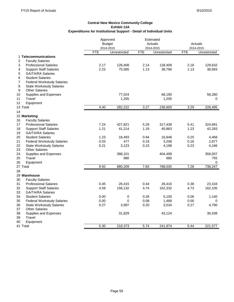|                                                     | Approved      |              | Estimated  |              |            |              |
|-----------------------------------------------------|---------------|--------------|------------|--------------|------------|--------------|
|                                                     | <b>Budget</b> |              |            | Actuals      |            | Actuals      |
|                                                     | 2014-2015     |              |            | 2014-2015    |            | 2014-2015    |
|                                                     | <b>FTE</b>    | Unrestricted | <b>FTE</b> | Unrestricted | <b>FTE</b> | Unrestricted |
| 1 Telecommunications                                |               |              |            |              |            |              |
| 2<br><b>Faculty Salaries</b>                        |               |              |            |              |            |              |
| 3<br><b>Professional Salaries</b>                   | 2.17          | 128,408      | 2.14       | 128,409      | 2.16       | 129,632      |
| <b>Support Staff Salaries</b><br>4                  | 2.22          | 75,585       | 1.13       | 38,796       | 1.13       | 38,583       |
| 5<br><b>GA/TA/RA Salaries</b>                       |               |              |            |              |            |              |
| <b>Student Salaries</b><br>6                        |               |              |            |              |            |              |
| $\overline{7}$<br><b>Federal Workstudy Salaries</b> |               |              |            |              |            |              |
| 8<br><b>State Workstudy Salaries</b>                |               |              |            |              |            |              |
| 9<br><b>Other Salaries</b>                          |               |              |            |              |            |              |
| 10<br>Supplies and Expenses                         |               | 77,024       |            | 68,190       |            | 58,280       |
| 11<br>Travel                                        |               | 1,205        |            | 1,205        |            | 0            |
| Equipment<br>12                                     |               |              |            |              |            |              |
| 13 Total                                            | 4.40          | 282,222      | 3.27       | 236,600      | 3.29       | 226,495      |
| 14                                                  |               |              |            |              |            |              |
| 15 Marketing                                        |               |              |            |              |            |              |
| 16<br><b>Faculty Salaries</b>                       |               |              |            |              |            |              |
| 17<br><b>Professional Salaries</b>                  | 7.24          | 427,821      | 5.29       | 317,439      | 5.41       | 324,691      |
| 18<br><b>Support Staff Salaries</b>                 | 1.21          | 41,214       | 1.19       | 40,863       | 1.23       | 42,283       |
| 19<br><b>GA/TA/RA Salaries</b>                      |               |              |            |              |            |              |
| <b>Student Salaries</b><br>20                       | 1.23          | 18,493       | 0.94       | 16,848       | 0.25       | 4,468        |
| 21<br><b>Federal Workstudy Salaries</b>             | 0.03          | 477          | 0.18       | 3,208        | 0.16       | 2,877        |
| 22<br><b>State Workstudy Salaries</b>               | 0.21          | 3,123        | 0.23       | 4,198        | 0.23       | 4,166        |
| 23<br><b>Other Salaries</b>                         |               |              |            |              |            |              |
| 24<br>Supplies and Expenses                         |               | 388,101      |            | 404,499      |            | 359,007      |
| 25<br>Travel                                        |               | 980          |            | 980          |            | 755          |
| 26<br>Equipment                                     |               |              |            |              |            | 0            |
| 27 Total                                            | 9.92          | 880,209      | 7.83       | 788,035      | 7.28       | 738,247      |
| 28                                                  |               |              |            |              |            |              |
| 29 Warehouse                                        |               |              |            |              |            |              |
| 30<br><b>Faculty Salaries</b>                       |               |              |            |              |            |              |
| 31<br><b>Professional Salaries</b>                  | 0.45          | 26,415       | 0.44       | 26,416       | 0.38       | 23,104       |
| 32<br><b>Support Staff Salaries</b>                 | 4.59          | 156,132      | 4.74       | 162,332      | 4.73       | 162,105      |
| <b>GA/TA/RA Salaries</b><br>33                      |               |              |            |              |            |              |
| 34<br><b>Student Salaries</b>                       | 0.00          | 0            | 0.28       | 5,100        | 0.06       | 1,140        |
| 35<br><b>Federal Workstudy Salaries</b>             | 0.00          | 0            | 0.08       | 1,468        | 0.00       | 0            |
| 36<br><b>State Workstudy Salaries</b>               | 0.27          | 3,997        | 0.20       | 3,534        | 0.27       | 4,790        |
| 37<br><b>Other Salaries</b>                         |               |              |            |              |            |              |
| 38<br>Supplies and Expenses                         |               | 31,829       |            | 43,124       |            | 30,438       |
| Travel<br>39                                        |               |              |            |              |            |              |
| 40<br>Equipment                                     |               |              |            |              |            |              |
| 41 Total                                            | 5.30          | 218,373      | 5.74       | 241,974      | 5.44       | 221,577      |
|                                                     |               |              |            |              |            |              |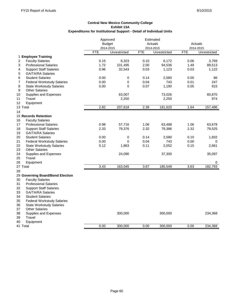|                                                     | Approved |               | Estimated |              |            |              |
|-----------------------------------------------------|----------|---------------|-----------|--------------|------------|--------------|
|                                                     |          | <b>Budget</b> |           | Actuals      |            | Actuals      |
|                                                     |          | 2014-2015     |           | 2014-2015    |            | 2014-2015    |
|                                                     | FTE      | Unrestricted  | FTE       | Unrestricted | <b>FTE</b> | Unrestricted |
| 1 Employee Training                                 |          |               |           |              |            |              |
| 2<br><b>Faculty Salaries</b>                        | 0.15     | 8,323         | 0.10      | 6,172        | 0.06       | 3,769        |
| 3<br><b>Professional Salaries</b>                   | 1.72     | 101,495       | 2.00      | 94,536       | 1.49       | 89,513       |
| <b>Support Staff Salaries</b><br>4                  | 0.96     | 32,543        | 0.03      | 1,123        | 0.03       | 1,122        |
| 5<br><b>GA/TA/RA Salaries</b>                       |          |               |           |              |            |              |
| 6<br><b>Student Salaries</b>                        | 0.00     | 0             | 0.14      | 2,580        | 0.00       | 86           |
| $\overline{7}$<br><b>Federal Workstudy Salaries</b> | 0.00     | 0             | 0.04      | 743          | 0.01       | 247          |
| 8<br><b>State Workstudy Salaries</b>                | 0.00     | 0             | 0.07      | 1,190        | 0.05       | 915          |
| 9<br><b>Other Salaries</b>                          |          |               |           |              |            |              |
| 10<br>Supplies and Expenses                         |          | 63,007        |           | 73,026       |            | 60,870       |
| 11<br>Travel                                        |          | 2,250         |           | 2,250        |            | 974          |
| Equipment<br>12                                     |          |               |           |              |            |              |
| 13 Total                                            | 2.82     | 207,618       | 2.39      | 181,620      | 1.64       | 157,496      |
| 14                                                  |          |               |           |              |            |              |
| 15 Records Retention                                |          |               |           |              |            |              |
| 16<br><b>Faculty Salaries</b>                       |          |               |           |              |            |              |
| <b>Professional Salaries</b><br>17                  | 0.98     | 57,716        | 1.06      | 63,488       | 1.06       | 63,678       |
| 18<br><b>Support Staff Salaries</b>                 | 2.33     | 79,376        | 2.32      | 79,386       | 2.32       | 79,525       |
| 19<br><b>GA/TA/RA Salaries</b>                      |          |               |           |              |            |              |
| 20<br><b>Student Salaries</b>                       | 0.00     | 0             | 0.14      | 2,580        | 0.10       | 1,832        |
| 21<br><b>Federal Workstudy Salaries</b>             | 0.00     | 0             | 0.04      | 743          | 0.00       | 0            |
| 22<br><b>State Workstudy Salaries</b>               | 0.12     | 1,863         | 0.11      | 2,052        | 0.15       | 2,661        |
| 23<br><b>Other Salaries</b>                         |          |               |           |              |            |              |
| 24<br>Supplies and Expenses                         |          | 24,090        |           | 37,300       |            | 35,097       |
| 25<br>Travel                                        |          |               |           |              |            |              |
| 26<br>Equipment                                     |          |               |           |              |            | 0            |
| 27 Total                                            | 3.43     | 163,045       | 3.67      | 185,549      | 3.63       | 182,793      |
| 28                                                  |          |               |           |              |            |              |
| 29 Governing Board/Bond Election                    |          |               |           |              |            |              |
| 30<br><b>Faculty Salaries</b>                       |          |               |           |              |            |              |
| 31<br><b>Professional Salaries</b>                  |          |               |           |              |            |              |
| 32<br><b>Support Staff Salaries</b>                 |          |               |           |              |            |              |
| 33<br><b>GA/TA/RA Salaries</b>                      |          |               |           |              |            |              |
| 34<br><b>Student Salaries</b>                       |          |               |           |              |            |              |
| 35<br><b>Federal Workstudy Salaries</b>             |          |               |           |              |            |              |
|                                                     |          |               |           |              |            |              |
| 36<br><b>State Workstudy Salaries</b>               |          |               |           |              |            |              |
| 37<br><b>Other Salaries</b><br>38                   |          |               |           |              |            |              |
| Supplies and Expenses                               |          | 300,000       |           | 300,000      |            | 234,368      |
| 39<br><b>Travel</b>                                 |          |               |           |              |            |              |
| 40<br>Equipment                                     |          |               |           |              |            |              |
| 41 Total                                            | 0.00     | 300,000       | 0.00      | 300,000      | 0.00       | 234,368      |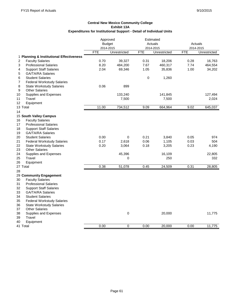|                                                     |            | Approved      |            | Estimated    |            |              |
|-----------------------------------------------------|------------|---------------|------------|--------------|------------|--------------|
|                                                     |            | <b>Budget</b> |            | Actuals      | Actuals    |              |
|                                                     |            | 2014-2015     |            | 2014-2015    |            | 2014-2015    |
|                                                     | <b>FTE</b> | Unrestricted  | <b>FTE</b> | Unrestricted | <b>FTE</b> | Unrestricted |
| 1 Planning & Institutional Effectiveness            |            |               |            |              |            |              |
| $\overline{2}$<br><b>Faculty Salaries</b>           | 0.70       | 39,327        | 0.31       | 18,206       | 0.28       | 16,763       |
| <b>Professional Salaries</b><br>3                   | 8.20       | 484,200       | 7.67       | 460,317      | 7.74       | 464,554      |
| 4<br><b>Support Staff Salaries</b>                  | 2.04       | 69,346        | 1.05       | 35,836       | 1.00       | 34,202       |
| 5<br><b>GA/TA/RA Salaries</b>                       |            |               |            |              |            |              |
| <b>Student Salaries</b><br>6                        |            |               | 0          | 1,260        |            |              |
| $\overline{7}$<br><b>Federal Workstudy Salaries</b> |            |               |            |              |            |              |
| 8<br><b>State Workstudy Salaries</b>                | 0.06       | 899           |            |              |            |              |
| 9<br><b>Other Salaries</b>                          |            |               |            |              |            |              |
| 10<br>Supplies and Expenses                         |            | 133,240       |            | 141,845      |            | 127,494      |
| 11<br>Travel                                        |            | 7,500         |            | 7,500        |            | 2,024        |
| 12<br>Equipment                                     |            |               |            |              |            |              |
| 13 Total                                            | 11.00      | 734,512       | 9.09       | 664,964      | 9.02       | 645,037      |
| 14                                                  |            |               |            |              |            |              |
| 15 South Valley Campus                              |            |               |            |              |            |              |
| <b>Faculty Salaries</b><br>16                       |            |               |            |              |            |              |
| 17<br><b>Professional Salaries</b>                  |            |               |            |              |            |              |
| 18<br><b>Support Staff Salaries</b>                 |            |               |            |              |            |              |
| <b>GA/TA/RA Salaries</b><br>19                      |            |               |            |              |            |              |
| 20<br><b>Student Salaries</b>                       | 0.00       | 0             | 0.21       | 3,840        | 0.05       | 974          |
| 21<br><b>Federal Workstudy Salaries</b>             | 0.17       | 2,618         | 0.06       | 1,105        | 0.03       | 504          |
| 22<br><b>State Workstudy Salaries</b>               | 0.20       | 3,064         | 0.18       | 3,205        | 0.23       | 4,190        |
| 23<br>Other Salaries                                |            |               |            |              |            |              |
| 24<br>Supplies and Expenses                         |            | 45,396        |            | 16,109       |            | 22,805       |
| Travel<br>25                                        |            | 0             |            | 250          |            | 332          |
| 26<br>Equipment                                     |            |               |            |              |            |              |
| 27 Total                                            | 0.38       | 51,078        | 0.45       | 24,509       | 0.31       | 28,805       |
| 28                                                  |            |               |            |              |            |              |
| 29 Community Engagement                             |            |               |            |              |            |              |
| 30<br><b>Faculty Salaries</b>                       |            |               |            |              |            |              |
| 31<br><b>Professional Salaries</b>                  |            |               |            |              |            |              |
| 32<br><b>Support Staff Salaries</b>                 |            |               |            |              |            |              |
| 33<br><b>GA/TA/RA Salaries</b>                      |            |               |            |              |            |              |
| <b>Student Salaries</b><br>34                       |            |               |            |              |            |              |
| 35<br><b>Federal Workstudy Salaries</b>             |            |               |            |              |            |              |
| 36<br><b>State Workstudy Salaries</b>               |            |               |            |              |            |              |
| <b>Other Salaries</b><br>37                         |            |               |            |              |            |              |
| 38<br>Supplies and Expenses                         |            | $\pmb{0}$     |            | 20,000       |            | 11,775       |
| Travel<br>39                                        |            |               |            |              |            |              |
| Equipment<br>40                                     |            |               |            |              |            |              |
| 41 Total                                            | 0.00       | 0             | 0.00       | 20,000       | 0.00       | 11,775       |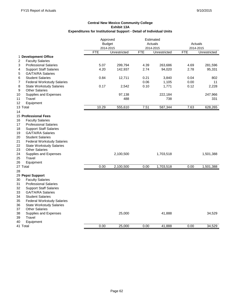|                                           | Approved   | Estimated     |            |              |      |              |
|-------------------------------------------|------------|---------------|------------|--------------|------|--------------|
|                                           |            | <b>Budget</b> |            | Actuals      |      | Actuals      |
|                                           |            | 2014-2015     |            | 2014-2015    |      | 2014-2015    |
|                                           | <b>FTE</b> | Unrestricted  | <b>FTE</b> | Unrestricted | FTE  | Unrestricted |
| 1 Development Office                      |            |               |            |              |      |              |
| $\overline{2}$<br><b>Faculty Salaries</b> |            |               |            |              |      |              |
| <b>Professional Salaries</b><br>3         | 5.07       | 299,794       | 4.39       | 263,686      | 4.69 | 281,596      |
| <b>Support Staff Salaries</b><br>4        | 4.20       | 142,937       | 2.74       | 94,020       | 2.78 | 95,331       |
| <b>GA/TA/RA Salaries</b><br>5             |            |               |            |              |      |              |
| <b>Student Salaries</b><br>6              | 0.84       | 12,711        | 0.21       | 3,840        | 0.04 | 802          |
| 7<br><b>Federal Workstudy Salaries</b>    |            |               | 0.06       | 1,105        | 0.00 | 11           |
| 8<br><b>State Workstudy Salaries</b>      | 0.17       | 2,542         | 0.10       | 1,771        | 0.12 | 2,228        |
| 9<br><b>Other Salaries</b>                |            |               |            |              |      |              |
| 10<br>Supplies and Expenses               |            | 97,138        |            | 222,184      |      | 247,966      |
| 11<br>Travel                              |            | 488           |            | 738          |      | 331          |
| 12<br>Equipment                           |            |               |            |              |      |              |
| 13 Total                                  | 10.29      | 555,610       | 7.51       | 587,344      | 7.63 | 628,265      |
| 14                                        |            |               |            |              |      |              |
| 15 Professional Fees                      |            |               |            |              |      |              |
| 16<br><b>Faculty Salaries</b>             |            |               |            |              |      |              |
| 17<br><b>Professional Salaries</b>        |            |               |            |              |      |              |
| 18<br><b>Support Staff Salaries</b>       |            |               |            |              |      |              |
|                                           |            |               |            |              |      |              |
| <b>GA/TA/RA Salaries</b><br>19            |            |               |            |              |      |              |
| 20<br><b>Student Salaries</b>             |            |               |            |              |      |              |
| 21<br><b>Federal Workstudy Salaries</b>   |            |               |            |              |      |              |
| 22<br><b>State Workstudy Salaries</b>     |            |               |            |              |      |              |
| 23<br><b>Other Salaries</b>               |            |               |            |              |      |              |
| 24<br>Supplies and Expenses               |            | 2,100,500     |            | 1,703,518    |      | 1,501,388    |
| 25<br>Travel                              |            |               |            |              |      |              |
| 26<br>Equipment                           |            |               |            |              |      |              |
| 27 Total                                  | 0.00       | 2,100,500     | 0.00       | 1,703,518    | 0.00 | 1,501,388    |
| 28                                        |            |               |            |              |      |              |
| 29 Pepsi Support                          |            |               |            |              |      |              |
| 30<br><b>Faculty Salaries</b>             |            |               |            |              |      |              |
| 31<br><b>Professional Salaries</b>        |            |               |            |              |      |              |
| 32<br><b>Support Staff Salaries</b>       |            |               |            |              |      |              |
| 33<br><b>GA/TA/RA Salaries</b>            |            |               |            |              |      |              |
| 34<br><b>Student Salaries</b>             |            |               |            |              |      |              |
| 35<br><b>Federal Workstudy Salaries</b>   |            |               |            |              |      |              |
| 36<br><b>State Workstudy Salaries</b>     |            |               |            |              |      |              |
| 37<br><b>Other Salaries</b>               |            |               |            |              |      |              |
| 38<br>Supplies and Expenses               |            | 25,000        |            | 41,888       |      | 34,529       |
| 39<br>Travel                              |            |               |            |              |      |              |
| 40<br>Equipment                           |            |               |            |              |      |              |
| 41 Total                                  | 0.00       | 25,000        | 0.00       | 41,888       | 0.00 | 34,529       |
|                                           |            |               |            |              |      |              |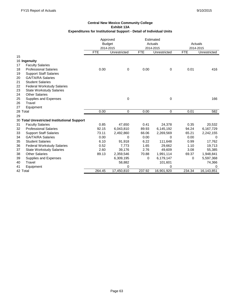|          |                                             | Approved      |              |            | Estimated    |            |              |
|----------|---------------------------------------------|---------------|--------------|------------|--------------|------------|--------------|
|          |                                             | <b>Budget</b> |              |            | Actuals      |            | Actuals      |
|          |                                             | 2014-2015     |              |            | 2014-2015    |            | 2014-2015    |
|          |                                             | <b>FTE</b>    | Unrestricted | <b>FTE</b> | Unrestricted | <b>FTE</b> | Unrestricted |
| 15       |                                             |               |              |            |              |            |              |
|          | 16 Ingenuity                                |               |              |            |              |            |              |
| 17       | <b>Faculty Salaries</b>                     |               |              |            |              |            |              |
| 18       | <b>Professional Salaries</b>                | 0.00          | 0            | 0.00       | 0            | 0.01       | 416          |
| 19       | <b>Support Staff Salaries</b>               |               |              |            |              |            |              |
| 20       | <b>GA/TA/RA Salaries</b>                    |               |              |            |              |            |              |
| 21       | <b>Student Salaries</b>                     |               |              |            |              |            |              |
| 22       | <b>Federal Workstudy Salaries</b>           |               |              |            |              |            |              |
| 23       | <b>State Workstudy Salaries</b>             |               |              |            |              |            |              |
| 24       | <b>Other Salaries</b>                       |               |              |            |              |            |              |
| 25       | Supplies and Expenses                       |               | 0            |            | 0            |            | 166          |
| 26       | Travel                                      |               |              |            |              |            |              |
| 27       | Equipment                                   |               |              |            |              |            |              |
| 28 Total |                                             | 0.00          | $\mathbf 0$  | 0.00       | 0            | 0.01       | 582          |
| 29       |                                             |               |              |            |              |            |              |
|          | 30 Total Unrestricted Institutional Support |               |              |            |              |            |              |
| 31       | <b>Faculty Salaries</b>                     | 0.85          | 47,650       | 0.41       | 24,378       | 0.35       | 20,532       |
| 32       | <b>Professional Salaries</b>                | 92.15         | 6,043,810    | 89.93      | 6,145,192    | 94.24      | 6,167,729    |
| 33       | <b>Support Staff Salaries</b>               | 73.11         | 2,492,860    | 66.06      | 2,269,569    | 65.21      | 2,242,155    |
| 34       | <b>GA/TA/RA Salaries</b>                    | 0.00          | 0            | 0.00       | 0            | 0.00       | 0            |
| 35       | <b>Student Salaries</b>                     | 6.10          | 91,918       | 6.22       | 111,648      | 0.99       | 17,762       |
| 36       | <b>Federal Workstudy Salaries</b>           | 0.52          | 7,773        | 1.65       | 29,662       | 1.10       | 19,713       |
| 37       | <b>State Workstudy Salaries</b>             | 2.60          | 39,176       | 2.76       | 49,609       | 3.08       | 55,385       |
| 38       | <b>Other Salaries</b>                       | 89.13         | 2,359,546    | 70.88      | 1,991,114    | 69.37      | 1,948,841    |
| 39       | Supplies and Expenses                       |               | 6,309,195    | 0          | 6,179,147    | $\Omega$   | 5,597,368    |
| 40       | Travel                                      |               | 58,882       |            | 101,601      |            | 74,366       |
| 41       | Equipment                                   |               | $\Omega$     |            | 0            |            | 0            |
| 42 Total |                                             | 264.45        | 17,450,810   | 237.92     | 16,901,920   | 234.34     | 16,143,851   |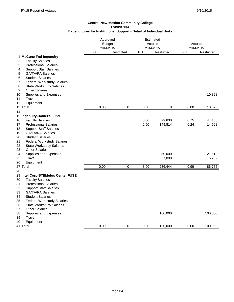|                                                                    | Approved<br><b>Budget</b><br>2014-2015 |            | Estimated<br>Actuals<br>2014-2015 |                 | Actuals<br>2014-2015 |                 |
|--------------------------------------------------------------------|----------------------------------------|------------|-----------------------------------|-----------------|----------------------|-----------------|
|                                                                    | <b>FTE</b>                             | Restricted | <b>FTE</b>                        | Restricted      | <b>FTE</b>           | Restricted      |
| 1 McCune Fnd-Ingenuity                                             |                                        |            |                                   |                 |                      |                 |
| <b>Faculty Salaries</b><br>2                                       |                                        |            |                                   |                 |                      |                 |
| <b>Professional Salaries</b><br>3                                  |                                        |            |                                   |                 |                      |                 |
| 4<br><b>Support Staff Salaries</b>                                 |                                        |            |                                   |                 |                      |                 |
| <b>GA/TA/RA Salaries</b><br>5                                      |                                        |            |                                   |                 |                      |                 |
| 6<br><b>Student Salaries</b>                                       |                                        |            |                                   |                 |                      |                 |
| <b>Federal Workstudy Salaries</b><br>7                             |                                        |            |                                   |                 |                      |                 |
| 8<br><b>State Workstudy Salaries</b><br>9<br><b>Other Salaries</b> |                                        |            |                                   |                 |                      |                 |
| 10<br>Supplies and Expenses                                        |                                        |            |                                   |                 |                      | 10,828          |
| Travel<br>11                                                       |                                        |            |                                   |                 |                      |                 |
| 12<br>Equipment                                                    |                                        |            |                                   |                 |                      |                 |
| 13 Total                                                           | 0.00                                   | 0          | 0.00                              | 0               | 0.00                 | 10,828          |
| 14                                                                 |                                        |            |                                   |                 |                      |                 |
| 15 Ingenuity-Daniel's Fund                                         |                                        |            |                                   |                 |                      |                 |
| <b>Faculty Salaries</b><br>16                                      |                                        |            | 0.50                              | 29,630          | 0.75                 | 44,158          |
| 17<br><b>Professional Salaries</b>                                 |                                        |            | 2.50                              | 149,814         | 0.24                 | 14,698          |
| 18<br><b>Support Staff Salaries</b>                                |                                        |            |                                   |                 |                      |                 |
| 19<br><b>GA/TA/RA Salaries</b>                                     |                                        |            |                                   |                 |                      |                 |
| 20<br><b>Student Salaries</b>                                      |                                        |            |                                   |                 |                      |                 |
| 21<br><b>Federal Workstudy Salaries</b>                            |                                        |            |                                   |                 |                      |                 |
| 22<br><b>State Workstudy Salaries</b>                              |                                        |            |                                   |                 |                      |                 |
| 23<br><b>Other Salaries</b>                                        |                                        |            |                                   |                 |                      |                 |
| 24<br>Supplies and Expenses<br>25<br>Travel                        |                                        |            |                                   | 50,000<br>7,000 |                      | 21,612<br>6,287 |
| 26<br>Equipment                                                    |                                        |            |                                   |                 |                      |                 |
| 27 Total                                                           | 0.00                                   | 0          | 3.00                              | 236,444         | 0.99                 | 86,755          |
| 28                                                                 |                                        |            |                                   |                 |                      |                 |
| 29 Intel Corp-STEMulus Center FUSE                                 |                                        |            |                                   |                 |                      |                 |
| 30<br><b>Faculty Salaries</b>                                      |                                        |            |                                   |                 |                      |                 |
| 31<br><b>Professional Salaries</b>                                 |                                        |            |                                   |                 |                      |                 |
| 32<br><b>Support Staff Salaries</b>                                |                                        |            |                                   |                 |                      |                 |
| 33<br><b>GA/TA/RA Salaries</b>                                     |                                        |            |                                   |                 |                      |                 |
| <b>Student Salaries</b><br>34                                      |                                        |            |                                   |                 |                      |                 |
| 35<br><b>Federal Workstudy Salaries</b>                            |                                        |            |                                   |                 |                      |                 |
| 36<br><b>State Workstudy Salaries</b>                              |                                        |            |                                   |                 |                      |                 |
| <b>Other Salaries</b><br>37                                        |                                        |            |                                   |                 |                      |                 |
| 38<br>Supplies and Expenses                                        |                                        |            |                                   | 100,000         |                      | 100,000         |
| 39<br>Travel                                                       |                                        |            |                                   |                 |                      |                 |
| 40<br>Equipment                                                    |                                        |            |                                   |                 |                      |                 |
| 41 Total                                                           | 0.00                                   | 0          | 0.00                              | 100,000         | 0.00                 | 100,000         |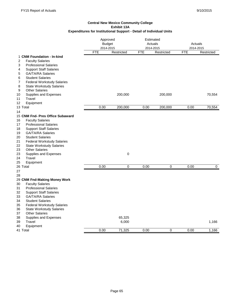|                                                                                                          | Approved<br><b>Budget</b><br>2014-2015 |            | Estimated<br>Actuals<br>2014-2015 |            | Actuals<br>2014-2015 |            |
|----------------------------------------------------------------------------------------------------------|----------------------------------------|------------|-----------------------------------|------------|----------------------|------------|
|                                                                                                          | <b>FTE</b>                             | Restricted | <b>FTE</b>                        | Restricted | <b>FTE</b>           | Restricted |
| 1 CNM Foundation - In-kind<br><b>Faculty Salaries</b><br>2                                               |                                        |            |                                   |            |                      |            |
| <b>Professional Salaries</b><br>3<br><b>Support Staff Salaries</b><br>4<br>5<br><b>GA/TA/RA Salaries</b> |                                        |            |                                   |            |                      |            |
| 6<br><b>Student Salaries</b><br>7<br><b>Federal Workstudy Salaries</b>                                   |                                        |            |                                   |            |                      |            |
| 8<br><b>State Workstudy Salaries</b>                                                                     |                                        |            |                                   |            |                      |            |
| 9<br><b>Other Salaries</b><br>10                                                                         |                                        | 200,000    |                                   | 200,000    |                      | 70,554     |
| Supplies and Expenses<br>11<br>Travel                                                                    |                                        |            |                                   |            |                      |            |
| 12<br>Equipment                                                                                          |                                        |            |                                   |            |                      |            |
| 13 Total                                                                                                 | 0.00                                   | 200,000    | 0.00                              | 200,000    | 0.00                 | 70,554     |
| 14                                                                                                       |                                        |            |                                   |            |                      |            |
| 15 CNM Fnd- Pres Office Subaward                                                                         |                                        |            |                                   |            |                      |            |
| <b>Faculty Salaries</b><br>16                                                                            |                                        |            |                                   |            |                      |            |
| 17<br><b>Professional Salaries</b>                                                                       |                                        |            |                                   |            |                      |            |
| 18<br><b>Support Staff Salaries</b>                                                                      |                                        |            |                                   |            |                      |            |
| 19<br><b>GA/TA/RA Salaries</b>                                                                           |                                        |            |                                   |            |                      |            |
| 20<br><b>Student Salaries</b>                                                                            |                                        |            |                                   |            |                      |            |
| 21<br><b>Federal Workstudy Salaries</b>                                                                  |                                        |            |                                   |            |                      |            |
| 22<br><b>State Workstudy Salaries</b>                                                                    |                                        |            |                                   |            |                      |            |
| <b>Other Salaries</b><br>23                                                                              |                                        |            |                                   |            |                      |            |
| 23<br>Supplies and Expenses                                                                              |                                        | $\pmb{0}$  |                                   |            |                      |            |
| Travel<br>24                                                                                             |                                        |            |                                   |            |                      |            |
| 25<br>Equipment                                                                                          |                                        |            |                                   |            |                      |            |
| 26 Total                                                                                                 | 0.00                                   | 0          | 0.00                              | 0          | 0.00                 | 0          |
| 27<br>28                                                                                                 |                                        |            |                                   |            |                      |            |
| 29 CNM Fnd-Making Money Work                                                                             |                                        |            |                                   |            |                      |            |
| 30<br><b>Faculty Salaries</b>                                                                            |                                        |            |                                   |            |                      |            |
| <b>Professional Salaries</b><br>31                                                                       |                                        |            |                                   |            |                      |            |
| 32<br><b>Support Staff Salaries</b>                                                                      |                                        |            |                                   |            |                      |            |
| <b>GA/TA/RA Salaries</b><br>33                                                                           |                                        |            |                                   |            |                      |            |
| <b>Student Salaries</b><br>34                                                                            |                                        |            |                                   |            |                      |            |
| 35<br><b>Federal Workstudy Salaries</b>                                                                  |                                        |            |                                   |            |                      |            |
| 36<br><b>State Workstudy Salaries</b>                                                                    |                                        |            |                                   |            |                      |            |
| 37<br><b>Other Salaries</b>                                                                              |                                        |            |                                   |            |                      |            |
| 38<br>Supplies and Expenses                                                                              |                                        | 65,325     |                                   |            |                      |            |
| 39<br><b>Travel</b>                                                                                      |                                        | 6,000      |                                   |            |                      | 1,166      |
| 40<br>Equipment                                                                                          |                                        |            |                                   |            |                      |            |
| 41 Total                                                                                                 | 0.00                                   | 71,325     | 0.00                              | 0          | 0.00                 | 1,166      |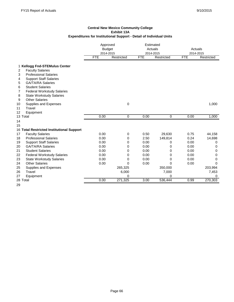|                     |                                           | Approved<br><b>Budget</b><br>2014-2015 |            |            | Estimated<br>Actuals<br>2014-2015 |            | Actuals<br>2014-2015 |
|---------------------|-------------------------------------------|----------------------------------------|------------|------------|-----------------------------------|------------|----------------------|
|                     |                                           | <b>FTE</b>                             | Restricted | <b>FTE</b> | Restricted                        | <b>FTE</b> | Restricted           |
|                     | 1 Kellogg Fnd-STEMulus Center             |                                        |            |            |                                   |            |                      |
| 2                   | <b>Faculty Salaries</b>                   |                                        |            |            |                                   |            |                      |
| 3                   | <b>Professional Salaries</b>              |                                        |            |            |                                   |            |                      |
| 4                   | <b>Support Staff Salaries</b>             |                                        |            |            |                                   |            |                      |
| 5                   | <b>GA/TA/RA Salaries</b>                  |                                        |            |            |                                   |            |                      |
| 6                   | <b>Student Salaries</b>                   |                                        |            |            |                                   |            |                      |
| 7                   | <b>Federal Workstudy Salaries</b>         |                                        |            |            |                                   |            |                      |
| 8                   | <b>State Workstudy Salaries</b>           |                                        |            |            |                                   |            |                      |
| 9                   | <b>Other Salaries</b>                     |                                        |            |            |                                   |            |                      |
| 10                  | Supplies and Expenses                     |                                        | 0          |            |                                   |            | 1,000                |
| Travel<br>11        |                                           |                                        |            |            |                                   |            |                      |
| 12                  | Equipment                                 |                                        |            |            |                                   |            |                      |
| 13 Total            |                                           | 0.00                                   | 0          | 0.00       | 0                                 | 0.00       | 1,000                |
| 14                  |                                           |                                        |            |            |                                   |            |                      |
| 15                  |                                           |                                        |            |            |                                   |            |                      |
|                     | 16 Total Restricted Institutional Support |                                        |            |            |                                   |            |                      |
| 17                  | <b>Faculty Salaries</b>                   | 0.00                                   | 0          | 0.50       | 29,630                            | 0.75       | 44,158               |
| 18                  | <b>Professional Salaries</b>              | 0.00                                   | 0          | 2.50       | 149,814                           | 0.24       | 14,698               |
| 19                  | <b>Support Staff Salaries</b>             | 0.00                                   | 0          | 0.00       | 0                                 | 0.00       | 0                    |
| 20                  | <b>GA/TA/RA Salaries</b>                  | 0.00                                   | 0          | 0.00       | 0                                 | 0.00       | 0                    |
| 21                  | <b>Student Salaries</b>                   | 0.00                                   | 0          | 0.00       | 0                                 | 0.00       | 0                    |
| 22                  | <b>Federal Workstudy Salaries</b>         | 0.00                                   | 0          | 0.00       | 0                                 | 0.00       | 0                    |
| 23                  | <b>State Workstudy Salaries</b>           | 0.00                                   | 0          | 0.00       | 0                                 | 0.00       | 0                    |
| 24                  | <b>Other Salaries</b>                     | 0.00                                   | 0          | 0.00       | 0                                 | 0.00       | 0                    |
| 25                  | Supplies and Expenses                     |                                        | 265,325    |            | 350,000                           |            | 203,994              |
| <b>Travel</b><br>26 |                                           |                                        | 6,000      |            | 7,000                             |            | 7,453                |
| 27                  | Equipment                                 |                                        | 0          |            | $\Omega$                          |            | $\Omega$             |
| 28 Total            |                                           | 0.00                                   | 271,325    | 3.00       | 536,444                           | 0.99       | 270,303              |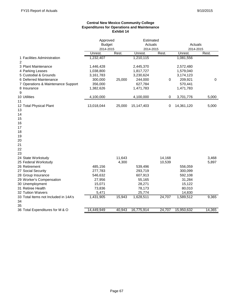# **Central New Mexico Community College Expenditures for Operations and Maintenance Exhibit 14**

|                                               | Approved<br><b>Budget</b> |        | Estimated<br>Actuals |        | Actuals    |        |  |
|-----------------------------------------------|---------------------------|--------|----------------------|--------|------------|--------|--|
|                                               | 2014-2015                 |        | 2014-2015            |        | 2014-2015  |        |  |
|                                               | Unrest.                   | Rest.  | Unrest.              | Rest.  | Unrest.    | Rest.  |  |
| 1 Facilities Administration<br>$\overline{2}$ | 1,232,407                 |        | 1,210,115            |        | 1,081,556  |        |  |
| 3 Plant Maintenance                           | 1,446,428                 |        | 2,445,370            |        | 2,572,480  |        |  |
| 4 Parking Leases                              | 1,038,800                 |        | 1,817,727            |        | 1,579,040  |        |  |
| 5 Custodial & Grounds                         | 3,161,783                 |        | 3,230,624            |        | 3,174,123  |        |  |
| 6 Deferred Maintenance                        | 300,000                   | 25,000 | 244,000              | 0      | 209,921    | 0      |  |
| 7 Operations & Maintenance Support            | 356,000                   |        | 627,784              |        | 570,441    |        |  |
| 8 Insurance<br>9                              | 1,382,626                 |        | 1,471,783            |        | 1,471,783  |        |  |
| 10 Utilities<br>11                            | 4,100,000                 |        | 4,100,000            | 0      | 3,701,776  | 5,000  |  |
| 12 Total Physical Plant<br>13                 | 13,018,044                | 25,000 | 15,147,403           | 0      | 14,361,120 | 5,000  |  |
| 14                                            |                           |        |                      |        |            |        |  |
| 15                                            |                           |        |                      |        |            |        |  |
| 16                                            |                           |        |                      |        |            |        |  |
| 17                                            |                           |        |                      |        |            |        |  |
| 18                                            |                           |        |                      |        |            |        |  |
| 19                                            |                           |        |                      |        |            |        |  |
| 20                                            |                           |        |                      |        |            |        |  |
| 21                                            |                           |        |                      |        |            |        |  |
| 22                                            |                           |        |                      |        |            |        |  |
| 23                                            |                           |        |                      |        |            |        |  |
| 24 State Workstudy                            |                           | 11,643 |                      | 14,168 |            | 3,468  |  |
| 25 Federal Workstudy                          |                           | 4,300  |                      | 10,539 |            | 5,897  |  |
| 26 Retirement                                 | 485,156                   |        | 539,496              |        | 556,059    |        |  |
| 27 Social Security                            | 277,783                   |        | 293,719              |        | 300,099    |        |  |
| 28 Group Insurance                            | 546,632                   |        | 607,913              |        | 592,108    |        |  |
| 29 Worker's Compensation                      | 27,956                    |        | 55,165               |        | 31,284     |        |  |
| 30 Unemployment                               | 15,071                    |        | 28,271               |        | 15,122     |        |  |
| 31 Retiree Health                             | 73,836                    |        | 78,173               |        | 80,010     |        |  |
| 32 Tuition Waivers                            | 5,471                     |        | 25,774               |        | 14,830     |        |  |
| 33 Total Items not Included in 14A's<br>34    | 1,431,905                 | 15,943 | 1,628,511            | 24,707 | 1,589,512  | 9,365  |  |
| 35                                            | 14,449,949                |        | 16,775,914           |        |            | 14,365 |  |
| 36 Total Expenditures for M & O               |                           | 40,943 |                      | 24,707 | 15,950,632 |        |  |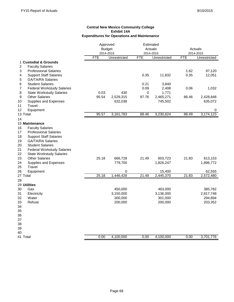### **Central New Mexico Community College Exhibit 14A Expenditures for Operations and Maintenance**

|                                                     |            | Approved      |             | Estimated    |            |              |
|-----------------------------------------------------|------------|---------------|-------------|--------------|------------|--------------|
|                                                     |            | <b>Budget</b> |             | Actuals      |            | Actuals      |
|                                                     | 2014-2015  |               |             | 2014-2015    |            | 2014-2015    |
|                                                     | <b>FTE</b> | Unrestricted  | <b>FTE</b>  | Unrestricted | <b>FTE</b> | Unrestricted |
| 1 Custodial & Grounds                               |            |               |             |              |            |              |
| 2<br><b>Faculty Salaries</b>                        |            |               |             |              |            |              |
| 3<br><b>Professional Salaries</b>                   |            |               |             |              | 1.62       | 97,120       |
| 4<br><b>Support Staff Salaries</b>                  |            |               | 0.35        | 11,832       | 0.35       | 12,051       |
| 5<br><b>GA/TA/RA Salaries</b>                       |            |               |             |              |            |              |
| 6<br><b>Student Salaries</b>                        |            |               | 0.21        | 3,840        |            |              |
| $\overline{7}$<br><b>Federal Workstudy Salaries</b> |            |               | 0.09        | 2,408        | 0.06       | 1,032        |
| 8<br><b>State Workstudy Salaries</b>                | 0.03       | 430           | $\mathbf 0$ | 1,771        |            |              |
| 9<br><b>Other Salaries</b>                          | 95.54      | 2,529,315     | 87.76       | 2,465,271    | 86.46      | 2,428,848    |
| Supplies and Expenses<br>10                         |            | 632,038       |             | 745,502      |            | 635,072      |
| Travel<br>11                                        |            |               |             |              |            |              |
| 12<br>Equipment                                     |            |               |             |              |            | 0            |
| 13 Total                                            | 95.57      | 3,161,783     | 88.46       | 3,230,624    | 88.49      | 3,174,123    |
| 14                                                  |            |               |             |              |            |              |
| 15 Maintenance                                      |            |               |             |              |            |              |
| 16<br><b>Faculty Salaries</b>                       |            |               |             |              |            |              |
| 17<br><b>Professional Salaries</b>                  |            |               |             |              |            |              |
| 18<br><b>Support Staff Salaries</b>                 |            |               |             |              |            |              |
| 19<br><b>GA/TA/RA Salaries</b>                      |            |               |             |              |            |              |
| 20<br><b>Student Salaries</b>                       |            |               |             |              |            |              |
| 21<br><b>Federal Workstudy Salaries</b>             |            |               |             |              |            |              |
| 22<br><b>State Workstudy Salaries</b>               |            |               |             |              |            |              |
| 23<br><b>Other Salaries</b>                         | 25.18      | 666,728       | 21.49       | 603,723      | 21.83      | 613,153      |
| 24<br>Supplies and Expenses                         |            | 779,700       |             | 1,826,247    |            | 1,896,772    |
| 25<br>Travel                                        |            |               |             |              |            |              |
| Equipment<br>26                                     |            | 0             |             | 15,400       |            | 62,555       |
| 27 Total                                            | 25.18      | 1,446,428     | 21.49       | 2,445,370    | 21.83      | 2,572,480    |
| 28                                                  |            |               |             |              |            |              |
| 29 Utilities                                        |            |               |             |              |            |              |
| 30<br>Gas                                           |            | 450,000       |             | 463,000      |            | 385,782      |
| Electricity<br>31                                   |            | 3,150,000     |             | 3,136,000    |            | 2,817,748    |
| 32<br>Water                                         |            | 300,000       |             | 301,000      |            | 294,894      |
| 33<br>Refuse                                        |            | 200,000       |             | 200,000      |            | 203,352      |
| 34                                                  |            |               |             |              |            |              |
| 35                                                  |            |               |             |              |            |              |
| 36                                                  |            |               |             |              |            |              |
| 37                                                  |            |               |             |              |            |              |
| 38                                                  |            |               |             |              |            |              |
| 39                                                  |            |               |             |              |            |              |
| 40                                                  |            |               |             |              |            |              |
| 41 Total                                            | 0.00       | 4,100,000     | 0.00        | 4,100,000    | 0.00       | 3,701,776    |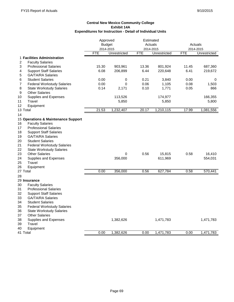|                                         | Approved   |               |            | Estimated    |            |              |
|-----------------------------------------|------------|---------------|------------|--------------|------------|--------------|
|                                         |            | <b>Budget</b> |            | Actuals      |            | Actuals      |
|                                         | 2014-2015  |               |            | 2014-2015    |            | 2014-2015    |
|                                         | <b>FTE</b> | Unrestricted  | <b>FTE</b> | Unrestricted | <b>FTE</b> | Unrestricted |
| 1 Facilities Administration             |            |               |            |              |            |              |
| 2<br><b>Faculty Salaries</b>            |            |               |            |              |            |              |
| 3<br><b>Professional Salaries</b>       | 15.30      | 903,961       | 13.36      | 801,924      | 11.45      | 687,360      |
| <b>Support Staff Salaries</b><br>4      | 6.08       | 206,899       | 6.44       | 220,648      | 6.41       | 219,672      |
| 5<br><b>GA/TA/RA Salaries</b>           |            |               |            |              |            |              |
| <b>Student Salaries</b><br>6            | 0.00       | 0             | 0.21       | 3,840        | 0.00       | 0            |
| 7<br><b>Federal Workstudy Salaries</b>  | 0.00       | $\mathbf 0$   | 0.06       | 1,105        | 0.08       | 1,503        |
| 8<br><b>State Workstudy Salaries</b>    | 0.14       | 2,171         | 0.10       | 1,771        | 0.05       | 866          |
| 9<br><b>Other Salaries</b>              |            |               |            |              |            |              |
| 10<br>Supplies and Expenses             |            | 113,526       |            | 174,977      |            | 166,355      |
| 11<br>Travel                            |            | 5,850         |            | 5,850        |            | 5,800        |
| 12<br>Equipment                         |            |               |            |              |            |              |
| 13 Total                                | 21.53      | 1,232,407     | 20.17      | 1,210,115    | 17.99      | 1,081,556    |
| 14                                      |            |               |            |              |            |              |
|                                         |            |               |            |              |            |              |
| 15 Operations & Maintenance Support     |            |               |            |              |            |              |
| <b>Faculty Salaries</b><br>16           |            |               |            |              |            |              |
| <b>Professional Salaries</b><br>17      |            |               |            |              |            |              |
| 18<br><b>Support Staff Salaries</b>     |            |               |            |              |            |              |
| 19<br><b>GA/TA/RA Salaries</b>          |            |               |            |              |            |              |
| 20<br><b>Student Salaries</b>           |            |               |            |              |            |              |
| 21<br><b>Federal Workstudy Salaries</b> |            |               |            |              |            |              |
| 22<br><b>State Workstudy Salaries</b>   |            |               |            |              |            |              |
| 23<br><b>Other Salaries</b>             |            | $\mathbf 0$   | 0.56       | 15,815       | 0.58       | 16,410       |
| 24<br>Supplies and Expenses             |            | 356,000       |            | 611,969      |            | 554,031      |
| 25<br>Travel                            |            |               |            |              |            |              |
| 26<br>Equipment                         |            |               |            |              |            |              |
| 27 Total                                | 0.00       | 356,000       | 0.56       | 627,784      | 0.58       | 570,441      |
| 28                                      |            |               |            |              |            |              |
| 29 Insurance                            |            |               |            |              |            |              |
| 30<br><b>Faculty Salaries</b>           |            |               |            |              |            |              |
| 31<br><b>Professional Salaries</b>      |            |               |            |              |            |              |
| 32<br><b>Support Staff Salaries</b>     |            |               |            |              |            |              |
| 33<br><b>GA/TA/RA Salaries</b>          |            |               |            |              |            |              |
| <b>Student Salaries</b><br>34           |            |               |            |              |            |              |
| 35                                      |            |               |            |              |            |              |
| <b>Federal Workstudy Salaries</b>       |            |               |            |              |            |              |
| 36<br><b>State Workstudy Salaries</b>   |            |               |            |              |            |              |
| 37<br><b>Other Salaries</b>             |            |               |            |              |            |              |
| Supplies and Expenses<br>38             |            | 1,382,626     |            | 1,471,783    |            | 1,471,783    |
| Travel<br>39                            |            |               |            |              |            |              |
| Equipment<br>40                         |            |               |            |              |            |              |
| 41 Total                                | 0.00       | 1,382,626     | 0.00       | 1,471,783    | 0.00       | 1,471,783    |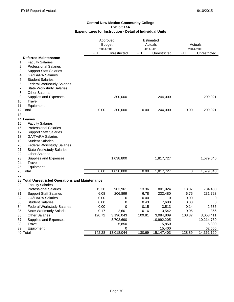|                                                  |            | Approved<br><b>Budget</b><br>2014-2015 |        | Estimated<br>Actuals<br>2014-2015 |             | Actuals                   |
|--------------------------------------------------|------------|----------------------------------------|--------|-----------------------------------|-------------|---------------------------|
|                                                  | <b>FTE</b> | Unrestricted                           | FTE    | Unrestricted                      | <b>FTE</b>  | 2014-2015<br>Unrestricted |
| <b>Deferred Maintenance</b>                      |            |                                        |        |                                   |             |                           |
| <b>Faculty Salaries</b><br>1                     |            |                                        |        |                                   |             |                           |
| 2<br><b>Professional Salaries</b>                |            |                                        |        |                                   |             |                           |
| 3<br><b>Support Staff Salaries</b>               |            |                                        |        |                                   |             |                           |
| <b>GA/TA/RA Salaries</b><br>4                    |            |                                        |        |                                   |             |                           |
| 5<br><b>Student Salaries</b>                     |            |                                        |        |                                   |             |                           |
| 6<br><b>Federal Workstudy Salaries</b>           |            |                                        |        |                                   |             |                           |
| 7<br><b>State Workstudy Salaries</b>             |            |                                        |        |                                   |             |                           |
| <b>Other Salaries</b><br>8                       |            |                                        |        |                                   |             |                           |
| 9<br>Supplies and Expenses                       |            | 300,000                                |        | 244,000                           |             | 209,921                   |
| Travel<br>10                                     |            |                                        |        |                                   |             |                           |
| Equipment<br>11                                  |            |                                        |        |                                   |             |                           |
| 12 Total                                         | 0.00       | 300,000                                | 0.00   | 244,000                           | 0.00        | 209,921                   |
| 13                                               |            |                                        |        |                                   |             |                           |
| 14 Leases                                        |            |                                        |        |                                   |             |                           |
| 15<br><b>Faculty Salaries</b>                    |            |                                        |        |                                   |             |                           |
| 16<br><b>Professional Salaries</b>               |            |                                        |        |                                   |             |                           |
| 17<br><b>Support Staff Salaries</b>              |            |                                        |        |                                   |             |                           |
| 18<br><b>GA/TA/RA Salaries</b>                   |            |                                        |        |                                   |             |                           |
| 19<br><b>Student Salaries</b>                    |            |                                        |        |                                   |             |                           |
| 20<br><b>Federal Workstudy Salaries</b>          |            |                                        |        |                                   |             |                           |
| 21<br><b>State Workstudy Salaries</b>            |            |                                        |        |                                   |             |                           |
| 22<br><b>Other Salaries</b>                      |            |                                        |        |                                   |             |                           |
| 23<br>Supplies and Expenses                      |            | 1,038,800                              |        | 1,817,727                         |             | 1,579,040                 |
| 24<br>Travel                                     |            |                                        |        |                                   |             |                           |
| 25<br>Equipment                                  |            |                                        |        |                                   |             |                           |
| 26 Total                                         | 0.00       | 1,038,800                              | 0.00   | 1,817,727                         | $\mathbf 0$ | 1,579,040                 |
| 27                                               |            |                                        |        |                                   |             |                           |
| 28 Total Unrestricted Operations and Maintenance |            |                                        |        |                                   |             |                           |
| <b>Faculty Salaries</b><br>29                    |            |                                        |        |                                   |             |                           |
| <b>Professional Salaries</b><br>30               | 15.30      | 903,961                                | 13.36  | 801,924                           | 13.07       | 784,480                   |
| 31<br><b>Support Staff Salaries</b>              | 6.08       | 206,899                                | 6.78   | 232,480                           | 6.76        | 231,723                   |
| 32<br><b>GA/TA/RA Salaries</b>                   | 0.00       | 0                                      | 0.00   | $\Omega$                          | 0.00        | 0                         |
| 33<br><b>Student Salaries</b>                    | 0.00       | 0                                      | 0.43   | 7,680                             | 0.00        | 0                         |
| 34<br><b>Federal Workstudy Salaries</b>          | 0.00       | 0                                      | 0.15   | 3,513                             | 0.14        | 2,535                     |
| <b>State Workstudy Salaries</b><br>35            | 0.17       | 2,601                                  | 0.16   | 3,542                             | 0.05        | 866                       |
| <b>Other Salaries</b><br>36                      | 120.72     | 3,196,043                              | 109.81 | 3,084,809                         | 108.87      | 3,058,411                 |
| Supplies and Expenses<br>37                      |            | 8,702,690                              |        | 10,992,205                        |             | 10,214,750                |
| Travel<br>38<br>39                               |            | 5,850<br>0                             |        | 5,850                             |             | 5,800                     |
| Equipment<br>40 Total                            | 142.28     | 13,018,044                             | 130.69 | 15,400                            | 128.89      | 62,555<br>14,361,120      |
|                                                  |            |                                        |        | 15,147,403                        |             |                           |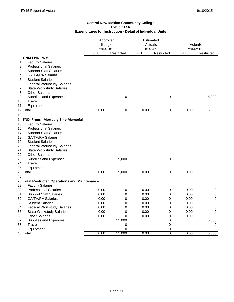|                                                | Approved                |             |                         | Estimated    |            |                         |
|------------------------------------------------|-------------------------|-------------|-------------------------|--------------|------------|-------------------------|
|                                                | <b>Budget</b>           |             | Actuals                 |              |            | Actuals                 |
|                                                | 2014-2015<br><b>FTE</b> | Restricted  | 2014-2015<br><b>FTE</b> | Restricted   | <b>FTE</b> | 2014-2015<br>Restricted |
| <b>CNM FND-PNM</b>                             |                         |             |                         |              |            |                         |
| <b>Faculty Salaries</b><br>1                   |                         |             |                         |              |            |                         |
| 2<br><b>Professional Salaries</b>              |                         |             |                         |              |            |                         |
| 3<br><b>Support Staff Salaries</b>             |                         |             |                         |              |            |                         |
| 4<br><b>GA/TA/RA Salaries</b>                  |                         |             |                         |              |            |                         |
| 5<br><b>Student Salaries</b>                   |                         |             |                         |              |            |                         |
| 6<br><b>Federal Workstudy Salaries</b>         |                         |             |                         |              |            |                         |
| 7<br><b>State Workstudy Salaries</b>           |                         |             |                         |              |            |                         |
| 8<br><b>Other Salaries</b>                     |                         |             |                         |              |            |                         |
| 9<br>Supplies and Expenses                     |                         | $\mathbf 0$ |                         | $\mathbf 0$  |            | 5,000                   |
| Travel<br>10                                   |                         |             |                         |              |            |                         |
| 11<br>Equipment                                |                         |             |                         |              |            |                         |
| 12 Total                                       | 0.00                    | $\mathbf 0$ | 0.00                    | 0            | 0.00       | 5,000                   |
| 13                                             |                         |             |                         |              |            |                         |
|                                                |                         |             |                         |              |            |                         |
| 14 FND- French Mortuary Emp Memorial           |                         |             |                         |              |            |                         |
| <b>Faculty Salaries</b><br>15                  |                         |             |                         |              |            |                         |
| <b>Professional Salaries</b><br>16             |                         |             |                         |              |            |                         |
| <b>Support Staff Salaries</b><br>17            |                         |             |                         |              |            |                         |
| 18<br><b>GA/TA/RA Salaries</b>                 |                         |             |                         |              |            |                         |
| 19<br><b>Student Salaries</b>                  |                         |             |                         |              |            |                         |
| 20<br><b>Federal Workstudy Salaries</b>        |                         |             |                         |              |            |                         |
| 21<br><b>State Workstudy Salaries</b>          |                         |             |                         |              |            |                         |
| 22<br><b>Other Salaries</b>                    |                         |             |                         |              |            |                         |
| 23<br>Supplies and Expenses                    |                         | 25,000      |                         | $\mathbf 0$  |            | 0                       |
| Travel<br>24                                   |                         |             |                         |              |            |                         |
| 25<br>Equipment                                |                         |             |                         |              |            |                         |
| 26 Total                                       | 0.00                    | 25,000      | 0.00                    | $\mathbf 0$  | 0.00       | 0                       |
| 27                                             |                         |             |                         |              |            |                         |
| 28 Total Restricted Operations and Maintenance |                         |             |                         |              |            |                         |
| <b>Faculty Salaries</b><br>29                  |                         |             |                         |              |            |                         |
| 30<br><b>Professional Salaries</b>             | 0.00                    | 0           | 0.00                    | 0            | 0.00       | 0                       |
| <b>Support Staff Salaries</b><br>31            | 0.00                    | 0           | 0.00                    | $\mathbf 0$  | 0.00       | $\mathsf 0$             |
| <b>GA/TA/RA Salaries</b><br>32                 | 0.00                    | 0           | 0.00                    | 0            | 0.00       | $\mathbf 0$             |
| 33<br><b>Student Salaries</b>                  | 0.00                    | 0           | 0.00                    | 0            | 0.00       | $\mathsf 0$             |
| <b>Federal Workstudy Salaries</b><br>34        | 0.00                    | 0           | 0.00                    | 0            | 0.00       | 0                       |
| <b>State Workstudy Salaries</b><br>35          | 0.00                    | 0           | 0.00                    | 0            | 0.00       | 0                       |
| <b>Other Salaries</b><br>36                    | 0.00                    | 0           | 0.00                    | 0            | 0.00       | 0                       |
| 37<br>Supplies and Expenses                    |                         | 25,000      |                         | 0            |            | 5,000                   |
| Travel<br>38                                   |                         | 0           |                         | 0            |            | 0                       |
| 39<br>Equipment                                |                         | 0           |                         | 0            |            | 0                       |
| 40 Total                                       | 0.00                    | 25,000      | 0.00                    | $\mathbf{0}$ | 0.00       | 5,000                   |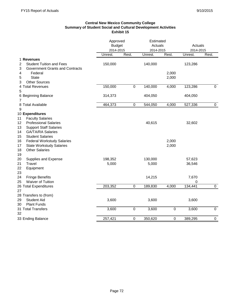# **Central New Mexico Community College Summary of Student Social and Cultural Development Activities Exhibit 15**

|                                                | Approved      |             | Estimated |                  |           |                |
|------------------------------------------------|---------------|-------------|-----------|------------------|-----------|----------------|
|                                                | <b>Budget</b> |             | Actuals   |                  | Actuals   |                |
|                                                | 2014-2015     |             | 2014-2015 |                  | 2014-2015 |                |
|                                                | Unrest.       | Rest.       | Unrest.   | Rest.            | Unrest.   | Rest.          |
| 1 Revenues                                     |               |             |           |                  |           |                |
| <b>Student Tuition and Fees</b><br>2           | 150,000       |             | 140,000   |                  | 123,286   |                |
| 3<br>Government Grants and Contracts           |               |             |           |                  |           |                |
| 4<br>Federal                                   |               |             |           | 2,000            |           |                |
| <b>State</b><br>5<br><b>Other Sources</b><br>3 |               |             |           | 2,000            |           |                |
| 4 Total Revenues                               | 150,000       | $\pmb{0}$   | 140,000   | 4,000            | 123,286   | 0              |
| 5                                              |               |             |           |                  |           |                |
| 6 Beginning Balance                            | 314,373       |             | 404,050   |                  | 404,050   |                |
| $\overline{7}$                                 |               |             |           |                  |           |                |
| 8 Total Available                              | 464,373       | $\pmb{0}$   | 544,050   | 4,000            | 527,336   | $\mathbf 0$    |
| 9                                              |               |             |           |                  |           |                |
| 10 Expenditures                                |               |             |           |                  |           |                |
| <b>Faculty Salaries</b><br>11                  |               |             |           |                  |           |                |
| <b>Professional Salaries</b><br>12             |               |             | 40,615    |                  | 32,602    |                |
| 13<br><b>Support Staff Salaries</b>            |               |             |           |                  |           |                |
| <b>GA/TA/RA Salaries</b><br>14                 |               |             |           |                  |           |                |
| <b>Student Salaries</b><br>15                  |               |             |           |                  |           |                |
| <b>Federal Workstudy Salaries</b><br>16        |               |             |           | 2,000            |           |                |
| <b>State Workstudy Salaries</b><br>17          |               |             |           | 2,000            |           |                |
| <b>Other Salaries</b><br>18<br>19              |               |             |           |                  |           |                |
| 20<br>Supplies and Expense                     | 198,352       |             | 130,000   |                  | 57,623    |                |
| Travel<br>21                                   | 5,000         |             | 5,000     |                  | 36,546    |                |
| 22<br>Equipment                                |               |             |           |                  |           |                |
| 23                                             |               |             |           |                  |           |                |
| <b>Fringe Benefits</b><br>24                   |               |             | 14,215    |                  | 7,670     |                |
| <b>Waiver of Tuition</b><br>25                 |               |             |           |                  | 0         |                |
| 26 Total Expenditures                          | 203,352       | $\pmb{0}$   | 189,830   | 4,000            | 134,441   | $\overline{0}$ |
| 27                                             |               |             |           |                  |           |                |
| 28 Transfers to (from)                         |               |             |           |                  |           |                |
| 29<br><b>Student Aid</b>                       | 3,600         |             | 3,600     |                  | 3,600     |                |
| <b>Plant Funds</b><br>30                       |               |             |           |                  |           |                |
| 31 Total Transfers                             | 3,600         | $\pmb{0}$   | 3,600     | $\pmb{0}$        | 3,600     | $\mathbf 0$    |
| 32                                             |               |             |           |                  |           |                |
| 33 Ending Balance                              | 257,421       | $\mathbf 0$ | 350,620   | $\boldsymbol{0}$ | 389,295   | $\pmb{0}$      |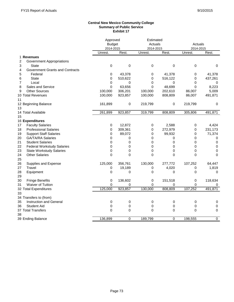#### **Central New Mexico Community College Summary of Public Service Exhibit 17**

|                                         | Approved      |              | Estimated    |          |             |                |
|-----------------------------------------|---------------|--------------|--------------|----------|-------------|----------------|
|                                         | <b>Budget</b> |              | Actuals      |          | Actuals     |                |
|                                         | 2014-2015     |              | 2014-2015    |          | 2014-2015   |                |
|                                         | Unrest.       | Rest.        | Unrest.      | Rest.    | Unrest.     | Rest.          |
| 1 Revenues                              |               |              |              |          |             |                |
| 2<br>Government Appropriations          |               |              |              |          |             |                |
| 3<br>State                              | $\mathbf 0$   | $\mathbf 0$  | $\mathbf 0$  | 0        | 0           | 0              |
| 4<br>Government Grants and Contracts    |               |              |              |          |             |                |
| 5<br>Federal                            | 0             | 43,378       | 0            | 41,378   | 0           | 41,378         |
| <b>State</b><br>6                       | 0             | 510,622      | 0            | 516,122  | 0           | 437,261        |
| 7<br>Local                              | 0             | 0            | 0            | 0        | $\Omega$    | 0              |
| 8<br>Sales and Service                  | 0             | 63,656       | $\mathbf{0}$ | 48,699   | $\Omega$    | 8,223          |
| <b>Other Sources</b><br>9               | 100,000       | 306,201      | 100,000      | 202,610  | 86,007      | 5,009          |
| 10 Total Revenues                       | 100,000       | 923,857      | 100,000      | 808,809  | 86,007      | 491,871        |
| 11                                      |               |              |              |          |             |                |
| 12 Beginning Balance                    | 161,899       | $\pmb{0}$    | 219,799      | 0        | 219,799     | 0              |
| 13                                      |               |              |              |          |             |                |
| 14 Total Available                      | 261,899       | 923,857      | 319,799      | 808,809  | 305,806     | 491,871        |
| 15                                      |               |              |              |          |             |                |
| 16 Expenditures                         |               |              |              |          |             |                |
| <b>Faculty Salaries</b><br>17           | 0             | 12,872       | 0            | 2,588    | 0           | 4.424          |
| <b>Professional Salaries</b><br>18      | 0             | 309,361      | 0            | 272,979  | 0           | 231,173        |
| 19<br><b>Support Staff Salaries</b>     | 0             | 89,072       | 0            | 99,932   | 0           | 71,374         |
| 20<br><b>GA/TA/RA Salaries</b>          | 0             | 0            | 0            | 0        | 0           | 0              |
| 21<br><b>Student Salaries</b>           | 0             | $\Omega$     | 0            | 0        | 0           | 0              |
| 22<br><b>Federal Workstudy Salaries</b> | 0             | 0            | 0            | 0        | 0           | 0              |
| 23<br><b>State Workstudy Salaries</b>   | 0             | 0            | $\mathbf 0$  | 0        | 0           | 0              |
| 24<br><b>Other Salaries</b>             | $\Omega$      | $\mathbf{0}$ | $\Omega$     | $\Omega$ | $\mathbf 0$ | $\pmb{0}$      |
| 25                                      |               |              |              |          |             |                |
| 26<br>Supplies and Expense              | 125,000       | 356,761      | 130,000      | 277,772  | 107,252     | 64,447         |
| 27<br>Travel                            | 0             | 19,189       | 0            | 4,020    | 0           | 1,819          |
| 28<br>Equipment                         | $\mathbf 0$   | 0            | $\mathbf 0$  | 0        | 0           | 0              |
| 29                                      |               |              |              |          |             |                |
| 30<br><b>Fringe Benefits</b>            | 0             | 136,602      | 0            | 151,518  | 0           | 118,634        |
| 31<br>Waiver of Tuition                 | 0             | 0            | 0            | 0        | 0           | 0              |
| 32 Total Expenditures                   | 125,000       | 923,857      | 130,000      | 808,809  | 107,252     | 491,871        |
| 33                                      |               |              |              |          |             |                |
| 34 Transfers to (from)                  |               |              |              |          |             |                |
| 35<br><b>Instruction and General</b>    | 0             | 0            | 0            | 0        | 0           | 0              |
| <b>Student Aid</b><br>36                | 0             | 0            | 0            | 0        | 0           | 0              |
| 37 Total Transfers                      | 0             | 0            | 0            | 0        | 0           | $\mathbf 0$    |
| 38                                      |               |              |              |          |             |                |
| 39 Ending Balance                       | 136,899       | 0            | 189,799      | 0        | 198,555     | $\overline{0}$ |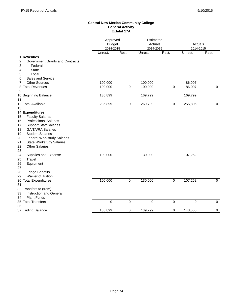#### **Central New Mexico Community College General Activity Exhibit 17A**

|          |                                                         |         | Approved<br><b>Budget</b><br>2014-2015 |             | Estimated<br>Actuals<br>2014-2015 | Actuals<br>2014-2015 |             |
|----------|---------------------------------------------------------|---------|----------------------------------------|-------------|-----------------------------------|----------------------|-------------|
|          |                                                         | Unrest. | Rest.                                  | Unrest.     | Rest.                             | Unrest.              | Rest.       |
|          | 1 Revenues                                              |         |                                        |             |                                   |                      |             |
| 2        | <b>Government Grants and Contracts</b>                  |         |                                        |             |                                   |                      |             |
| 3        | Federal                                                 |         |                                        |             |                                   |                      |             |
| 4        | <b>State</b>                                            |         |                                        |             |                                   |                      |             |
| 5        | Local                                                   |         |                                        |             |                                   |                      |             |
| 6        | Sales and Service                                       |         |                                        |             |                                   |                      |             |
| 7        | <b>Other Sources</b>                                    | 100,000 |                                        | 100,000     |                                   | 86,007               |             |
|          | 8 Total Revenues                                        | 100,000 | $\mathbf 0$                            | 100,000     | $\pmb{0}$                         | 86,007               | $\mathbf 0$ |
| 9        |                                                         |         |                                        |             |                                   |                      |             |
|          | 10 Beginning Balance                                    | 136,899 |                                        | 169,799     |                                   | 169,799              |             |
| 11       |                                                         |         |                                        |             |                                   |                      |             |
|          | 12 Total Available                                      | 236,899 | $\mathbf 0$                            | 269,799     | 0                                 | 255,806              | $\mathbf 0$ |
| 13       |                                                         |         |                                        |             |                                   |                      |             |
|          | 14 Expenditures                                         |         |                                        |             |                                   |                      |             |
| 15<br>16 | <b>Faculty Salaries</b><br><b>Professional Salaries</b> |         |                                        |             |                                   |                      |             |
|          |                                                         |         |                                        |             |                                   |                      |             |
| 17       | <b>Support Staff Salaries</b>                           |         |                                        |             |                                   |                      |             |
| 18       | <b>GA/TA/RA Salaries</b>                                |         |                                        |             |                                   |                      |             |
| 19       | <b>Student Salaries</b>                                 |         |                                        |             |                                   |                      |             |
| 20       | <b>Federal Workstudy Salaries</b>                       |         |                                        |             |                                   |                      |             |
| 21       | <b>State Workstudy Salaries</b>                         |         |                                        |             |                                   |                      |             |
| 22       | <b>Other Salaries</b>                                   |         |                                        |             |                                   |                      |             |
| 23       |                                                         |         |                                        |             |                                   |                      |             |
| 24       | Supplies and Expense                                    | 100,000 |                                        | 130,000     |                                   | 107,252              |             |
| 25       | Travel                                                  |         |                                        |             |                                   |                      |             |
| 26<br>27 | Equipment                                               |         |                                        |             |                                   |                      |             |
| 28       | <b>Fringe Benefits</b>                                  |         |                                        |             |                                   |                      |             |
| 29       | Waiver of Tuition                                       |         |                                        |             |                                   |                      |             |
|          | 30 Total Expenditures                                   | 100,000 | 0                                      | 130,000     | 0                                 | 107,252              | 0           |
| 31       |                                                         |         |                                        |             |                                   |                      |             |
|          | 32 Transfers to (from)                                  |         |                                        |             |                                   |                      |             |
| 33       | Instruction and General                                 |         |                                        |             |                                   |                      |             |
| 34       | <b>Plant Funds</b>                                      |         |                                        |             |                                   |                      |             |
|          | 35 Total Transfers                                      | 0       | $\mathbf 0$                            | $\mathbf 0$ | 0                                 | $\mathbf 0$          | $\mathbf 0$ |
| 36       |                                                         |         |                                        |             |                                   |                      |             |
|          | 37 Ending Balance                                       | 136,899 | $\mathbf 0$                            | 139,799     | $\mathbf 0$                       | 148,555              | $\mathbf 0$ |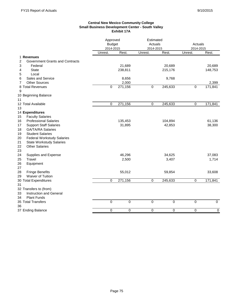### **Central New Mexico Community College Small Business Development Center - South Valley Exhibit 17A**

| Unrest.<br>Rest.<br>Rest.<br>Rest.<br>Unrest.<br>Unrest.<br>1 Revenues<br><b>Government Grants and Contracts</b><br>2<br>3<br>Federal<br>21,689<br>20,689<br>20,689<br><b>State</b><br>238,811<br>215,176<br>148,753<br>4<br>Local<br>5<br>Sales and Service<br>8,656<br>9,768<br>6<br><b>Other Sources</b><br>2,000<br>2,399<br>7<br>271,156<br>171,841<br>8 Total Revenues<br>0<br>$\mathbf 0$<br>245,633<br>$\mathbf 0$<br>9<br>10 Beginning Balance<br>12 Total Available<br>271,156<br>245,633<br>171,841<br>0<br>0<br>0<br>13<br>14 Expenditures<br>15<br><b>Faculty Salaries</b><br><b>Professional Salaries</b><br>16<br>135,453<br>104,894<br>61,136<br><b>Support Staff Salaries</b><br>42,853<br>38,300<br>17<br>31,895<br><b>GA/TA/RA Salaries</b><br>18<br><b>Student Salaries</b><br>19<br><b>Federal Workstudy Salaries</b><br>20<br>21<br><b>State Workstudy Salaries</b><br>22<br><b>Other Salaries</b><br>23<br>24<br>46,296<br>Supplies and Expense<br>34,625<br>37,083<br>25<br>Travel<br>2,500<br>3,407<br>1,714<br>26<br>Equipment<br>27<br>28<br><b>Fringe Benefits</b><br>55,012<br>59,854<br>33,608<br>29<br>Waiver of Tuition<br>30 Total Expenditures<br>$\Omega$<br>271,156<br>245,633<br>171,841<br>0<br>0<br>31<br>32 Transfers to (from)<br><b>Instruction and General</b><br>33<br><b>Plant Funds</b><br>34<br>$\overline{0}$<br>35 Total Transfers<br>$\overline{0}$<br>$\overline{0}$<br>0<br>$\overline{0}$<br>$\overline{0}$<br>36<br>0<br>0<br>0<br>0<br>0<br>0 |                   | Approved<br><b>Budget</b><br>2014-2015 |  | Estimated<br>Actuals<br>2014-2015 |  | Actuals<br>2014-2015 |
|------------------------------------------------------------------------------------------------------------------------------------------------------------------------------------------------------------------------------------------------------------------------------------------------------------------------------------------------------------------------------------------------------------------------------------------------------------------------------------------------------------------------------------------------------------------------------------------------------------------------------------------------------------------------------------------------------------------------------------------------------------------------------------------------------------------------------------------------------------------------------------------------------------------------------------------------------------------------------------------------------------------------------------------------------------------------------------------------------------------------------------------------------------------------------------------------------------------------------------------------------------------------------------------------------------------------------------------------------------------------------------------------------------------------------------------------------------------------------------------------------|-------------------|----------------------------------------|--|-----------------------------------|--|----------------------|
|                                                                                                                                                                                                                                                                                                                                                                                                                                                                                                                                                                                                                                                                                                                                                                                                                                                                                                                                                                                                                                                                                                                                                                                                                                                                                                                                                                                                                                                                                                      |                   |                                        |  |                                   |  |                      |
|                                                                                                                                                                                                                                                                                                                                                                                                                                                                                                                                                                                                                                                                                                                                                                                                                                                                                                                                                                                                                                                                                                                                                                                                                                                                                                                                                                                                                                                                                                      |                   |                                        |  |                                   |  |                      |
|                                                                                                                                                                                                                                                                                                                                                                                                                                                                                                                                                                                                                                                                                                                                                                                                                                                                                                                                                                                                                                                                                                                                                                                                                                                                                                                                                                                                                                                                                                      |                   |                                        |  |                                   |  |                      |
|                                                                                                                                                                                                                                                                                                                                                                                                                                                                                                                                                                                                                                                                                                                                                                                                                                                                                                                                                                                                                                                                                                                                                                                                                                                                                                                                                                                                                                                                                                      |                   |                                        |  |                                   |  |                      |
|                                                                                                                                                                                                                                                                                                                                                                                                                                                                                                                                                                                                                                                                                                                                                                                                                                                                                                                                                                                                                                                                                                                                                                                                                                                                                                                                                                                                                                                                                                      |                   |                                        |  |                                   |  |                      |
|                                                                                                                                                                                                                                                                                                                                                                                                                                                                                                                                                                                                                                                                                                                                                                                                                                                                                                                                                                                                                                                                                                                                                                                                                                                                                                                                                                                                                                                                                                      |                   |                                        |  |                                   |  |                      |
|                                                                                                                                                                                                                                                                                                                                                                                                                                                                                                                                                                                                                                                                                                                                                                                                                                                                                                                                                                                                                                                                                                                                                                                                                                                                                                                                                                                                                                                                                                      |                   |                                        |  |                                   |  |                      |
|                                                                                                                                                                                                                                                                                                                                                                                                                                                                                                                                                                                                                                                                                                                                                                                                                                                                                                                                                                                                                                                                                                                                                                                                                                                                                                                                                                                                                                                                                                      |                   |                                        |  |                                   |  |                      |
|                                                                                                                                                                                                                                                                                                                                                                                                                                                                                                                                                                                                                                                                                                                                                                                                                                                                                                                                                                                                                                                                                                                                                                                                                                                                                                                                                                                                                                                                                                      |                   |                                        |  |                                   |  |                      |
|                                                                                                                                                                                                                                                                                                                                                                                                                                                                                                                                                                                                                                                                                                                                                                                                                                                                                                                                                                                                                                                                                                                                                                                                                                                                                                                                                                                                                                                                                                      |                   |                                        |  |                                   |  |                      |
|                                                                                                                                                                                                                                                                                                                                                                                                                                                                                                                                                                                                                                                                                                                                                                                                                                                                                                                                                                                                                                                                                                                                                                                                                                                                                                                                                                                                                                                                                                      |                   |                                        |  |                                   |  |                      |
|                                                                                                                                                                                                                                                                                                                                                                                                                                                                                                                                                                                                                                                                                                                                                                                                                                                                                                                                                                                                                                                                                                                                                                                                                                                                                                                                                                                                                                                                                                      | 11                |                                        |  |                                   |  |                      |
|                                                                                                                                                                                                                                                                                                                                                                                                                                                                                                                                                                                                                                                                                                                                                                                                                                                                                                                                                                                                                                                                                                                                                                                                                                                                                                                                                                                                                                                                                                      |                   |                                        |  |                                   |  |                      |
|                                                                                                                                                                                                                                                                                                                                                                                                                                                                                                                                                                                                                                                                                                                                                                                                                                                                                                                                                                                                                                                                                                                                                                                                                                                                                                                                                                                                                                                                                                      |                   |                                        |  |                                   |  |                      |
|                                                                                                                                                                                                                                                                                                                                                                                                                                                                                                                                                                                                                                                                                                                                                                                                                                                                                                                                                                                                                                                                                                                                                                                                                                                                                                                                                                                                                                                                                                      |                   |                                        |  |                                   |  |                      |
|                                                                                                                                                                                                                                                                                                                                                                                                                                                                                                                                                                                                                                                                                                                                                                                                                                                                                                                                                                                                                                                                                                                                                                                                                                                                                                                                                                                                                                                                                                      |                   |                                        |  |                                   |  |                      |
|                                                                                                                                                                                                                                                                                                                                                                                                                                                                                                                                                                                                                                                                                                                                                                                                                                                                                                                                                                                                                                                                                                                                                                                                                                                                                                                                                                                                                                                                                                      |                   |                                        |  |                                   |  |                      |
|                                                                                                                                                                                                                                                                                                                                                                                                                                                                                                                                                                                                                                                                                                                                                                                                                                                                                                                                                                                                                                                                                                                                                                                                                                                                                                                                                                                                                                                                                                      |                   |                                        |  |                                   |  |                      |
|                                                                                                                                                                                                                                                                                                                                                                                                                                                                                                                                                                                                                                                                                                                                                                                                                                                                                                                                                                                                                                                                                                                                                                                                                                                                                                                                                                                                                                                                                                      |                   |                                        |  |                                   |  |                      |
|                                                                                                                                                                                                                                                                                                                                                                                                                                                                                                                                                                                                                                                                                                                                                                                                                                                                                                                                                                                                                                                                                                                                                                                                                                                                                                                                                                                                                                                                                                      |                   |                                        |  |                                   |  |                      |
|                                                                                                                                                                                                                                                                                                                                                                                                                                                                                                                                                                                                                                                                                                                                                                                                                                                                                                                                                                                                                                                                                                                                                                                                                                                                                                                                                                                                                                                                                                      |                   |                                        |  |                                   |  |                      |
|                                                                                                                                                                                                                                                                                                                                                                                                                                                                                                                                                                                                                                                                                                                                                                                                                                                                                                                                                                                                                                                                                                                                                                                                                                                                                                                                                                                                                                                                                                      |                   |                                        |  |                                   |  |                      |
|                                                                                                                                                                                                                                                                                                                                                                                                                                                                                                                                                                                                                                                                                                                                                                                                                                                                                                                                                                                                                                                                                                                                                                                                                                                                                                                                                                                                                                                                                                      |                   |                                        |  |                                   |  |                      |
|                                                                                                                                                                                                                                                                                                                                                                                                                                                                                                                                                                                                                                                                                                                                                                                                                                                                                                                                                                                                                                                                                                                                                                                                                                                                                                                                                                                                                                                                                                      |                   |                                        |  |                                   |  |                      |
|                                                                                                                                                                                                                                                                                                                                                                                                                                                                                                                                                                                                                                                                                                                                                                                                                                                                                                                                                                                                                                                                                                                                                                                                                                                                                                                                                                                                                                                                                                      |                   |                                        |  |                                   |  |                      |
|                                                                                                                                                                                                                                                                                                                                                                                                                                                                                                                                                                                                                                                                                                                                                                                                                                                                                                                                                                                                                                                                                                                                                                                                                                                                                                                                                                                                                                                                                                      |                   |                                        |  |                                   |  |                      |
|                                                                                                                                                                                                                                                                                                                                                                                                                                                                                                                                                                                                                                                                                                                                                                                                                                                                                                                                                                                                                                                                                                                                                                                                                                                                                                                                                                                                                                                                                                      |                   |                                        |  |                                   |  |                      |
|                                                                                                                                                                                                                                                                                                                                                                                                                                                                                                                                                                                                                                                                                                                                                                                                                                                                                                                                                                                                                                                                                                                                                                                                                                                                                                                                                                                                                                                                                                      |                   |                                        |  |                                   |  |                      |
|                                                                                                                                                                                                                                                                                                                                                                                                                                                                                                                                                                                                                                                                                                                                                                                                                                                                                                                                                                                                                                                                                                                                                                                                                                                                                                                                                                                                                                                                                                      |                   |                                        |  |                                   |  |                      |
|                                                                                                                                                                                                                                                                                                                                                                                                                                                                                                                                                                                                                                                                                                                                                                                                                                                                                                                                                                                                                                                                                                                                                                                                                                                                                                                                                                                                                                                                                                      |                   |                                        |  |                                   |  |                      |
|                                                                                                                                                                                                                                                                                                                                                                                                                                                                                                                                                                                                                                                                                                                                                                                                                                                                                                                                                                                                                                                                                                                                                                                                                                                                                                                                                                                                                                                                                                      |                   |                                        |  |                                   |  |                      |
|                                                                                                                                                                                                                                                                                                                                                                                                                                                                                                                                                                                                                                                                                                                                                                                                                                                                                                                                                                                                                                                                                                                                                                                                                                                                                                                                                                                                                                                                                                      |                   |                                        |  |                                   |  |                      |
|                                                                                                                                                                                                                                                                                                                                                                                                                                                                                                                                                                                                                                                                                                                                                                                                                                                                                                                                                                                                                                                                                                                                                                                                                                                                                                                                                                                                                                                                                                      |                   |                                        |  |                                   |  |                      |
|                                                                                                                                                                                                                                                                                                                                                                                                                                                                                                                                                                                                                                                                                                                                                                                                                                                                                                                                                                                                                                                                                                                                                                                                                                                                                                                                                                                                                                                                                                      |                   |                                        |  |                                   |  |                      |
|                                                                                                                                                                                                                                                                                                                                                                                                                                                                                                                                                                                                                                                                                                                                                                                                                                                                                                                                                                                                                                                                                                                                                                                                                                                                                                                                                                                                                                                                                                      |                   |                                        |  |                                   |  |                      |
|                                                                                                                                                                                                                                                                                                                                                                                                                                                                                                                                                                                                                                                                                                                                                                                                                                                                                                                                                                                                                                                                                                                                                                                                                                                                                                                                                                                                                                                                                                      |                   |                                        |  |                                   |  |                      |
|                                                                                                                                                                                                                                                                                                                                                                                                                                                                                                                                                                                                                                                                                                                                                                                                                                                                                                                                                                                                                                                                                                                                                                                                                                                                                                                                                                                                                                                                                                      | 37 Ending Balance |                                        |  |                                   |  |                      |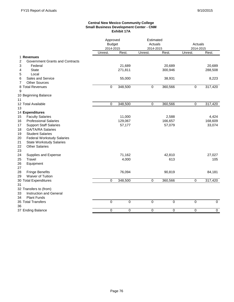### **Central New Mexico Community College Small Business Development Center - CNM Exhibit 17A**

| Unrest.<br>Rest.<br>Rest.<br>Unrest.<br>Rest.<br>Unrest.<br>1 Revenues<br>2<br>Government Grants and Contracts<br>20,689<br>3<br>Federal<br>21,689<br><b>State</b><br>271,811<br>300,946<br>4<br>Local<br>5<br>Sales and Service<br>55,000<br>38,931<br>6<br><b>Other Sources</b><br>7<br>8 Total Revenues<br>0<br>348,500<br>$\mathbf 0$<br>360,566<br>$\mathbf 0$<br>9<br>360,566<br>317,420<br>0<br>348,500<br>0<br>0<br><b>Faculty Salaries</b><br>11,000<br>2,588<br>4,424<br><b>Professional Salaries</b><br>129,067<br>166,657<br>168,609<br><b>Support Staff Salaries</b><br>57,177<br>57,079<br>33,074<br><b>GA/TA/RA Salaries</b><br><b>Student Salaries</b><br><b>Federal Workstudy Salaries</b><br><b>State Workstudy Salaries</b><br><b>Other Salaries</b><br>71,162<br>27,027<br>Supplies and Expense<br>42,810<br>Travel<br>4,000<br>613<br>105<br>Equipment<br><b>Fringe Benefits</b><br>76,094<br>90,819<br>84,181<br><b>Waiver of Tuition</b><br>360,566<br>$\Omega$<br>348,500<br>317,420<br>0<br>0<br>Instruction and General<br><b>Plant Funds</b><br>$\overline{0}$<br>$\overline{0}$<br>$\overline{0}$<br>0<br>$\overline{0}$ |                   |   | Approved<br><b>Budget</b><br>2014-2015 |   | Estimated<br>Actuals<br>2014-2015 | Actuals<br>2014-2015 |                |
|------------------------------------------------------------------------------------------------------------------------------------------------------------------------------------------------------------------------------------------------------------------------------------------------------------------------------------------------------------------------------------------------------------------------------------------------------------------------------------------------------------------------------------------------------------------------------------------------------------------------------------------------------------------------------------------------------------------------------------------------------------------------------------------------------------------------------------------------------------------------------------------------------------------------------------------------------------------------------------------------------------------------------------------------------------------------------------------------------------------------------------------------------|-------------------|---|----------------------------------------|---|-----------------------------------|----------------------|----------------|
|                                                                                                                                                                                                                                                                                                                                                                                                                                                                                                                                                                                                                                                                                                                                                                                                                                                                                                                                                                                                                                                                                                                                                      |                   |   |                                        |   |                                   |                      |                |
|                                                                                                                                                                                                                                                                                                                                                                                                                                                                                                                                                                                                                                                                                                                                                                                                                                                                                                                                                                                                                                                                                                                                                      |                   |   |                                        |   |                                   |                      |                |
|                                                                                                                                                                                                                                                                                                                                                                                                                                                                                                                                                                                                                                                                                                                                                                                                                                                                                                                                                                                                                                                                                                                                                      |                   |   |                                        |   |                                   |                      |                |
| 10 Beginning Balance<br>11<br>12 Total Available<br>13<br>14 Expenditures<br>15<br>16<br>17<br>18<br>19<br>20<br>21<br>22<br>23<br>24<br>25<br>26<br>27<br>28<br>29<br>30 Total Expenditures<br>31<br>32 Transfers to (from)<br>33<br>34<br>35 Total Transfers<br>36                                                                                                                                                                                                                                                                                                                                                                                                                                                                                                                                                                                                                                                                                                                                                                                                                                                                                 |                   |   |                                        |   |                                   |                      | 20,689         |
|                                                                                                                                                                                                                                                                                                                                                                                                                                                                                                                                                                                                                                                                                                                                                                                                                                                                                                                                                                                                                                                                                                                                                      |                   |   |                                        |   |                                   |                      | 288,508        |
|                                                                                                                                                                                                                                                                                                                                                                                                                                                                                                                                                                                                                                                                                                                                                                                                                                                                                                                                                                                                                                                                                                                                                      |                   |   |                                        |   |                                   |                      |                |
|                                                                                                                                                                                                                                                                                                                                                                                                                                                                                                                                                                                                                                                                                                                                                                                                                                                                                                                                                                                                                                                                                                                                                      |                   |   |                                        |   |                                   |                      | 8,223          |
|                                                                                                                                                                                                                                                                                                                                                                                                                                                                                                                                                                                                                                                                                                                                                                                                                                                                                                                                                                                                                                                                                                                                                      |                   |   |                                        |   |                                   |                      |                |
|                                                                                                                                                                                                                                                                                                                                                                                                                                                                                                                                                                                                                                                                                                                                                                                                                                                                                                                                                                                                                                                                                                                                                      |                   |   |                                        |   |                                   |                      | 317,420        |
|                                                                                                                                                                                                                                                                                                                                                                                                                                                                                                                                                                                                                                                                                                                                                                                                                                                                                                                                                                                                                                                                                                                                                      |                   |   |                                        |   |                                   |                      |                |
|                                                                                                                                                                                                                                                                                                                                                                                                                                                                                                                                                                                                                                                                                                                                                                                                                                                                                                                                                                                                                                                                                                                                                      |                   |   |                                        |   |                                   |                      |                |
|                                                                                                                                                                                                                                                                                                                                                                                                                                                                                                                                                                                                                                                                                                                                                                                                                                                                                                                                                                                                                                                                                                                                                      |                   |   |                                        |   |                                   |                      |                |
|                                                                                                                                                                                                                                                                                                                                                                                                                                                                                                                                                                                                                                                                                                                                                                                                                                                                                                                                                                                                                                                                                                                                                      |                   |   |                                        |   |                                   |                      |                |
|                                                                                                                                                                                                                                                                                                                                                                                                                                                                                                                                                                                                                                                                                                                                                                                                                                                                                                                                                                                                                                                                                                                                                      |                   |   |                                        |   |                                   |                      |                |
|                                                                                                                                                                                                                                                                                                                                                                                                                                                                                                                                                                                                                                                                                                                                                                                                                                                                                                                                                                                                                                                                                                                                                      |                   |   |                                        |   |                                   |                      |                |
|                                                                                                                                                                                                                                                                                                                                                                                                                                                                                                                                                                                                                                                                                                                                                                                                                                                                                                                                                                                                                                                                                                                                                      |                   |   |                                        |   |                                   |                      |                |
|                                                                                                                                                                                                                                                                                                                                                                                                                                                                                                                                                                                                                                                                                                                                                                                                                                                                                                                                                                                                                                                                                                                                                      |                   |   |                                        |   |                                   |                      |                |
|                                                                                                                                                                                                                                                                                                                                                                                                                                                                                                                                                                                                                                                                                                                                                                                                                                                                                                                                                                                                                                                                                                                                                      |                   |   |                                        |   |                                   |                      |                |
|                                                                                                                                                                                                                                                                                                                                                                                                                                                                                                                                                                                                                                                                                                                                                                                                                                                                                                                                                                                                                                                                                                                                                      |                   |   |                                        |   |                                   |                      |                |
|                                                                                                                                                                                                                                                                                                                                                                                                                                                                                                                                                                                                                                                                                                                                                                                                                                                                                                                                                                                                                                                                                                                                                      |                   |   |                                        |   |                                   |                      |                |
|                                                                                                                                                                                                                                                                                                                                                                                                                                                                                                                                                                                                                                                                                                                                                                                                                                                                                                                                                                                                                                                                                                                                                      |                   |   |                                        |   |                                   |                      |                |
|                                                                                                                                                                                                                                                                                                                                                                                                                                                                                                                                                                                                                                                                                                                                                                                                                                                                                                                                                                                                                                                                                                                                                      |                   |   |                                        |   |                                   |                      |                |
|                                                                                                                                                                                                                                                                                                                                                                                                                                                                                                                                                                                                                                                                                                                                                                                                                                                                                                                                                                                                                                                                                                                                                      |                   |   |                                        |   |                                   |                      |                |
|                                                                                                                                                                                                                                                                                                                                                                                                                                                                                                                                                                                                                                                                                                                                                                                                                                                                                                                                                                                                                                                                                                                                                      |                   |   |                                        |   |                                   |                      |                |
|                                                                                                                                                                                                                                                                                                                                                                                                                                                                                                                                                                                                                                                                                                                                                                                                                                                                                                                                                                                                                                                                                                                                                      |                   |   |                                        |   |                                   |                      |                |
|                                                                                                                                                                                                                                                                                                                                                                                                                                                                                                                                                                                                                                                                                                                                                                                                                                                                                                                                                                                                                                                                                                                                                      |                   |   |                                        |   |                                   |                      |                |
|                                                                                                                                                                                                                                                                                                                                                                                                                                                                                                                                                                                                                                                                                                                                                                                                                                                                                                                                                                                                                                                                                                                                                      |                   |   |                                        |   |                                   |                      |                |
|                                                                                                                                                                                                                                                                                                                                                                                                                                                                                                                                                                                                                                                                                                                                                                                                                                                                                                                                                                                                                                                                                                                                                      |                   |   |                                        |   |                                   |                      |                |
|                                                                                                                                                                                                                                                                                                                                                                                                                                                                                                                                                                                                                                                                                                                                                                                                                                                                                                                                                                                                                                                                                                                                                      |                   |   |                                        |   |                                   |                      |                |
|                                                                                                                                                                                                                                                                                                                                                                                                                                                                                                                                                                                                                                                                                                                                                                                                                                                                                                                                                                                                                                                                                                                                                      |                   |   |                                        |   |                                   |                      |                |
|                                                                                                                                                                                                                                                                                                                                                                                                                                                                                                                                                                                                                                                                                                                                                                                                                                                                                                                                                                                                                                                                                                                                                      |                   |   |                                        |   |                                   |                      |                |
|                                                                                                                                                                                                                                                                                                                                                                                                                                                                                                                                                                                                                                                                                                                                                                                                                                                                                                                                                                                                                                                                                                                                                      |                   |   |                                        |   |                                   |                      |                |
|                                                                                                                                                                                                                                                                                                                                                                                                                                                                                                                                                                                                                                                                                                                                                                                                                                                                                                                                                                                                                                                                                                                                                      |                   |   |                                        |   |                                   |                      |                |
|                                                                                                                                                                                                                                                                                                                                                                                                                                                                                                                                                                                                                                                                                                                                                                                                                                                                                                                                                                                                                                                                                                                                                      |                   |   |                                        |   |                                   |                      |                |
|                                                                                                                                                                                                                                                                                                                                                                                                                                                                                                                                                                                                                                                                                                                                                                                                                                                                                                                                                                                                                                                                                                                                                      |                   |   |                                        |   |                                   |                      | $\overline{0}$ |
|                                                                                                                                                                                                                                                                                                                                                                                                                                                                                                                                                                                                                                                                                                                                                                                                                                                                                                                                                                                                                                                                                                                                                      |                   |   |                                        |   |                                   |                      |                |
|                                                                                                                                                                                                                                                                                                                                                                                                                                                                                                                                                                                                                                                                                                                                                                                                                                                                                                                                                                                                                                                                                                                                                      | 37 Ending Balance | 0 | 0                                      | 0 | 0                                 | 0                    | $\mathbf 0$    |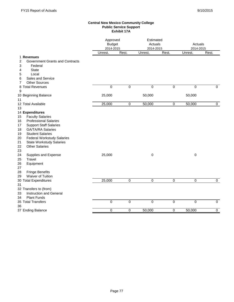#### **Central New Mexico Community College Public Service Support Exhibit 17A**

|                                         |             | Approved<br><b>Budget</b><br>2014-2015 |             | Estimated<br>Actuals<br>2014-2015 | Actuals<br>2014-2015 |             |
|-----------------------------------------|-------------|----------------------------------------|-------------|-----------------------------------|----------------------|-------------|
|                                         | Unrest.     | Rest.                                  | Unrest.     | Rest.                             | Unrest.              | Rest.       |
| 1 Revenues                              |             |                                        |             |                                   |                      |             |
| 2<br>Government Grants and Contracts    |             |                                        |             |                                   |                      |             |
| Federal<br>3                            |             |                                        |             |                                   |                      |             |
| <b>State</b><br>4                       |             |                                        |             |                                   |                      |             |
| Local<br>5                              |             |                                        |             |                                   |                      |             |
| Sales and Service<br>6                  |             |                                        |             |                                   |                      |             |
| <b>Other Sources</b><br>7               |             |                                        |             |                                   |                      |             |
| 8 Total Revenues                        | $\mathbf 0$ | $\mathbf 0$                            | $\mathbf 0$ | $\mathbf 0$                       | 0                    | 0           |
| 9                                       |             |                                        |             |                                   |                      |             |
| 10 Beginning Balance                    | 25,000      |                                        | 50,000      |                                   | 50,000               |             |
| 11<br>12 Total Available                |             | $\mathbf 0$                            |             | $\mathbf 0$                       |                      |             |
| 13                                      | 25,000      |                                        | 50,000      |                                   | 50,000               | $\mathbf 0$ |
| 14 Expenditures                         |             |                                        |             |                                   |                      |             |
| <b>Faculty Salaries</b><br>15           |             |                                        |             |                                   |                      |             |
| <b>Professional Salaries</b><br>16      |             |                                        |             |                                   |                      |             |
| <b>Support Staff Salaries</b><br>17     |             |                                        |             |                                   |                      |             |
| <b>GA/TA/RA Salaries</b><br>18          |             |                                        |             |                                   |                      |             |
| <b>Student Salaries</b><br>19           |             |                                        |             |                                   |                      |             |
| 20<br><b>Federal Workstudy Salaries</b> |             |                                        |             |                                   |                      |             |
| 21<br><b>State Workstudy Salaries</b>   |             |                                        |             |                                   |                      |             |
| 22<br><b>Other Salaries</b>             |             |                                        |             |                                   |                      |             |
| 23                                      |             |                                        |             |                                   |                      |             |
| 24<br>Supplies and Expense              | 25,000      |                                        | $\mathbf 0$ |                                   | $\pmb{0}$            |             |
| Travel<br>25                            |             |                                        |             |                                   |                      |             |
| 26<br>Equipment                         |             |                                        |             |                                   |                      |             |
| 27                                      |             |                                        |             |                                   |                      |             |
| 28<br><b>Fringe Benefits</b>            |             |                                        |             |                                   |                      |             |
| <b>Waiver of Tuition</b><br>29          |             |                                        |             |                                   |                      |             |
| 30 Total Expenditures                   | 25,000      | $\pmb{0}$                              | $\pmb{0}$   | $\mathbf 0$                       | $\pmb{0}$            | $\mathbf 0$ |
| 31                                      |             |                                        |             |                                   |                      |             |
| 32 Transfers to (from)                  |             |                                        |             |                                   |                      |             |
| 33<br>Instruction and General           |             |                                        |             |                                   |                      |             |
| <b>Plant Funds</b><br>34                |             |                                        |             |                                   |                      |             |
| 35 Total Transfers                      | $\mathbf 0$ | $\mathbf 0$                            | $\mathbf 0$ | $\mathbf 0$                       | 0                    | $\mathbf 0$ |
| 36                                      |             |                                        |             |                                   |                      |             |
| 37 Ending Balance                       | $\mathbf 0$ | $\overline{0}$                         | 50,000      | $\overline{0}$                    | 50,000               | $\mathbf 0$ |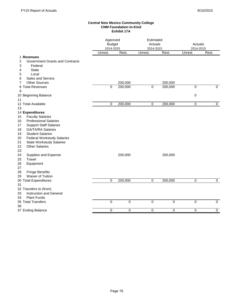#### **Central New Mexico Community College CNM Foundation In-Kind Exhibit 17A**

|                                                                | Approved<br><b>Budget</b><br>2014-2015 |             | Estimated<br>Actuals<br>2014-2015 |             | Actuals<br>2014-2015 |             |
|----------------------------------------------------------------|----------------------------------------|-------------|-----------------------------------|-------------|----------------------|-------------|
|                                                                | Unrest.                                | Rest.       | Unrest.                           | Rest.       | Unrest.              | Rest.       |
| 1 Revenues<br><b>Government Grants and Contracts</b><br>2      |                                        |             |                                   |             |                      |             |
| 3<br>Federal                                                   |                                        |             |                                   |             |                      |             |
| <b>State</b><br>4                                              |                                        |             |                                   |             |                      |             |
| Local<br>5                                                     |                                        |             |                                   |             |                      |             |
| Sales and Service<br>6                                         |                                        |             |                                   |             |                      |             |
| <b>Other Sources</b><br>7                                      |                                        | 200,000     |                                   | 200,000     |                      |             |
| 8 Total Revenues                                               | 0                                      | 200,000     | $\mathbf 0$                       | 200,000     | 0                    | 0           |
| 9                                                              |                                        |             |                                   |             |                      |             |
| 10 Beginning Balance                                           |                                        |             |                                   |             | 0                    |             |
| 11                                                             |                                        |             |                                   |             |                      |             |
| 12 Total Available                                             | $\pmb{0}$                              | 200,000     | $\mathbf 0$                       | 200,000     | $\pmb{0}$            | $\mathbf 0$ |
| 13                                                             |                                        |             |                                   |             |                      |             |
| 14 Expenditures<br><b>Faculty Salaries</b><br>15               |                                        |             |                                   |             |                      |             |
| <b>Professional Salaries</b><br>16                             |                                        |             |                                   |             |                      |             |
| <b>Support Staff Salaries</b><br>17                            |                                        |             |                                   |             |                      |             |
| <b>GA/TA/RA Salaries</b><br>18                                 |                                        |             |                                   |             |                      |             |
| <b>Student Salaries</b><br>19                                  |                                        |             |                                   |             |                      |             |
| <b>Federal Workstudy Salaries</b><br>20                        |                                        |             |                                   |             |                      |             |
| 21<br><b>State Workstudy Salaries</b>                          |                                        |             |                                   |             |                      |             |
| 22<br><b>Other Salaries</b>                                    |                                        |             |                                   |             |                      |             |
| 23                                                             |                                        |             |                                   |             |                      |             |
| 24<br>Supplies and Expense                                     |                                        | 200,000     |                                   | 200,000     |                      |             |
| 25<br>Travel                                                   |                                        |             |                                   |             |                      |             |
| 26<br>Equipment                                                |                                        |             |                                   |             |                      |             |
| 27                                                             |                                        |             |                                   |             |                      |             |
| 28<br><b>Fringe Benefits</b><br><b>Waiver of Tuition</b><br>29 |                                        |             |                                   |             |                      |             |
| 30 Total Expenditures                                          | 0                                      | 200,000     | 0                                 | 200,000     | 0                    | 0           |
| 31                                                             |                                        |             |                                   |             |                      |             |
| 32 Transfers to (from)                                         |                                        |             |                                   |             |                      |             |
| <b>Instruction and General</b><br>33                           |                                        |             |                                   |             |                      |             |
| <b>Plant Funds</b><br>34                                       |                                        |             |                                   |             |                      |             |
| 35 Total Transfers                                             | $\overline{0}$                         | $\mathbf 0$ | $\mathbf 0$                       | $\mathbf 0$ | 0                    | $\mathbf 0$ |
| 36                                                             |                                        |             |                                   |             |                      |             |
| 37 Ending Balance                                              | 0                                      | 0           | 0                                 | 0           | $\mathbf 0$          | 0           |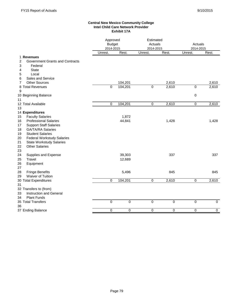#### **Central New Mexico Community College Intel Child Care Network Provider Exhibit 17A**

|                                             | Approved<br><b>Budget</b><br>2014-2015 |             |             | Estimated<br>Actuals<br>2014-2015 |             | Actuals<br>2014-2015 |  |
|---------------------------------------------|----------------------------------------|-------------|-------------|-----------------------------------|-------------|----------------------|--|
|                                             | Unrest.                                | Rest.       | Unrest.     | Rest.                             | Unrest.     | Rest.                |  |
| 1 Revenues                                  |                                        |             |             |                                   |             |                      |  |
| <b>Government Grants and Contracts</b><br>2 |                                        |             |             |                                   |             |                      |  |
| 3<br>Federal                                |                                        |             |             |                                   |             |                      |  |
| <b>State</b><br>4                           |                                        |             |             |                                   |             |                      |  |
| Local<br>5                                  |                                        |             |             |                                   |             |                      |  |
| Sales and Service<br>6                      |                                        |             |             |                                   |             |                      |  |
| <b>Other Sources</b><br>7                   |                                        | 104,201     |             | 2,610                             |             | 2,610<br>2,610       |  |
| 8 Total Revenues<br>9                       | $\mathbf 0$                            | 104,201     | $\mathsf 0$ | 2,610                             | $\pmb{0}$   |                      |  |
| 10 Beginning Balance                        |                                        |             |             |                                   | 0           |                      |  |
| 11                                          |                                        |             |             |                                   |             |                      |  |
| 12 Total Available                          | $\mathbf 0$                            | 104,201     | $\mathbf 0$ | 2,610                             | $\mathbf 0$ | 2,610                |  |
| 13                                          |                                        |             |             |                                   |             |                      |  |
| 14 Expenditures                             |                                        |             |             |                                   |             |                      |  |
| 15<br><b>Faculty Salaries</b>               |                                        | 1,872       |             |                                   |             |                      |  |
| 16<br><b>Professional Salaries</b>          |                                        | 44,841      |             | 1,428                             |             | 1,428                |  |
| <b>Support Staff Salaries</b><br>17         |                                        |             |             |                                   |             |                      |  |
| <b>GA/TA/RA Salaries</b><br>18              |                                        |             |             |                                   |             |                      |  |
| 19<br><b>Student Salaries</b>               |                                        |             |             |                                   |             |                      |  |
| 20<br><b>Federal Workstudy Salaries</b>     |                                        |             |             |                                   |             |                      |  |
| 21<br><b>State Workstudy Salaries</b>       |                                        |             |             |                                   |             |                      |  |
| 22<br><b>Other Salaries</b>                 |                                        |             |             |                                   |             |                      |  |
| 23                                          |                                        |             |             |                                   |             |                      |  |
| 24<br>Supplies and Expense                  |                                        | 39,303      |             | 337                               |             | 337                  |  |
| 25<br>Travel                                |                                        | 12,689      |             |                                   |             |                      |  |
| 26<br>Equipment                             |                                        |             |             |                                   |             |                      |  |
| 27                                          |                                        |             |             |                                   |             |                      |  |
| 28<br><b>Fringe Benefits</b>                |                                        | 5,496       |             | 845                               |             | 845                  |  |
| Waiver of Tuition<br>29                     |                                        |             |             |                                   |             |                      |  |
| 30 Total Expenditures                       | $\mathbf 0$                            | 104,201     | $\mathbf 0$ | 2,610                             | $\mathbf 0$ | 2,610                |  |
| 31                                          |                                        |             |             |                                   |             |                      |  |
| 32 Transfers to (from)                      |                                        |             |             |                                   |             |                      |  |
| Instruction and General<br>33               |                                        |             |             |                                   |             |                      |  |
| <b>Plant Funds</b><br>34                    |                                        |             |             |                                   |             |                      |  |
| 35 Total Transfers                          | $\mathbf 0$                            | $\mathbf 0$ | $\mathbf 0$ | 0                                 | $\mathbf 0$ | $\mathbf 0$          |  |
| 36                                          |                                        |             |             |                                   |             |                      |  |
| 37 Ending Balance                           | $\mathbf 0$                            | 0           | 0           | 0                                 | $\mathbf 0$ | 0                    |  |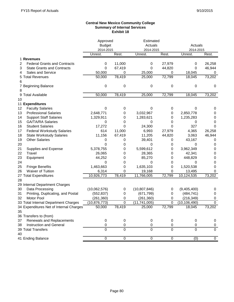#### **Central New Mexico Community College Summary of Internal Services Exhibit 18**

|    |                                         | Approved       |                | Estimated      |           |                  |             |
|----|-----------------------------------------|----------------|----------------|----------------|-----------|------------------|-------------|
|    |                                         | <b>Budget</b>  |                | Actuals        |           | Actuals          |             |
|    |                                         | 2014-2015      |                | 2014-2015      |           | 2014-2015        |             |
|    |                                         | Unrest.        | Rest.          | Unrest.        | Rest.     | Unrest.          | Rest.       |
|    | 1 Revenues                              |                |                |                |           |                  |             |
| 2  | <b>Federal Grants and Contracts</b>     | 0              | 11,000         | 0              | 27,979    | 0                | 26,258      |
| 3  | <b>State Grants and Contracts</b>       | 0              | 67,419         | 0              | 44,820    | 0                | 46,944      |
| 4  | Sales and Service                       | 50,000         | 0              | 25,000         | 0         | 18,045           | 0           |
| 5  | <b>Total Revenues</b>                   | 50,000         | 78,419         | 25,000         | 72,799    | 18,045           | 73,202      |
| 6  |                                         |                |                |                |           |                  |             |
|    | <b>Beginning Balance</b>                | 0              | 0              | 0              | 0         | 0                | 0           |
| 8  |                                         |                |                |                |           |                  |             |
| 9  | <b>Total Available</b>                  | 50,000         | 78,419         | 25,000         | 72,799    | 18,045           | 73,202      |
| 10 |                                         |                |                |                |           |                  |             |
|    | 11 Expenditures                         |                |                |                |           |                  |             |
| 12 | <b>Faculty Salaries</b>                 | 0              | 0              | 0              | 0         | 0                | 0           |
| 13 | <b>Professional Salaries</b>            | 2,648,771      | 0              | 3,032,967      | 0         | 2,850,778        | 0           |
| 14 | <b>Support Staff Salaries</b>           | 1,329,911      | 0              | 1,283,621      | 0         | 1,235,283        | 0           |
| 15 | <b>GA/TA/RA Salaries</b>                | 0              | 0              | 0              | 0         | 0                | 0           |
| 16 | <b>Student Salaries</b>                 | 17,272         | $\mathbf 0$    | 24,300         | 0         | 327              | 0           |
| 17 | <b>Federal Workstudy Salaries</b>       | 614            | 11,000         | 6,993          | 27,979    | 4,365            | 26,258      |
| 18 | <b>State Workstudy Salaries</b>         | 11,156         | 67,419         | 11,205         | 44,820    | 3,063            | 46,944      |
| 19 | <b>Other Salaries</b>                   | 0              | 0              | 39,401         | 0         | 43,167           | 0           |
| 20 |                                         | 0              | 0              | 0              | 0         | 0                | 0           |
| 21 | Supplies and Expense                    | 5,378,755      | 0              | 5,599,612      | 0         | 3,962,349        | 0           |
| 22 | Travel                                  | 26,065         | 0              | 28,365         | 0         | 42,341           | 0           |
| 23 | Equipment                               | 44,252         | 0              | 85,270         | 0         | 448,829          | 0           |
| 24 |                                         | 0              | 0              | 0              | 0         | 0                | 0           |
| 25 | <b>Fringe Benefits</b>                  | 1,463,663      | 0              | 1,635,103      | 0         | 1,520,538        | 0           |
| 26 | Waiver of Tuition                       | 6,314          | 0              | 19,168         | 0         | 13,495           | 0           |
|    | 27 Total Expenditures                   | 10,926,773     | 78,419         | 11,766,005     | 72,799    | 10,124,535       | 73,202      |
| 28 |                                         |                |                |                |           |                  |             |
|    | 29 Internal Department Charges          |                |                |                |           |                  |             |
| 30 | Data Processing                         | (10,062,576)   | 0              | (10,807,846)   | 0         | (9,405,400)      | 0           |
| 31 | Printing, Duplicating, and Postal       | (552, 837)     | 0              | (671, 799)     | 0         | (484, 741)       | 0           |
| 32 | Motor Pool                              | (261, 360)     | 0              | (261, 360)     | 0         | (216, 349)       | 0           |
|    | 33 Total Internal Department Charges    | (10, 876, 773) | $\mathbf 0$    | (11, 741, 005) | 0         | (10, 106, 490)   | 0           |
|    | 34 Expenditures Net of Internal Charges | 50,000         | 78,419         | 25,000         | 72,799    | 18,045           | 73,202      |
| 35 |                                         |                |                |                |           |                  |             |
|    | 36 Transfers to (from)                  |                |                |                |           |                  |             |
| 37 | Renewals and Replacements               | 0              | $\pmb{0}$      | 0              | 0         | $\pmb{0}$        | 0           |
| 38 | Instruction and General                 | $\mathbf 0$    | $\pmb{0}$      | 0              | 0         | 0                | 0           |
|    | 39 Total Transfers                      | $\mathbf 0$    | $\pmb{0}$      | $\overline{0}$ | 0         | $\mathbf 0$      | $\mathbf 0$ |
| 40 |                                         |                |                |                |           |                  |             |
|    | 41 Ending Balance                       | $\overline{0}$ | $\overline{0}$ | $\overline{0}$ | $\pmb{0}$ | $\overline{(0)}$ | $\mathbf 0$ |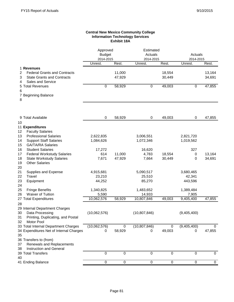### **Central New Mexico Community College Information Technology Services Exhibit 18A**

|                                                       | Approved<br><b>Budget</b><br>2014-2015 |        | Estimated<br>Actuals<br>2014-2015 |             | Actuals<br>2014-2015 |             |
|-------------------------------------------------------|----------------------------------------|--------|-----------------------------------|-------------|----------------------|-------------|
|                                                       | Unrest.                                | Rest.  | Unrest.                           | Rest.       | Unrest.              | Rest.       |
| 1 Revenues                                            |                                        |        |                                   |             |                      |             |
| <b>Federal Grants and Contracts</b><br>2              |                                        | 11,000 |                                   | 18,554      |                      | 13,164      |
| 3<br><b>State Grants and Contracts</b>                |                                        | 47,929 |                                   | 30,449      |                      | 34,691      |
| Sales and Service<br>4                                |                                        |        |                                   |             |                      |             |
| 5 Total Revenues                                      | 0                                      | 58,929 | 0                                 | 49,003      | $\mathbf 0$          | 47,855      |
| 6                                                     |                                        |        |                                   |             |                      |             |
| 7 Beginning Balance<br>8                              |                                        |        |                                   |             |                      |             |
|                                                       |                                        |        |                                   |             |                      |             |
| 9 Total Available                                     | 0                                      | 58,929 | 0                                 | 49,003      | 0                    | 47,855      |
| 10<br>11 Expenditures                                 |                                        |        |                                   |             |                      |             |
| <b>Faculty Salaries</b><br>12                         |                                        |        |                                   |             |                      |             |
| 13<br><b>Professional Salaries</b>                    | 2,622,835                              |        | 3,006,551                         |             | 2,821,720            |             |
| <b>Support Staff Salaries</b><br>14                   | 1,084,626                              |        | 1,072,346                         |             | 1,019,562            |             |
| 15<br><b>GA/TA/RA Salaries</b>                        |                                        |        |                                   |             |                      |             |
| <b>Student Salaries</b><br>16                         | 17,272                                 |        | 16,620                            |             | 327                  |             |
| 17<br><b>Federal Workstudy Salaries</b>               | 614                                    | 11,000 | 4,783                             | 18,554      | 0                    | 13,164      |
| 18<br><b>State Workstudy Salaries</b>                 | 7,671                                  | 47,929 | 7,664                             | 30,449      | 0                    | 34,691      |
| 19<br><b>Other Salaries</b>                           |                                        |        |                                   |             |                      |             |
| 20                                                    |                                        |        |                                   |             |                      |             |
| 21<br>Supplies and Expense<br>22<br>Travel            | 4,915,681<br>23,210                    |        | 5,090,517<br>25,510               |             | 3,680,465<br>42,341  |             |
| 23<br>Equipment                                       | 44,252                                 |        | 85,270                            |             | 443,596              |             |
| 24                                                    |                                        |        |                                   |             |                      |             |
| 25<br><b>Fringe Benefits</b>                          | 1,340,825                              |        | 1,483,652                         |             | 1,389,484            |             |
| Waiver of Tuition<br>26                               | 5,590                                  |        | 14,933                            |             | 7,905                |             |
| 27 Total Expenditures                                 | 10,062,576                             | 58,929 | 10,807,846                        | 49,003      | 9,405,400            | 47,855      |
| 28                                                    |                                        |        |                                   |             |                      |             |
| 29 Internal Department Charges                        |                                        |        |                                   |             |                      |             |
| Data Processing<br>30                                 | (10,062,576)                           |        | (10, 807, 846)                    |             | (9,405,400)          |             |
| Printing, Duplicating, and Postal<br>31<br>Motor Pool |                                        |        |                                   |             |                      |             |
| 32<br>33 Total Internal Department Charges            | (10,062,576)                           | 0      | (10, 807, 846)                    | 0           | (9,405,400)          | 0           |
| 34 Expenditures Net of Internal Charges               | 0                                      | 58,929 | 0                                 | 49,003      | 0                    | 47,855      |
| 35                                                    |                                        |        |                                   |             |                      |             |
| 36 Transfers to (from)                                |                                        |        |                                   |             |                      |             |
| Renewals and Replacements<br>37                       |                                        |        |                                   |             |                      |             |
| 38<br>Instruction and General                         |                                        |        |                                   |             |                      |             |
| 39 Total Transfers                                    | 0                                      | 0      | $\mathbf 0$                       | $\mathbf 0$ | 0                    | $\mathbf 0$ |
| 40                                                    |                                        |        |                                   |             |                      |             |
| 41 Ending Balance                                     | $\mathbf 0$                            | 0      | $\pmb{0}$                         | 0           | 0                    | 0           |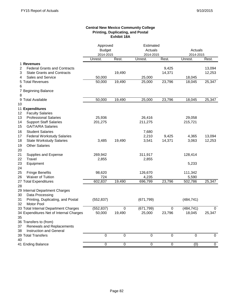### **Central New Mexico Community College Printing, Duplicating, and Postal Exhibit 18A**

|                                          | Approved      |           | Estimated   |                  |             |             |
|------------------------------------------|---------------|-----------|-------------|------------------|-------------|-------------|
|                                          | <b>Budget</b> |           | Actuals     |                  | Actuals     |             |
|                                          | 2014-2015     |           | 2014-2015   |                  | 2014-2015   |             |
|                                          | Unrest.       | Rest.     | Unrest.     | Rest.            | Unrest.     | Rest.       |
| 1 Revenues                               |               |           |             |                  |             |             |
| <b>Federal Grants and Contracts</b><br>2 |               |           |             | 9,425            |             | 13,094      |
| 3<br><b>State Grants and Contracts</b>   |               | 19,490    |             | 14,371           |             | 12,253      |
| Sales and Service<br>4                   | 50,000        |           | 25,000      |                  | 18,045      |             |
| 5 Total Revenues                         | 50,000        | 19,490    | 25,000      | 23,796           | 18,045      | 25,347      |
| 6                                        |               |           |             |                  |             |             |
| 7 Beginning Balance                      |               |           |             |                  |             |             |
| 8                                        |               |           |             |                  |             |             |
| 9 Total Available                        | 50,000        | 19,490    | 25,000      | 23,796           | 18,045      | 25,347      |
| 10                                       |               |           |             |                  |             |             |
| 11 Expenditures                          |               |           |             |                  |             |             |
| <b>Faculty Salaries</b><br>12            |               |           |             |                  |             |             |
| <b>Professional Salaries</b><br>13       | 25,936        |           | 26,416      |                  | 29,058      |             |
| 14<br><b>Support Staff Salaries</b>      | 201,275       |           | 211,275     |                  | 215,721     |             |
| <b>GA/TA/RA Salaries</b><br>15           |               |           |             |                  |             |             |
| <b>Student Salaries</b><br>16            |               |           | 7,680       |                  |             |             |
| <b>Federal Workstudy Salaries</b><br>17  |               |           | 2,210       | 9,425            | 4,365       | 13,094      |
| 18<br><b>State Workstudy Salaries</b>    | 3,485         | 19,490    | 3,541       | 14,371           | 3,063       | 12,253      |
| <b>Other Salaries</b><br>19              |               |           |             |                  |             |             |
| 20                                       |               |           |             |                  |             |             |
| 21<br>Supplies and Expense               | 269,942       |           | 311,917     |                  | 128,414     |             |
| Travel<br>22                             | 2,855         |           | 2,855       |                  |             |             |
| 23<br>Equipment                          |               |           |             |                  | 5,233       |             |
| 24                                       |               |           |             |                  |             |             |
| 25<br><b>Fringe Benefits</b>             | 98,620        |           | 126,670     |                  | 111,342     |             |
| Waiver of Tuition<br>26                  | 724           |           | 4,235       |                  | 5,590       |             |
| 27 Total Expenditures                    | 602,837       | 19,490    | 696,799     | 23,796           | 502,786     | 25,347      |
| 28                                       |               |           |             |                  |             |             |
| 29 Internal Department Charges           |               |           |             |                  |             |             |
| 30<br>Data Processing                    |               |           |             |                  |             |             |
| 31<br>Printing, Duplicating, and Postal  | (552, 837)    |           | (671, 799)  |                  | (484, 741)  |             |
| 32<br>Motor Pool                         |               |           |             |                  |             |             |
| 33 Total Internal Department Charges     | (552, 837)    | $\pmb{0}$ | (671, 799)  | $\boldsymbol{0}$ | (484, 741)  | 0           |
| 34 Expenditures Net of Internal Charges  | 50,000        | 19,490    | 25,000      | 23,796           | 18,045      | 25,347      |
| 35                                       |               |           |             |                  |             |             |
| 36 Transfers to (from)                   |               |           |             |                  |             |             |
| Renewals and Replacements<br>37          |               |           |             |                  |             |             |
| 38<br><b>Instruction and General</b>     |               |           |             |                  |             |             |
| 39 Total Transfers                       | $\mathbf 0$   | $\pmb{0}$ | $\mathbf 0$ | $\mathbf 0$      | $\mathbf 0$ | $\mathbf 0$ |
| 40                                       |               |           |             |                  |             |             |
| 41 Ending Balance                        | 0             | $\pmb{0}$ | 0           | 0                | (0)         | 0           |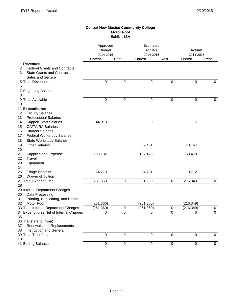### **Central New Mexico Community College Motor Pool Exhibit 18A**

|                                          | Approved                   |                  | Estimated            |                |                      |                  |
|------------------------------------------|----------------------------|------------------|----------------------|----------------|----------------------|------------------|
|                                          | <b>Budget</b><br>2014-2015 |                  | Actuals<br>2014-2015 |                | Actuals<br>2014-2015 |                  |
|                                          | Unrest.                    | Rest.            | Unrest.              | Rest.          | Unrest.              | Rest.            |
| 1 Revenues                               |                            |                  |                      |                |                      |                  |
| <b>Federal Grants and Contracts</b><br>2 |                            |                  |                      |                |                      |                  |
| <b>State Grants and Contracts</b><br>3   |                            |                  |                      |                |                      |                  |
| Sales and Service<br>4                   |                            |                  |                      |                |                      |                  |
| 5 Total Revenues                         | $\overline{0}$             | $\overline{0}$   | $\overline{0}$       | $\overline{0}$ | $\overline{0}$       | $\pmb{0}$        |
| 6                                        |                            |                  |                      |                |                      |                  |
| 7 Beginning Balance                      |                            |                  |                      |                |                      |                  |
| 8                                        |                            |                  |                      |                |                      |                  |
| 9 Total Available                        | 0                          | 0                | $\pmb{0}$            | $\pmb{0}$      | $\pmb{0}$            | $\mathbf 0$      |
| 10                                       |                            |                  |                      |                |                      |                  |
| 11 Expenditures                          |                            |                  |                      |                |                      |                  |
| <b>Faculty Salaries</b><br>12            |                            |                  |                      |                |                      |                  |
| <b>Professional Salaries</b><br>13       |                            |                  |                      |                |                      |                  |
| <b>Support Staff Salaries</b><br>14      | 44,010                     |                  | 0                    |                | 0                    |                  |
| <b>GA/TA/RA Salaries</b><br>15           |                            |                  |                      |                |                      |                  |
| <b>Student Salaries</b><br>16            |                            |                  |                      |                |                      |                  |
| <b>Federal Workstudy Salaries</b><br>17  |                            |                  |                      |                |                      |                  |
| 18<br><b>State Workstudy Salaries</b>    |                            |                  |                      |                |                      |                  |
| <b>Other Salaries</b><br>19              |                            |                  | 39,401               |                | 43,167               |                  |
| 20                                       |                            |                  |                      |                |                      |                  |
| 21<br>Supplies and Expense               | 193,132                    |                  | 197,178              |                | 153,470              |                  |
| Travel<br>22                             |                            |                  |                      |                |                      |                  |
| 23<br>Equipment                          |                            |                  |                      |                |                      |                  |
| 24                                       |                            |                  |                      |                |                      |                  |
| <b>Fringe Benefits</b><br>25             | 24,218                     |                  | 24,781               |                | 19,712               |                  |
| Waiver of Tuition<br>26                  |                            |                  |                      |                |                      |                  |
| 27 Total Expenditures                    | 261,360                    | $\pmb{0}$        | 261,360              | $\pmb{0}$      | 216,349              | $\pmb{0}$        |
| 28                                       |                            |                  |                      |                |                      |                  |
| 29 Internal Department Charges           |                            |                  |                      |                |                      |                  |
| 30<br>Data Processing                    |                            |                  |                      |                |                      |                  |
| 31<br>Printing, Duplicating, and Postal  |                            |                  |                      |                |                      |                  |
| Motor Pool<br>32                         | (261, 360)                 |                  | (261, 360)           |                | (216, 349)           |                  |
| 33 Total Internal Department Charges     | (261, 360)                 | $\boldsymbol{0}$ | (261, 360)           | 0              | (216, 349)           | 0                |
| 34 Expenditures Net of Internal Charges  | 0                          | $\pmb{0}$        | 0                    | 0              | 0                    | $\pmb{0}$        |
| 35                                       |                            |                  |                      |                |                      |                  |
| 36 Transfers to (from)                   |                            |                  |                      |                |                      |                  |
| Renewals and Replacements<br>37          |                            |                  |                      |                |                      |                  |
| 38<br>Instruction and General            |                            |                  |                      |                |                      |                  |
| 39 Total Transfers                       | $\mathbf 0$                | $\mathbf 0$      | $\mathbf 0$          | $\mathbf 0$    | $\mathbf 0$          | $\boldsymbol{0}$ |
| 40                                       |                            |                  |                      |                |                      |                  |
| 41 Ending Balance                        | 0                          | 0                | $\pmb{0}$            | $\pmb{0}$      | $\pmb{0}$            | $\pmb{0}$        |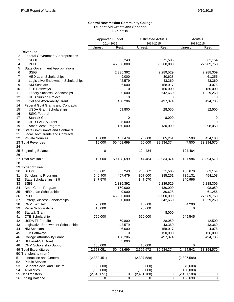#### **Central New Mexico Community College Student Aid Grants and Stipends Exhibit 19**

| Unrest.<br>Rest.<br>Unrest.<br>Rest.<br>Unrest.<br>Rest.<br>1 Revenues<br><b>Federal Government Appropriations</b><br>2<br>3<br><b>SEOG</b><br>555,243<br>571,505<br>563,154<br>4<br>PELL<br>45,000,000<br>35,000,000<br>27,989,753<br>5<br><b>State Government Appropriations</b><br>6<br><b>SSIG</b><br>2,335,392<br>2,289,529<br>2,288,309<br>7<br><b>HED Loan Scholarships</b><br>9,000<br>30,628<br>61,256<br>8<br>Legislative Endowment Scholarships<br>42,579<br>43,360<br>43,360<br>9<br><b>NM Scholars</b><br>6,000<br>158,017<br>4,076<br><b>ETB Pathways</b><br>0<br>150,000<br>156,000<br>10<br>1,300,000<br>Lottery Success Scholarships<br>642,660<br>1,229,260<br>11<br>12<br><b>HED Nursing Project</b><br>0<br>0<br>0<br><b>College Affordability Grant</b><br>497,374<br>13<br>488,206<br>494,735<br><b>Federal Govt Grants and Contracts</b><br>14<br>15<br><b>USDA Grant Scholarships</b><br>59,800<br>28,050<br>12,500<br>16<br><b>SSIG Federal</b><br>17<br><b>Startalk Grant</b><br>8,000<br>0<br>0<br><b>HED-FAFSA Grant</b><br>18<br>5,000<br>$\Omega$<br>0<br>AmeriCorps Program<br>150,000<br>130,000<br>98,059<br>19<br><b>State Govt Grants and Contracts</b><br>20<br>21<br><b>Local Govt Grants and Contracts</b><br><b>Private Sources</b><br>10,000<br>22<br>457,479<br>20,000<br>385,251<br>7,500<br>454,108<br>10,000<br>50,408,699<br>39,934,374<br>7,500<br>33,394,570<br>23 Total Revenues<br>20,000<br>24<br>0<br>124,484<br>124,484<br>25 Beginning Balance<br>26<br>27 Total Available<br>10,000<br>50,408,699<br>39,934,374<br>33,394,570<br>144,484<br>131,984<br>28<br>29 Expenditures<br><b>SEOG</b><br>30<br>185,081<br>555,243<br>260,502<br>571,505<br>188,670<br>563,154<br>31<br>Scholarship Programs<br>640,400<br>457,479<br>807,600<br>385,251<br>735,131<br>454,108<br>32<br>State Scholarships - 3%<br>847,570<br>847,570<br>846,996<br><b>SSIG</b><br>33<br>2,335,392<br>2,289,529<br>2,288,309<br>34<br>AmeriCorps Program<br>150,000<br>130,000<br>98,059<br>35<br><b>HED Loan Scholarships</b><br>9,000<br>30,628<br>61,256<br>PELL<br>45,000,000<br>35,000,000<br>27,989,753<br>36<br>37<br>Lottery Success Scholarships<br>1,300,000<br>1,229,260<br>642,660<br>38<br>CNM Tax Help<br>20,000<br>4,200<br>10,000<br>39<br>Pepsi Scholarships<br>10,000<br>20,000<br>0<br>8,000<br><b>Startalk Grant</b><br>40<br>CTE Scholarship<br>750,000<br>650,000<br>649,545<br>41<br>59,800<br>12,500<br>USDA Fit For Life<br>28,050<br>42<br>Legislative Endowment Scholarships<br>42,579<br>43,360<br>43,360<br>43<br><b>NM Scholars</b><br>4,076<br>6,000<br>158,017<br>44<br><b>ETB Pathways</b><br>150,000<br>156,000<br>0<br>45<br>488,206<br>497,374<br>494,735<br><b>College Affordability Grant</b><br>46<br><b>HED-FAFSA Grant</b><br>5,000<br>47<br>100,000<br><b>CNM Scholarship Support</b><br>10,000<br>0<br>48<br>33,394,570<br>50,408,699<br>2,605,672<br>39,934,374<br>2,424,542<br>49 Total Expenditures<br>2,553,051<br>50 Transfers to (from)<br>Instruction and General<br>(2,389,451)<br>(2,307,588)<br>(2,307,588)<br>51<br><b>Public Service</b><br>52<br>53<br><b>Student Social and Cultural</b><br>(3,600)<br>(3,600)<br>(3,600)<br><b>Auxiliaries</b><br>(150,000)<br>(150,000)<br>(150,000)<br>54<br>55 Net Transfers<br>(2,543,051)<br>(2,461,188)<br>(2,461,188)<br>0<br>0<br>0<br>$\overline{0}$<br>$\overline{0}$<br>0<br>168,630<br>56 Ending Balance<br>0<br>0 |  | Approved Budget<br>2014-2015 | <b>Estimated Actuals</b><br>2014-2015 |  | Acutals<br>2014-2015 |  |
|-----------------------------------------------------------------------------------------------------------------------------------------------------------------------------------------------------------------------------------------------------------------------------------------------------------------------------------------------------------------------------------------------------------------------------------------------------------------------------------------------------------------------------------------------------------------------------------------------------------------------------------------------------------------------------------------------------------------------------------------------------------------------------------------------------------------------------------------------------------------------------------------------------------------------------------------------------------------------------------------------------------------------------------------------------------------------------------------------------------------------------------------------------------------------------------------------------------------------------------------------------------------------------------------------------------------------------------------------------------------------------------------------------------------------------------------------------------------------------------------------------------------------------------------------------------------------------------------------------------------------------------------------------------------------------------------------------------------------------------------------------------------------------------------------------------------------------------------------------------------------------------------------------------------------------------------------------------------------------------------------------------------------------------------------------------------------------------------------------------------------------------------------------------------------------------------------------------------------------------------------------------------------------------------------------------------------------------------------------------------------------------------------------------------------------------------------------------------------------------------------------------------------------------------------------------------------------------------------------------------------------------------------------------------------------------------------------------------------------------------------------------------------------------------------------------------------------------------------------------------------------------------------------------------------------------------------------------------------------------------------------------------------------------------------------------------------------------------------------------------------------------------------------------------------------------------------------------------------------------------------------------------------------------------------------------------------------------------------------------------------------------------------------------------------------------------------------|--|------------------------------|---------------------------------------|--|----------------------|--|
|                                                                                                                                                                                                                                                                                                                                                                                                                                                                                                                                                                                                                                                                                                                                                                                                                                                                                                                                                                                                                                                                                                                                                                                                                                                                                                                                                                                                                                                                                                                                                                                                                                                                                                                                                                                                                                                                                                                                                                                                                                                                                                                                                                                                                                                                                                                                                                                                                                                                                                                                                                                                                                                                                                                                                                                                                                                                                                                                                                                                                                                                                                                                                                                                                                                                                                                                                                                                                                                     |  |                              |                                       |  |                      |  |
|                                                                                                                                                                                                                                                                                                                                                                                                                                                                                                                                                                                                                                                                                                                                                                                                                                                                                                                                                                                                                                                                                                                                                                                                                                                                                                                                                                                                                                                                                                                                                                                                                                                                                                                                                                                                                                                                                                                                                                                                                                                                                                                                                                                                                                                                                                                                                                                                                                                                                                                                                                                                                                                                                                                                                                                                                                                                                                                                                                                                                                                                                                                                                                                                                                                                                                                                                                                                                                                     |  |                              |                                       |  |                      |  |
|                                                                                                                                                                                                                                                                                                                                                                                                                                                                                                                                                                                                                                                                                                                                                                                                                                                                                                                                                                                                                                                                                                                                                                                                                                                                                                                                                                                                                                                                                                                                                                                                                                                                                                                                                                                                                                                                                                                                                                                                                                                                                                                                                                                                                                                                                                                                                                                                                                                                                                                                                                                                                                                                                                                                                                                                                                                                                                                                                                                                                                                                                                                                                                                                                                                                                                                                                                                                                                                     |  |                              |                                       |  |                      |  |
|                                                                                                                                                                                                                                                                                                                                                                                                                                                                                                                                                                                                                                                                                                                                                                                                                                                                                                                                                                                                                                                                                                                                                                                                                                                                                                                                                                                                                                                                                                                                                                                                                                                                                                                                                                                                                                                                                                                                                                                                                                                                                                                                                                                                                                                                                                                                                                                                                                                                                                                                                                                                                                                                                                                                                                                                                                                                                                                                                                                                                                                                                                                                                                                                                                                                                                                                                                                                                                                     |  |                              |                                       |  |                      |  |
|                                                                                                                                                                                                                                                                                                                                                                                                                                                                                                                                                                                                                                                                                                                                                                                                                                                                                                                                                                                                                                                                                                                                                                                                                                                                                                                                                                                                                                                                                                                                                                                                                                                                                                                                                                                                                                                                                                                                                                                                                                                                                                                                                                                                                                                                                                                                                                                                                                                                                                                                                                                                                                                                                                                                                                                                                                                                                                                                                                                                                                                                                                                                                                                                                                                                                                                                                                                                                                                     |  |                              |                                       |  |                      |  |
|                                                                                                                                                                                                                                                                                                                                                                                                                                                                                                                                                                                                                                                                                                                                                                                                                                                                                                                                                                                                                                                                                                                                                                                                                                                                                                                                                                                                                                                                                                                                                                                                                                                                                                                                                                                                                                                                                                                                                                                                                                                                                                                                                                                                                                                                                                                                                                                                                                                                                                                                                                                                                                                                                                                                                                                                                                                                                                                                                                                                                                                                                                                                                                                                                                                                                                                                                                                                                                                     |  |                              |                                       |  |                      |  |
|                                                                                                                                                                                                                                                                                                                                                                                                                                                                                                                                                                                                                                                                                                                                                                                                                                                                                                                                                                                                                                                                                                                                                                                                                                                                                                                                                                                                                                                                                                                                                                                                                                                                                                                                                                                                                                                                                                                                                                                                                                                                                                                                                                                                                                                                                                                                                                                                                                                                                                                                                                                                                                                                                                                                                                                                                                                                                                                                                                                                                                                                                                                                                                                                                                                                                                                                                                                                                                                     |  |                              |                                       |  |                      |  |
|                                                                                                                                                                                                                                                                                                                                                                                                                                                                                                                                                                                                                                                                                                                                                                                                                                                                                                                                                                                                                                                                                                                                                                                                                                                                                                                                                                                                                                                                                                                                                                                                                                                                                                                                                                                                                                                                                                                                                                                                                                                                                                                                                                                                                                                                                                                                                                                                                                                                                                                                                                                                                                                                                                                                                                                                                                                                                                                                                                                                                                                                                                                                                                                                                                                                                                                                                                                                                                                     |  |                              |                                       |  |                      |  |
|                                                                                                                                                                                                                                                                                                                                                                                                                                                                                                                                                                                                                                                                                                                                                                                                                                                                                                                                                                                                                                                                                                                                                                                                                                                                                                                                                                                                                                                                                                                                                                                                                                                                                                                                                                                                                                                                                                                                                                                                                                                                                                                                                                                                                                                                                                                                                                                                                                                                                                                                                                                                                                                                                                                                                                                                                                                                                                                                                                                                                                                                                                                                                                                                                                                                                                                                                                                                                                                     |  |                              |                                       |  |                      |  |
|                                                                                                                                                                                                                                                                                                                                                                                                                                                                                                                                                                                                                                                                                                                                                                                                                                                                                                                                                                                                                                                                                                                                                                                                                                                                                                                                                                                                                                                                                                                                                                                                                                                                                                                                                                                                                                                                                                                                                                                                                                                                                                                                                                                                                                                                                                                                                                                                                                                                                                                                                                                                                                                                                                                                                                                                                                                                                                                                                                                                                                                                                                                                                                                                                                                                                                                                                                                                                                                     |  |                              |                                       |  |                      |  |
|                                                                                                                                                                                                                                                                                                                                                                                                                                                                                                                                                                                                                                                                                                                                                                                                                                                                                                                                                                                                                                                                                                                                                                                                                                                                                                                                                                                                                                                                                                                                                                                                                                                                                                                                                                                                                                                                                                                                                                                                                                                                                                                                                                                                                                                                                                                                                                                                                                                                                                                                                                                                                                                                                                                                                                                                                                                                                                                                                                                                                                                                                                                                                                                                                                                                                                                                                                                                                                                     |  |                              |                                       |  |                      |  |
|                                                                                                                                                                                                                                                                                                                                                                                                                                                                                                                                                                                                                                                                                                                                                                                                                                                                                                                                                                                                                                                                                                                                                                                                                                                                                                                                                                                                                                                                                                                                                                                                                                                                                                                                                                                                                                                                                                                                                                                                                                                                                                                                                                                                                                                                                                                                                                                                                                                                                                                                                                                                                                                                                                                                                                                                                                                                                                                                                                                                                                                                                                                                                                                                                                                                                                                                                                                                                                                     |  |                              |                                       |  |                      |  |
|                                                                                                                                                                                                                                                                                                                                                                                                                                                                                                                                                                                                                                                                                                                                                                                                                                                                                                                                                                                                                                                                                                                                                                                                                                                                                                                                                                                                                                                                                                                                                                                                                                                                                                                                                                                                                                                                                                                                                                                                                                                                                                                                                                                                                                                                                                                                                                                                                                                                                                                                                                                                                                                                                                                                                                                                                                                                                                                                                                                                                                                                                                                                                                                                                                                                                                                                                                                                                                                     |  |                              |                                       |  |                      |  |
|                                                                                                                                                                                                                                                                                                                                                                                                                                                                                                                                                                                                                                                                                                                                                                                                                                                                                                                                                                                                                                                                                                                                                                                                                                                                                                                                                                                                                                                                                                                                                                                                                                                                                                                                                                                                                                                                                                                                                                                                                                                                                                                                                                                                                                                                                                                                                                                                                                                                                                                                                                                                                                                                                                                                                                                                                                                                                                                                                                                                                                                                                                                                                                                                                                                                                                                                                                                                                                                     |  |                              |                                       |  |                      |  |
|                                                                                                                                                                                                                                                                                                                                                                                                                                                                                                                                                                                                                                                                                                                                                                                                                                                                                                                                                                                                                                                                                                                                                                                                                                                                                                                                                                                                                                                                                                                                                                                                                                                                                                                                                                                                                                                                                                                                                                                                                                                                                                                                                                                                                                                                                                                                                                                                                                                                                                                                                                                                                                                                                                                                                                                                                                                                                                                                                                                                                                                                                                                                                                                                                                                                                                                                                                                                                                                     |  |                              |                                       |  |                      |  |
|                                                                                                                                                                                                                                                                                                                                                                                                                                                                                                                                                                                                                                                                                                                                                                                                                                                                                                                                                                                                                                                                                                                                                                                                                                                                                                                                                                                                                                                                                                                                                                                                                                                                                                                                                                                                                                                                                                                                                                                                                                                                                                                                                                                                                                                                                                                                                                                                                                                                                                                                                                                                                                                                                                                                                                                                                                                                                                                                                                                                                                                                                                                                                                                                                                                                                                                                                                                                                                                     |  |                              |                                       |  |                      |  |
|                                                                                                                                                                                                                                                                                                                                                                                                                                                                                                                                                                                                                                                                                                                                                                                                                                                                                                                                                                                                                                                                                                                                                                                                                                                                                                                                                                                                                                                                                                                                                                                                                                                                                                                                                                                                                                                                                                                                                                                                                                                                                                                                                                                                                                                                                                                                                                                                                                                                                                                                                                                                                                                                                                                                                                                                                                                                                                                                                                                                                                                                                                                                                                                                                                                                                                                                                                                                                                                     |  |                              |                                       |  |                      |  |
|                                                                                                                                                                                                                                                                                                                                                                                                                                                                                                                                                                                                                                                                                                                                                                                                                                                                                                                                                                                                                                                                                                                                                                                                                                                                                                                                                                                                                                                                                                                                                                                                                                                                                                                                                                                                                                                                                                                                                                                                                                                                                                                                                                                                                                                                                                                                                                                                                                                                                                                                                                                                                                                                                                                                                                                                                                                                                                                                                                                                                                                                                                                                                                                                                                                                                                                                                                                                                                                     |  |                              |                                       |  |                      |  |
|                                                                                                                                                                                                                                                                                                                                                                                                                                                                                                                                                                                                                                                                                                                                                                                                                                                                                                                                                                                                                                                                                                                                                                                                                                                                                                                                                                                                                                                                                                                                                                                                                                                                                                                                                                                                                                                                                                                                                                                                                                                                                                                                                                                                                                                                                                                                                                                                                                                                                                                                                                                                                                                                                                                                                                                                                                                                                                                                                                                                                                                                                                                                                                                                                                                                                                                                                                                                                                                     |  |                              |                                       |  |                      |  |
|                                                                                                                                                                                                                                                                                                                                                                                                                                                                                                                                                                                                                                                                                                                                                                                                                                                                                                                                                                                                                                                                                                                                                                                                                                                                                                                                                                                                                                                                                                                                                                                                                                                                                                                                                                                                                                                                                                                                                                                                                                                                                                                                                                                                                                                                                                                                                                                                                                                                                                                                                                                                                                                                                                                                                                                                                                                                                                                                                                                                                                                                                                                                                                                                                                                                                                                                                                                                                                                     |  |                              |                                       |  |                      |  |
|                                                                                                                                                                                                                                                                                                                                                                                                                                                                                                                                                                                                                                                                                                                                                                                                                                                                                                                                                                                                                                                                                                                                                                                                                                                                                                                                                                                                                                                                                                                                                                                                                                                                                                                                                                                                                                                                                                                                                                                                                                                                                                                                                                                                                                                                                                                                                                                                                                                                                                                                                                                                                                                                                                                                                                                                                                                                                                                                                                                                                                                                                                                                                                                                                                                                                                                                                                                                                                                     |  |                              |                                       |  |                      |  |
|                                                                                                                                                                                                                                                                                                                                                                                                                                                                                                                                                                                                                                                                                                                                                                                                                                                                                                                                                                                                                                                                                                                                                                                                                                                                                                                                                                                                                                                                                                                                                                                                                                                                                                                                                                                                                                                                                                                                                                                                                                                                                                                                                                                                                                                                                                                                                                                                                                                                                                                                                                                                                                                                                                                                                                                                                                                                                                                                                                                                                                                                                                                                                                                                                                                                                                                                                                                                                                                     |  |                              |                                       |  |                      |  |
|                                                                                                                                                                                                                                                                                                                                                                                                                                                                                                                                                                                                                                                                                                                                                                                                                                                                                                                                                                                                                                                                                                                                                                                                                                                                                                                                                                                                                                                                                                                                                                                                                                                                                                                                                                                                                                                                                                                                                                                                                                                                                                                                                                                                                                                                                                                                                                                                                                                                                                                                                                                                                                                                                                                                                                                                                                                                                                                                                                                                                                                                                                                                                                                                                                                                                                                                                                                                                                                     |  |                              |                                       |  |                      |  |
|                                                                                                                                                                                                                                                                                                                                                                                                                                                                                                                                                                                                                                                                                                                                                                                                                                                                                                                                                                                                                                                                                                                                                                                                                                                                                                                                                                                                                                                                                                                                                                                                                                                                                                                                                                                                                                                                                                                                                                                                                                                                                                                                                                                                                                                                                                                                                                                                                                                                                                                                                                                                                                                                                                                                                                                                                                                                                                                                                                                                                                                                                                                                                                                                                                                                                                                                                                                                                                                     |  |                              |                                       |  |                      |  |
|                                                                                                                                                                                                                                                                                                                                                                                                                                                                                                                                                                                                                                                                                                                                                                                                                                                                                                                                                                                                                                                                                                                                                                                                                                                                                                                                                                                                                                                                                                                                                                                                                                                                                                                                                                                                                                                                                                                                                                                                                                                                                                                                                                                                                                                                                                                                                                                                                                                                                                                                                                                                                                                                                                                                                                                                                                                                                                                                                                                                                                                                                                                                                                                                                                                                                                                                                                                                                                                     |  |                              |                                       |  |                      |  |
|                                                                                                                                                                                                                                                                                                                                                                                                                                                                                                                                                                                                                                                                                                                                                                                                                                                                                                                                                                                                                                                                                                                                                                                                                                                                                                                                                                                                                                                                                                                                                                                                                                                                                                                                                                                                                                                                                                                                                                                                                                                                                                                                                                                                                                                                                                                                                                                                                                                                                                                                                                                                                                                                                                                                                                                                                                                                                                                                                                                                                                                                                                                                                                                                                                                                                                                                                                                                                                                     |  |                              |                                       |  |                      |  |
|                                                                                                                                                                                                                                                                                                                                                                                                                                                                                                                                                                                                                                                                                                                                                                                                                                                                                                                                                                                                                                                                                                                                                                                                                                                                                                                                                                                                                                                                                                                                                                                                                                                                                                                                                                                                                                                                                                                                                                                                                                                                                                                                                                                                                                                                                                                                                                                                                                                                                                                                                                                                                                                                                                                                                                                                                                                                                                                                                                                                                                                                                                                                                                                                                                                                                                                                                                                                                                                     |  |                              |                                       |  |                      |  |
|                                                                                                                                                                                                                                                                                                                                                                                                                                                                                                                                                                                                                                                                                                                                                                                                                                                                                                                                                                                                                                                                                                                                                                                                                                                                                                                                                                                                                                                                                                                                                                                                                                                                                                                                                                                                                                                                                                                                                                                                                                                                                                                                                                                                                                                                                                                                                                                                                                                                                                                                                                                                                                                                                                                                                                                                                                                                                                                                                                                                                                                                                                                                                                                                                                                                                                                                                                                                                                                     |  |                              |                                       |  |                      |  |
|                                                                                                                                                                                                                                                                                                                                                                                                                                                                                                                                                                                                                                                                                                                                                                                                                                                                                                                                                                                                                                                                                                                                                                                                                                                                                                                                                                                                                                                                                                                                                                                                                                                                                                                                                                                                                                                                                                                                                                                                                                                                                                                                                                                                                                                                                                                                                                                                                                                                                                                                                                                                                                                                                                                                                                                                                                                                                                                                                                                                                                                                                                                                                                                                                                                                                                                                                                                                                                                     |  |                              |                                       |  |                      |  |
|                                                                                                                                                                                                                                                                                                                                                                                                                                                                                                                                                                                                                                                                                                                                                                                                                                                                                                                                                                                                                                                                                                                                                                                                                                                                                                                                                                                                                                                                                                                                                                                                                                                                                                                                                                                                                                                                                                                                                                                                                                                                                                                                                                                                                                                                                                                                                                                                                                                                                                                                                                                                                                                                                                                                                                                                                                                                                                                                                                                                                                                                                                                                                                                                                                                                                                                                                                                                                                                     |  |                              |                                       |  |                      |  |
|                                                                                                                                                                                                                                                                                                                                                                                                                                                                                                                                                                                                                                                                                                                                                                                                                                                                                                                                                                                                                                                                                                                                                                                                                                                                                                                                                                                                                                                                                                                                                                                                                                                                                                                                                                                                                                                                                                                                                                                                                                                                                                                                                                                                                                                                                                                                                                                                                                                                                                                                                                                                                                                                                                                                                                                                                                                                                                                                                                                                                                                                                                                                                                                                                                                                                                                                                                                                                                                     |  |                              |                                       |  |                      |  |
|                                                                                                                                                                                                                                                                                                                                                                                                                                                                                                                                                                                                                                                                                                                                                                                                                                                                                                                                                                                                                                                                                                                                                                                                                                                                                                                                                                                                                                                                                                                                                                                                                                                                                                                                                                                                                                                                                                                                                                                                                                                                                                                                                                                                                                                                                                                                                                                                                                                                                                                                                                                                                                                                                                                                                                                                                                                                                                                                                                                                                                                                                                                                                                                                                                                                                                                                                                                                                                                     |  |                              |                                       |  |                      |  |
|                                                                                                                                                                                                                                                                                                                                                                                                                                                                                                                                                                                                                                                                                                                                                                                                                                                                                                                                                                                                                                                                                                                                                                                                                                                                                                                                                                                                                                                                                                                                                                                                                                                                                                                                                                                                                                                                                                                                                                                                                                                                                                                                                                                                                                                                                                                                                                                                                                                                                                                                                                                                                                                                                                                                                                                                                                                                                                                                                                                                                                                                                                                                                                                                                                                                                                                                                                                                                                                     |  |                              |                                       |  |                      |  |
|                                                                                                                                                                                                                                                                                                                                                                                                                                                                                                                                                                                                                                                                                                                                                                                                                                                                                                                                                                                                                                                                                                                                                                                                                                                                                                                                                                                                                                                                                                                                                                                                                                                                                                                                                                                                                                                                                                                                                                                                                                                                                                                                                                                                                                                                                                                                                                                                                                                                                                                                                                                                                                                                                                                                                                                                                                                                                                                                                                                                                                                                                                                                                                                                                                                                                                                                                                                                                                                     |  |                              |                                       |  |                      |  |
|                                                                                                                                                                                                                                                                                                                                                                                                                                                                                                                                                                                                                                                                                                                                                                                                                                                                                                                                                                                                                                                                                                                                                                                                                                                                                                                                                                                                                                                                                                                                                                                                                                                                                                                                                                                                                                                                                                                                                                                                                                                                                                                                                                                                                                                                                                                                                                                                                                                                                                                                                                                                                                                                                                                                                                                                                                                                                                                                                                                                                                                                                                                                                                                                                                                                                                                                                                                                                                                     |  |                              |                                       |  |                      |  |
|                                                                                                                                                                                                                                                                                                                                                                                                                                                                                                                                                                                                                                                                                                                                                                                                                                                                                                                                                                                                                                                                                                                                                                                                                                                                                                                                                                                                                                                                                                                                                                                                                                                                                                                                                                                                                                                                                                                                                                                                                                                                                                                                                                                                                                                                                                                                                                                                                                                                                                                                                                                                                                                                                                                                                                                                                                                                                                                                                                                                                                                                                                                                                                                                                                                                                                                                                                                                                                                     |  |                              |                                       |  |                      |  |
|                                                                                                                                                                                                                                                                                                                                                                                                                                                                                                                                                                                                                                                                                                                                                                                                                                                                                                                                                                                                                                                                                                                                                                                                                                                                                                                                                                                                                                                                                                                                                                                                                                                                                                                                                                                                                                                                                                                                                                                                                                                                                                                                                                                                                                                                                                                                                                                                                                                                                                                                                                                                                                                                                                                                                                                                                                                                                                                                                                                                                                                                                                                                                                                                                                                                                                                                                                                                                                                     |  |                              |                                       |  |                      |  |
|                                                                                                                                                                                                                                                                                                                                                                                                                                                                                                                                                                                                                                                                                                                                                                                                                                                                                                                                                                                                                                                                                                                                                                                                                                                                                                                                                                                                                                                                                                                                                                                                                                                                                                                                                                                                                                                                                                                                                                                                                                                                                                                                                                                                                                                                                                                                                                                                                                                                                                                                                                                                                                                                                                                                                                                                                                                                                                                                                                                                                                                                                                                                                                                                                                                                                                                                                                                                                                                     |  |                              |                                       |  |                      |  |
|                                                                                                                                                                                                                                                                                                                                                                                                                                                                                                                                                                                                                                                                                                                                                                                                                                                                                                                                                                                                                                                                                                                                                                                                                                                                                                                                                                                                                                                                                                                                                                                                                                                                                                                                                                                                                                                                                                                                                                                                                                                                                                                                                                                                                                                                                                                                                                                                                                                                                                                                                                                                                                                                                                                                                                                                                                                                                                                                                                                                                                                                                                                                                                                                                                                                                                                                                                                                                                                     |  |                              |                                       |  |                      |  |
|                                                                                                                                                                                                                                                                                                                                                                                                                                                                                                                                                                                                                                                                                                                                                                                                                                                                                                                                                                                                                                                                                                                                                                                                                                                                                                                                                                                                                                                                                                                                                                                                                                                                                                                                                                                                                                                                                                                                                                                                                                                                                                                                                                                                                                                                                                                                                                                                                                                                                                                                                                                                                                                                                                                                                                                                                                                                                                                                                                                                                                                                                                                                                                                                                                                                                                                                                                                                                                                     |  |                              |                                       |  |                      |  |
|                                                                                                                                                                                                                                                                                                                                                                                                                                                                                                                                                                                                                                                                                                                                                                                                                                                                                                                                                                                                                                                                                                                                                                                                                                                                                                                                                                                                                                                                                                                                                                                                                                                                                                                                                                                                                                                                                                                                                                                                                                                                                                                                                                                                                                                                                                                                                                                                                                                                                                                                                                                                                                                                                                                                                                                                                                                                                                                                                                                                                                                                                                                                                                                                                                                                                                                                                                                                                                                     |  |                              |                                       |  |                      |  |
|                                                                                                                                                                                                                                                                                                                                                                                                                                                                                                                                                                                                                                                                                                                                                                                                                                                                                                                                                                                                                                                                                                                                                                                                                                                                                                                                                                                                                                                                                                                                                                                                                                                                                                                                                                                                                                                                                                                                                                                                                                                                                                                                                                                                                                                                                                                                                                                                                                                                                                                                                                                                                                                                                                                                                                                                                                                                                                                                                                                                                                                                                                                                                                                                                                                                                                                                                                                                                                                     |  |                              |                                       |  |                      |  |
|                                                                                                                                                                                                                                                                                                                                                                                                                                                                                                                                                                                                                                                                                                                                                                                                                                                                                                                                                                                                                                                                                                                                                                                                                                                                                                                                                                                                                                                                                                                                                                                                                                                                                                                                                                                                                                                                                                                                                                                                                                                                                                                                                                                                                                                                                                                                                                                                                                                                                                                                                                                                                                                                                                                                                                                                                                                                                                                                                                                                                                                                                                                                                                                                                                                                                                                                                                                                                                                     |  |                              |                                       |  |                      |  |
|                                                                                                                                                                                                                                                                                                                                                                                                                                                                                                                                                                                                                                                                                                                                                                                                                                                                                                                                                                                                                                                                                                                                                                                                                                                                                                                                                                                                                                                                                                                                                                                                                                                                                                                                                                                                                                                                                                                                                                                                                                                                                                                                                                                                                                                                                                                                                                                                                                                                                                                                                                                                                                                                                                                                                                                                                                                                                                                                                                                                                                                                                                                                                                                                                                                                                                                                                                                                                                                     |  |                              |                                       |  |                      |  |
|                                                                                                                                                                                                                                                                                                                                                                                                                                                                                                                                                                                                                                                                                                                                                                                                                                                                                                                                                                                                                                                                                                                                                                                                                                                                                                                                                                                                                                                                                                                                                                                                                                                                                                                                                                                                                                                                                                                                                                                                                                                                                                                                                                                                                                                                                                                                                                                                                                                                                                                                                                                                                                                                                                                                                                                                                                                                                                                                                                                                                                                                                                                                                                                                                                                                                                                                                                                                                                                     |  |                              |                                       |  |                      |  |
|                                                                                                                                                                                                                                                                                                                                                                                                                                                                                                                                                                                                                                                                                                                                                                                                                                                                                                                                                                                                                                                                                                                                                                                                                                                                                                                                                                                                                                                                                                                                                                                                                                                                                                                                                                                                                                                                                                                                                                                                                                                                                                                                                                                                                                                                                                                                                                                                                                                                                                                                                                                                                                                                                                                                                                                                                                                                                                                                                                                                                                                                                                                                                                                                                                                                                                                                                                                                                                                     |  |                              |                                       |  |                      |  |
|                                                                                                                                                                                                                                                                                                                                                                                                                                                                                                                                                                                                                                                                                                                                                                                                                                                                                                                                                                                                                                                                                                                                                                                                                                                                                                                                                                                                                                                                                                                                                                                                                                                                                                                                                                                                                                                                                                                                                                                                                                                                                                                                                                                                                                                                                                                                                                                                                                                                                                                                                                                                                                                                                                                                                                                                                                                                                                                                                                                                                                                                                                                                                                                                                                                                                                                                                                                                                                                     |  |                              |                                       |  |                      |  |
|                                                                                                                                                                                                                                                                                                                                                                                                                                                                                                                                                                                                                                                                                                                                                                                                                                                                                                                                                                                                                                                                                                                                                                                                                                                                                                                                                                                                                                                                                                                                                                                                                                                                                                                                                                                                                                                                                                                                                                                                                                                                                                                                                                                                                                                                                                                                                                                                                                                                                                                                                                                                                                                                                                                                                                                                                                                                                                                                                                                                                                                                                                                                                                                                                                                                                                                                                                                                                                                     |  |                              |                                       |  |                      |  |
|                                                                                                                                                                                                                                                                                                                                                                                                                                                                                                                                                                                                                                                                                                                                                                                                                                                                                                                                                                                                                                                                                                                                                                                                                                                                                                                                                                                                                                                                                                                                                                                                                                                                                                                                                                                                                                                                                                                                                                                                                                                                                                                                                                                                                                                                                                                                                                                                                                                                                                                                                                                                                                                                                                                                                                                                                                                                                                                                                                                                                                                                                                                                                                                                                                                                                                                                                                                                                                                     |  |                              |                                       |  |                      |  |
|                                                                                                                                                                                                                                                                                                                                                                                                                                                                                                                                                                                                                                                                                                                                                                                                                                                                                                                                                                                                                                                                                                                                                                                                                                                                                                                                                                                                                                                                                                                                                                                                                                                                                                                                                                                                                                                                                                                                                                                                                                                                                                                                                                                                                                                                                                                                                                                                                                                                                                                                                                                                                                                                                                                                                                                                                                                                                                                                                                                                                                                                                                                                                                                                                                                                                                                                                                                                                                                     |  |                              |                                       |  |                      |  |
|                                                                                                                                                                                                                                                                                                                                                                                                                                                                                                                                                                                                                                                                                                                                                                                                                                                                                                                                                                                                                                                                                                                                                                                                                                                                                                                                                                                                                                                                                                                                                                                                                                                                                                                                                                                                                                                                                                                                                                                                                                                                                                                                                                                                                                                                                                                                                                                                                                                                                                                                                                                                                                                                                                                                                                                                                                                                                                                                                                                                                                                                                                                                                                                                                                                                                                                                                                                                                                                     |  |                              |                                       |  |                      |  |
|                                                                                                                                                                                                                                                                                                                                                                                                                                                                                                                                                                                                                                                                                                                                                                                                                                                                                                                                                                                                                                                                                                                                                                                                                                                                                                                                                                                                                                                                                                                                                                                                                                                                                                                                                                                                                                                                                                                                                                                                                                                                                                                                                                                                                                                                                                                                                                                                                                                                                                                                                                                                                                                                                                                                                                                                                                                                                                                                                                                                                                                                                                                                                                                                                                                                                                                                                                                                                                                     |  |                              |                                       |  |                      |  |
|                                                                                                                                                                                                                                                                                                                                                                                                                                                                                                                                                                                                                                                                                                                                                                                                                                                                                                                                                                                                                                                                                                                                                                                                                                                                                                                                                                                                                                                                                                                                                                                                                                                                                                                                                                                                                                                                                                                                                                                                                                                                                                                                                                                                                                                                                                                                                                                                                                                                                                                                                                                                                                                                                                                                                                                                                                                                                                                                                                                                                                                                                                                                                                                                                                                                                                                                                                                                                                                     |  |                              |                                       |  |                      |  |
|                                                                                                                                                                                                                                                                                                                                                                                                                                                                                                                                                                                                                                                                                                                                                                                                                                                                                                                                                                                                                                                                                                                                                                                                                                                                                                                                                                                                                                                                                                                                                                                                                                                                                                                                                                                                                                                                                                                                                                                                                                                                                                                                                                                                                                                                                                                                                                                                                                                                                                                                                                                                                                                                                                                                                                                                                                                                                                                                                                                                                                                                                                                                                                                                                                                                                                                                                                                                                                                     |  |                              |                                       |  |                      |  |
|                                                                                                                                                                                                                                                                                                                                                                                                                                                                                                                                                                                                                                                                                                                                                                                                                                                                                                                                                                                                                                                                                                                                                                                                                                                                                                                                                                                                                                                                                                                                                                                                                                                                                                                                                                                                                                                                                                                                                                                                                                                                                                                                                                                                                                                                                                                                                                                                                                                                                                                                                                                                                                                                                                                                                                                                                                                                                                                                                                                                                                                                                                                                                                                                                                                                                                                                                                                                                                                     |  |                              |                                       |  |                      |  |
|                                                                                                                                                                                                                                                                                                                                                                                                                                                                                                                                                                                                                                                                                                                                                                                                                                                                                                                                                                                                                                                                                                                                                                                                                                                                                                                                                                                                                                                                                                                                                                                                                                                                                                                                                                                                                                                                                                                                                                                                                                                                                                                                                                                                                                                                                                                                                                                                                                                                                                                                                                                                                                                                                                                                                                                                                                                                                                                                                                                                                                                                                                                                                                                                                                                                                                                                                                                                                                                     |  |                              |                                       |  |                      |  |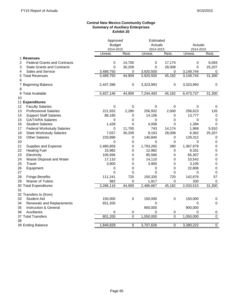### **Central New Mexico Community College Summary of Auxiliary Enterprises Exhibit 20**

|    |                                     |               | Approved         |             | Estimated   |             |                |  |
|----|-------------------------------------|---------------|------------------|-------------|-------------|-------------|----------------|--|
|    |                                     | <b>Budget</b> |                  | Actuals     |             | Actuals     |                |  |
|    |                                     | 2014-2015     |                  | 2014-2015   |             | 2014-2015   |                |  |
|    |                                     | Unrest.       | Rest.            | Unrest.     | Rest.       | Unrest.     | Rest.          |  |
|    | 1 Revenues                          |               |                  |             |             |             |                |  |
| 2  | <b>Federal Grants and Contracts</b> | 0             | 14,700           | 0           | 17,174      | 0           | 6,093          |  |
| 3  | <b>State Grants and Contracts</b>   | 0             | 30,209           | 0           | 28,008      | 0           | 25,207         |  |
| 4  | <b>Sales and Service</b>            | 3,489,750     | 0                | 3,920,500   | 0           | 3,149,744   | 0              |  |
| 5  | <b>Total Revenues</b>               | 3,489,750     | 44,909           | 3,920,500   | 45,182      | 3,149,744   | 31,300         |  |
| 6  |                                     |               |                  |             |             |             |                |  |
|    | 7 Beginning Balance                 | 2,447,396     | 0                | 3,323,993   | $\pmb{0}$   | 3,323,993   | 0              |  |
| 8  |                                     |               |                  |             |             |             |                |  |
|    | 9 Total Available                   | 5,937,146     | 44,909           | 7,244,493   | 45,182      | 6,473,737   | 31,300         |  |
| 10 |                                     |               |                  |             |             |             |                |  |
|    | 11 Expenditures                     |               |                  |             |             |             |                |  |
| 12 | <b>Faculty Salaries</b>             | 0             | $\boldsymbol{0}$ | $\mathbf 0$ | 0           | 0           | 0              |  |
| 13 | <b>Professional Salaries</b>        | 221,932       | 2,280            | 256,932     | 2,000       | 258,623     | 126            |  |
| 14 | <b>Support Staff Salaries</b>       | 86,185        | 0                | 14,106      | 0           | 13,777      | 0              |  |
| 15 | <b>GA/TA/RA Salaries</b>            | 0             | 0                | 0           | 0           | 0           | 0              |  |
| 16 | <b>Student Salaries</b>             | 1,428         | 0                | 4,008       | 0           | 1,394       | 0              |  |
| 17 | <b>Federal Workstudy Salaries</b>   | 0             | 11,700           | 743         | 14,174      | 1,969       | 5,910          |  |
| 18 | <b>State Workstudy Salaries</b>     | 7,037         | 30,209           | 8,163       | 28,008      | 6,362       | 25,207         |  |
| 19 | <b>Other Salaries</b>               | 233,896       | 0                | 140,840     | 0           | 129,312     | 0              |  |
| 20 |                                     | $\Omega$      | 0                | $\Omega$    | 0           | $\Omega$    | 0              |  |
| 21 | Supplies and Expense                | 2,480,859     | 0                | 1,793,265   | 280         | 1,367,979   | 0              |  |
| 22 | <b>Heating Fuel</b>                 | 15,982        | 0                | 12,982      | 0           | 9,331       | $\mathbf 0$    |  |
| 23 | Electricity                         | 105,566       | 0                | 85,566      | 0           | 65,307      | $\mathbf 0$    |  |
| 24 | Waste Disposal and Water            | 17,110        | 0                | 14,110      | 0           | 10,542      | $\mathbf 0$    |  |
| 25 | Travel                              | 3,900         | 0                | 3,900       | 0           | 3,105       | $\mathbf 0$    |  |
| 26 | Equipment                           | 0             | $\boldsymbol{0}$ | 0           | 0           | 22,808      | $\mathbf 0$    |  |
| 27 |                                     | $\Omega$      | 0                | $\mathbf 0$ | 0           | $\mathbf 0$ | $\mathbf 0$    |  |
| 28 | <b>Fringe Benefits</b>              | 111,241       | 720              | 150,335     | 720         | 142,676     | 57             |  |
| 29 | Waiver of Tuition                   | 982           | 0                | 1,917       | 0           | 330         | $\mathbf 0$    |  |
|    | 30 Total Expenditures               | 3,286,118     | 44,909           | 2,486,867   | 45,182      | 2,033,515   | 31,300         |  |
| 31 |                                     |               |                  |             |             |             |                |  |
|    | 32 Transfers to (from)              |               |                  |             |             |             |                |  |
| 33 | <b>Student Aid</b>                  | 150,000       | 0                | 150,000     | 0           | 150,000     | 0              |  |
| 34 | Renewals and Replacements           | 651,200       |                  | 0           |             | 0           | 0              |  |
| 35 | Instruction & General               |               |                  | 900,000     |             | 900,000     |                |  |
| 36 | Auxiliaries                         | 0             | $\pmb{0}$        | $\Omega$    | 0           | $\Omega$    | 0              |  |
|    | 37 Total Transfers                  | 801,200       | $\boldsymbol{0}$ | 1,050,000   | $\mathbf 0$ | 1,050,000   | $\overline{0}$ |  |
| 38 |                                     |               |                  |             |             |             |                |  |
|    | 39 Ending Balance                   | 1,849,828     | 0                | 3,707,626   | 0           | 3,390,222   | $\overline{0}$ |  |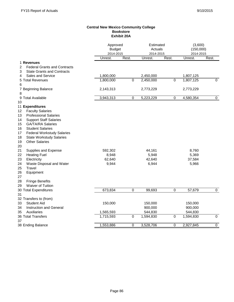#### **Central New Mexico Community College Bookstore Exhibit 20A**

|                                                                     | Approved<br><b>Budget</b><br>2014-2015 |                  | Estimated<br>Actuals<br>2014-2015 |           | (3,600)<br>(150,000)<br>2014-2015 |                |
|---------------------------------------------------------------------|----------------------------------------|------------------|-----------------------------------|-----------|-----------------------------------|----------------|
|                                                                     | Unrest.                                | Rest.            | Unrest.                           | Rest.     | Unrest.                           | Rest.          |
| 1 Revenues                                                          |                                        |                  |                                   |           |                                   |                |
| $\overline{c}$<br><b>Federal Grants and Contracts</b>               |                                        |                  |                                   |           |                                   |                |
| 3<br><b>State Grants and Contracts</b>                              |                                        |                  |                                   |           |                                   |                |
| Sales and Service<br>4                                              | 1,800,000                              |                  | 2,450,000                         |           | 1,807,125                         |                |
| 5 Total Revenues                                                    | 1,800,000                              | 0                | 2,450,000                         | 0         | 1,807,125                         | $\Omega$       |
| 6                                                                   |                                        |                  |                                   |           |                                   |                |
| 7 Beginning Balance                                                 | 2,143,313                              |                  | 2,773,229                         |           | 2,773,229                         |                |
| 8                                                                   |                                        |                  |                                   |           |                                   |                |
| <b>Total Available</b><br>9                                         | 3,943,313                              | $\boldsymbol{0}$ | 5,223,229                         | 0         | 4,580,354                         | $\mathbf 0$    |
| 10                                                                  |                                        |                  |                                   |           |                                   |                |
| 11 Expenditures                                                     |                                        |                  |                                   |           |                                   |                |
| <b>Faculty Salaries</b><br>12<br>13<br><b>Professional Salaries</b> |                                        |                  |                                   |           |                                   |                |
| <b>Support Staff Salaries</b>                                       |                                        |                  |                                   |           |                                   |                |
| 14<br><b>GA/TA/RA Salaries</b><br>15                                |                                        |                  |                                   |           |                                   |                |
| 16<br><b>Student Salaries</b>                                       |                                        |                  |                                   |           |                                   |                |
| <b>Federal Workstudy Salaries</b><br>17                             |                                        |                  |                                   |           |                                   |                |
| <b>State Workstudy Salaries</b><br>18                               |                                        |                  |                                   |           |                                   |                |
| <b>Other Salaries</b><br>19                                         |                                        |                  |                                   |           |                                   |                |
| 20                                                                  |                                        |                  |                                   |           |                                   |                |
| 21<br>Supplies and Expense                                          | 592,302                                |                  | 44,161                            |           | 8,760                             |                |
| <b>Heating Fuel</b><br>22                                           | 8,948                                  |                  | 5,948                             |           | 5,369                             |                |
| Electricity<br>23                                                   | 62,640                                 |                  | 42,640                            |           | 37,584                            |                |
| Waste Disposal and Water<br>24                                      | 9,944                                  |                  | 6,944                             |           | 5,966                             |                |
| Travel<br>25                                                        |                                        |                  |                                   |           |                                   |                |
| 26<br>Equipment                                                     |                                        |                  |                                   |           |                                   |                |
| 27                                                                  |                                        |                  |                                   |           |                                   |                |
| <b>Fringe Benefits</b><br>28                                        |                                        |                  |                                   |           |                                   |                |
| <b>Waiver of Tuition</b><br>29                                      |                                        |                  |                                   |           |                                   |                |
| 30 Total Expenditures                                               | 673,834                                | 0                | 99,693                            | $\pmb{0}$ | 57,679                            | $\mathbf 0$    |
| 31                                                                  |                                        |                  |                                   |           |                                   |                |
| 32 Transfers to (from)                                              |                                        |                  |                                   |           |                                   |                |
| <b>Student Aid</b><br>33                                            | 150,000                                |                  | 150,000                           |           | 150,000                           |                |
| 34<br><b>Instruction and General</b>                                |                                        |                  | 900,000                           |           | 900,000                           |                |
| Auxiliaries<br>35                                                   | 1,565,593                              |                  | 544,830                           |           | 544,830                           |                |
| 36 Total Transfers<br>37                                            | 1,715,593                              | $\pmb{0}$        | 1,594,830                         | 0         | 1,594,830                         | $\mathbf 0$    |
| 38 Ending Balance                                                   | 1,553,886                              | 0                | 3,528,706                         | 0         | 2,927,845                         | $\overline{0}$ |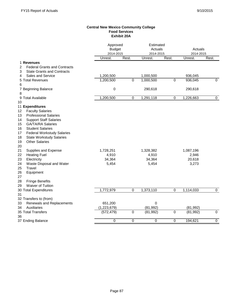### **Central New Mexico Community College Food Services Exhibit 20A**

|                                                                      | Approved<br><b>Budget</b><br>2014-2015 |                  | Estimated<br>Actuals<br>2014-2015 |                | Actuals<br>2014-2015 |                |
|----------------------------------------------------------------------|----------------------------------------|------------------|-----------------------------------|----------------|----------------------|----------------|
|                                                                      | Unrest.                                | Rest.            | Unrest.                           | Rest.          | Unrest.              | Rest.          |
| 1 Revenues                                                           |                                        |                  |                                   |                |                      |                |
| 2<br><b>Federal Grants and Contracts</b>                             |                                        |                  |                                   |                |                      |                |
| 3<br><b>State Grants and Contracts</b>                               |                                        |                  |                                   |                |                      |                |
| 4<br>Sales and Service                                               | 1,200,500                              |                  | 1,000,500                         |                | 936,045              |                |
| 5 Total Revenues                                                     | 1,200,500                              | $\overline{0}$   | 1,000,500                         | $\overline{0}$ | 936,045              | $\Omega$       |
| 6                                                                    |                                        |                  |                                   |                |                      |                |
| 7 Beginning Balance                                                  | 0                                      |                  | 290,618                           |                | 290,618              |                |
| 8                                                                    |                                        |                  |                                   |                |                      |                |
| 9 Total Available                                                    | 1,200,500                              | $\mathbf 0$      | 1,291,118                         | $\pmb{0}$      | 1,226,663            | $\mathbf 0$    |
| 10                                                                   |                                        |                  |                                   |                |                      |                |
| 11 Expenditures                                                      |                                        |                  |                                   |                |                      |                |
| 12<br><b>Faculty Salaries</b>                                        |                                        |                  |                                   |                |                      |                |
| 13<br><b>Professional Salaries</b>                                   |                                        |                  |                                   |                |                      |                |
| <b>Support Staff Salaries</b><br>14<br><b>GA/TA/RA Salaries</b>      |                                        |                  |                                   |                |                      |                |
| 15                                                                   |                                        |                  |                                   |                |                      |                |
| 16<br><b>Student Salaries</b><br>17                                  |                                        |                  |                                   |                |                      |                |
| <b>Federal Workstudy Salaries</b><br><b>State Workstudy Salaries</b> |                                        |                  |                                   |                |                      |                |
| 18<br><b>Other Salaries</b><br>19                                    |                                        |                  |                                   |                |                      |                |
| 20                                                                   |                                        |                  |                                   |                |                      |                |
| 21<br>Supplies and Expense                                           | 1,728,251                              |                  | 1,328,382                         |                | 1,087,196            |                |
| <b>Heating Fuel</b><br>22                                            | 4,910                                  |                  | 4,910                             |                | 2,946                |                |
| 23<br>Electricity                                                    | 34,364                                 |                  | 34,364                            |                | 20,618               |                |
| Waste Disposal and Water<br>24                                       | 5,454                                  |                  | 5,454                             |                | 3,273                |                |
| <b>Travel</b><br>25                                                  |                                        |                  |                                   |                |                      |                |
| 26<br>Equipment                                                      |                                        |                  |                                   |                |                      |                |
| 27                                                                   |                                        |                  |                                   |                |                      |                |
| <b>Fringe Benefits</b><br>28                                         |                                        |                  |                                   |                |                      |                |
| <b>Waiver of Tuition</b><br>29                                       |                                        |                  |                                   |                |                      |                |
| 30 Total Expenditures                                                | 1,772,979                              | $\boldsymbol{0}$ | 1,373,110                         | 0              | 1,114,033            | $\mathbf 0$    |
| 31                                                                   |                                        |                  |                                   |                |                      |                |
| 32 Transfers to (from)                                               |                                        |                  |                                   |                |                      |                |
| 33<br>Renewals and Replacements                                      | 651,200                                |                  | $\mathbf 0$                       |                |                      |                |
| <b>Auxiliaries</b><br>34                                             | (1, 223, 679)                          |                  | (81, 992)                         |                | (81, 992)            |                |
| 35 Total Transfers                                                   | (572, 479)                             | $\overline{0}$   | (81, 992)                         | $\overline{0}$ | (81, 992)            | $\overline{0}$ |
| 36                                                                   |                                        |                  |                                   |                |                      |                |
| 37 Ending Balance                                                    | $\overline{0}$                         | $\overline{0}$   | $\overline{0}$                    | 0              | 194,621              | $\overline{0}$ |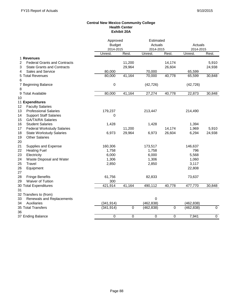#### **Central New Mexico Community College Health Center Exhibit 20A**

|                                          | Approved      |           | Estimated  |           |                      |                |
|------------------------------------------|---------------|-----------|------------|-----------|----------------------|----------------|
|                                          | <b>Budget</b> |           | Actuals    |           | Actuals<br>2014-2015 |                |
|                                          | 2014-2015     |           | 2014-2015  |           |                      |                |
|                                          | Unrest.       | Rest.     | Unrest.    | Rest.     | Unrest.              | Rest.          |
| 1 Revenues                               |               |           |            |           |                      |                |
| <b>Federal Grants and Contracts</b><br>2 |               | 11,200    |            | 14,174    |                      | 5,910          |
| 3<br><b>State Grants and Contracts</b>   |               | 29,964    |            | 26,604    |                      | 24,938         |
| <b>Sales and Service</b><br>4            | 80,000        |           | 70,000     |           | 65,599               |                |
| 5 Total Revenues                         | 80,000        | 41,164    | 70,000     | 40,778    | 65,599               | 30,848         |
| 6                                        |               |           |            |           |                      |                |
| 7 Beginning Balance                      | 0             |           | (42, 726)  |           | (42, 726)            |                |
| 8                                        |               |           |            |           |                      |                |
| 9 Total Available                        | 80,000        | 41,164    | 27,274     | 40,778    | 22,873               | 30,848         |
| 10                                       |               |           |            |           |                      |                |
| 11 Expenditures                          |               |           |            |           |                      |                |
| <b>Faculty Salaries</b><br>12            |               |           |            |           |                      |                |
| <b>Professional Salaries</b><br>13       | 179,237       |           | 213,447    |           | 214,490              |                |
| 14<br><b>Support Staff Salaries</b>      | 0             |           |            |           |                      |                |
| <b>GA/TA/RA Salaries</b><br>15           |               |           |            |           |                      |                |
| <b>Student Salaries</b><br>16            | 1,428         |           | 1,428      |           | 1,394                |                |
| 17<br><b>Federal Workstudy Salaries</b>  |               | 11,200    |            | 14,174    | 1,969                | 5,910          |
| 18<br><b>State Workstudy Salaries</b>    | 6,973         | 29,964    | 6,973      | 26,604    | 6,294                | 24,938         |
| <b>Other Salaries</b><br>19              |               |           |            |           |                      |                |
| 20                                       |               |           |            |           |                      |                |
| 21<br>Supplies and Expense               | 160,306       |           | 173,517    |           | 146,637              |                |
| 22<br><b>Heating Fuel</b>                | 1,758         |           | 1,758      |           | 796                  |                |
| 23<br>Electricity                        | 6,000         |           | 6,000      |           | 5,568                |                |
| Waste Disposal and Water<br>24           | 1,306         |           | 1,306      |           | 1,060                |                |
| 25<br>Travel                             | 2,850         |           | 2,850      |           | 3,117                |                |
| 26<br>Equipment                          |               |           |            |           | 22,808               |                |
| 27                                       |               |           |            |           |                      |                |
| <b>Fringe Benefits</b><br>28             | 61,756        |           | 82,833     |           | 73,637               |                |
| Waiver of Tuition<br>29                  | 300           |           |            |           |                      |                |
| 30 Total Expenditures                    | 421,914       | 41,164    | 490,112    | 40,778    | 477,770              | 30,848         |
| 31                                       |               |           |            |           |                      |                |
| 32 Transfers to (from)                   |               |           |            |           |                      |                |
| 33<br>Renewals and Replacements          |               |           | 0          |           |                      |                |
| <b>Auxiliaries</b><br>34                 | (341, 914)    |           | (462, 838) |           | (462, 838)           |                |
| 35 Total Transfers                       | (341, 914)    | $\pmb{0}$ | (462, 838) | $\pmb{0}$ | (462, 838)           | $\pmb{0}$      |
| 36                                       |               |           |            |           |                      |                |
| 37 Ending Balance                        | 0             | 0         | 0          | 0         | 7,941                | $\overline{0}$ |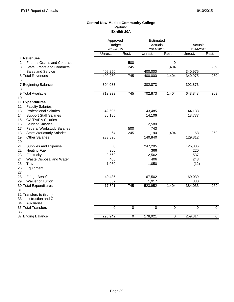### **Central New Mexico Community College Parking Exhibit 20A**

|                                          | Approved      |                  | Estimated |       |           |                |
|------------------------------------------|---------------|------------------|-----------|-------|-----------|----------------|
|                                          | <b>Budget</b> |                  | Actuals   |       | Actuals   |                |
|                                          | 2014-2015     |                  | 2014-2015 |       | 2014-2015 |                |
|                                          | Unrest.       | Rest.            | Unrest.   | Rest. | Unrest.   | Rest.          |
| 1 Revenues                               |               |                  |           |       |           |                |
| 2<br><b>Federal Grants and Contracts</b> |               | 500              |           | 0     |           |                |
| 3<br><b>State Grants and Contracts</b>   |               | 245              |           | 1,404 |           | 269            |
| 4<br><b>Sales and Service</b>            | 409,250       |                  | 400,000   |       | 340,975   |                |
| 5<br><b>Total Revenues</b>               | 409,250       | $\overline{745}$ | 400,000   | 1,404 | 340,975   | 269            |
| 6                                        |               |                  |           |       |           |                |
| 7 Beginning Balance                      | 304,083       |                  | 302,873   |       | 302,873   |                |
| 8                                        |               |                  |           |       |           |                |
| <b>Total Available</b><br>9              | 713,333       | $\overline{745}$ | 702,873   | 1,404 | 643,848   | 269            |
| 10                                       |               |                  |           |       |           |                |
| 11 Expenditures                          |               |                  |           |       |           |                |
| <b>Faculty Salaries</b><br>12            |               |                  |           |       |           |                |
| 13<br><b>Professional Salaries</b>       | 42,695        |                  | 43,485    |       | 44,133    |                |
| <b>Support Staff Salaries</b><br>14      | 86,185        |                  | 14,106    |       | 13,777    |                |
| 15<br><b>GA/TA/RA Salaries</b>           |               |                  |           |       |           |                |
| 16<br><b>Student Salaries</b>            |               |                  | 2,580     |       |           |                |
| 17<br><b>Federal Workstudy Salaries</b>  |               | 500              | 743       |       |           |                |
| 18<br><b>State Workstudy Salaries</b>    | 64            | 245              | 1,190     | 1,404 | 68        | 269            |
| <b>Other Salaries</b><br>19              | 233,896       |                  | 140,840   |       | 129,312   |                |
| 20                                       |               |                  |           |       |           |                |
| 21<br>Supplies and Expense               | 0             |                  | 247,205   |       | 125,386   |                |
| <b>Heating Fuel</b><br>22                | 366           |                  | 366       |       | 220       |                |
| 23<br>Electricity                        | 2,562         |                  | 2,562     |       | 1,537     |                |
| 24<br>Waste Disposal and Water           | 406           |                  | 406       |       | 243       |                |
| 25<br>Travel                             | 1,050         |                  | 1,050     |       | (12)      |                |
| 26<br>Equipment                          |               |                  |           |       |           |                |
| 27                                       |               |                  |           |       |           |                |
| 28<br><b>Fringe Benefits</b>             | 49,485        |                  | 67,502    |       | 69,039    |                |
| Waiver of Tuition<br>29                  | 682           |                  | 1,917     |       | 330       |                |
| 30 Total Expenditures                    | 417,391       | $\overline{745}$ | 523,952   | 1,404 | 384,033   | 269            |
| 31                                       |               |                  |           |       |           |                |
| 32 Transfers to (from)                   |               |                  |           |       |           |                |
| <b>Instruction and General</b><br>33     |               |                  |           |       |           |                |
| Auxiliaries<br>34                        |               |                  |           |       |           |                |
| 35 Total Transfers                       | 0             | $\mathbf 0$      | 0         | 0     | 0         | $\mathbf 0$    |
| 36                                       |               |                  |           |       |           |                |
| 37 Ending Balance                        | 295,942       | $\mathbf 0$      | 178,921   | 0     | 259,814   | $\overline{0}$ |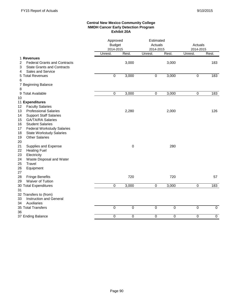### **Central New Mexico Community College NMDH Cancer Early Detection Program Exhibit 20A**

|                                                                                                              |                  | Approved<br><b>Budget</b><br>2014-2015 |             | Estimated<br>Actuals<br>2014-2015 |         | Actuals<br>2014-2015 |
|--------------------------------------------------------------------------------------------------------------|------------------|----------------------------------------|-------------|-----------------------------------|---------|----------------------|
|                                                                                                              | Unrest.          | Rest.                                  | Unrest.     | Rest.                             | Unrest. | Rest.                |
| 1 Revenues                                                                                                   |                  |                                        |             |                                   |         |                      |
| <b>Federal Grants and Contracts</b><br>2<br><b>State Grants and Contracts</b><br>3<br>Sales and Service<br>4 |                  | 3,000                                  |             | 3,000                             |         | 183                  |
| 5 Total Revenues                                                                                             | $\mathbf 0$      | 3,000                                  | 0           | 3,000                             | 0       | 183                  |
| 6                                                                                                            |                  |                                        |             |                                   |         |                      |
| 7 Beginning Balance<br>8                                                                                     |                  |                                        |             |                                   |         |                      |
| 9 Total Available                                                                                            | $\boldsymbol{0}$ | 3,000                                  | 0           | 3,000                             | 0       | 183                  |
| 10                                                                                                           |                  |                                        |             |                                   |         |                      |
| 11 Expenditures                                                                                              |                  |                                        |             |                                   |         |                      |
| 12<br><b>Faculty Salaries</b>                                                                                |                  |                                        |             |                                   |         |                      |
| <b>Professional Salaries</b><br>13                                                                           |                  | 2,280                                  |             | 2,000                             |         | 126                  |
| 14<br><b>Support Staff Salaries</b>                                                                          |                  |                                        |             |                                   |         |                      |
| 15<br><b>GA/TA/RA Salaries</b>                                                                               |                  |                                        |             |                                   |         |                      |
| <b>Student Salaries</b><br>16                                                                                |                  |                                        |             |                                   |         |                      |
| 17<br><b>Federal Workstudy Salaries</b>                                                                      |                  |                                        |             |                                   |         |                      |
| 18<br><b>State Workstudy Salaries</b>                                                                        |                  |                                        |             |                                   |         |                      |
| <b>Other Salaries</b><br>19                                                                                  |                  |                                        |             |                                   |         |                      |
| 20                                                                                                           |                  |                                        |             |                                   |         |                      |
| 21<br>Supplies and Expense                                                                                   |                  | 0                                      |             | 280                               |         |                      |
| 22<br><b>Heating Fuel</b>                                                                                    |                  |                                        |             |                                   |         |                      |
| 23<br>Electricity                                                                                            |                  |                                        |             |                                   |         |                      |
| 24<br>Waste Disposal and Water                                                                               |                  |                                        |             |                                   |         |                      |
| 25<br>Travel                                                                                                 |                  |                                        |             |                                   |         |                      |
| 26<br>Equipment                                                                                              |                  |                                        |             |                                   |         |                      |
| 27                                                                                                           |                  |                                        |             |                                   |         |                      |
| 28<br><b>Fringe Benefits</b><br>29<br>Waiver of Tuition                                                      |                  | 720                                    |             | 720                               |         | 57                   |
|                                                                                                              | 0                | 3,000                                  | 0           | 3,000                             | 0       | 183                  |
| 30 Total Expenditures<br>31                                                                                  |                  |                                        |             |                                   |         |                      |
| 32 Transfers to (from)                                                                                       |                  |                                        |             |                                   |         |                      |
| Instruction and General<br>33                                                                                |                  |                                        |             |                                   |         |                      |
| Auxiliaries<br>34                                                                                            |                  |                                        |             |                                   |         |                      |
| 35 Total Transfers                                                                                           | $\Omega$         | $\mathbf 0$                            | $\mathbf 0$ | $\mathbf 0$                       | 0       | $\mathbf 0$          |
| 36                                                                                                           |                  |                                        |             |                                   |         |                      |
| 37 Ending Balance                                                                                            | 0                | 0                                      | 0           | 0                                 | 0       | $\overline{0}$       |
|                                                                                                              |                  |                                        |             |                                   |         |                      |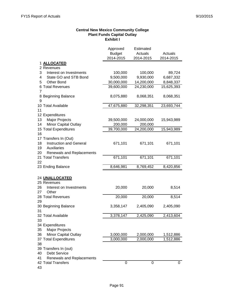# **Central New Mexico Community College Plant Funds Capital Outlay Exhibit I**

|                                                  | Approved<br><b>Budget</b><br>2014-2015 | Estimated<br>Actuals<br>2014-2015 | Actuals<br>2014-2015 |
|--------------------------------------------------|----------------------------------------|-----------------------------------|----------------------|
| 1 ALLOCATED                                      |                                        |                                   |                      |
| 2 Revenues                                       |                                        |                                   |                      |
| 3<br>Interest on Investments                     | 100,000                                | 100,000                           | 89,724               |
| State GO and STB Bond<br>4                       | 9,500,000                              | 9,930,000                         | 6,687,332            |
| <b>Other Bond</b><br>5                           | 30,000,000                             | 14,200,000                        | 8,848,337            |
| 6 Total Revenues                                 | 39,600,000                             | 24,230,000                        | 15,625,393           |
| 7                                                |                                        |                                   |                      |
| 8 Beginning Balance                              | 8,075,880                              | 8,068,351                         | 8,068,351            |
| 9                                                |                                        |                                   |                      |
| 10 Total Available                               | 47,675,880                             | 32,298,351                        | 23,693,744           |
| 11                                               |                                        |                                   |                      |
| 12 Expenditures                                  |                                        |                                   |                      |
| 13<br>Major Projects                             | 39,500,000                             | 24,000,000                        | 15,943,989           |
| Minor Capital Outlay<br>14                       | 200,000                                | 200,000                           |                      |
| 15 Total Expenditures                            | 39,700,000                             | 24,200,000                        | 15,943,989           |
| 16                                               |                                        |                                   |                      |
| 17 Transfers In (Out)<br>Instruction and General |                                        |                                   |                      |
| 18<br>19<br>Auxiliaries                          | 671,101                                | 671,101                           | 671,101              |
| 20                                               |                                        |                                   |                      |
| Renewals and Replacements<br>21 Total Transfers  | 671,101                                | 671,101                           | 671,101              |
| 22                                               |                                        |                                   |                      |
| 23 Ending Balance                                | 8,646,981                              | 8,769,452                         | 8,420,856            |
|                                                  |                                        |                                   |                      |
| 24 UNALLOCATED                                   |                                        |                                   |                      |
| 25 Revenues                                      |                                        |                                   |                      |
| Interest on Investments<br>26                    | 20,000                                 | 20,000                            | 8,514                |
| Other<br>27                                      |                                        |                                   |                      |
| 28 Total Revenues                                | 20,000                                 | 20,000                            | 8,514                |
| 29                                               |                                        |                                   |                      |
| 30 Beginning Balance                             | 3,358,147                              | 2,405,090                         | 2,405,090            |
| 31                                               |                                        |                                   |                      |
| 32 Total Available                               | 3,378,147                              | 2,425,090                         | 2,413,604            |
| 33                                               |                                        |                                   |                      |
| 34 Expenditures                                  |                                        |                                   |                      |
| <b>Major Projects</b><br>35                      |                                        |                                   |                      |
| 36<br><b>Minor Capital Outlay</b>                | 3,000,000                              | 2,000,000                         | 1,512,886            |
| 37 Total Expenditures                            | 3,000,000                              | 2,000,000                         | 1,512,886            |
| 38                                               |                                        |                                   |                      |
| 39 Transfers In (out)                            |                                        |                                   |                      |
| <b>Debt Service</b><br>40                        |                                        |                                   |                      |
| 41<br>Renewals and Replacements                  |                                        |                                   |                      |
| 42 Total Transfers                               | 0                                      | 0                                 | 0                    |
| 43                                               |                                        |                                   |                      |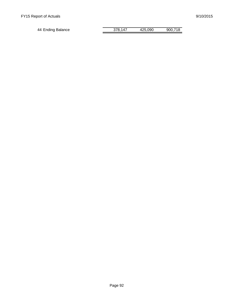| 44 Ending Balance | 378.147 | 425.090 | 900,718 |
|-------------------|---------|---------|---------|
|                   |         |         |         |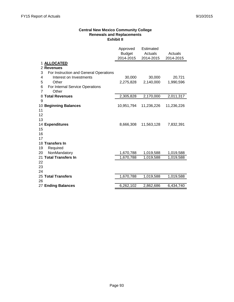### **Central New Mexico Community College Renewals and Replacements Exhibit II**

|    |                                        | Approved<br><b>Budget</b><br>2014-2015 | <b>Estimated</b><br>Actuals<br>2014-2015 | Actuals<br>2014-2015 |
|----|----------------------------------------|----------------------------------------|------------------------------------------|----------------------|
|    | <b>ALLOCATED</b>                       |                                        |                                          |                      |
|    | 2 Revenues                             |                                        |                                          |                      |
| 3  | For Instruction and General Operations |                                        |                                          |                      |
| 4  | Interest on Investments                | 30,000                                 | 30,000                                   | 20,721               |
| 5  | Other                                  | 2,275,828                              | 2,140,000                                | 1,990,596            |
| 6  | For Internal Service Operations        |                                        |                                          |                      |
| 7  | Other                                  |                                        |                                          |                      |
| 8  | <b>Total Revenues</b>                  | 2,305,828                              | 2,170,000                                | 2,011,317            |
| 9  |                                        |                                        |                                          |                      |
| 10 | <b>Beginning Balances</b>              | 10,951,794                             | 11,236,226                               | 11,236,226           |
| 11 |                                        |                                        |                                          |                      |
| 12 |                                        |                                        |                                          |                      |
| 13 |                                        |                                        |                                          |                      |
| 15 | 14 Expenditures                        | 8,666,308                              | 11,563,128                               | 7,832,391            |
| 16 |                                        |                                        |                                          |                      |
| 17 |                                        |                                        |                                          |                      |
|    | 18 Transfers In                        |                                        |                                          |                      |
| 19 | Required                               |                                        |                                          |                      |
| 20 | NonMandatory                           | 1,670,788                              | 1,019,588                                | 1,019,588            |
|    | 21 Total Transfers In                  | 1,670,788                              | 1,019,588                                | 1,019,588            |
| 22 |                                        |                                        |                                          |                      |
| 23 |                                        |                                        |                                          |                      |
| 24 |                                        |                                        |                                          |                      |
|    | 25 Total Transfers                     | 1,670,788                              | 1,019,588                                | 1,019,588            |
| 26 |                                        |                                        |                                          |                      |
|    | 27 Ending Balances                     | 6,262,102                              | 2,862,686                                | 6,434,740            |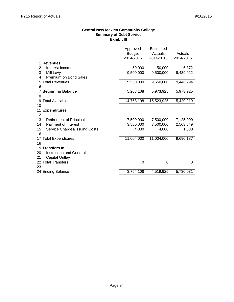## **Central New Mexico Community College Summary of Debt Service Exhibit III**

|                                      | Approved<br><b>Budget</b><br>2014-2015 | Estimated<br>Actuals<br>2014-2015 | Actuals<br>2014-2015 |
|--------------------------------------|----------------------------------------|-----------------------------------|----------------------|
| 1 Revenues                           |                                        |                                   |                      |
| Interest Income<br>2                 | 50,000                                 | 50,000                            | 6,372                |
| 3<br>Mill Levy                       | 9,500,000                              | 9,500,000                         | 9,439,922            |
| Premium on Bond Sales<br>4           |                                        |                                   |                      |
| <b>Total Revenues</b><br>5           | 9,550,000                              | 9,550,000                         | 9,446,294            |
| 6                                    |                                        |                                   |                      |
| <b>Beginning Balance</b><br>7        | 5,208,108                              | 5,973,925                         | 5,973,925            |
| 8                                    |                                        |                                   |                      |
| <b>Total Available</b><br>9          | 14,758,108                             | 15,523,925                        | 15,420,219           |
| 10                                   |                                        |                                   |                      |
| 11 Expenditures                      |                                        |                                   |                      |
| 12                                   |                                        |                                   |                      |
| 13<br><b>Retirement of Principal</b> | 7,500,000                              | 7,500,000                         | 7,125,000            |
| Payment of Interest<br>14            | 3,500,000                              | 3,500,000                         | 2,563,549            |
| 15<br>Service Charges/Issuing Costs  | 4,000                                  | 4,000                             | 1,638                |
| 16                                   |                                        |                                   |                      |
| 17 Total Expenditures<br>18          | 11,004,000                             | 11,004,000                        | 9,690,187            |
| 19 Transfers In                      |                                        |                                   |                      |
| <b>Instruction and General</b><br>20 |                                        |                                   |                      |
| <b>Capital Outlay</b><br>21          |                                        |                                   |                      |
| 22 Total Transfers                   | 0                                      | 0                                 | 0                    |
| 23                                   |                                        |                                   |                      |
| 24 Ending Balance                    | 3,754,108                              | 4,519,925                         | 5,730,031            |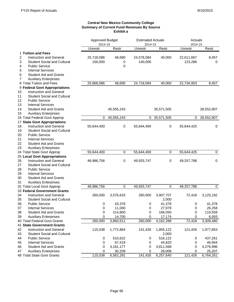#### **Central New Mexico Community College Summary of Current Fund Revenues By Source Exhibit a**

|    |                                    | Approved Budget |             |            | <b>Estimated Actuals</b> |            | Actuals    |  |
|----|------------------------------------|-----------------|-------------|------------|--------------------------|------------|------------|--|
|    |                                    | 2014-15         |             | 2014-15    |                          | 2014-15    |            |  |
|    |                                    | Unrestr         | Restr       | Unrestr    | Restr                    | Unrestr    | Restr      |  |
|    | 1 Tuition and Fees                 |                 |             |            |                          |            |            |  |
| 2  | <b>Instruction and General</b>     | 25,718,086      | 48,690      | 24,578,084 | 40,000                   | 22,611,667 | 8,457      |  |
| 3  | <b>Student Social and Cultural</b> | 150,000         | 0           | 140,000    |                          | 123,286    | 0          |  |
| 4  | <b>Public Service</b>              |                 | 0           |            |                          |            |            |  |
| 5  | <b>Internal Services</b>           |                 |             |            |                          |            |            |  |
| 6  | <b>Student Aid and Grants</b>      |                 |             |            |                          |            |            |  |
| 7  | <b>Auxiliary Enterprises</b>       |                 |             |            |                          |            |            |  |
|    | 8 Total Tuition and Fees           | 25,868,086      | 48,690      | 24,718,084 | 40,000                   | 22,734,953 | 8,457      |  |
|    | 9 Federal Govt Appropriations      |                 |             |            |                          |            |            |  |
| 10 | Instruction and General            |                 |             |            |                          |            |            |  |
| 11 | <b>Student Social and Cultural</b> |                 |             |            |                          |            |            |  |
| 12 | <b>Public Service</b>              |                 |             |            |                          |            |            |  |
| 13 | <b>Internal Services</b>           |                 |             |            |                          |            |            |  |
| 14 | <b>Student Aid and Grants</b>      |                 | 45,555,243  |            | 35,571,505               |            | 28,552,907 |  |
| 15 | <b>Auxiliary Enterprises</b>       |                 |             |            |                          |            |            |  |
|    | 16 Total Federal Govt Approp       | 0               | 45,555,243  | 0          | 35,571,505               | 0          | 28,552,907 |  |
|    | 17 State Govt Appropriations       |                 |             |            |                          |            |            |  |
| 18 | Instruction and General            | 55,644,400      | $\mathbf 0$ | 55,644,400 | 0                        | 55,644,425 | 0          |  |
| 19 | <b>Student Social and Cultural</b> |                 |             |            |                          |            |            |  |
| 20 | <b>Public Service</b>              |                 |             |            |                          |            |            |  |
| 21 | <b>Internal Services</b>           |                 |             |            |                          |            |            |  |
| 22 | <b>Student Aid and Grants</b>      |                 |             |            |                          |            |            |  |
| 23 | <b>Auxiliary Enterprises</b>       |                 |             |            |                          |            |            |  |
|    | 24 Total State Govt Approp         | 55,644,400      | 0           | 55,644,400 | 0                        | 55,644,425 | 0          |  |
|    | 25 Local Govt Appropriations       |                 |             |            |                          |            |            |  |
| 26 | Instruction and General            | 48,986,756      | 0           | 49,925,747 | 0                        | 49,257,788 | 0          |  |
| 27 | <b>Student Social and Cultural</b> |                 |             |            |                          |            |            |  |
| 28 | <b>Public Service</b>              |                 |             |            |                          |            |            |  |
| 29 | <b>Internal Services</b>           |                 |             |            |                          |            |            |  |
| 30 | <b>Student Aid and Grants</b>      |                 |             |            |                          |            |            |  |
| 31 | <b>Auxiliary Enterprises</b>       |                 |             |            |                          |            |            |  |
|    | 32 Total Local Govt Approp         | 48,986,756      | 0           | 49,925,747 | $\mathbf 0$              | 49,257,788 | 0          |  |
|    | 33 Federal Government Grants       |                 |             |            |                          |            |            |  |
| 34 | <b>Instruction and General</b>     | 260,000         | 3,576,633   | 260,000    | 3,907,707                | 72,418     | 3,125,192  |  |
| 35 | <b>Student Social and Cultural</b> |                 |             |            | 2,000                    |            |            |  |
| 36 | <b>Public Service</b>              | 0               | 43,378      | 0          | 41,378                   | 0          | 41,378     |  |
| 37 | <b>Internal Services</b>           | 0               | 11,000      | 0          | 27,979                   | 0          | 26,258     |  |
| 38 | <b>Student Aid and Grants</b>      | 0               | 214,800     | 0          | 166,050                  | 0          | 110,559    |  |
| 39 | <b>Auxiliary Enterprises</b>       | 0               | 14,700      | 0          | 17,174                   | 0          | 6,093      |  |
|    | 40 Total Federal Govt Grants       | 260,000         | 3,860,511   | 260,000    | 4,162,288                | 72,418     | 3,309,480  |  |
|    | 41 State Government Grants         |                 |             |            |                          |            |            |  |
| 42 | Instruction and General            | 115,038         | 1,772,864   | 141,426    | 1,855,122                | 121,426    | 1,977,853  |  |
| 43 | <b>Student Social and Cultural</b> |                 |             |            | 2,000                    |            |            |  |
| 44 | <b>Public Service</b>              | 0               | 510,622     | 0          | 516,122                  | 0          | 437,261    |  |
| 45 | <b>Internal Services</b>           | 0               | 67,419      | 0          | 44,820                   | 0          | 46,944     |  |
| 46 | <b>Student Aid and Grants</b>      | 0               | 4, 181, 177 | 0          | 3,811,568                | 0          | 4,276,996  |  |
| 47 | <b>Auxiliary Enterprises</b>       | 0               | 30,209      | 0          | 28,008                   | 0          | 25,207     |  |
|    | 48 Total State Govt Grants         | 115,038         |             | 141,426    | 6,257,640                | 121,426    | 6,764,261  |  |
|    |                                    |                 | 6,562,291   |            |                          |            |            |  |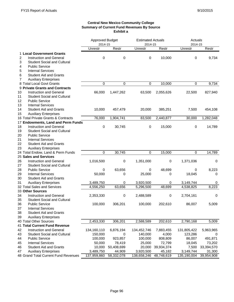#### **Central New Mexico Community College Summary of Current Fund Revenues By Source Exhibit a**

|                                                                   | Approved Budget        |             | <b>Estimated Actuals</b> |             | Actuals        |            |
|-------------------------------------------------------------------|------------------------|-------------|--------------------------|-------------|----------------|------------|
|                                                                   | 2014-15                |             | 2014-15                  |             | 2014-15        |            |
|                                                                   | Unrestr                | Restr       | Unrestr                  | Restr       | <b>Unrestr</b> | Restr      |
| 1 Local Government Grants                                         |                        |             |                          |             |                |            |
| $\overline{c}$<br>Instruction and General                         | 0                      | $\mathbf 0$ | 0                        | 10,000      | 0              | 9,734      |
| <b>Student Social and Cultural</b><br>3                           |                        |             |                          |             |                |            |
| <b>Public Service</b><br>4                                        |                        |             |                          |             |                |            |
| 5<br><b>Internal Services</b>                                     |                        |             |                          |             |                |            |
| <b>Student Aid and Grants</b><br>6                                |                        |             |                          |             |                |            |
| <b>Auxiliary Enterprises</b><br>7                                 |                        |             |                          |             |                |            |
| 8 Total Local Govt Grants                                         | 0                      | 0           | $\mathbf 0$              | 10,000      | 0              | 9,734      |
| 9 Private Grants and Contracts                                    |                        |             |                          |             |                |            |
| 10<br><b>Instruction and General</b>                              | 66,000                 | 1,447,262   | 63,500                   | 2,055,626   | 22,500         | 827,940    |
| 11<br><b>Student Social and Cultural</b>                          |                        |             |                          |             |                |            |
| 12<br><b>Public Service</b>                                       |                        |             |                          |             |                |            |
| 13<br><b>Internal Services</b>                                    |                        |             |                          |             |                |            |
| 14<br><b>Student Aid and Grants</b>                               | 10,000                 | 457,479     | 20,000                   | 385,251     | 7,500          | 454,108    |
| 15<br><b>Auxiliary Enterprises</b>                                |                        |             |                          |             |                |            |
| 16 Total Private Grants & Contracts                               | 76,000                 | 1,904,741   | 83,500                   | 2,440,877   | 30,000         | 1,282,048  |
| 17 Endowments, Land and Perm Funds                                |                        |             |                          |             |                |            |
| 18<br><b>Instruction and General</b>                              | 0                      | 30,745      | 0                        | 15,000      | 0              | 14,789     |
| 19<br><b>Student Social and Cultural</b>                          |                        |             |                          |             |                |            |
| 20<br><b>Public Service</b>                                       |                        |             |                          |             |                |            |
| 21<br><b>Internal Services</b>                                    |                        |             |                          |             |                |            |
| 22<br><b>Student Aid and Grants</b>                               |                        |             |                          |             |                |            |
| 23<br><b>Auxiliary Enterprises</b>                                |                        |             |                          |             |                |            |
| 24 Total Endow, Land & Perm Funds                                 | $\mathbf 0$            | 30,745      | 0                        | 15,000      | 0              | 14,789     |
| 25 Sales and Services                                             |                        |             |                          |             |                |            |
| 26<br><b>Instruction and General</b>                              | 1,016,500              | 0           | 1,351,000                | 0           | 1,371,036      | 0          |
| 27<br><b>Student Social and Cultural</b>                          |                        |             |                          |             |                |            |
| 28<br><b>Public Service</b>                                       | 0                      | 63,656      | 0                        | 48,699      | 0              | 8,223      |
| 29<br><b>Internal Services</b>                                    | 50,000                 | 0           | 25,000                   | 0           | 18,045         | 0          |
| 30<br><b>Student Aid and Grants</b>                               |                        |             |                          |             |                |            |
| 31<br><b>Auxiliary Enterprises</b>                                |                        |             |                          |             |                |            |
| 32 Total Sales and Services                                       | 3,489,750<br>4,556,250 | 0<br>63,656 | 3,920,500<br>5,296,500   | 0<br>48,699 | 3,149,744      | 0<br>8,223 |
| 33 Other Sources                                                  |                        |             |                          |             | 4,538,825      |            |
|                                                                   |                        |             |                          |             |                |            |
| 34<br><b>Instruction and General</b>                              | 2,353,330              | 0           | 2,488,589                | 0           | 2,704,161      | 0          |
| 35<br><b>Student Social and Cultural</b><br><b>Public Service</b> |                        |             |                          |             |                |            |
| 36                                                                | 100,000                | 306,201     | 100,000                  | 202,610     | 86,007         | 5,009      |
| 37<br>Internal Services                                           |                        |             |                          |             |                |            |
| 38<br><b>Student Aid and Grants</b>                               |                        |             |                          |             |                |            |
| 39<br><b>Auxiliary Enterprises</b>                                |                        |             |                          |             |                |            |
| 40 Total Other Sources                                            | 2,453,330              | 306,201     | 2,588,589                | 202,610     | 2,790,168      | 5,009      |
| 41 Total Current Fund Revenue                                     |                        |             |                          |             |                |            |
| 42<br>Instruction and General                                     | 134,160,110            | 6,876,194   | 134,452,746              | 7,883,455   | 131,805,422    | 5,963,965  |
| 43<br><b>Student Social and Cultural</b>                          | 150,000                | 0           | 140,000                  | 4,000       | 123,286        | 0          |
| 44<br><b>Public Service</b>                                       | 100,000                | 923,857     | 100,000                  | 808,809     | 86,007         | 491,871    |
| 45<br><b>Internal Services</b>                                    | 50,000                 | 78,419      | 25,000                   | 72,799      | 18,045         | 73,202     |
| 46<br><b>Student Aid and Grants</b>                               | 10,000                 | 50,408,699  | 20,000                   | 39,934,374  | 7,500          | 33,394,570 |
| <b>Auxiliary Enterprises</b><br>47                                | 3,489,750              | 44,909      | 3,920,500                | 45,182      | 3,149,744      | 31,300     |
| 48 Grand Total Current Fund Revenues                              | 137,959,860            | 58,332,078  | 138,658,246              | 48,748,619  | 135,190,004    | 39,954,908 |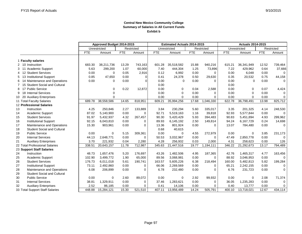#### **Central New Mexico Community College Summary of Salaries in All Current Funds Exhibit b**

|                |                                        | Approved Budget 2014-2015 |             |               |          | <b>Estimated Actuals 2014-2015</b> |             |            | <b>Actuals 2014-2015</b> |                |             |               |             |
|----------------|----------------------------------------|---------------------------|-------------|---------------|----------|------------------------------------|-------------|------------|--------------------------|----------------|-------------|---------------|-------------|
|                |                                        | Unrestricted              |             | Restricted    |          | Unrestricted                       |             | Restricted |                          | Unrestricted   |             | Restricted    |             |
|                |                                        | <b>FTE</b>                | Amount      | <b>FTE</b>    | Amount   | <b>FTE</b>                         | Amount      | <b>FTE</b> | Amount                   | <b>FTE</b>     | Amount      | <b>FTE</b>    | Amount      |
|                |                                        |                           |             |               |          |                                    |             |            |                          |                |             |               |             |
|                | 1 Faculty salaries<br>2 10 Instruction |                           |             |               |          |                                    |             |            |                          |                |             |               |             |
|                |                                        | 683.30                    | 38,211,736  | 13.29<br>1.07 | 743,163  | 601.28<br>7.40                     | 35,518,582  | 15.88      | 940,216                  | 615.21<br>7.22 | 36,341,949  | 12.52<br>0.64 | 739,464     |
| 3 11           | <b>Academic Support</b>                | 5.63                      | 299,200     |               | 60,000   |                                    | 444,304     | 1.25       | 73,896                   |                | 429,962     |               | 37,666      |
| 4 12           | <b>Student Services</b>                | 0.00                      | $\Omega$    | 0.05          | 2,916    | 0.12                               | 6,992       | 0.00       | $\Omega$                 | 0.00           | 6,048       | 0.00          | 0           |
| 5              | 13 Institutional Support               | 0.85                      | 47,650      | 0.00          | $\Omega$ | 0.41                               | 24,378      | 0.50       | 29,630                   | 0.35           | 20,532      | 0.75          | 44,158      |
| 6              | 14 Maintenance and Operations          | 0.00                      | 0           | 0.00          | $\Omega$ | 0.00                               | 0           | 0.00       | $\Omega$                 | 0.00           | $\Omega$    | 0.00          | $\mathbf 0$ |
| $\overline{7}$ | 15 Student Social and Cultural         |                           |             |               |          | 0.00                               |             |            |                          | 0.00           |             |               |             |
| 8              | 17 Public Service                      |                           | 0           | 0.22          | 12,872   | 0.00                               | $\Omega$    | 0.04       | 2,588                    | 0.00           | $\Omega$    | 0.07          | 4,424       |
| 9              | 18 Internal Services                   |                           | 0           |               |          | 0.00                               | $\Omega$    | 0.00       | $\Omega$                 | 0.00           | $\Omega$    | 0.00          | 0           |
| 10             | <b>Auxiliary Enterprises</b><br>-20    |                           | $\Omega$    |               |          | 0.00                               | $\Omega$    | 0.00       | $\Omega$                 | 0.00           | $\Omega$    | 0.00          | 0           |
|                | 11 Total Faculty Salaries              | 689.78                    | 38,558,586  | 14.65         | 818,951  | 609.21                             | 35,994,256  | 17.68      | 1,046,330                | 622.78         | 36,798,491  | 13.98         | 825,712     |
|                | 12 Professional Salaries               |                           |             |               |          |                                    |             |            |                          |                |             |               |             |
| 13             | Instruction                            | 4.25                      | 250,846     | 2.27          | 133,889  | 3.84                               | 230,294     | 5.60       | 335,017                  | 3.35           | 201,325     | 4.14          | 248,530     |
| 14             | Academic Support                       | 87.02                     | 5,140,900   | 0.00          | $\Omega$ | 92.71                              | 5,519,163   | 1.16       | 39,818                   | 92.93          | 5,577,844   | 0.00          | 0           |
| 15             | <b>Student Services</b>                | 91.97                     | 5,432,937   | 4.32          | 267,457  | 90.30                              | 5,420,429   | 5.93       | 394,483                  | 90.83          | 5,451,894   | 4.93          | 299,962     |
| 16             | <b>Institutional Support</b>           | 92.15                     | 6,043,810   | 0.00          | $\Omega$ | 89.93                              | 6,145,192   | 2.50       | 149,814                  | 94.24          | 6,167,729   | 0.24          | 14,698      |
| 17             | Maintenance and Operations             | 15.30                     | 903,961     | 0.00          | $\Omega$ | 13.36                              | 801,924     | 0.00       | $\Omega$                 | 13.07          | 784,480     | 0.00          | $\mathbf 0$ |
| 18             | <b>Student Social and Cultural</b>     |                           |             |               |          | 0.68                               | 40,615      |            |                          |                |             |               |             |
| 19             | <b>Public Service</b>                  | 0.00                      | $\mathbf 0$ | 5.15          | 309,361  | 0.00                               | $\Omega$    | 4.55       | 272,979                  | 0.00           | $\mathbf 0$ | 3.85          | 231,173     |
| 20             | <b>Internal Services</b>               | 44.13                     | 2,648,771   | 0.00          | $\Omega$ | 50.53                              | 3,032,967   | 0.00       | $\Omega$                 | 47.49          | 2,850,778   | 0.00          | 0           |
| 21             | <b>Auxiliary Enterprises</b>           | 3.70                      | 221,932     | 0.04          | 2,280    | 4.28                               | 256,932     | 0.03       | 2,000                    | 4.31           | 258,623     | 0.00          | 126         |
|                | 22 Total Professional Salaries         | 338.51                    | 20,643,157  | 11.78         | 712,987  | 345.63                             | 21,447,516  | 19.77      | 1,194,111                | 346.22         | 21,292,673  | 13.17         | 794,489     |
|                | 23 Support Staff Salaries              |                           |             |               |          |                                    |             |            |                          |                |             |               |             |
| 24             | Instruction                            | 48.73                     | 1,657,476   | 5.20          | 176,697  | 43.26                              | 1,482,506   | 4.95       | 187,365                  | 42.76          | 1.465.317   | 4.77          | 163,456     |
| 25             | Academic Support                       | 102.90                    | 3,499,772   | 1.90          | 65.000   | 89.56                              | 3,068,981   | 0.00       | $\Omega$                 | 88.92          | 3,046,953   | 0.00          | 0           |
| 26             | <b>Student Services</b>                | 176.73                    | 6,011,018   | 5.61          | 190,741  | 163.57                             | 5,605,226   | 6.38       | 218,494                  | 160.00         | 5,482,813   | 5.82          | 199,284     |
| 27             | <b>Institutional Support</b>           | 73.11                     | 2,492,860   | 0.00          | 0        | 66.06                              | 2,269,569   | 0.00       | $\mathbf 0$              | 65.21          | 2,242,155   | 0.00          | 0           |
| 28             | Maintenance and Operations             | 6.08                      | 206,899     | 0.00          | $\Omega$ | 6.78                               | 232,480     | 0.00       | $\Omega$                 | 6.76           | 231,723     | 0.00          | 0           |
| 29             | <b>Student Social and Cultural</b>     |                           |             |               |          |                                    |             |            |                          |                |             |               |             |
| 30             | <b>Public Service</b>                  | 0.00                      | $\mathbf 0$ | 2.60          | 89,072   | 0.00                               | $\mathbf 0$ | 2.92       | 99,932                   | 0.00           | 0           | 2.08          | 71,374      |
| 31             | <b>Internal Services</b>               | 38.81                     | 1,329,911   | 0.00          | 0        | 37.46                              | 1,283,621   | 0.00       | 0                        | 36.05          | 1,235,283   | 0.00          | 0           |
| 32             | <b>Auxiliary Enterprises</b>           | 2.52                      | 86,185      | 0.00          | $\Omega$ | 0.41                               | 14,106      | 0.00       | $\Omega$                 | 0.40           | 13,777      | 0.00          | 0           |
|                | 33 Total Support Staff Salaries        | 448.88                    | 15.284.121  | 15.30         | 521.510  | 407.11                             | 13.956.489  | 14.24      | 505.791                  | 400.10         | 13,718,021  | 12.67         | 434,114     |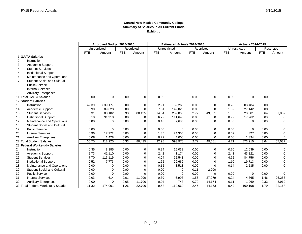#### **Central New Mexico Community College Summary of Salaries in All Current Funds Exhibit b**

|                                     |                                    | Approved Budget 2014-2015  |             |              |             |            | <b>Estimated Actuals 2014-2015</b> |              |             | <b>Actuals 2014-2015</b> |             |            |             |
|-------------------------------------|------------------------------------|----------------------------|-------------|--------------|-------------|------------|------------------------------------|--------------|-------------|--------------------------|-------------|------------|-------------|
|                                     |                                    | Unrestricted<br>Restricted |             | Unrestricted |             |            | Restricted                         | Unrestricted |             | Restricted               |             |            |             |
|                                     |                                    | <b>FTE</b>                 | Amount      | <b>FTE</b>   | Amount      | <b>FTE</b> | Amount                             | <b>FTE</b>   | Amount      | <b>FTE</b>               | Amount      | <b>FTE</b> | Amount      |
|                                     | 1 GA/TA Salaries                   |                            |             |              |             |            |                                    |              |             |                          |             |            |             |
| 2                                   | Instruction                        |                            |             |              |             |            |                                    |              |             |                          |             |            |             |
| 3                                   | Academic Support                   |                            |             |              |             |            |                                    |              |             |                          |             |            |             |
| 4                                   | <b>Student Services</b>            |                            |             |              |             |            |                                    |              |             |                          |             |            |             |
| 5                                   | <b>Institutional Support</b>       |                            |             |              |             |            |                                    |              |             |                          |             |            |             |
| 6                                   | Maintenance and Operations         |                            |             |              |             |            |                                    |              |             |                          |             |            |             |
| 7                                   | <b>Student Social and Cultural</b> |                            |             |              |             |            |                                    |              |             |                          |             |            |             |
| 8                                   | <b>Public Service</b>              |                            |             |              |             |            |                                    |              |             |                          |             |            |             |
| 9                                   | <b>Internal Services</b>           |                            |             |              |             |            |                                    |              |             |                          |             |            |             |
| 10                                  | <b>Auxiliary Enterprises</b>       |                            |             |              |             |            |                                    |              |             |                          |             |            |             |
|                                     | 11 Total GA/TA Salaries            | 0.00                       | $\mathbf 0$ | 0.00         | $\mathbf 0$ | 0.00       | $\mathbf 0$                        | 0.00         | $\mathbf 0$ | 0.00                     | $\Omega$    | 0.00       | 0           |
|                                     | 12 Student Salaries                |                            |             |              |             |            |                                    |              |             |                          |             |            |             |
| 13                                  | Instruction                        | 42.39                      | 639,177     | 0.00         | $\mathbf 0$ | 2.91       | 52,260                             | 0.00         | 0           | 0.78                     | 803,484     | 0.00       | 0           |
| 14                                  | Academic Support                   | 5.90                       | 89,028      | 0.00         | $\Omega$    | 7.81       | 142,020                            | 0.00         | $\Omega$    | 1.52                     | 27,142      | 0.00       | $\Omega$    |
| 15                                  | <b>Student Services</b>            | 5.31                       | 80,102      | 5.33         | 80,435      | 14.04      | 252,060                            | 2.72         | 49,681      | 1.33                     | 23,801      | 3.64       | 67,037      |
| 16                                  | <b>Institutional Support</b>       | 6.10                       | 91,918      | 0.00         | $\Omega$    | 6.22       | 111,648                            | 0.00         | $\Omega$    | 0.99                     | 17,762      | 0.00       | 0           |
| 17                                  | Maintenance and Operations         | 0.00                       | $\Omega$    | 0.00         | $\Omega$    | 0.43       | 7,680                              | 0.00         | $\Omega$    | 0.00                     | $\Omega$    | 0.00       | $\Omega$    |
| 18                                  | <b>Student Social and Cultural</b> |                            |             |              |             |            |                                    |              |             |                          |             |            |             |
| 19                                  | <b>Public Service</b>              | 0.00                       | $\Omega$    | 0.00         | $\mathbf 0$ | 0.00       | $\mathbf 0$                        | 0.00         | 0           | 0.00                     | $\mathbf 0$ | 0.00       | 0           |
| 20                                  | <b>Internal Services</b>           | 0.96                       | 17,272      | 0.00         | $\mathbf 0$ | 1.35       | 24,300                             | 0.00         | $\mathbf 0$ | 0.02                     | 327         | 0.00       | 0           |
| 21                                  | <b>Auxiliary Enterprises</b>       | 0.08                       | 1,428       | 0.00         | $\Omega$    | 0.22       | 4,008                              | 0.00         | $\Omega$    | 0.08                     | 1,394       | 0.00       | $\mathbf 0$ |
|                                     | 22 Total Student Salaries          | 60.75                      | 918,925     | 5.33         | 80,435      | 32.98      | 593,976                            | 2.72         | 49,681      | 4.71                     | 873,910     | 3.64       | 67,037      |
|                                     | 23 Federal Workstudy Salaries      |                            |             |              |             |            |                                    |              |             |                          |             |            |             |
| 24                                  | Instruction                        | 0.35                       | 8,385       | 0.00         | $\mathbf 0$ | 0.84       | 15,032                             | 0.00         | $\mathbf 0$ | 0.70                     | 12,639      | 0.00       | 0           |
| 25                                  | Academic Support                   | 2.73                       | 41,110      | 0.00         | 0           | 2.42       | 41,174                             | 0.00         | $\mathbf 0$ | 2.41                     | 43,221      | 0.00       | 0           |
| 26                                  | <b>Student Services</b>            | 7.70                       | 116,119     | 0.00         | $\Omega$    | 4.04       | 72,543                             | 0.00         | 0           | 4.72                     | 84,756      | 0.00       | 0           |
| 27                                  | <b>Institutional Support</b>       | 0.52                       | 7,773       | 0.00         | $\Omega$    | 1.65       | 29,662                             | 0.00         | $\Omega$    | 1.10                     | 19,713      | 0.00       | 0           |
| 28                                  | Maintenance and Operations         | 0.00                       | 0           | 0.00         | $\Omega$    | 0.15       | 3,513                              | 0.00         | 0           | 0.14                     | 2,535       | 0.00       | $\mathbf 0$ |
| 29                                  | <b>Student Social and Cultural</b> | 0.00                       | 0           | 0.00         | $\Omega$    | 0.00       | $\Omega$                           | 0.11         | 2,000       |                          |             |            |             |
| 30                                  | <b>Public Service</b>              | 0.00                       | $\Omega$    | 0.00         | $\sqrt{ }$  | 0.00       | $\Omega$                           | 0.00         | $\Omega$    | 0.00                     | $\mathbf 0$ | 0.00       | $\Omega$    |
| 31                                  | <b>Internal Services</b>           | 0.03                       | 614         | 0.61         | 11,000      | 0.39       | 6,993                              | 1.56         | 27,979      | 0.24                     | 4,365       | 1.46       | 26,258      |
| 32                                  | <b>Auxiliary Enterprises</b>       | 0.00                       | $\Omega$    | 0.65         | 11,700      | 0.04       | 743                                | 0.79         | 14,174      | 0.11                     | 1,969       | 0.33       | 5,910       |
| 33 Total Federal Workstudy Salaries |                                    | 11.32                      | 174,001     | 1.26         | 22,700      | 9.53       | 169,660                            | 2.46         | 44,153      | 9.42                     | 169,198     | 1.79       | 32,168      |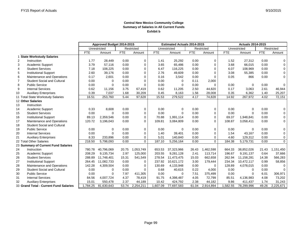#### **Central New Mexico Community College Summary of Salaries in All Current Funds Exhibit b**

|                                        |                                     | Approved Budget 2014-2015  |             |            | <b>Estimated Actuals 2014-2015</b> |            |             |            | <b>Actuals 2014-2015</b> |            |             |            |             |
|----------------------------------------|-------------------------------------|----------------------------|-------------|------------|------------------------------------|------------|-------------|------------|--------------------------|------------|-------------|------------|-------------|
|                                        |                                     | Restricted<br>Unrestricted |             |            | Unrestricted                       |            | Restricted  |            | Unrestricted             |            | Restricted  |            |             |
|                                        |                                     | <b>FTE</b>                 | Amount      | <b>FTE</b> | Amount                             | <b>FTE</b> | Amount      | <b>FTE</b> | Amount                   | <b>FTE</b> | Amount      | <b>FTE</b> | Amount      |
|                                        | <b>State Workstudy Salaries</b>     |                            |             |            |                                    |            |             |            |                          |            |             |            |             |
| $\overline{\mathbf{c}}$                | Instruction                         | 1.77                       | 28,449      | 0.00       | 0                                  | 1.41       | 25,292      | 0.00       | 0                        | 1.52       | 27,312      | 0.00       | $\mathbf 0$ |
| 3                                      | Academic Support                    | 3.79                       | 57,116      | 0.00       | 0                                  | 3.65       | 65,486      | 0.00       | $\mathbf 0$              | 3.68       | 66,015      | 0.00       | 0           |
| $\overline{4}$                         | <b>Student Services</b>             | 7.18                       | 108,225     | 0.00       | 0                                  | 6.47       | 116,225     | 0.00       | 0                        | 6.07       | 108,969     | 0.00       | 0           |
| 5                                      | <b>Institutional Support</b>        | 2.60                       | 39,176      | 0.00       | 0                                  | 2.76       | 49,609      | 0.00       | $\mathbf 0$              | 3.08       | 55,385      | 0.00       | $\mathbf 0$ |
| 6                                      | Maintenance and Operations          | 0.17                       | 2,601       | 0.00       | $\Omega$                           | 0.16       | 3,542       | 0.00       | $\Omega$                 | 0.05       | 866         | 0.00       | $\mathbf 0$ |
| $\overline{7}$                         | <b>Student Social and Cultural</b>  | 0.00                       | 0           | 0.00       | 0                                  | 0.00       | 0           | 0.11       | 2,000                    |            |             |            |             |
| 8                                      | <b>Public Service</b>               | 0.00                       | $\Omega$    | 0.00       | $\Omega$                           | 0.00       | $\Omega$    | 0.00       | $\Omega$                 | 0.00       | $\mathbf 0$ | 0.00       | $\mathbf 0$ |
| 9                                      | <b>Internal Services</b>            | 0.62                       | 11,156      | 3.75       | 67,419                             | 0.62       | 11,205      | 2.50       | 44,820                   | 0.17       | 3,063       | 2.61       | 46,944      |
| 10                                     | <b>Auxiliary Enterprises</b>        | 0.39                       | 7,037       | 1.68       | 30,209                             | 0.45       | 8,163       | 1.56       | 28,008                   | 0.35       | 6,362       | 1.40       | 25,207      |
|                                        | 11 Total State Workstudy Salaries   | 16.51                      | 253,760     | 5.44       | 97,628                             | 15.53      | 279,522     | 4.17       | 74,828                   | 14.92      | 267,972     | 4.02       | 72,151      |
|                                        | 12 Other Salaries                   |                            |             |            |                                    |            |             |            |                          |            |             |            |             |
| 13                                     | Instruction                         |                            |             |            |                                    |            |             |            |                          |            |             |            |             |
| 14                                     | <b>Academic Support</b>             | 0.33                       | 8,608       | 0.00       | 0                                  | 0.00       | $\Omega$    | 0.00       | $\mathbf 0$              | 0.00       | $\Omega$    | 0.00       | 0           |
| 15                                     | <b>Student Services</b>             | 0.00                       | $\Omega$    | 0.00       | 0                                  | 0.00       | $\Omega$    | 0.00       | $\mathbf 0$              | 0.00       | $\Omega$    | 0.00       | $\mathbf 0$ |
| 16                                     | <b>Institutional Support</b>        | 89.13                      | 2,359,546   | 0.00       | 0                                  | 70.88      | 1,991,114   | 0.00       | $\mathbf 0$              | 69.37      | 1,948,841   | 0.00       | $\mathbf 0$ |
| 17                                     | Maintenance and Operations          | 120.72                     | 3,196,043   | 0.00       | $\Omega$                           | 109.81     | 3,084,809   | 0.00       | $\Omega$                 | 108.87     | 3,058,411   | 0.00       | 0           |
| 18                                     | <b>Student Social and Cultural</b>  |                            |             |            |                                    |            |             |            |                          |            |             |            |             |
| 19                                     | <b>Public Service</b>               | 0.00                       | $\mathbf 0$ | 0.00       | 0                                  | 0.00       | $\mathbf 0$ | 0.00       | 0                        | 0.00       | $\mathbf 0$ | 0.00       | 0           |
| 20                                     | <b>Internal Services</b>            | 0.00                       | $\Omega$    | 0.00       | 0                                  | 1.40       | 39,401      | 0.00       | 0                        | 1.54       | 43,167      | 0.00       | 0           |
| 21                                     | <b>Auxiliary Enterprises</b>        | 8.33                       | 233,896     | 0.00       | $\Omega$                           | 5.01       | 140,840     | 0.00       | $\Omega$                 | 4.60       | 129,312     | 0.00       | 0           |
|                                        | 22 Total Other Salaries             | 218.50                     | 5,798,093   | 0.00       | $\Omega$                           | 187.10     | 5,256,164   | 0.00       | $\Omega$                 | 184.38     | 5,179,731   | 0.00       | $\mathbf 0$ |
|                                        | 23 Summary of Current Fund Salaries |                            |             |            |                                    |            |             |            |                          |            |             |            |             |
| 24                                     | Instruction                         | 780.78                     | 40,796,069  | 20.75      | 1,053,749                          | 653.53     | 37,323,966  | 26.43      | 1,462,598                | 664.33     | 38,852,026  | 21.43      | 1,151,450   |
| 25                                     | Academic Support                    | 208.29                     | 9,135,734   | 2.97       | 125,000                            | 203.55     | 9,281,128   | 2.41       | 113,714                  | 196.67     | 9,191,137   | 0.64       | 37,666      |
| 26                                     | <b>Student Services</b>             | 288.89                     | 11,748,401  | 15.31      | 541,549                            | 278.54     | 11,473,475  | 15.03      | 662,658                  | 262.94     | 11,158,281  | 14.38      | 566,283     |
| 27                                     | <b>Institutional Support</b>        | 264.45                     | 11,082,733  | 0.00       | 0                                  | 237.92     | 10,621,172  | 3.00       | 179,444                  | 234.34     | 10,472,117  | 0.99       | 58,856      |
| 28                                     | Maintenance and Operations          | 142.28                     | 4,309,504   | 0.00       | 0                                  | 130.69     | 4,133,948   | 0.00       | $\Omega$                 | 128.89     | 4,078,015   | 0.00       | 0           |
| 29                                     | <b>Student Social and Cultural</b>  | 0.00                       | 0           | 0.00       | $\Omega$                           | 0.68       | 40,615      | 0.22       | 4,000                    | 0.00       | $\Omega$    | 0.00       | $\Omega$    |
| 30                                     | <b>Public Service</b>               | 0.00                       | $\mathbf 0$ | 7.97       | 411,305                            | 0.00       | $\Omega$    | 7.51       | 375,499                  | 0.00       | $\mathbf 0$ | 6.01       | 306,971     |
| 31                                     | <b>Internal Services</b>            | 84.56                      | 4,007,724   | 4.37       | 78,419                             | 91.75      | 4,398,487   | 4.05       | 72,799                   | 85.51      | 4,136,983   | 4.08       | 73,202      |
| 32                                     | <b>Auxiliary Enterprises</b>        | 15.01                      | 550,478     | 2.37       | 44,189                             | 10.42      | 424,792     | 2.38       | 44,182                   | 9.86       | 411,437     | 1.74       | 31,243      |
| 33 Grand Total - Current Fund Salaries |                                     | 1,784.25                   | 81,630,643  | 53.74      | 2,254,211                          | 1,607.09   | 77,697,583  | 61.04      | 2,914,894                | 1,582.55   | 78,299,996  | 49.26      | 2,225,671   |